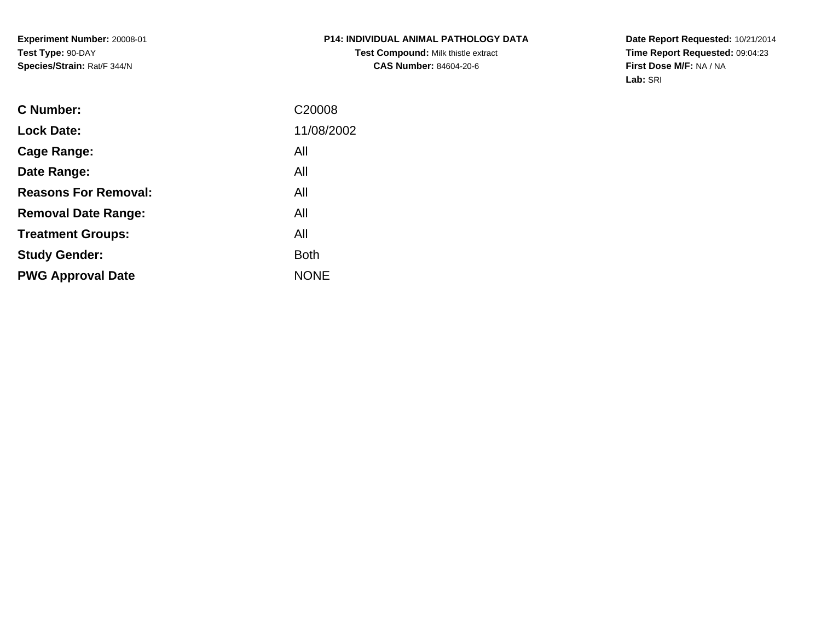**Experiment Number:** 20008-01**Test Type:** 90-DAY**Species/Strain:** Rat/F 344/N

**Date Report Requested:** 10/21/2014 **Time Report Requested:** 09:04:23**First Dose M/F:** NA / NA**Lab:** SRI

| <b>Lock Date:</b><br>All<br>Cage Range:<br>All<br>Date Range:<br><b>Reasons For Removal:</b><br>All<br>All<br><b>Removal Date Range:</b><br>All<br><b>Treatment Groups:</b><br><b>Both</b><br><b>Study Gender:</b><br><b>NONE</b><br><b>PWG Approval Date</b> | <b>C</b> Number: | C <sub>20008</sub> |
|---------------------------------------------------------------------------------------------------------------------------------------------------------------------------------------------------------------------------------------------------------------|------------------|--------------------|
|                                                                                                                                                                                                                                                               |                  | 11/08/2002         |
|                                                                                                                                                                                                                                                               |                  |                    |
|                                                                                                                                                                                                                                                               |                  |                    |
|                                                                                                                                                                                                                                                               |                  |                    |
|                                                                                                                                                                                                                                                               |                  |                    |
|                                                                                                                                                                                                                                                               |                  |                    |
|                                                                                                                                                                                                                                                               |                  |                    |
|                                                                                                                                                                                                                                                               |                  |                    |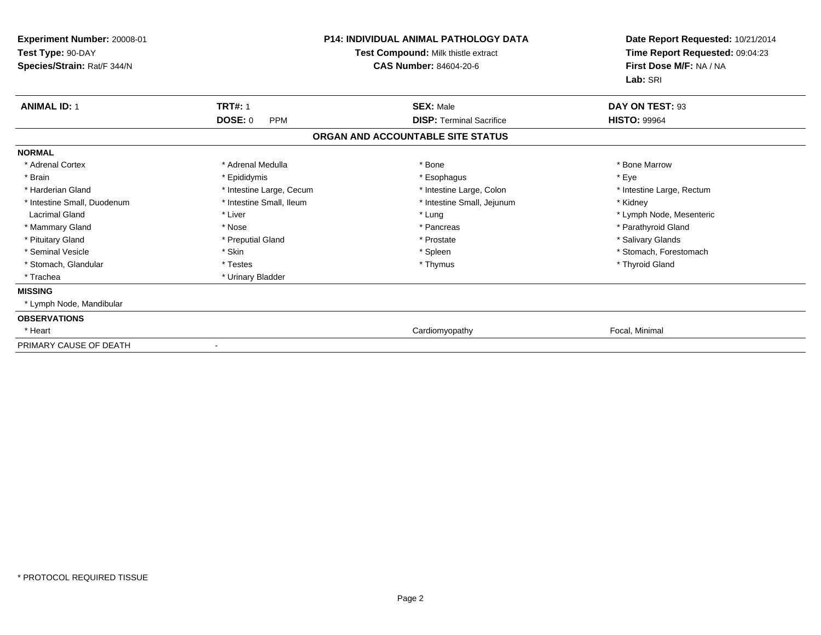| Experiment Number: 20008-01<br>Test Type: 90-DAY<br>Species/Strain: Rat/F 344/N |                              | <b>P14: INDIVIDUAL ANIMAL PATHOLOGY DATA</b><br>Test Compound: Milk thistle extract<br><b>CAS Number: 84604-20-6</b> | Date Report Requested: 10/21/2014<br>Time Report Requested: 09:04:23<br>First Dose M/F: NA / NA<br>Lab: SRI |
|---------------------------------------------------------------------------------|------------------------------|----------------------------------------------------------------------------------------------------------------------|-------------------------------------------------------------------------------------------------------------|
| <b>ANIMAL ID: 1</b>                                                             | <b>TRT#: 1</b>               | <b>SEX: Male</b>                                                                                                     | DAY ON TEST: 93                                                                                             |
|                                                                                 | <b>DOSE: 0</b><br><b>PPM</b> | <b>DISP: Terminal Sacrifice</b>                                                                                      | <b>HISTO: 99964</b>                                                                                         |
|                                                                                 |                              | ORGAN AND ACCOUNTABLE SITE STATUS                                                                                    |                                                                                                             |
| <b>NORMAL</b>                                                                   |                              |                                                                                                                      |                                                                                                             |
| * Adrenal Cortex                                                                | * Adrenal Medulla            | * Bone                                                                                                               | * Bone Marrow                                                                                               |
| * Brain                                                                         | * Epididymis                 | * Esophagus                                                                                                          | * Eye                                                                                                       |
| * Harderian Gland                                                               | * Intestine Large, Cecum     | * Intestine Large, Colon                                                                                             | * Intestine Large, Rectum                                                                                   |
| * Intestine Small, Duodenum                                                     | * Intestine Small. Ileum     | * Intestine Small, Jejunum                                                                                           | * Kidney                                                                                                    |
| <b>Lacrimal Gland</b>                                                           | * Liver                      | * Lung                                                                                                               | * Lymph Node, Mesenteric                                                                                    |
| * Mammary Gland                                                                 | * Nose                       | * Pancreas                                                                                                           | * Parathyroid Gland                                                                                         |
| * Pituitary Gland                                                               | * Preputial Gland            | * Prostate                                                                                                           | * Salivary Glands                                                                                           |
| * Seminal Vesicle                                                               | * Skin                       | * Spleen                                                                                                             | * Stomach, Forestomach                                                                                      |
| * Stomach, Glandular                                                            | * Testes                     | * Thymus                                                                                                             | * Thyroid Gland                                                                                             |
| * Trachea                                                                       | * Urinary Bladder            |                                                                                                                      |                                                                                                             |
| <b>MISSING</b>                                                                  |                              |                                                                                                                      |                                                                                                             |
| * Lymph Node, Mandibular                                                        |                              |                                                                                                                      |                                                                                                             |
| <b>OBSERVATIONS</b>                                                             |                              |                                                                                                                      |                                                                                                             |
| * Heart                                                                         |                              | Cardiomyopathy                                                                                                       | Focal, Minimal                                                                                              |
| PRIMARY CAUSE OF DEATH                                                          |                              |                                                                                                                      |                                                                                                             |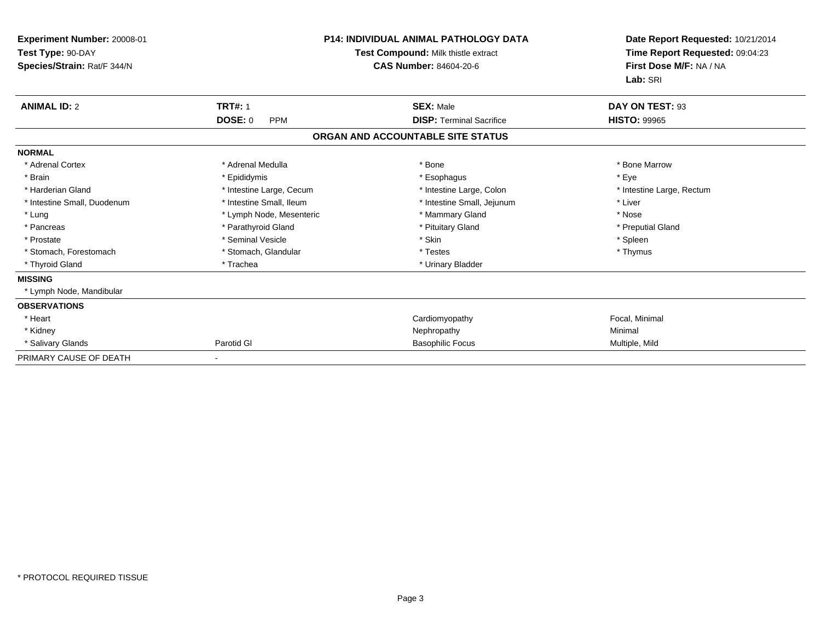| Experiment Number: 20008-01<br>Test Type: 90-DAY<br>Species/Strain: Rat/F 344/N |                              | <b>P14: INDIVIDUAL ANIMAL PATHOLOGY DATA</b><br>Test Compound: Milk thistle extract<br><b>CAS Number: 84604-20-6</b> | Date Report Requested: 10/21/2014<br>Time Report Requested: 09:04:23<br>First Dose M/F: NA / NA<br>Lab: SRI |
|---------------------------------------------------------------------------------|------------------------------|----------------------------------------------------------------------------------------------------------------------|-------------------------------------------------------------------------------------------------------------|
| <b>ANIMAL ID: 2</b>                                                             | <b>TRT#: 1</b>               | <b>SEX: Male</b>                                                                                                     | DAY ON TEST: 93                                                                                             |
|                                                                                 | <b>DOSE: 0</b><br><b>PPM</b> | <b>DISP: Terminal Sacrifice</b>                                                                                      | <b>HISTO: 99965</b>                                                                                         |
|                                                                                 |                              | ORGAN AND ACCOUNTABLE SITE STATUS                                                                                    |                                                                                                             |
| <b>NORMAL</b>                                                                   |                              |                                                                                                                      |                                                                                                             |
| * Adrenal Cortex                                                                | * Adrenal Medulla            | * Bone                                                                                                               | * Bone Marrow                                                                                               |
| * Brain                                                                         | * Epididymis                 | * Esophagus                                                                                                          | * Eye                                                                                                       |
| * Harderian Gland                                                               | * Intestine Large, Cecum     | * Intestine Large, Colon                                                                                             | * Intestine Large, Rectum                                                                                   |
| * Intestine Small, Duodenum                                                     | * Intestine Small, Ileum     | * Intestine Small, Jejunum                                                                                           | * Liver                                                                                                     |
| * Lung                                                                          | * Lymph Node, Mesenteric     | * Mammary Gland                                                                                                      | * Nose                                                                                                      |
| * Pancreas                                                                      | * Parathyroid Gland          | * Pituitary Gland                                                                                                    | * Preputial Gland                                                                                           |
| * Prostate                                                                      | * Seminal Vesicle            | * Skin                                                                                                               | * Spleen                                                                                                    |
| * Stomach, Forestomach                                                          | * Stomach, Glandular         | * Testes                                                                                                             | * Thymus                                                                                                    |
| * Thyroid Gland                                                                 | * Trachea                    | * Urinary Bladder                                                                                                    |                                                                                                             |
| <b>MISSING</b>                                                                  |                              |                                                                                                                      |                                                                                                             |
| * Lymph Node, Mandibular                                                        |                              |                                                                                                                      |                                                                                                             |
| <b>OBSERVATIONS</b>                                                             |                              |                                                                                                                      |                                                                                                             |
| * Heart                                                                         |                              | Cardiomyopathy                                                                                                       | Focal, Minimal                                                                                              |
| * Kidney                                                                        |                              | Nephropathy                                                                                                          | Minimal                                                                                                     |
| * Salivary Glands                                                               | Parotid GI                   | <b>Basophilic Focus</b>                                                                                              | Multiple, Mild                                                                                              |
| PRIMARY CAUSE OF DEATH                                                          |                              |                                                                                                                      |                                                                                                             |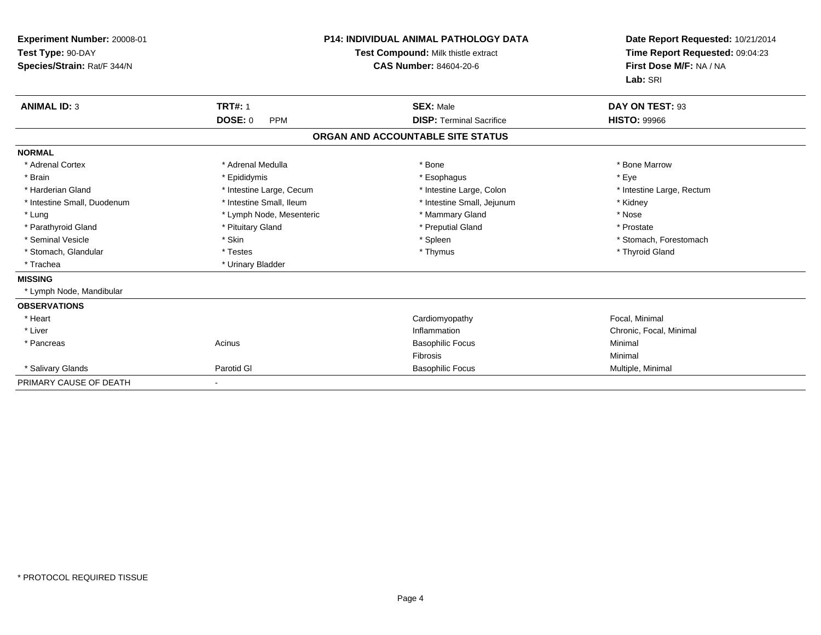| Experiment Number: 20008-01<br>Test Type: 90-DAY<br>Species/Strain: Rat/F 344/N |                              | <b>P14: INDIVIDUAL ANIMAL PATHOLOGY DATA</b><br>Test Compound: Milk thistle extract<br><b>CAS Number: 84604-20-6</b> | Date Report Requested: 10/21/2014<br>Time Report Requested: 09:04:23<br>First Dose M/F: NA / NA<br>Lab: SRI |
|---------------------------------------------------------------------------------|------------------------------|----------------------------------------------------------------------------------------------------------------------|-------------------------------------------------------------------------------------------------------------|
| <b>ANIMAL ID: 3</b>                                                             | <b>TRT#: 1</b>               | <b>SEX: Male</b>                                                                                                     | DAY ON TEST: 93                                                                                             |
|                                                                                 | <b>DOSE: 0</b><br><b>PPM</b> | <b>DISP: Terminal Sacrifice</b>                                                                                      | <b>HISTO: 99966</b>                                                                                         |
|                                                                                 |                              | ORGAN AND ACCOUNTABLE SITE STATUS                                                                                    |                                                                                                             |
| <b>NORMAL</b>                                                                   |                              |                                                                                                                      |                                                                                                             |
| * Adrenal Cortex                                                                | * Adrenal Medulla            | * Bone                                                                                                               | * Bone Marrow                                                                                               |
| * Brain                                                                         | * Epididymis                 | * Esophagus                                                                                                          | * Eye                                                                                                       |
| * Harderian Gland                                                               | * Intestine Large, Cecum     | * Intestine Large, Colon                                                                                             | * Intestine Large, Rectum                                                                                   |
| * Intestine Small, Duodenum                                                     | * Intestine Small, Ileum     | * Intestine Small, Jejunum                                                                                           | * Kidney                                                                                                    |
| * Lung                                                                          | * Lymph Node, Mesenteric     | * Mammary Gland                                                                                                      | * Nose                                                                                                      |
| * Parathyroid Gland                                                             | * Pituitary Gland            | * Preputial Gland                                                                                                    | * Prostate                                                                                                  |
| * Seminal Vesicle                                                               | * Skin                       | * Spleen                                                                                                             | * Stomach, Forestomach                                                                                      |
| * Stomach, Glandular                                                            | * Testes                     | * Thymus                                                                                                             | * Thyroid Gland                                                                                             |
| * Trachea                                                                       | * Urinary Bladder            |                                                                                                                      |                                                                                                             |
| <b>MISSING</b>                                                                  |                              |                                                                                                                      |                                                                                                             |
| * Lymph Node, Mandibular                                                        |                              |                                                                                                                      |                                                                                                             |
| <b>OBSERVATIONS</b>                                                             |                              |                                                                                                                      |                                                                                                             |
| * Heart                                                                         |                              | Cardiomyopathy                                                                                                       | Focal, Minimal                                                                                              |
| * Liver                                                                         |                              | Inflammation                                                                                                         | Chronic, Focal, Minimal                                                                                     |
| * Pancreas                                                                      | Acinus                       | <b>Basophilic Focus</b>                                                                                              | Minimal                                                                                                     |
|                                                                                 |                              | <b>Fibrosis</b>                                                                                                      | Minimal                                                                                                     |
| * Salivary Glands                                                               | Parotid GI                   | <b>Basophilic Focus</b>                                                                                              | Multiple, Minimal                                                                                           |
| PRIMARY CAUSE OF DEATH                                                          |                              |                                                                                                                      |                                                                                                             |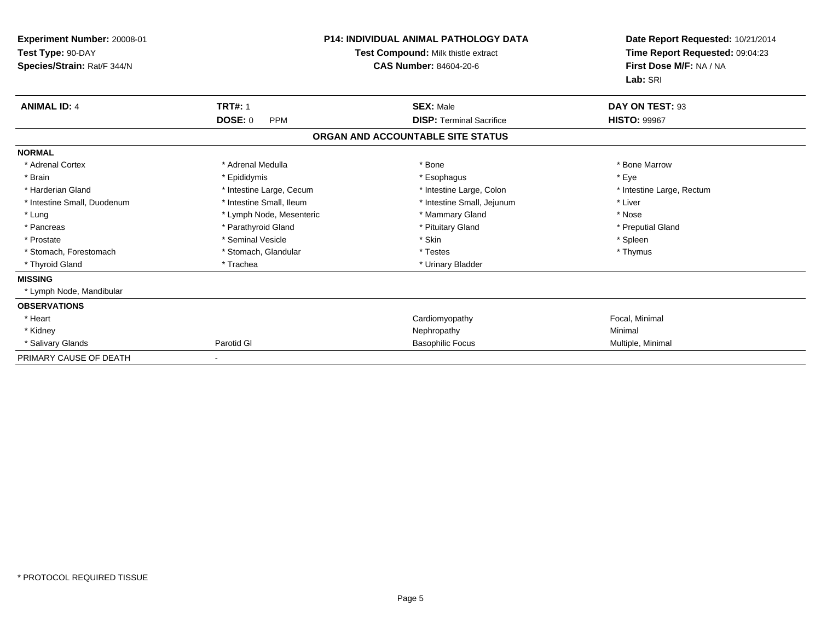| Experiment Number: 20008-01<br>Test Type: 90-DAY<br>Species/Strain: Rat/F 344/N |                              | <b>P14: INDIVIDUAL ANIMAL PATHOLOGY DATA</b><br>Test Compound: Milk thistle extract<br><b>CAS Number: 84604-20-6</b> | Date Report Requested: 10/21/2014<br>Time Report Requested: 09:04:23<br>First Dose M/F: NA / NA<br>Lab: SRI |
|---------------------------------------------------------------------------------|------------------------------|----------------------------------------------------------------------------------------------------------------------|-------------------------------------------------------------------------------------------------------------|
| <b>ANIMAL ID: 4</b>                                                             | <b>TRT#: 1</b>               | <b>SEX: Male</b>                                                                                                     | DAY ON TEST: 93                                                                                             |
|                                                                                 | <b>DOSE: 0</b><br><b>PPM</b> | <b>DISP: Terminal Sacrifice</b>                                                                                      | <b>HISTO: 99967</b>                                                                                         |
|                                                                                 |                              | ORGAN AND ACCOUNTABLE SITE STATUS                                                                                    |                                                                                                             |
| <b>NORMAL</b>                                                                   |                              |                                                                                                                      |                                                                                                             |
| * Adrenal Cortex                                                                | * Adrenal Medulla            | * Bone                                                                                                               | * Bone Marrow                                                                                               |
| * Brain                                                                         | * Epididymis                 | * Esophagus                                                                                                          | * Eye                                                                                                       |
| * Harderian Gland                                                               | * Intestine Large, Cecum     | * Intestine Large, Colon                                                                                             | * Intestine Large, Rectum                                                                                   |
| * Intestine Small, Duodenum                                                     | * Intestine Small, Ileum     | * Intestine Small, Jejunum                                                                                           | * Liver                                                                                                     |
| * Lung                                                                          | * Lymph Node, Mesenteric     | * Mammary Gland                                                                                                      | * Nose                                                                                                      |
| * Pancreas                                                                      | * Parathyroid Gland          | * Pituitary Gland                                                                                                    | * Preputial Gland                                                                                           |
| * Prostate                                                                      | * Seminal Vesicle            | * Skin                                                                                                               | * Spleen                                                                                                    |
| * Stomach, Forestomach                                                          | * Stomach, Glandular         | * Testes                                                                                                             | * Thymus                                                                                                    |
| * Thyroid Gland                                                                 | * Trachea                    | * Urinary Bladder                                                                                                    |                                                                                                             |
| <b>MISSING</b>                                                                  |                              |                                                                                                                      |                                                                                                             |
| * Lymph Node, Mandibular                                                        |                              |                                                                                                                      |                                                                                                             |
| <b>OBSERVATIONS</b>                                                             |                              |                                                                                                                      |                                                                                                             |
| * Heart                                                                         |                              | Cardiomyopathy                                                                                                       | Focal, Minimal                                                                                              |
| * Kidney                                                                        |                              | Nephropathy                                                                                                          | Minimal                                                                                                     |
| * Salivary Glands                                                               | Parotid GI                   | <b>Basophilic Focus</b>                                                                                              | Multiple, Minimal                                                                                           |
| PRIMARY CAUSE OF DEATH                                                          |                              |                                                                                                                      |                                                                                                             |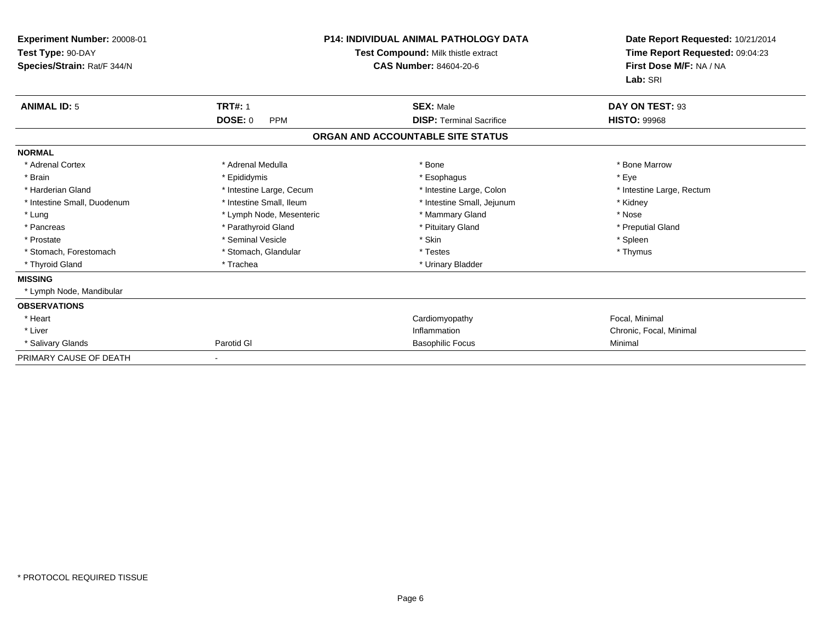| Experiment Number: 20008-01<br>Test Type: 90-DAY<br>Species/Strain: Rat/F 344/N |                              | <b>P14: INDIVIDUAL ANIMAL PATHOLOGY DATA</b><br>Test Compound: Milk thistle extract<br><b>CAS Number: 84604-20-6</b> |                           |
|---------------------------------------------------------------------------------|------------------------------|----------------------------------------------------------------------------------------------------------------------|---------------------------|
| <b>ANIMAL ID: 5</b>                                                             | <b>TRT#: 1</b>               | <b>SEX: Male</b>                                                                                                     | DAY ON TEST: 93           |
|                                                                                 | <b>DOSE: 0</b><br><b>PPM</b> | <b>DISP: Terminal Sacrifice</b>                                                                                      | <b>HISTO: 99968</b>       |
|                                                                                 |                              | ORGAN AND ACCOUNTABLE SITE STATUS                                                                                    |                           |
| <b>NORMAL</b>                                                                   |                              |                                                                                                                      |                           |
| * Adrenal Cortex                                                                | * Adrenal Medulla            | * Bone                                                                                                               | * Bone Marrow             |
| * Brain                                                                         | * Epididymis                 | * Esophagus                                                                                                          | * Eve                     |
| * Harderian Gland                                                               | * Intestine Large, Cecum     | * Intestine Large, Colon                                                                                             | * Intestine Large, Rectum |
| * Intestine Small, Duodenum                                                     | * Intestine Small, Ileum     | * Intestine Small, Jejunum                                                                                           | * Kidney                  |
| * Lung                                                                          | * Lymph Node, Mesenteric     | * Mammary Gland                                                                                                      | * Nose                    |
| * Pancreas                                                                      | * Parathyroid Gland          | * Pituitary Gland                                                                                                    | * Preputial Gland         |
| * Prostate                                                                      | * Seminal Vesicle            | * Skin                                                                                                               | * Spleen                  |
| * Stomach, Forestomach                                                          | * Stomach, Glandular         | * Testes                                                                                                             | * Thymus                  |
| * Thyroid Gland                                                                 | * Trachea                    | * Urinary Bladder                                                                                                    |                           |
| <b>MISSING</b>                                                                  |                              |                                                                                                                      |                           |
| * Lymph Node, Mandibular                                                        |                              |                                                                                                                      |                           |
| <b>OBSERVATIONS</b>                                                             |                              |                                                                                                                      |                           |
| * Heart                                                                         |                              | Cardiomyopathy                                                                                                       | Focal, Minimal            |
| * Liver                                                                         |                              | Inflammation                                                                                                         | Chronic, Focal, Minimal   |
| * Salivary Glands                                                               | Parotid GI                   | <b>Basophilic Focus</b>                                                                                              | Minimal                   |
| PRIMARY CAUSE OF DEATH                                                          |                              |                                                                                                                      |                           |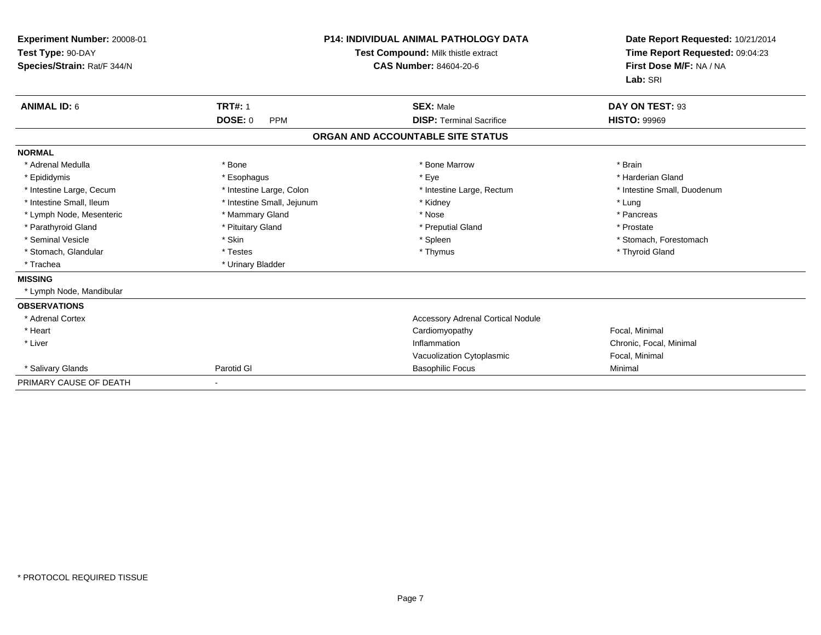| Experiment Number: 20008-01 |                              | <b>P14: INDIVIDUAL ANIMAL PATHOLOGY DATA</b> | Date Report Requested: 10/21/2014 |
|-----------------------------|------------------------------|----------------------------------------------|-----------------------------------|
| Test Type: 90-DAY           |                              | <b>Test Compound: Milk thistle extract</b>   | Time Report Requested: 09:04:23   |
| Species/Strain: Rat/F 344/N |                              | <b>CAS Number: 84604-20-6</b>                | First Dose M/F: NA / NA           |
|                             |                              |                                              | Lab: SRI                          |
| <b>ANIMAL ID: 6</b>         | <b>TRT#: 1</b>               | <b>SEX: Male</b>                             | DAY ON TEST: 93                   |
|                             | <b>DOSE: 0</b><br><b>PPM</b> | <b>DISP: Terminal Sacrifice</b>              | <b>HISTO: 99969</b>               |
|                             |                              | ORGAN AND ACCOUNTABLE SITE STATUS            |                                   |
| <b>NORMAL</b>               |                              |                                              |                                   |
| * Adrenal Medulla           | * Bone                       | * Bone Marrow                                | * Brain                           |
| * Epididymis                | * Esophagus                  | * Eye                                        | * Harderian Gland                 |
| * Intestine Large, Cecum    | * Intestine Large, Colon     | * Intestine Large, Rectum                    | * Intestine Small, Duodenum       |
| * Intestine Small. Ileum    | * Intestine Small, Jejunum   | * Kidney                                     | * Lung                            |
| * Lymph Node, Mesenteric    | * Mammary Gland              | * Nose                                       | * Pancreas                        |
| * Parathyroid Gland         | * Pituitary Gland            | * Preputial Gland                            | * Prostate                        |
| * Seminal Vesicle           | * Skin                       | * Spleen                                     | * Stomach, Forestomach            |
| * Stomach, Glandular        | * Testes                     | * Thymus                                     | * Thyroid Gland                   |
| * Trachea                   | * Urinary Bladder            |                                              |                                   |
| <b>MISSING</b>              |                              |                                              |                                   |
| Lymph Node, Mandibular      |                              |                                              |                                   |
| <b>OBSERVATIONS</b>         |                              |                                              |                                   |
| * Adrenal Cortex            |                              | <b>Accessory Adrenal Cortical Nodule</b>     |                                   |
| * Heart                     |                              | Cardiomyopathy                               | Focal, Minimal                    |
| * Liver                     |                              | Inflammation                                 | Chronic, Focal, Minimal           |
|                             |                              | Vacuolization Cytoplasmic                    | Focal, Minimal                    |
| * Salivary Glands           | Parotid GI                   | <b>Basophilic Focus</b>                      | Minimal                           |
| PRIMARY CAUSE OF DEATH      |                              |                                              |                                   |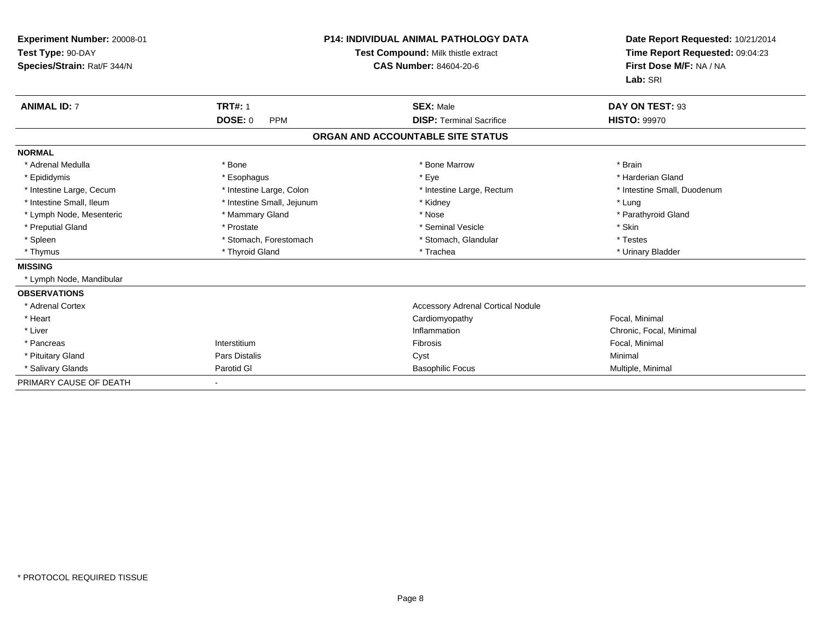| <b>Experiment Number: 20008-01</b><br>Test Type: 90-DAY<br>Species/Strain: Rat/F 344/N |                              | <b>P14: INDIVIDUAL ANIMAL PATHOLOGY DATA</b><br>Test Compound: Milk thistle extract<br><b>CAS Number: 84604-20-6</b> | Date Report Requested: 10/21/2014<br>Time Report Requested: 09:04:23<br>First Dose M/F: NA / NA<br>Lab: SRI |
|----------------------------------------------------------------------------------------|------------------------------|----------------------------------------------------------------------------------------------------------------------|-------------------------------------------------------------------------------------------------------------|
| <b>ANIMAL ID: 7</b>                                                                    | <b>TRT#: 1</b>               | <b>SEX: Male</b>                                                                                                     | DAY ON TEST: 93                                                                                             |
|                                                                                        | <b>DOSE: 0</b><br><b>PPM</b> | <b>DISP: Terminal Sacrifice</b>                                                                                      | <b>HISTO: 99970</b>                                                                                         |
|                                                                                        |                              | ORGAN AND ACCOUNTABLE SITE STATUS                                                                                    |                                                                                                             |
| <b>NORMAL</b>                                                                          |                              |                                                                                                                      |                                                                                                             |
| * Adrenal Medulla                                                                      | * Bone                       | * Bone Marrow                                                                                                        | * Brain                                                                                                     |
| * Epididymis                                                                           | * Esophagus                  | * Eye                                                                                                                | * Harderian Gland                                                                                           |
| * Intestine Large, Cecum                                                               | * Intestine Large, Colon     | * Intestine Large, Rectum                                                                                            | * Intestine Small, Duodenum                                                                                 |
| * Intestine Small. Ileum                                                               | * Intestine Small, Jejunum   | * Kidney                                                                                                             | * Lung                                                                                                      |
| * Lymph Node, Mesenteric                                                               | * Mammary Gland              | * Nose                                                                                                               | * Parathyroid Gland                                                                                         |
| * Preputial Gland                                                                      | * Prostate                   | * Seminal Vesicle                                                                                                    | * Skin                                                                                                      |
| * Spleen                                                                               | * Stomach, Forestomach       | * Stomach, Glandular                                                                                                 | * Testes                                                                                                    |
| * Thymus                                                                               | * Thyroid Gland              | * Trachea                                                                                                            | * Urinary Bladder                                                                                           |
| <b>MISSING</b>                                                                         |                              |                                                                                                                      |                                                                                                             |
| * Lymph Node, Mandibular                                                               |                              |                                                                                                                      |                                                                                                             |
| <b>OBSERVATIONS</b>                                                                    |                              |                                                                                                                      |                                                                                                             |
| * Adrenal Cortex                                                                       |                              | <b>Accessory Adrenal Cortical Nodule</b>                                                                             |                                                                                                             |
| * Heart                                                                                |                              | Cardiomyopathy                                                                                                       | Focal, Minimal                                                                                              |
| * Liver                                                                                |                              | Inflammation                                                                                                         | Chronic, Focal, Minimal                                                                                     |
| * Pancreas                                                                             | Interstitium                 | Fibrosis                                                                                                             | Focal, Minimal                                                                                              |
| * Pituitary Gland                                                                      | <b>Pars Distalis</b>         | Cyst                                                                                                                 | Minimal                                                                                                     |
| * Salivary Glands                                                                      | Parotid GI                   | <b>Basophilic Focus</b>                                                                                              | Multiple, Minimal                                                                                           |
| PRIMARY CAUSE OF DEATH                                                                 |                              |                                                                                                                      |                                                                                                             |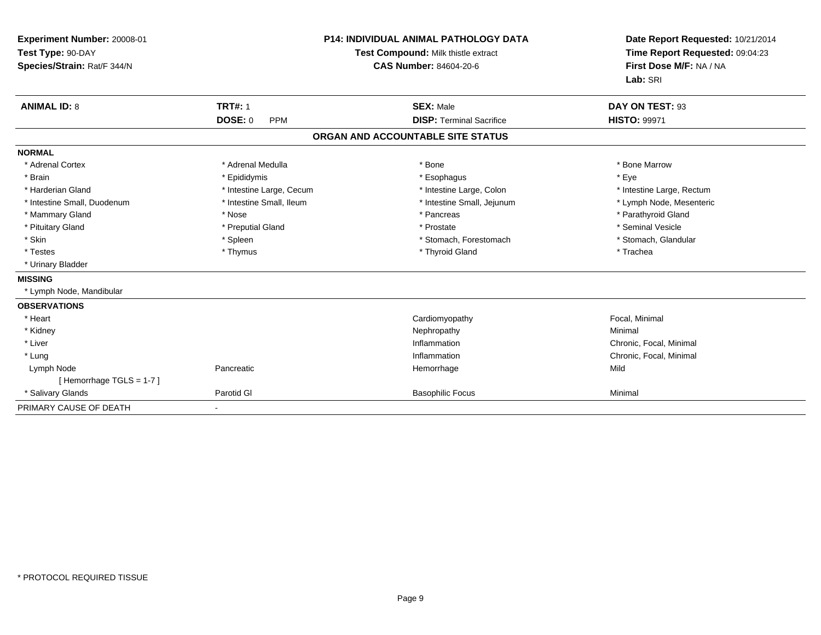| Experiment Number: 20008-01<br>Test Type: 90-DAY<br>Species/Strain: Rat/F 344/N<br><b>ANIMAL ID: 8</b> | <b>TRT#: 1</b>           | <b>P14: INDIVIDUAL ANIMAL PATHOLOGY DATA</b><br>Test Compound: Milk thistle extract<br><b>CAS Number: 84604-20-6</b><br><b>SEX: Male</b> | Date Report Requested: 10/21/2014<br>Time Report Requested: 09:04:23<br>First Dose M/F: NA / NA<br>Lab: SRI<br>DAY ON TEST: 93 |
|--------------------------------------------------------------------------------------------------------|--------------------------|------------------------------------------------------------------------------------------------------------------------------------------|--------------------------------------------------------------------------------------------------------------------------------|
|                                                                                                        | DOSE: 0<br><b>PPM</b>    | <b>DISP: Terminal Sacrifice</b>                                                                                                          | <b>HISTO: 99971</b>                                                                                                            |
|                                                                                                        |                          | ORGAN AND ACCOUNTABLE SITE STATUS                                                                                                        |                                                                                                                                |
| <b>NORMAL</b>                                                                                          |                          |                                                                                                                                          |                                                                                                                                |
| * Adrenal Cortex                                                                                       | * Adrenal Medulla        | * Bone                                                                                                                                   | * Bone Marrow                                                                                                                  |
| * Brain                                                                                                | * Epididymis             | * Esophagus                                                                                                                              | * Eye                                                                                                                          |
| * Harderian Gland                                                                                      | * Intestine Large, Cecum | * Intestine Large, Colon                                                                                                                 | * Intestine Large, Rectum                                                                                                      |
| * Intestine Small, Duodenum                                                                            | * Intestine Small, Ileum | * Intestine Small, Jejunum                                                                                                               | * Lymph Node, Mesenteric                                                                                                       |
| * Mammary Gland                                                                                        | * Nose                   | * Pancreas                                                                                                                               | * Parathyroid Gland                                                                                                            |
| * Pituitary Gland                                                                                      | * Preputial Gland        | * Prostate                                                                                                                               | * Seminal Vesicle                                                                                                              |
| * Skin                                                                                                 | * Spleen                 | * Stomach. Forestomach                                                                                                                   | * Stomach, Glandular                                                                                                           |
| * Testes                                                                                               | * Thymus                 | * Thyroid Gland                                                                                                                          | * Trachea                                                                                                                      |
| * Urinary Bladder                                                                                      |                          |                                                                                                                                          |                                                                                                                                |
| <b>MISSING</b>                                                                                         |                          |                                                                                                                                          |                                                                                                                                |
| * Lymph Node, Mandibular                                                                               |                          |                                                                                                                                          |                                                                                                                                |
| <b>OBSERVATIONS</b>                                                                                    |                          |                                                                                                                                          |                                                                                                                                |
| * Heart                                                                                                |                          | Cardiomyopathy                                                                                                                           | Focal, Minimal                                                                                                                 |
| * Kidney                                                                                               |                          | Nephropathy                                                                                                                              | Minimal                                                                                                                        |
| * Liver                                                                                                |                          | Inflammation                                                                                                                             | Chronic, Focal, Minimal                                                                                                        |
| * Lung                                                                                                 |                          | Inflammation                                                                                                                             | Chronic, Focal, Minimal                                                                                                        |
| Lymph Node                                                                                             | Pancreatic               | Hemorrhage                                                                                                                               | Mild                                                                                                                           |
| [Hemorrhage TGLS = 1-7]                                                                                |                          |                                                                                                                                          |                                                                                                                                |
| * Salivary Glands                                                                                      | Parotid GI               | <b>Basophilic Focus</b>                                                                                                                  | Minimal                                                                                                                        |
| PRIMARY CAUSE OF DEATH                                                                                 |                          |                                                                                                                                          |                                                                                                                                |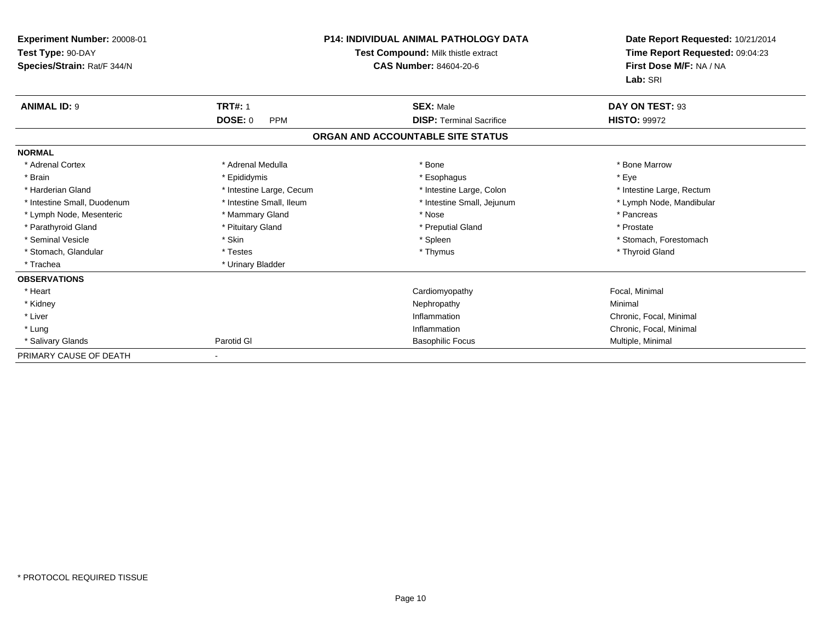| <b>Experiment Number: 20008-01</b><br>Test Type: 90-DAY<br>Species/Strain: Rat/F 344/N |                              | P14: INDIVIDUAL ANIMAL PATHOLOGY DATA<br>Test Compound: Milk thistle extract<br>CAS Number: 84604-20-6 | Date Report Requested: 10/21/2014<br>Time Report Requested: 09:04:23<br>First Dose M/F: NA / NA<br>Lab: SRI |
|----------------------------------------------------------------------------------------|------------------------------|--------------------------------------------------------------------------------------------------------|-------------------------------------------------------------------------------------------------------------|
| <b>ANIMAL ID: 9</b>                                                                    | <b>TRT#: 1</b>               | <b>SEX: Male</b>                                                                                       | DAY ON TEST: 93                                                                                             |
|                                                                                        | <b>DOSE: 0</b><br><b>PPM</b> | <b>DISP: Terminal Sacrifice</b>                                                                        | <b>HISTO: 99972</b>                                                                                         |
|                                                                                        |                              | ORGAN AND ACCOUNTABLE SITE STATUS                                                                      |                                                                                                             |
| <b>NORMAL</b>                                                                          |                              |                                                                                                        |                                                                                                             |
| * Adrenal Cortex                                                                       | * Adrenal Medulla            | * Bone                                                                                                 | * Bone Marrow                                                                                               |
| * Brain                                                                                | * Epididymis                 | * Esophagus                                                                                            | * Eve                                                                                                       |
| * Harderian Gland                                                                      | * Intestine Large, Cecum     | * Intestine Large, Colon                                                                               | * Intestine Large, Rectum                                                                                   |
| * Intestine Small, Duodenum                                                            | * Intestine Small, Ileum     | * Intestine Small, Jejunum                                                                             | * Lymph Node, Mandibular                                                                                    |
| * Lymph Node, Mesenteric                                                               | * Mammary Gland              | * Nose                                                                                                 | * Pancreas                                                                                                  |
| * Parathyroid Gland                                                                    | * Pituitary Gland            | * Preputial Gland                                                                                      | * Prostate                                                                                                  |
| * Seminal Vesicle                                                                      | * Skin                       | * Spleen                                                                                               | * Stomach, Forestomach                                                                                      |
| * Stomach, Glandular                                                                   | * Testes                     | * Thymus                                                                                               | * Thyroid Gland                                                                                             |
| * Trachea                                                                              | * Urinary Bladder            |                                                                                                        |                                                                                                             |
| <b>OBSERVATIONS</b>                                                                    |                              |                                                                                                        |                                                                                                             |
| * Heart                                                                                |                              | Cardiomyopathy                                                                                         | Focal, Minimal                                                                                              |
| * Kidney                                                                               |                              | Nephropathy                                                                                            | Minimal                                                                                                     |
| * Liver                                                                                |                              | Inflammation                                                                                           | Chronic, Focal, Minimal                                                                                     |
| * Lung                                                                                 |                              | Inflammation                                                                                           | Chronic, Focal, Minimal                                                                                     |
| * Salivary Glands                                                                      | Parotid GI                   | <b>Basophilic Focus</b>                                                                                | Multiple, Minimal                                                                                           |
| PRIMARY CAUSE OF DEATH                                                                 |                              |                                                                                                        |                                                                                                             |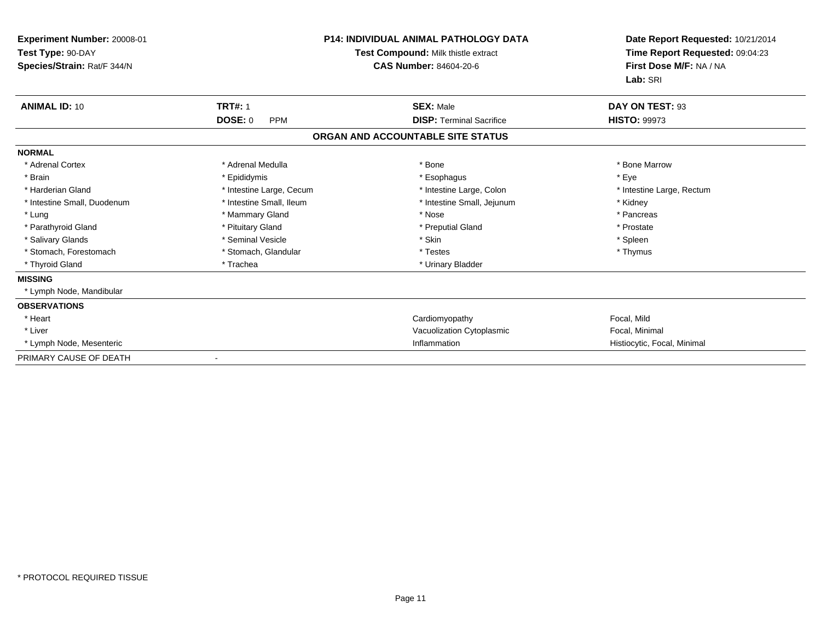| Experiment Number: 20008-01<br>Test Type: 90-DAY<br>Species/Strain: Rat/F 344/N |                              | <b>P14: INDIVIDUAL ANIMAL PATHOLOGY DATA</b><br>Test Compound: Milk thistle extract<br><b>CAS Number: 84604-20-6</b> | Date Report Requested: 10/21/2014<br>Time Report Requested: 09:04:23<br>First Dose M/F: NA / NA<br>Lab: SRI |
|---------------------------------------------------------------------------------|------------------------------|----------------------------------------------------------------------------------------------------------------------|-------------------------------------------------------------------------------------------------------------|
| <b>ANIMAL ID: 10</b>                                                            | <b>TRT#: 1</b>               | <b>SEX: Male</b>                                                                                                     | DAY ON TEST: 93                                                                                             |
|                                                                                 | <b>DOSE: 0</b><br><b>PPM</b> | <b>DISP: Terminal Sacrifice</b>                                                                                      | <b>HISTO: 99973</b>                                                                                         |
|                                                                                 |                              | ORGAN AND ACCOUNTABLE SITE STATUS                                                                                    |                                                                                                             |
| <b>NORMAL</b>                                                                   |                              |                                                                                                                      |                                                                                                             |
| * Adrenal Cortex                                                                | * Adrenal Medulla            | * Bone                                                                                                               | * Bone Marrow                                                                                               |
| * Brain                                                                         | * Epididymis                 | * Esophagus                                                                                                          | * Eve                                                                                                       |
| * Harderian Gland                                                               | * Intestine Large, Cecum     | * Intestine Large, Colon                                                                                             | * Intestine Large, Rectum                                                                                   |
| * Intestine Small, Duodenum                                                     | * Intestine Small. Ileum     | * Intestine Small, Jejunum                                                                                           | * Kidney                                                                                                    |
| * Lung                                                                          | * Mammary Gland              | * Nose                                                                                                               | * Pancreas                                                                                                  |
| * Parathyroid Gland                                                             | * Pituitary Gland            | * Preputial Gland                                                                                                    | * Prostate                                                                                                  |
| * Salivary Glands                                                               | * Seminal Vesicle            | * Skin                                                                                                               | * Spleen                                                                                                    |
| * Stomach, Forestomach                                                          | * Stomach, Glandular         | * Testes                                                                                                             | * Thymus                                                                                                    |
| * Thyroid Gland                                                                 | * Trachea                    | * Urinary Bladder                                                                                                    |                                                                                                             |
| <b>MISSING</b>                                                                  |                              |                                                                                                                      |                                                                                                             |
| * Lymph Node, Mandibular                                                        |                              |                                                                                                                      |                                                                                                             |
| <b>OBSERVATIONS</b>                                                             |                              |                                                                                                                      |                                                                                                             |
| * Heart                                                                         |                              | Cardiomyopathy                                                                                                       | Focal, Mild                                                                                                 |
| * Liver                                                                         |                              | Vacuolization Cytoplasmic                                                                                            | Focal, Minimal                                                                                              |
| * Lymph Node, Mesenteric                                                        |                              | Inflammation                                                                                                         | Histiocytic, Focal, Minimal                                                                                 |
| PRIMARY CAUSE OF DEATH                                                          | $\overline{\phantom{a}}$     |                                                                                                                      |                                                                                                             |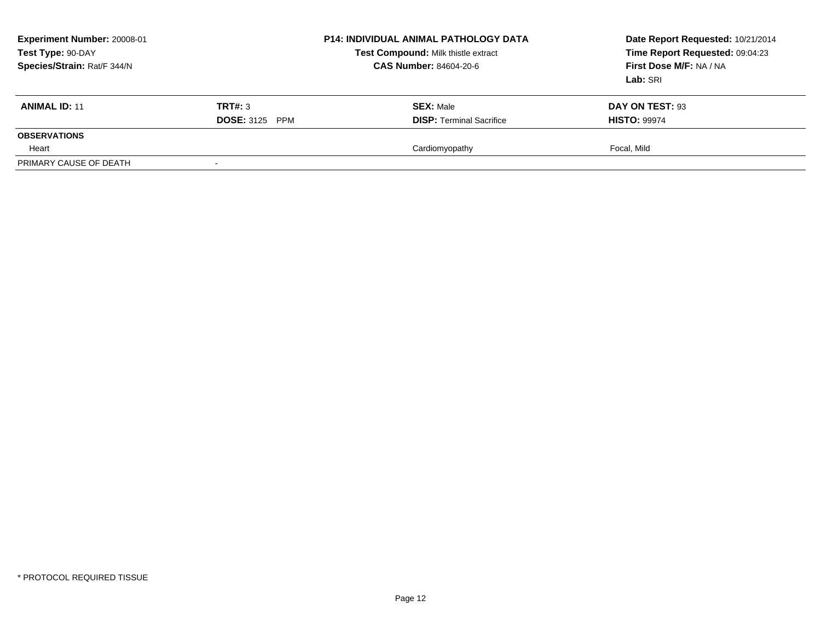| Experiment Number: 20008-01<br>Test Type: 90-DAY<br>Species/Strain: Rat/F 344/N |                       | <b>P14: INDIVIDUAL ANIMAL PATHOLOGY DATA</b><br>Test Compound: Milk thistle extract<br>CAS Number: 84604-20-6 | Date Report Requested: 10/21/2014<br>Time Report Requested: 09:04:23<br>First Dose M/F: NA / NA<br>Lab: SRI |
|---------------------------------------------------------------------------------|-----------------------|---------------------------------------------------------------------------------------------------------------|-------------------------------------------------------------------------------------------------------------|
| <b>ANIMAL ID: 11</b>                                                            | TRT#: 3               | <b>SEX: Male</b>                                                                                              | DAY ON TEST: 93                                                                                             |
|                                                                                 | <b>DOSE: 3125 PPM</b> | <b>DISP: Terminal Sacrifice</b>                                                                               | <b>HISTO: 99974</b>                                                                                         |
| <b>OBSERVATIONS</b>                                                             |                       |                                                                                                               |                                                                                                             |
| Heart                                                                           |                       | Cardiomyopathy                                                                                                | Focal. Mild                                                                                                 |
| PRIMARY CAUSE OF DEATH                                                          |                       |                                                                                                               |                                                                                                             |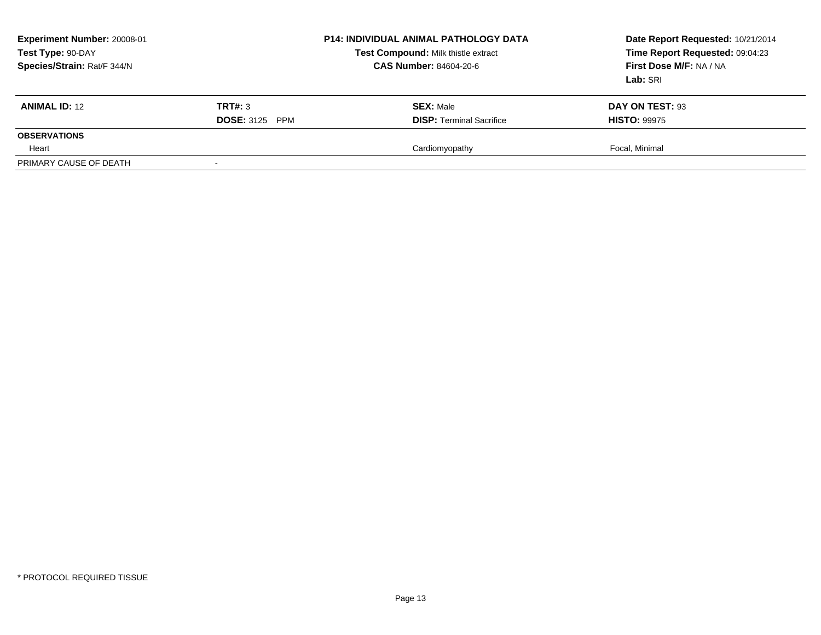| Experiment Number: 20008-01<br>Test Type: 90-DAY<br>Species/Strain: Rat/F 344/N |                       | <b>P14: INDIVIDUAL ANIMAL PATHOLOGY DATA</b><br>Test Compound: Milk thistle extract<br>CAS Number: 84604-20-6 | Date Report Requested: 10/21/2014<br>Time Report Requested: 09:04:23<br>First Dose M/F: NA / NA<br>Lab: SRI |
|---------------------------------------------------------------------------------|-----------------------|---------------------------------------------------------------------------------------------------------------|-------------------------------------------------------------------------------------------------------------|
| <b>ANIMAL ID: 12</b>                                                            | TRT#: 3               | <b>SEX: Male</b>                                                                                              | DAY ON TEST: 93                                                                                             |
|                                                                                 | <b>DOSE: 3125 PPM</b> | <b>DISP: Terminal Sacrifice</b>                                                                               | <b>HISTO: 99975</b>                                                                                         |
| <b>OBSERVATIONS</b>                                                             |                       |                                                                                                               |                                                                                                             |
| Heart                                                                           |                       | Cardiomyopathy                                                                                                | Focal, Minimal                                                                                              |
| PRIMARY CAUSE OF DEATH                                                          |                       |                                                                                                               |                                                                                                             |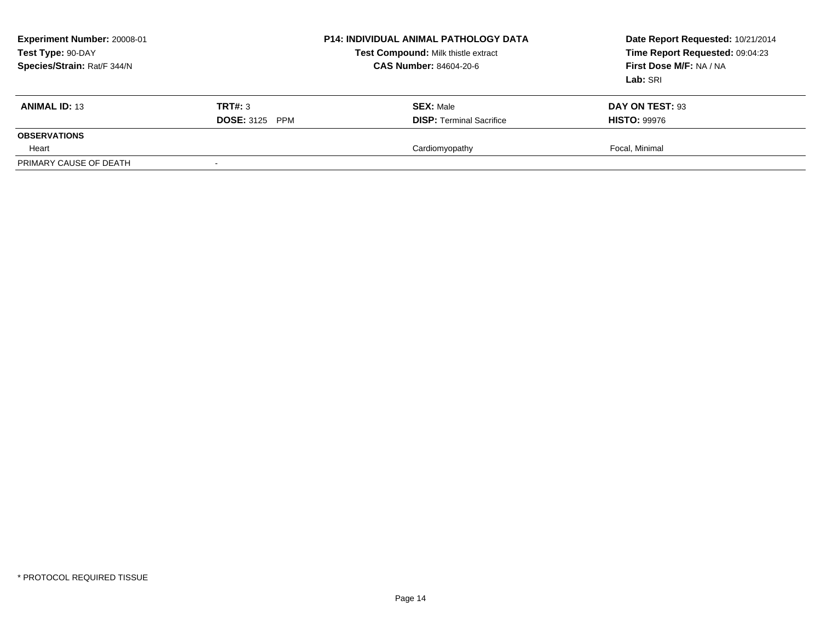| Experiment Number: 20008-01<br>Test Type: 90-DAY<br>Species/Strain: Rat/F 344/N |                          | <b>P14: INDIVIDUAL ANIMAL PATHOLOGY DATA</b><br>Test Compound: Milk thistle extract<br><b>CAS Number: 84604-20-6</b> | Date Report Requested: 10/21/2014<br>Time Report Requested: 09:04:23<br>First Dose M/F: NA / NA<br>Lab: SRI |
|---------------------------------------------------------------------------------|--------------------------|----------------------------------------------------------------------------------------------------------------------|-------------------------------------------------------------------------------------------------------------|
| <b>ANIMAL ID: 13</b>                                                            | TRT#: 3                  | <b>SEX: Male</b>                                                                                                     | DAY ON TEST: 93                                                                                             |
|                                                                                 | <b>DOSE: 3125</b><br>PPM | <b>DISP:</b> Terminal Sacrifice                                                                                      | <b>HISTO: 99976</b>                                                                                         |
| <b>OBSERVATIONS</b>                                                             |                          |                                                                                                                      |                                                                                                             |
| Heart                                                                           |                          | Cardiomyopathy                                                                                                       | Focal, Minimal                                                                                              |
| PRIMARY CAUSE OF DEATH                                                          |                          |                                                                                                                      |                                                                                                             |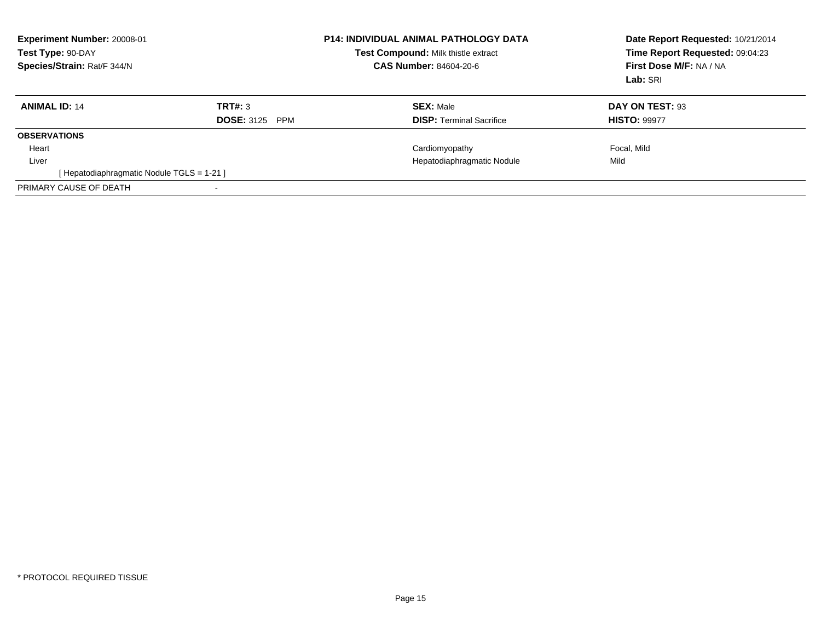| Test Type: 90-DAY    | Experiment Number: 20008-01<br>Species/Strain: Rat/F 344/N |                                            | <b>P14: INDIVIDUAL ANIMAL PATHOLOGY DATA</b><br>Test Compound: Milk thistle extract<br><b>CAS Number: 84604-20-6</b> | Date Report Requested: 10/21/2014<br>Time Report Requested: 09:04:23<br>First Dose M/F: NA / NA<br>Lab: SRI |
|----------------------|------------------------------------------------------------|--------------------------------------------|----------------------------------------------------------------------------------------------------------------------|-------------------------------------------------------------------------------------------------------------|
| <b>ANIMAL ID: 14</b> |                                                            | TRT#: 3<br><b>DOSE: 3125</b><br><b>PPM</b> | <b>SEX: Male</b><br><b>DISP:</b> Terminal Sacrifice                                                                  | DAY ON TEST: 93<br><b>HISTO: 99977</b>                                                                      |
| <b>OBSERVATIONS</b>  |                                                            |                                            |                                                                                                                      |                                                                                                             |
| Heart                |                                                            |                                            | Cardiomyopathy                                                                                                       | Focal, Mild                                                                                                 |
| Liver                |                                                            |                                            | Hepatodiaphragmatic Nodule                                                                                           | Mild                                                                                                        |
|                      | [ Hepatodiaphragmatic Nodule TGLS = 1-21 ]                 |                                            |                                                                                                                      |                                                                                                             |
|                      | PRIMARY CAUSE OF DEATH                                     |                                            |                                                                                                                      |                                                                                                             |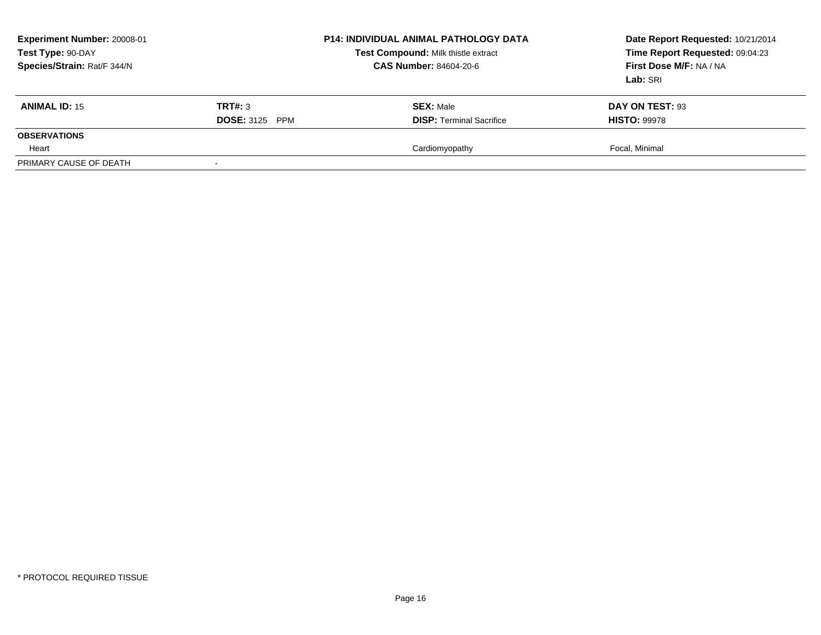| Experiment Number: 20008-01<br>Test Type: 90-DAY<br>Species/Strain: Rat/F 344/N |                       | <b>P14: INDIVIDUAL ANIMAL PATHOLOGY DATA</b><br>Test Compound: Milk thistle extract<br>CAS Number: 84604-20-6 | Date Report Requested: 10/21/2014<br>Time Report Requested: 09:04:23<br>First Dose M/F: NA / NA<br>Lab: SRI |
|---------------------------------------------------------------------------------|-----------------------|---------------------------------------------------------------------------------------------------------------|-------------------------------------------------------------------------------------------------------------|
| <b>ANIMAL ID: 15</b>                                                            | TRT#: 3               | <b>SEX: Male</b>                                                                                              | DAY ON TEST: 93                                                                                             |
|                                                                                 | <b>DOSE: 3125 PPM</b> | <b>DISP: Terminal Sacrifice</b>                                                                               | <b>HISTO: 99978</b>                                                                                         |
| <b>OBSERVATIONS</b>                                                             |                       |                                                                                                               |                                                                                                             |
| Heart                                                                           |                       | Cardiomyopathy                                                                                                | Focal, Minimal                                                                                              |
| PRIMARY CAUSE OF DEATH                                                          |                       |                                                                                                               |                                                                                                             |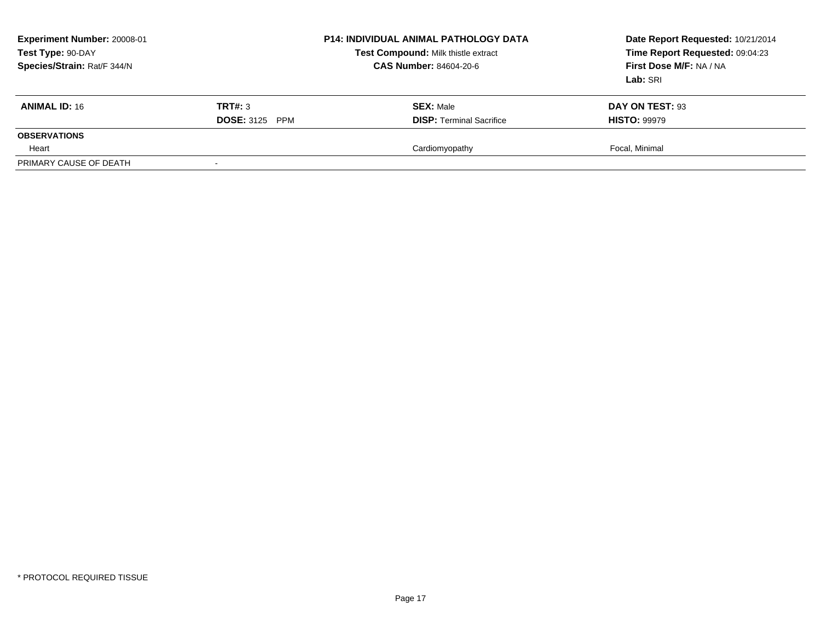| Experiment Number: 20008-01<br>Test Type: 90-DAY<br>Species/Strain: Rat/F 344/N |                       | <b>P14: INDIVIDUAL ANIMAL PATHOLOGY DATA</b><br>Test Compound: Milk thistle extract<br>CAS Number: 84604-20-6 | Date Report Requested: 10/21/2014<br>Time Report Requested: 09:04:23<br>First Dose M/F: NA / NA<br>Lab: SRI |
|---------------------------------------------------------------------------------|-----------------------|---------------------------------------------------------------------------------------------------------------|-------------------------------------------------------------------------------------------------------------|
| <b>ANIMAL ID: 16</b>                                                            | TRT#: 3               | <b>SEX: Male</b>                                                                                              | DAY ON TEST: 93                                                                                             |
|                                                                                 | <b>DOSE: 3125 PPM</b> | <b>DISP: Terminal Sacrifice</b>                                                                               | <b>HISTO: 99979</b>                                                                                         |
| <b>OBSERVATIONS</b>                                                             |                       |                                                                                                               |                                                                                                             |
| Heart                                                                           |                       | Cardiomyopathy                                                                                                | Focal, Minimal                                                                                              |
| PRIMARY CAUSE OF DEATH                                                          |                       |                                                                                                               |                                                                                                             |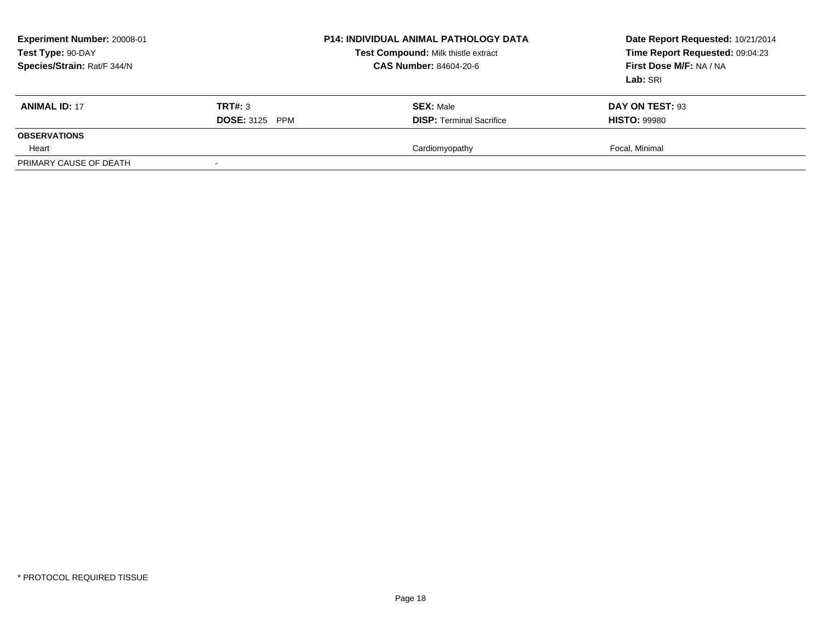| Experiment Number: 20008-01<br>Test Type: 90-DAY<br>Species/Strain: Rat/F 344/N |                       | <b>P14: INDIVIDUAL ANIMAL PATHOLOGY DATA</b><br>Test Compound: Milk thistle extract<br>CAS Number: 84604-20-6 | Date Report Requested: 10/21/2014<br>Time Report Requested: 09:04:23<br>First Dose M/F: NA / NA<br>Lab: SRI |
|---------------------------------------------------------------------------------|-----------------------|---------------------------------------------------------------------------------------------------------------|-------------------------------------------------------------------------------------------------------------|
| <b>ANIMAL ID: 17</b>                                                            | TRT#: 3               | <b>SEX: Male</b>                                                                                              | DAY ON TEST: 93                                                                                             |
|                                                                                 | <b>DOSE: 3125 PPM</b> | <b>DISP: Terminal Sacrifice</b>                                                                               | <b>HISTO: 99980</b>                                                                                         |
| <b>OBSERVATIONS</b>                                                             |                       |                                                                                                               |                                                                                                             |
| Heart                                                                           |                       | Cardiomyopathy                                                                                                | Focal, Minimal                                                                                              |
| PRIMARY CAUSE OF DEATH                                                          |                       |                                                                                                               |                                                                                                             |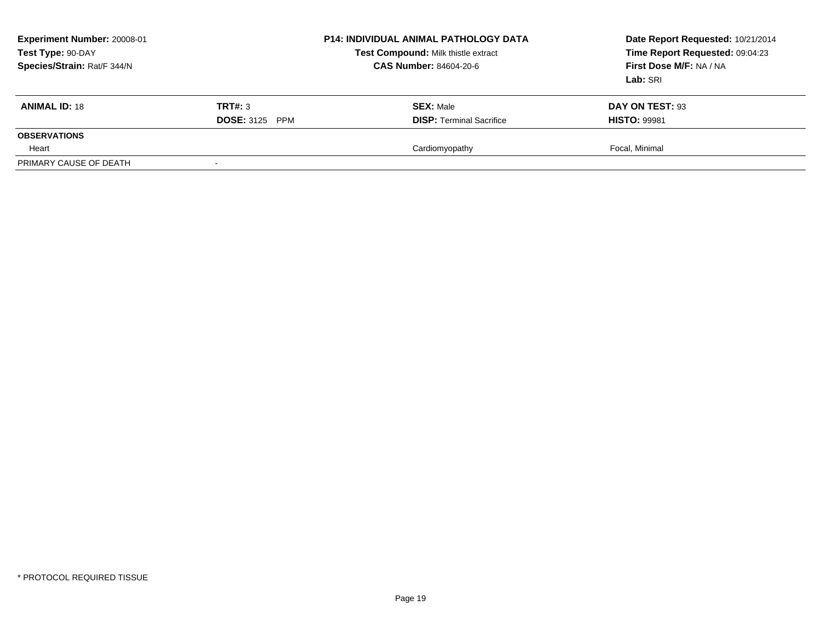| Experiment Number: 20008-01<br>Test Type: 90-DAY<br>Species/Strain: Rat/F 344/N |                       | <b>P14: INDIVIDUAL ANIMAL PATHOLOGY DATA</b><br>Test Compound: Milk thistle extract<br>CAS Number: 84604-20-6 | Date Report Requested: 10/21/2014<br>Time Report Requested: 09:04:23<br>First Dose M/F: NA / NA<br>Lab: SRI |
|---------------------------------------------------------------------------------|-----------------------|---------------------------------------------------------------------------------------------------------------|-------------------------------------------------------------------------------------------------------------|
| <b>ANIMAL ID: 18</b>                                                            | TRT#: 3               | <b>SEX: Male</b>                                                                                              | DAY ON TEST: 93                                                                                             |
|                                                                                 | <b>DOSE: 3125 PPM</b> | <b>DISP: Terminal Sacrifice</b>                                                                               | <b>HISTO: 99981</b>                                                                                         |
| <b>OBSERVATIONS</b>                                                             |                       |                                                                                                               |                                                                                                             |
| Heart                                                                           |                       | Cardiomyopathy                                                                                                | Focal, Minimal                                                                                              |
| PRIMARY CAUSE OF DEATH                                                          |                       |                                                                                                               |                                                                                                             |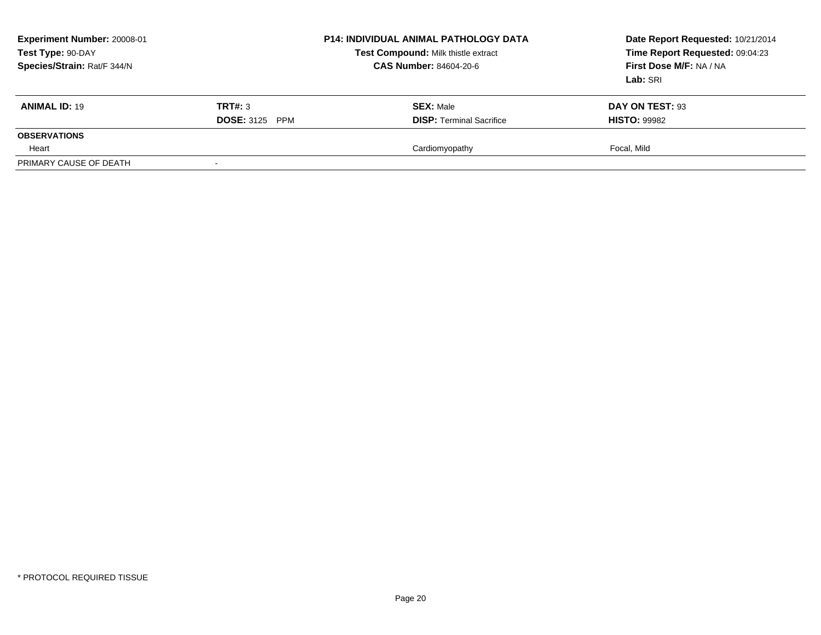| Experiment Number: 20008-01<br>Test Type: 90-DAY<br>Species/Strain: Rat/F 344/N |                       | <b>P14: INDIVIDUAL ANIMAL PATHOLOGY DATA</b><br>Test Compound: Milk thistle extract<br>CAS Number: 84604-20-6 | Date Report Requested: 10/21/2014<br>Time Report Requested: 09:04:23<br>First Dose M/F: NA / NA<br>Lab: SRI |
|---------------------------------------------------------------------------------|-----------------------|---------------------------------------------------------------------------------------------------------------|-------------------------------------------------------------------------------------------------------------|
| <b>ANIMAL ID: 19</b>                                                            | TRT#: 3               | <b>SEX: Male</b>                                                                                              | DAY ON TEST: 93                                                                                             |
|                                                                                 | <b>DOSE: 3125 PPM</b> | <b>DISP: Terminal Sacrifice</b>                                                                               | <b>HISTO: 99982</b>                                                                                         |
| <b>OBSERVATIONS</b>                                                             |                       |                                                                                                               |                                                                                                             |
| Heart                                                                           |                       | Cardiomyopathy                                                                                                | Focal. Mild                                                                                                 |
| PRIMARY CAUSE OF DEATH                                                          |                       |                                                                                                               |                                                                                                             |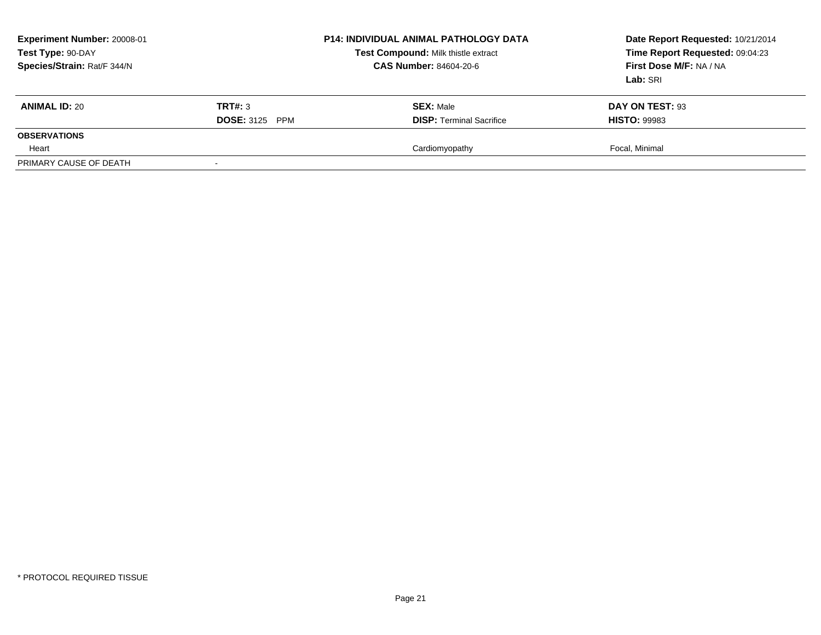| Experiment Number: 20008-01<br>Test Type: 90-DAY<br>Species/Strain: Rat/F 344/N |                       | <b>P14: INDIVIDUAL ANIMAL PATHOLOGY DATA</b><br>Test Compound: Milk thistle extract<br><b>CAS Number: 84604-20-6</b> | Date Report Requested: 10/21/2014<br>Time Report Requested: 09:04:23<br>First Dose M/F: NA / NA<br>Lab: SRI |
|---------------------------------------------------------------------------------|-----------------------|----------------------------------------------------------------------------------------------------------------------|-------------------------------------------------------------------------------------------------------------|
| <b>ANIMAL ID: 20</b>                                                            | TRT#: 3               | <b>SEX: Male</b>                                                                                                     | DAY ON TEST: 93                                                                                             |
|                                                                                 | <b>DOSE: 3125 PPM</b> | <b>DISP: Terminal Sacrifice</b>                                                                                      | <b>HISTO: 99983</b>                                                                                         |
| <b>OBSERVATIONS</b>                                                             |                       |                                                                                                                      |                                                                                                             |
| Heart                                                                           |                       | Cardiomyopathy                                                                                                       | Focal, Minimal                                                                                              |
| PRIMARY CAUSE OF DEATH                                                          |                       |                                                                                                                      |                                                                                                             |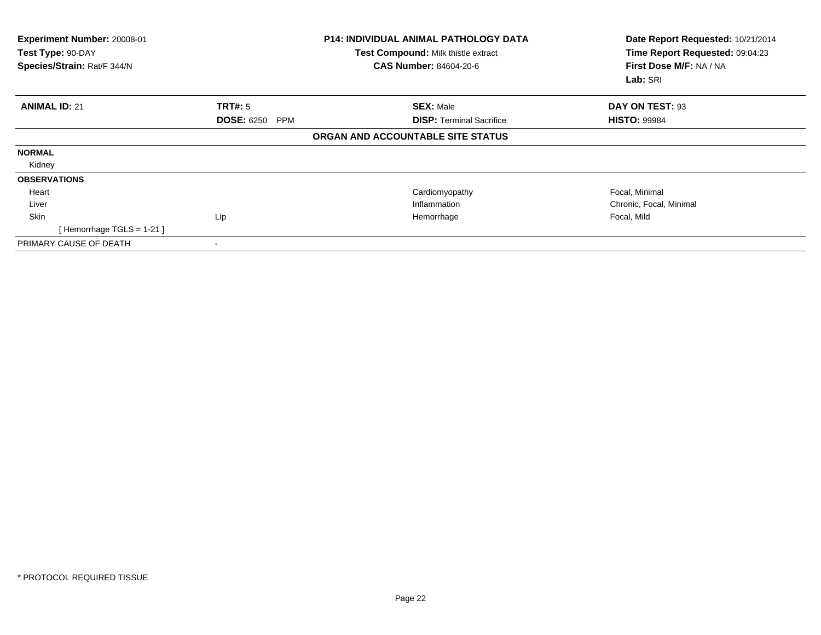| Experiment Number: 20008-01<br>Test Type: 90-DAY<br>Species/Strain: Rat/F 344/N |                                 | <b>P14: INDIVIDUAL ANIMAL PATHOLOGY DATA</b><br>Test Compound: Milk thistle extract<br><b>CAS Number: 84604-20-6</b> | Date Report Requested: 10/21/2014<br>Time Report Requested: 09:04:23<br>First Dose M/F: NA / NA<br>Lab: SRI |
|---------------------------------------------------------------------------------|---------------------------------|----------------------------------------------------------------------------------------------------------------------|-------------------------------------------------------------------------------------------------------------|
| <b>ANIMAL ID: 21</b>                                                            | <b>TRT#: 5</b>                  | <b>SEX: Male</b>                                                                                                     | DAY ON TEST: 93                                                                                             |
|                                                                                 | <b>DOSE: 6250</b><br><b>PPM</b> | <b>DISP: Terminal Sacrifice</b>                                                                                      | <b>HISTO: 99984</b>                                                                                         |
|                                                                                 |                                 | ORGAN AND ACCOUNTABLE SITE STATUS                                                                                    |                                                                                                             |
| <b>NORMAL</b>                                                                   |                                 |                                                                                                                      |                                                                                                             |
| Kidney                                                                          |                                 |                                                                                                                      |                                                                                                             |
| <b>OBSERVATIONS</b>                                                             |                                 |                                                                                                                      |                                                                                                             |
| Heart                                                                           |                                 | Cardiomyopathy                                                                                                       | Focal, Minimal                                                                                              |
| Liver                                                                           |                                 | Inflammation                                                                                                         | Chronic, Focal, Minimal                                                                                     |
| <b>Skin</b>                                                                     | Lip                             | Hemorrhage                                                                                                           | Focal, Mild                                                                                                 |
| [Hemorrhage TGLS = $1-21$ ]                                                     |                                 |                                                                                                                      |                                                                                                             |
| PRIMARY CAUSE OF DEATH                                                          |                                 |                                                                                                                      |                                                                                                             |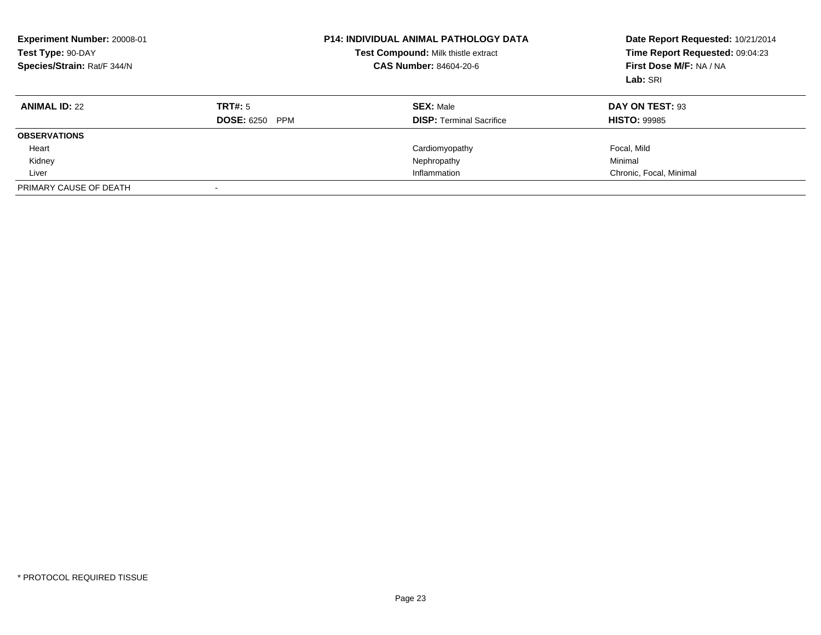| Experiment Number: 20008-01<br>Test Type: 90-DAY<br>Species/Strain: Rat/F 344/N |                       | <b>P14: INDIVIDUAL ANIMAL PATHOLOGY DATA</b><br>Test Compound: Milk thistle extract<br><b>CAS Number: 84604-20-6</b> | Date Report Requested: 10/21/2014<br>Time Report Requested: 09:04:23<br>First Dose M/F: NA / NA<br>Lab: SRI |
|---------------------------------------------------------------------------------|-----------------------|----------------------------------------------------------------------------------------------------------------------|-------------------------------------------------------------------------------------------------------------|
| <b>ANIMAL ID: 22</b>                                                            | TRT#: 5               | <b>SEX: Male</b>                                                                                                     | DAY ON TEST: 93                                                                                             |
|                                                                                 | <b>DOSE: 6250 PPM</b> | <b>DISP:</b> Terminal Sacrifice                                                                                      | <b>HISTO: 99985</b>                                                                                         |
| <b>OBSERVATIONS</b>                                                             |                       |                                                                                                                      |                                                                                                             |
| Heart                                                                           |                       | Cardiomyopathy                                                                                                       | Focal, Mild                                                                                                 |
| Kidney                                                                          |                       | Nephropathy                                                                                                          | Minimal                                                                                                     |
| Liver                                                                           |                       | Inflammation                                                                                                         | Chronic, Focal, Minimal                                                                                     |
| PRIMARY CAUSE OF DEATH                                                          |                       |                                                                                                                      |                                                                                                             |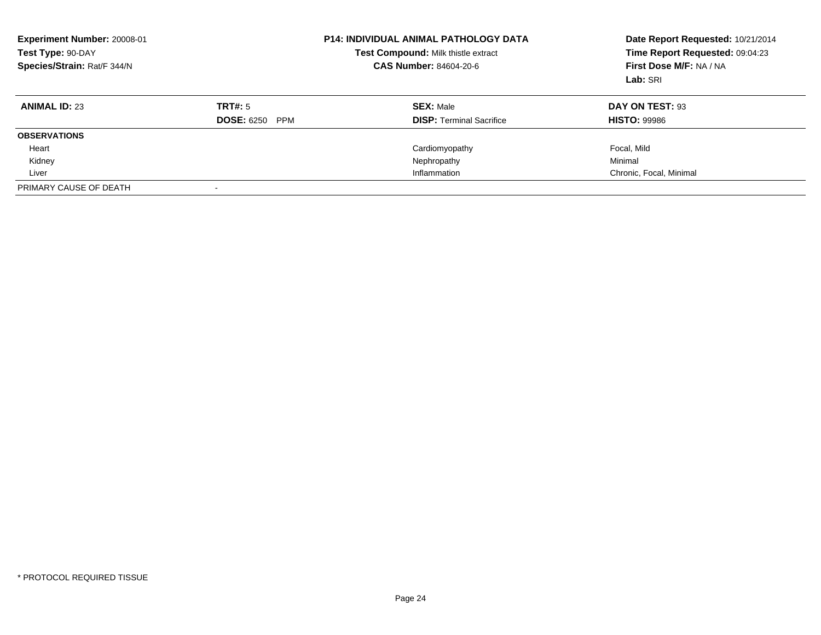| Experiment Number: 20008-01<br>Test Type: 90-DAY<br>Species/Strain: Rat/F 344/N |                       | <b>P14: INDIVIDUAL ANIMAL PATHOLOGY DATA</b><br>Test Compound: Milk thistle extract<br><b>CAS Number: 84604-20-6</b> | Date Report Requested: 10/21/2014<br>Time Report Requested: 09:04:23<br>First Dose M/F: NA / NA<br>Lab: SRI |
|---------------------------------------------------------------------------------|-----------------------|----------------------------------------------------------------------------------------------------------------------|-------------------------------------------------------------------------------------------------------------|
| <b>ANIMAL ID: 23</b>                                                            | TRT#: 5               | <b>SEX:</b> Male                                                                                                     | DAY ON TEST: 93                                                                                             |
|                                                                                 | <b>DOSE: 6250 PPM</b> | <b>DISP:</b> Terminal Sacrifice                                                                                      | <b>HISTO: 99986</b>                                                                                         |
| <b>OBSERVATIONS</b>                                                             |                       |                                                                                                                      |                                                                                                             |
| Heart                                                                           |                       | Cardiomyopathy                                                                                                       | Focal, Mild                                                                                                 |
| Kidney                                                                          |                       | Nephropathy                                                                                                          | Minimal                                                                                                     |
| Liver                                                                           |                       | Inflammation                                                                                                         | Chronic, Focal, Minimal                                                                                     |
| PRIMARY CAUSE OF DEATH                                                          |                       |                                                                                                                      |                                                                                                             |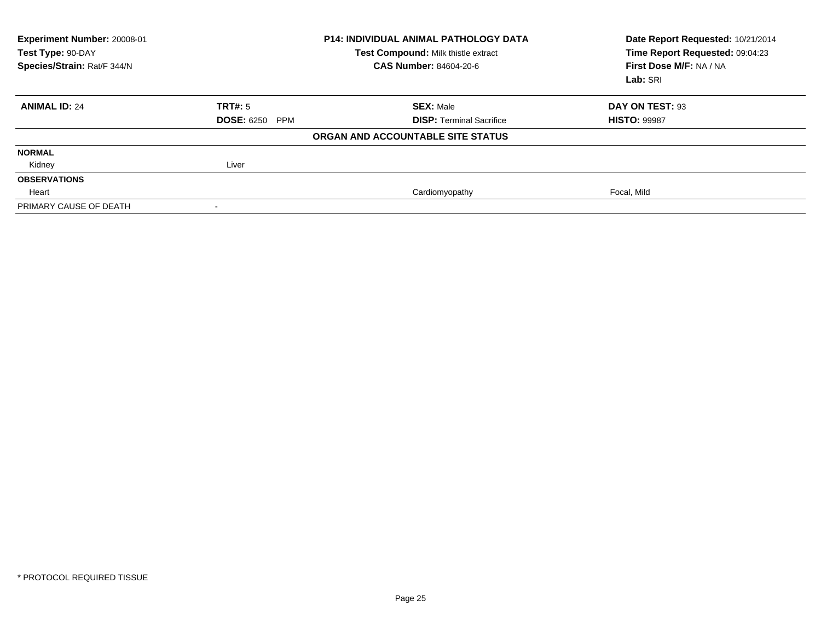| Experiment Number: 20008-01<br>Test Type: 90-DAY<br>Species/Strain: Rat/F 344/N |                       | <b>P14: INDIVIDUAL ANIMAL PATHOLOGY DATA</b><br>Test Compound: Milk thistle extract<br><b>CAS Number: 84604-20-6</b> | Date Report Requested: 10/21/2014<br>Time Report Requested: 09:04:23<br>First Dose M/F: NA / NA<br>Lab: SRI |
|---------------------------------------------------------------------------------|-----------------------|----------------------------------------------------------------------------------------------------------------------|-------------------------------------------------------------------------------------------------------------|
| <b>ANIMAL ID: 24</b>                                                            | TRT#: 5               | <b>SEX: Male</b>                                                                                                     | DAY ON TEST: 93                                                                                             |
|                                                                                 | <b>DOSE: 6250 PPM</b> | <b>DISP:</b> Terminal Sacrifice                                                                                      | <b>HISTO: 99987</b>                                                                                         |
|                                                                                 |                       | ORGAN AND ACCOUNTABLE SITE STATUS                                                                                    |                                                                                                             |
| <b>NORMAL</b>                                                                   |                       |                                                                                                                      |                                                                                                             |
| Kidney                                                                          | Liver                 |                                                                                                                      |                                                                                                             |
| <b>OBSERVATIONS</b>                                                             |                       |                                                                                                                      |                                                                                                             |
| Heart                                                                           |                       | Cardiomyopathy                                                                                                       | Focal, Mild                                                                                                 |
| PRIMARY CAUSE OF DEATH                                                          |                       |                                                                                                                      |                                                                                                             |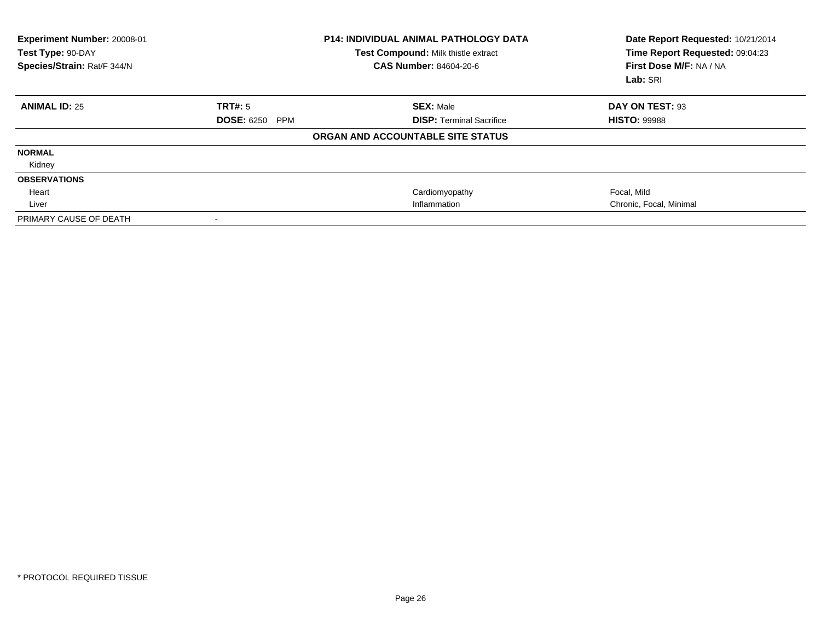| Experiment Number: 20008-01<br>Test Type: 90-DAY<br>Species/Strain: Rat/F 344/N |                                 | <b>P14: INDIVIDUAL ANIMAL PATHOLOGY DATA</b><br>Test Compound: Milk thistle extract<br>CAS Number: 84604-20-6 | Date Report Requested: 10/21/2014<br>Time Report Requested: 09:04:23<br>First Dose M/F: NA / NA<br>Lab: SRI |
|---------------------------------------------------------------------------------|---------------------------------|---------------------------------------------------------------------------------------------------------------|-------------------------------------------------------------------------------------------------------------|
| <b>ANIMAL ID: 25</b>                                                            | TRT#: 5                         | <b>SEX: Male</b>                                                                                              | DAY ON TEST: 93                                                                                             |
|                                                                                 | <b>DOSE: 6250</b><br><b>PPM</b> | <b>DISP: Terminal Sacrifice</b>                                                                               | <b>HISTO: 99988</b>                                                                                         |
|                                                                                 |                                 | ORGAN AND ACCOUNTABLE SITE STATUS                                                                             |                                                                                                             |
| <b>NORMAL</b>                                                                   |                                 |                                                                                                               |                                                                                                             |
| Kidney                                                                          |                                 |                                                                                                               |                                                                                                             |
| <b>OBSERVATIONS</b>                                                             |                                 |                                                                                                               |                                                                                                             |
| Heart                                                                           |                                 | Cardiomyopathy                                                                                                | Focal, Mild                                                                                                 |
| Liver                                                                           |                                 | Inflammation                                                                                                  | Chronic, Focal, Minimal                                                                                     |
| PRIMARY CAUSE OF DEATH                                                          |                                 |                                                                                                               |                                                                                                             |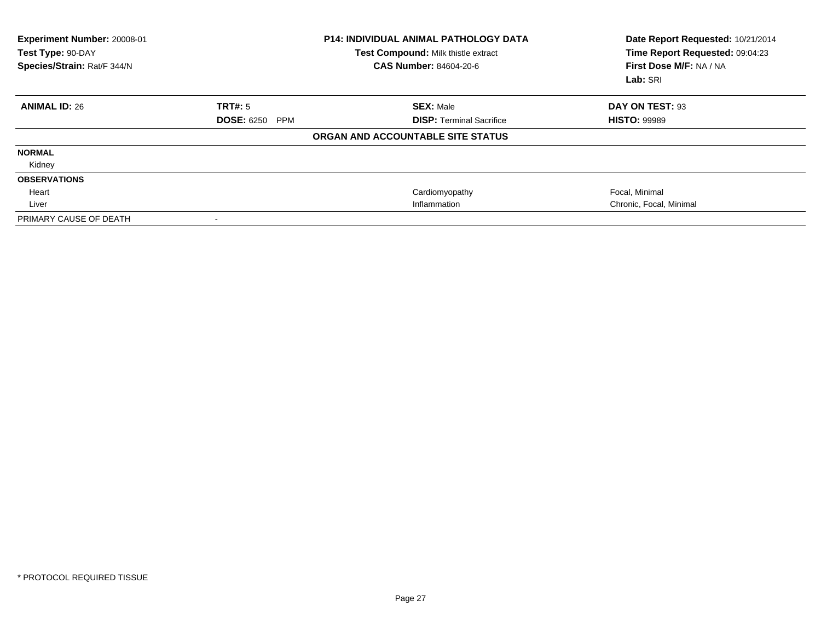| Experiment Number: 20008-01<br>Test Type: 90-DAY<br>Species/Strain: Rat/F 344/N |                                 | <b>P14: INDIVIDUAL ANIMAL PATHOLOGY DATA</b><br>Test Compound: Milk thistle extract<br><b>CAS Number: 84604-20-6</b> | Date Report Requested: 10/21/2014<br>Time Report Requested: 09:04:23<br>First Dose M/F: NA / NA<br>Lab: SRI |
|---------------------------------------------------------------------------------|---------------------------------|----------------------------------------------------------------------------------------------------------------------|-------------------------------------------------------------------------------------------------------------|
| <b>ANIMAL ID: 26</b>                                                            | TRT#: 5                         | <b>SEX: Male</b>                                                                                                     | DAY ON TEST: 93                                                                                             |
|                                                                                 | <b>DOSE: 6250</b><br><b>PPM</b> | <b>DISP: Terminal Sacrifice</b>                                                                                      | <b>HISTO: 99989</b>                                                                                         |
|                                                                                 |                                 | ORGAN AND ACCOUNTABLE SITE STATUS                                                                                    |                                                                                                             |
| <b>NORMAL</b>                                                                   |                                 |                                                                                                                      |                                                                                                             |
| Kidney                                                                          |                                 |                                                                                                                      |                                                                                                             |
| <b>OBSERVATIONS</b>                                                             |                                 |                                                                                                                      |                                                                                                             |
| Heart                                                                           |                                 | Cardiomyopathy                                                                                                       | Focal, Minimal                                                                                              |
| Liver                                                                           |                                 | Inflammation                                                                                                         | Chronic, Focal, Minimal                                                                                     |
| PRIMARY CAUSE OF DEATH                                                          | $\overline{\phantom{a}}$        |                                                                                                                      |                                                                                                             |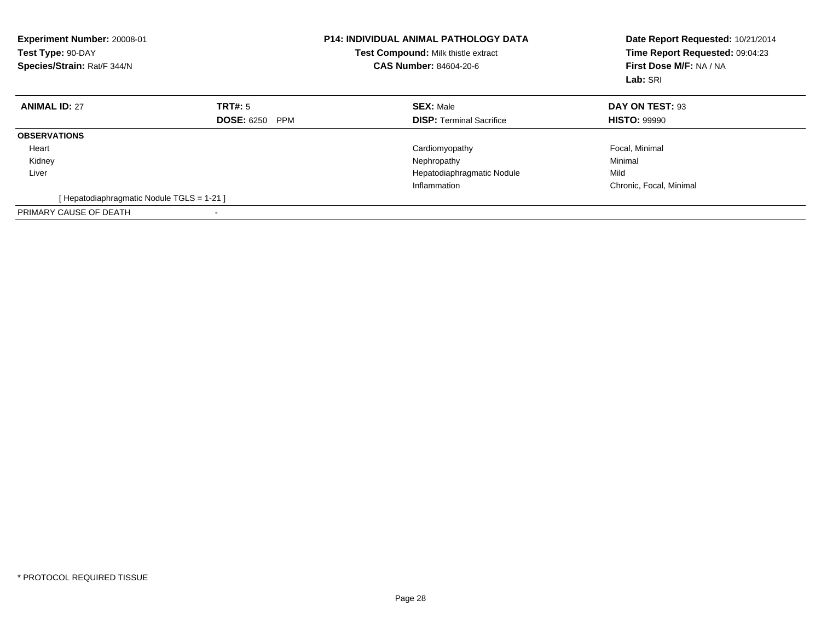| <b>Experiment Number: 20008-01</b><br>Test Type: 90-DAY<br>Species/Strain: Rat/F 344/N |                                 | <b>P14: INDIVIDUAL ANIMAL PATHOLOGY DATA</b><br>Test Compound: Milk thistle extract<br><b>CAS Number: 84604-20-6</b> | Date Report Requested: 10/21/2014<br>Time Report Requested: 09:04:23<br>First Dose M/F: NA / NA<br>Lab: SRI |
|----------------------------------------------------------------------------------------|---------------------------------|----------------------------------------------------------------------------------------------------------------------|-------------------------------------------------------------------------------------------------------------|
| <b>ANIMAL ID: 27</b>                                                                   | TRT#: 5                         | <b>SEX: Male</b>                                                                                                     | DAY ON TEST: 93                                                                                             |
|                                                                                        | <b>DOSE: 6250</b><br><b>PPM</b> | <b>DISP:</b> Terminal Sacrifice                                                                                      | <b>HISTO: 99990</b>                                                                                         |
| <b>OBSERVATIONS</b>                                                                    |                                 |                                                                                                                      |                                                                                                             |
| Heart                                                                                  |                                 | Cardiomyopathy                                                                                                       | Focal, Minimal                                                                                              |
| Kidney                                                                                 |                                 | Nephropathy                                                                                                          | Minimal                                                                                                     |
| Liver                                                                                  |                                 | Hepatodiaphragmatic Nodule                                                                                           | Mild                                                                                                        |
|                                                                                        |                                 | Inflammation                                                                                                         | Chronic, Focal, Minimal                                                                                     |
| [ Hepatodiaphragmatic Nodule TGLS = 1-21 ]                                             |                                 |                                                                                                                      |                                                                                                             |
| PRIMARY CAUSE OF DEATH                                                                 | $\blacksquare$                  |                                                                                                                      |                                                                                                             |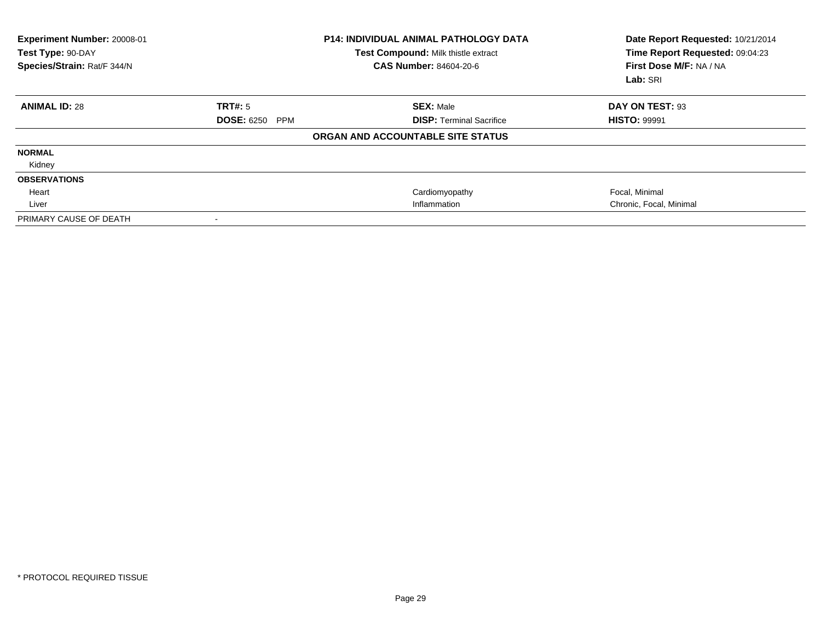| Experiment Number: 20008-01<br>Test Type: 90-DAY<br>Species/Strain: Rat/F 344/N |                       | <b>P14: INDIVIDUAL ANIMAL PATHOLOGY DATA</b><br>Test Compound: Milk thistle extract<br><b>CAS Number: 84604-20-6</b> | Date Report Requested: 10/21/2014<br>Time Report Requested: 09:04:23<br>First Dose M/F: NA / NA<br>Lab: SRI |
|---------------------------------------------------------------------------------|-----------------------|----------------------------------------------------------------------------------------------------------------------|-------------------------------------------------------------------------------------------------------------|
| <b>ANIMAL ID: 28</b>                                                            | TRT#: 5               | <b>SEX: Male</b>                                                                                                     | DAY ON TEST: 93                                                                                             |
|                                                                                 | <b>DOSE: 6250 PPM</b> | <b>DISP: Terminal Sacrifice</b>                                                                                      | <b>HISTO: 99991</b>                                                                                         |
|                                                                                 |                       | ORGAN AND ACCOUNTABLE SITE STATUS                                                                                    |                                                                                                             |
| <b>NORMAL</b>                                                                   |                       |                                                                                                                      |                                                                                                             |
| Kidney                                                                          |                       |                                                                                                                      |                                                                                                             |
| <b>OBSERVATIONS</b>                                                             |                       |                                                                                                                      |                                                                                                             |
| Heart                                                                           |                       | Cardiomyopathy                                                                                                       | Focal, Minimal                                                                                              |
| Liver                                                                           |                       | Inflammation                                                                                                         | Chronic, Focal, Minimal                                                                                     |
| PRIMARY CAUSE OF DEATH                                                          |                       |                                                                                                                      |                                                                                                             |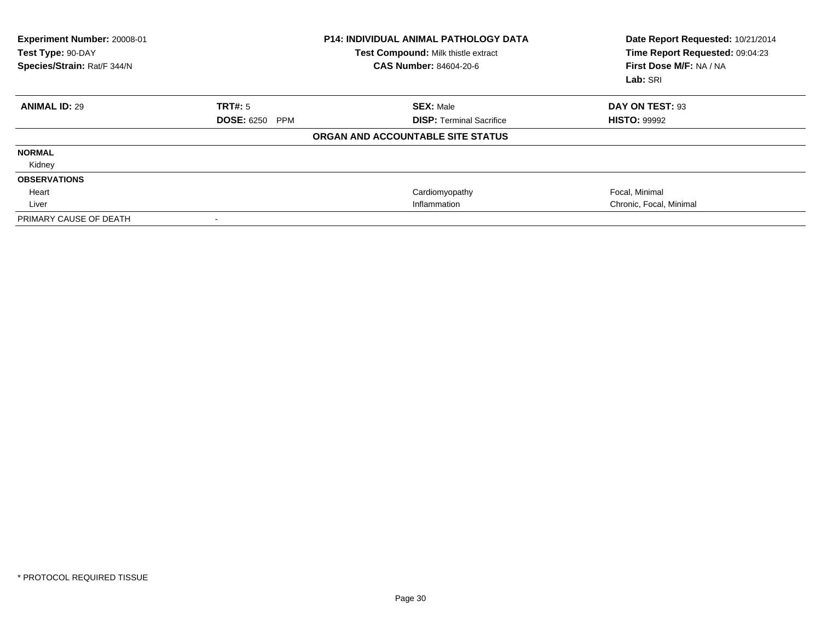| Experiment Number: 20008-01<br>Test Type: 90-DAY<br>Species/Strain: Rat/F 344/N |                       | <b>P14: INDIVIDUAL ANIMAL PATHOLOGY DATA</b><br>Test Compound: Milk thistle extract<br><b>CAS Number: 84604-20-6</b> | Date Report Requested: 10/21/2014<br>Time Report Requested: 09:04:23<br>First Dose M/F: NA / NA<br>Lab: SRI |
|---------------------------------------------------------------------------------|-----------------------|----------------------------------------------------------------------------------------------------------------------|-------------------------------------------------------------------------------------------------------------|
| <b>ANIMAL ID: 29</b>                                                            | TRT#: 5               | <b>SEX: Male</b>                                                                                                     | DAY ON TEST: 93                                                                                             |
|                                                                                 | <b>DOSE: 6250 PPM</b> | <b>DISP: Terminal Sacrifice</b>                                                                                      | <b>HISTO: 99992</b>                                                                                         |
|                                                                                 |                       | ORGAN AND ACCOUNTABLE SITE STATUS                                                                                    |                                                                                                             |
| <b>NORMAL</b>                                                                   |                       |                                                                                                                      |                                                                                                             |
| Kidney                                                                          |                       |                                                                                                                      |                                                                                                             |
| <b>OBSERVATIONS</b>                                                             |                       |                                                                                                                      |                                                                                                             |
| Heart                                                                           |                       | Cardiomyopathy                                                                                                       | Focal, Minimal                                                                                              |
| Liver                                                                           |                       | Inflammation                                                                                                         | Chronic, Focal, Minimal                                                                                     |
| PRIMARY CAUSE OF DEATH                                                          |                       |                                                                                                                      |                                                                                                             |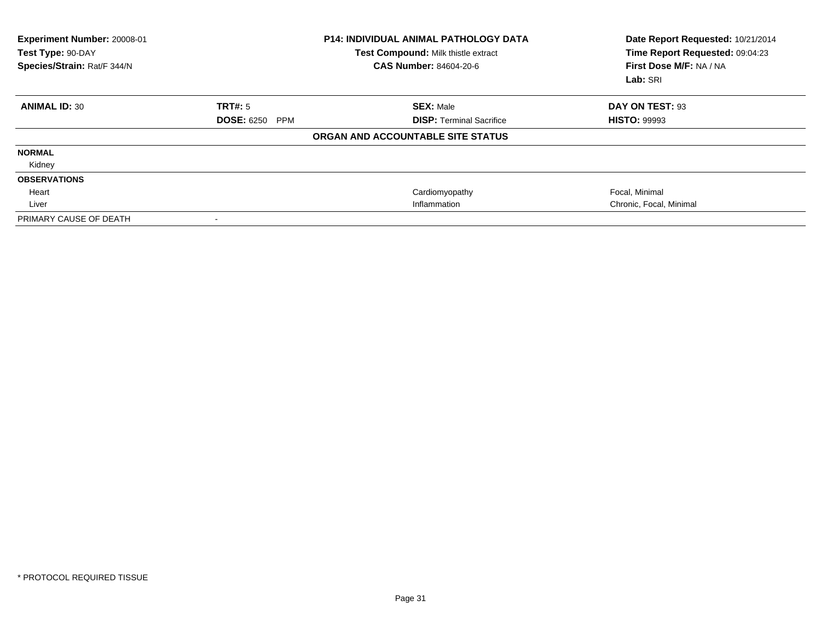| Experiment Number: 20008-01<br>Test Type: 90-DAY<br>Species/Strain: Rat/F 344/N |                       | <b>P14: INDIVIDUAL ANIMAL PATHOLOGY DATA</b><br>Test Compound: Milk thistle extract<br><b>CAS Number: 84604-20-6</b> | Date Report Requested: 10/21/2014<br>Time Report Requested: 09:04:23<br>First Dose M/F: NA / NA<br>Lab: SRI |
|---------------------------------------------------------------------------------|-----------------------|----------------------------------------------------------------------------------------------------------------------|-------------------------------------------------------------------------------------------------------------|
| <b>ANIMAL ID: 30</b>                                                            | TRT#: 5               | <b>SEX: Male</b>                                                                                                     | DAY ON TEST: 93                                                                                             |
|                                                                                 | <b>DOSE: 6250 PPM</b> | <b>DISP: Terminal Sacrifice</b>                                                                                      | <b>HISTO: 99993</b>                                                                                         |
|                                                                                 |                       | ORGAN AND ACCOUNTABLE SITE STATUS                                                                                    |                                                                                                             |
| <b>NORMAL</b>                                                                   |                       |                                                                                                                      |                                                                                                             |
| Kidney                                                                          |                       |                                                                                                                      |                                                                                                             |
| <b>OBSERVATIONS</b>                                                             |                       |                                                                                                                      |                                                                                                             |
| Heart                                                                           |                       | Cardiomyopathy                                                                                                       | Focal, Minimal                                                                                              |
| Liver                                                                           |                       | Inflammation                                                                                                         | Chronic, Focal, Minimal                                                                                     |
| PRIMARY CAUSE OF DEATH                                                          |                       |                                                                                                                      |                                                                                                             |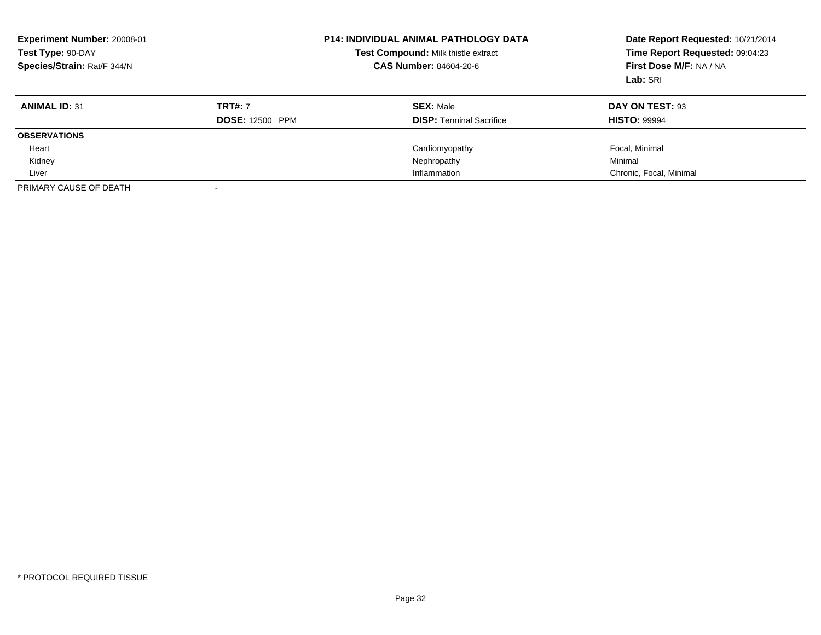| Experiment Number: 20008-01<br>Test Type: 90-DAY<br>Species/Strain: Rat/F 344/N |                        | <b>P14: INDIVIDUAL ANIMAL PATHOLOGY DATA</b><br>Test Compound: Milk thistle extract<br><b>CAS Number: 84604-20-6</b> | Date Report Requested: 10/21/2014<br>Time Report Requested: 09:04:23<br>First Dose M/F: NA / NA<br>Lab: SRI |
|---------------------------------------------------------------------------------|------------------------|----------------------------------------------------------------------------------------------------------------------|-------------------------------------------------------------------------------------------------------------|
| <b>ANIMAL ID: 31</b>                                                            | <b>TRT#: 7</b>         | <b>SEX: Male</b>                                                                                                     | DAY ON TEST: 93                                                                                             |
|                                                                                 | <b>DOSE: 12500 PPM</b> | <b>DISP:</b> Terminal Sacrifice                                                                                      | <b>HISTO: 99994</b>                                                                                         |
| <b>OBSERVATIONS</b>                                                             |                        |                                                                                                                      |                                                                                                             |
| Heart                                                                           |                        | Cardiomyopathy                                                                                                       | Focal, Minimal                                                                                              |
| Kidney                                                                          |                        | Nephropathy                                                                                                          | Minimal                                                                                                     |
| Liver                                                                           |                        | Inflammation                                                                                                         | Chronic, Focal, Minimal                                                                                     |
| PRIMARY CAUSE OF DEATH                                                          |                        |                                                                                                                      |                                                                                                             |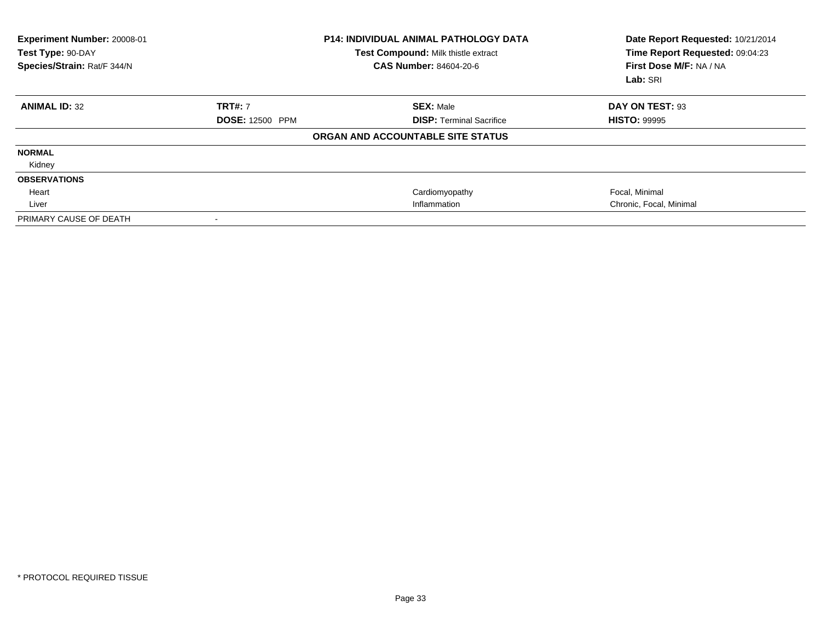| Experiment Number: 20008-01<br>Test Type: 90-DAY<br>Species/Strain: Rat/F 344/N |                        | <b>P14: INDIVIDUAL ANIMAL PATHOLOGY DATA</b><br>Test Compound: Milk thistle extract<br>CAS Number: 84604-20-6 | Date Report Requested: 10/21/2014<br>Time Report Requested: 09:04:23<br>First Dose M/F: NA / NA<br>Lab: SRI |
|---------------------------------------------------------------------------------|------------------------|---------------------------------------------------------------------------------------------------------------|-------------------------------------------------------------------------------------------------------------|
| <b>ANIMAL ID: 32</b>                                                            | <b>TRT#: 7</b>         | <b>SEX: Male</b>                                                                                              | DAY ON TEST: 93                                                                                             |
|                                                                                 | <b>DOSE: 12500 PPM</b> | <b>DISP: Terminal Sacrifice</b>                                                                               | <b>HISTO: 99995</b>                                                                                         |
|                                                                                 |                        | ORGAN AND ACCOUNTABLE SITE STATUS                                                                             |                                                                                                             |
| <b>NORMAL</b>                                                                   |                        |                                                                                                               |                                                                                                             |
| Kidney                                                                          |                        |                                                                                                               |                                                                                                             |
| <b>OBSERVATIONS</b>                                                             |                        |                                                                                                               |                                                                                                             |
| Heart                                                                           |                        | Cardiomyopathy                                                                                                | Focal, Minimal                                                                                              |
| Liver                                                                           |                        | Inflammation                                                                                                  | Chronic, Focal, Minimal                                                                                     |
| PRIMARY CAUSE OF DEATH                                                          |                        |                                                                                                               |                                                                                                             |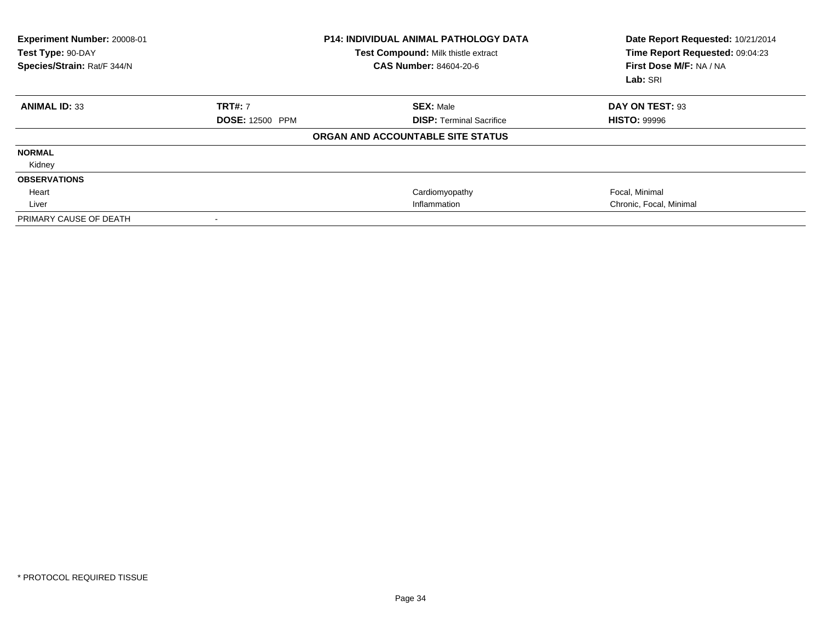| Experiment Number: 20008-01<br>Test Type: 90-DAY<br>Species/Strain: Rat/F 344/N |                        | <b>P14: INDIVIDUAL ANIMAL PATHOLOGY DATA</b><br>Test Compound: Milk thistle extract<br>CAS Number: 84604-20-6 | Date Report Requested: 10/21/2014<br>Time Report Requested: 09:04:23<br>First Dose M/F: NA / NA<br>Lab: SRI |
|---------------------------------------------------------------------------------|------------------------|---------------------------------------------------------------------------------------------------------------|-------------------------------------------------------------------------------------------------------------|
| <b>ANIMAL ID: 33</b>                                                            | <b>TRT#: 7</b>         | <b>SEX: Male</b>                                                                                              | DAY ON TEST: 93                                                                                             |
|                                                                                 | <b>DOSE: 12500 PPM</b> | <b>DISP: Terminal Sacrifice</b>                                                                               | <b>HISTO: 99996</b>                                                                                         |
|                                                                                 |                        | ORGAN AND ACCOUNTABLE SITE STATUS                                                                             |                                                                                                             |
| <b>NORMAL</b>                                                                   |                        |                                                                                                               |                                                                                                             |
| Kidney                                                                          |                        |                                                                                                               |                                                                                                             |
| <b>OBSERVATIONS</b>                                                             |                        |                                                                                                               |                                                                                                             |
| Heart                                                                           |                        | Cardiomyopathy                                                                                                | Focal, Minimal                                                                                              |
| Liver                                                                           |                        | Inflammation                                                                                                  | Chronic, Focal, Minimal                                                                                     |
| PRIMARY CAUSE OF DEATH                                                          |                        |                                                                                                               |                                                                                                             |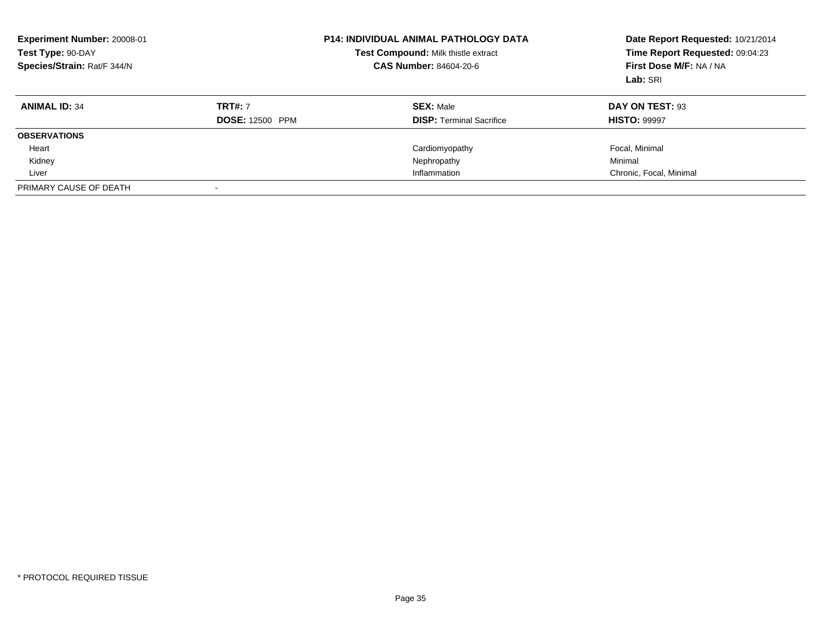| Experiment Number: 20008-01<br>Test Type: 90-DAY<br>Species/Strain: Rat/F 344/N |                        | <b>P14: INDIVIDUAL ANIMAL PATHOLOGY DATA</b><br>Test Compound: Milk thistle extract<br><b>CAS Number: 84604-20-6</b> | Date Report Requested: 10/21/2014<br>Time Report Requested: 09:04:23<br>First Dose M/F: NA / NA<br>Lab: SRI |
|---------------------------------------------------------------------------------|------------------------|----------------------------------------------------------------------------------------------------------------------|-------------------------------------------------------------------------------------------------------------|
| <b>ANIMAL ID: 34</b>                                                            | <b>TRT#: 7</b>         | <b>SEX: Male</b>                                                                                                     | DAY ON TEST: 93                                                                                             |
|                                                                                 | <b>DOSE: 12500 PPM</b> | <b>DISP:</b> Terminal Sacrifice                                                                                      | <b>HISTO: 99997</b>                                                                                         |
| <b>OBSERVATIONS</b>                                                             |                        |                                                                                                                      |                                                                                                             |
| Heart                                                                           |                        | Cardiomyopathy                                                                                                       | Focal, Minimal                                                                                              |
| Kidney                                                                          |                        | Nephropathy                                                                                                          | Minimal                                                                                                     |
| Liver                                                                           |                        | Inflammation                                                                                                         | Chronic, Focal, Minimal                                                                                     |
| PRIMARY CAUSE OF DEATH                                                          |                        |                                                                                                                      |                                                                                                             |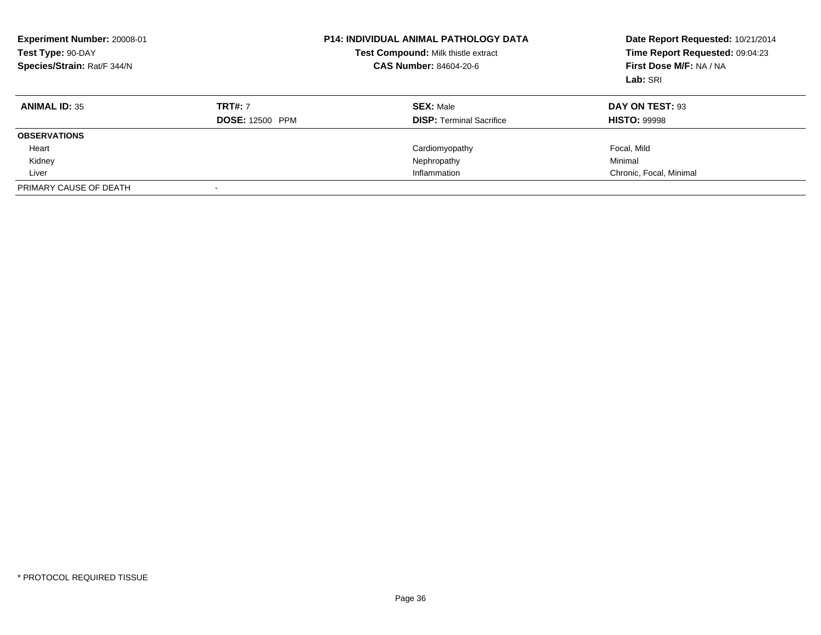| <b>Experiment Number: 20008-01</b><br>Test Type: 90-DAY<br>Species/Strain: Rat/F 344/N |                                          | <b>P14: INDIVIDUAL ANIMAL PATHOLOGY DATA</b><br>Test Compound: Milk thistle extract<br><b>CAS Number: 84604-20-6</b> | Date Report Requested: 10/21/2014<br>Time Report Requested: 09:04:23<br>First Dose M/F: NA / NA<br>Lab: SRI |
|----------------------------------------------------------------------------------------|------------------------------------------|----------------------------------------------------------------------------------------------------------------------|-------------------------------------------------------------------------------------------------------------|
| <b>ANIMAL ID: 35</b>                                                                   | <b>TRT#: 7</b><br><b>DOSE: 12500 PPM</b> | <b>SEX: Male</b><br><b>DISP:</b> Terminal Sacrifice                                                                  | DAY ON TEST: 93<br><b>HISTO: 99998</b>                                                                      |
|                                                                                        |                                          |                                                                                                                      |                                                                                                             |
| <b>OBSERVATIONS</b>                                                                    |                                          |                                                                                                                      |                                                                                                             |
| Heart                                                                                  |                                          | Cardiomyopathy                                                                                                       | Focal, Mild                                                                                                 |
| Kidney                                                                                 |                                          | Nephropathy                                                                                                          | Minimal                                                                                                     |
| Liver                                                                                  |                                          | Inflammation                                                                                                         | Chronic, Focal, Minimal                                                                                     |
| PRIMARY CAUSE OF DEATH                                                                 |                                          |                                                                                                                      |                                                                                                             |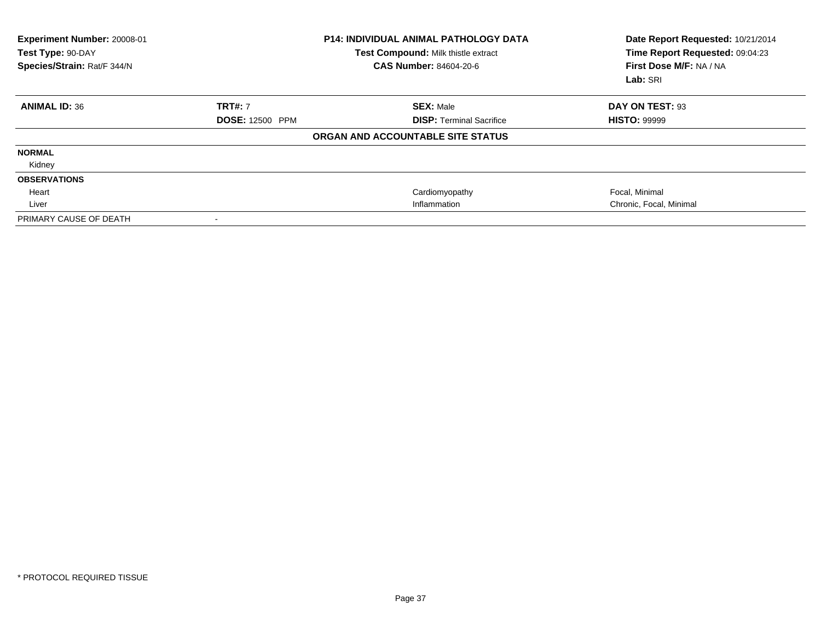| Experiment Number: 20008-01<br>Test Type: 90-DAY<br>Species/Strain: Rat/F 344/N |                        | <b>P14: INDIVIDUAL ANIMAL PATHOLOGY DATA</b><br>Test Compound: Milk thistle extract<br><b>CAS Number: 84604-20-6</b> | Date Report Requested: 10/21/2014<br>Time Report Requested: 09:04:23<br>First Dose M/F: NA / NA<br>Lab: SRI |
|---------------------------------------------------------------------------------|------------------------|----------------------------------------------------------------------------------------------------------------------|-------------------------------------------------------------------------------------------------------------|
| <b>ANIMAL ID: 36</b>                                                            | <b>TRT#: 7</b>         | <b>SEX: Male</b>                                                                                                     | DAY ON TEST: 93                                                                                             |
|                                                                                 | <b>DOSE: 12500 PPM</b> | <b>DISP: Terminal Sacrifice</b>                                                                                      | <b>HISTO: 99999</b>                                                                                         |
|                                                                                 |                        | ORGAN AND ACCOUNTABLE SITE STATUS                                                                                    |                                                                                                             |
| <b>NORMAL</b>                                                                   |                        |                                                                                                                      |                                                                                                             |
| Kidney                                                                          |                        |                                                                                                                      |                                                                                                             |
| <b>OBSERVATIONS</b>                                                             |                        |                                                                                                                      |                                                                                                             |
| Heart                                                                           |                        | Cardiomyopathy                                                                                                       | Focal, Minimal                                                                                              |
| Liver                                                                           |                        | Inflammation                                                                                                         | Chronic, Focal, Minimal                                                                                     |
| PRIMARY CAUSE OF DEATH                                                          |                        |                                                                                                                      |                                                                                                             |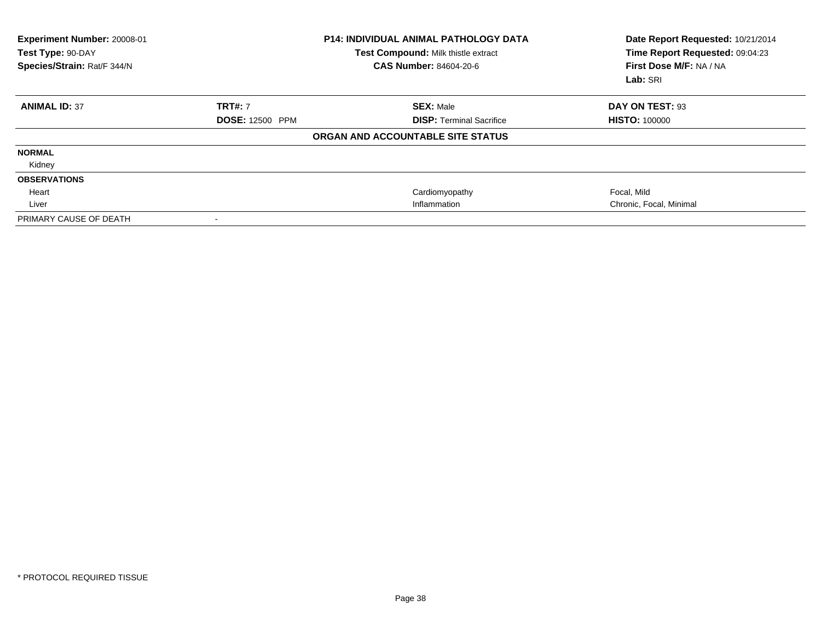| Experiment Number: 20008-01<br>Test Type: 90-DAY<br>Species/Strain: Rat/F 344/N |                        | <b>P14: INDIVIDUAL ANIMAL PATHOLOGY DATA</b><br>Test Compound: Milk thistle extract<br><b>CAS Number: 84604-20-6</b> | Date Report Requested: 10/21/2014<br>Time Report Requested: 09:04:23<br>First Dose M/F: NA / NA<br>Lab: SRI |
|---------------------------------------------------------------------------------|------------------------|----------------------------------------------------------------------------------------------------------------------|-------------------------------------------------------------------------------------------------------------|
| <b>ANIMAL ID: 37</b>                                                            | <b>TRT#: 7</b>         | <b>SEX: Male</b>                                                                                                     | DAY ON TEST: 93                                                                                             |
|                                                                                 | <b>DOSE: 12500 PPM</b> | <b>DISP: Terminal Sacrifice</b>                                                                                      | <b>HISTO: 100000</b>                                                                                        |
|                                                                                 |                        | ORGAN AND ACCOUNTABLE SITE STATUS                                                                                    |                                                                                                             |
| <b>NORMAL</b>                                                                   |                        |                                                                                                                      |                                                                                                             |
| Kidney                                                                          |                        |                                                                                                                      |                                                                                                             |
| <b>OBSERVATIONS</b>                                                             |                        |                                                                                                                      |                                                                                                             |
| Heart                                                                           |                        | Cardiomyopathy                                                                                                       | Focal, Mild                                                                                                 |
| Liver                                                                           |                        | Inflammation                                                                                                         | Chronic, Focal, Minimal                                                                                     |
| PRIMARY CAUSE OF DEATH                                                          |                        |                                                                                                                      |                                                                                                             |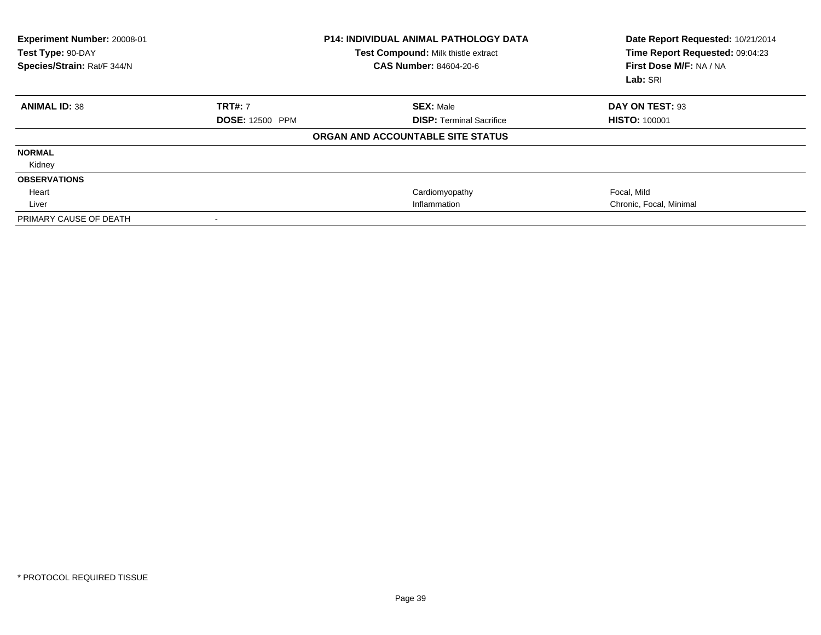| Experiment Number: 20008-01<br>Test Type: 90-DAY<br>Species/Strain: Rat/F 344/N |                        | <b>P14: INDIVIDUAL ANIMAL PATHOLOGY DATA</b><br>Test Compound: Milk thistle extract<br><b>CAS Number: 84604-20-6</b> | Date Report Requested: 10/21/2014<br>Time Report Requested: 09:04:23<br>First Dose M/F: NA / NA<br>Lab: SRI |
|---------------------------------------------------------------------------------|------------------------|----------------------------------------------------------------------------------------------------------------------|-------------------------------------------------------------------------------------------------------------|
| <b>ANIMAL ID: 38</b>                                                            | <b>TRT#: 7</b>         | <b>SEX: Male</b>                                                                                                     | DAY ON TEST: 93                                                                                             |
|                                                                                 | <b>DOSE: 12500 PPM</b> | <b>DISP: Terminal Sacrifice</b>                                                                                      | <b>HISTO: 100001</b>                                                                                        |
|                                                                                 |                        | ORGAN AND ACCOUNTABLE SITE STATUS                                                                                    |                                                                                                             |
| <b>NORMAL</b>                                                                   |                        |                                                                                                                      |                                                                                                             |
| Kidney                                                                          |                        |                                                                                                                      |                                                                                                             |
| <b>OBSERVATIONS</b>                                                             |                        |                                                                                                                      |                                                                                                             |
| Heart                                                                           |                        | Cardiomyopathy                                                                                                       | Focal, Mild                                                                                                 |
| Liver                                                                           |                        | Inflammation                                                                                                         | Chronic, Focal, Minimal                                                                                     |
| PRIMARY CAUSE OF DEATH                                                          |                        |                                                                                                                      |                                                                                                             |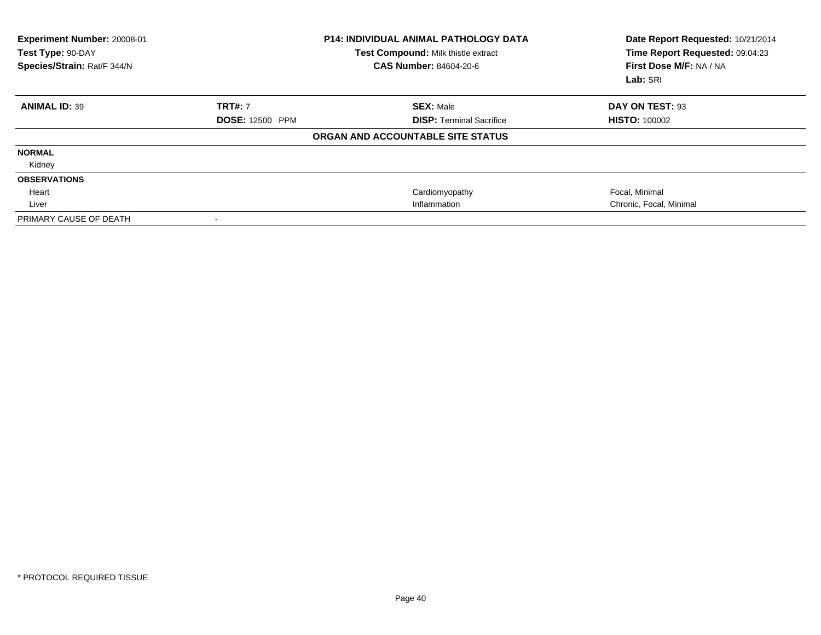| Experiment Number: 20008-01<br>Test Type: 90-DAY<br>Species/Strain: Rat/F 344/N |                          | <b>P14: INDIVIDUAL ANIMAL PATHOLOGY DATA</b><br>Test Compound: Milk thistle extract<br><b>CAS Number: 84604-20-6</b> | Date Report Requested: 10/21/2014<br>Time Report Requested: 09:04:23<br>First Dose M/F: NA / NA<br>Lab: SRI |
|---------------------------------------------------------------------------------|--------------------------|----------------------------------------------------------------------------------------------------------------------|-------------------------------------------------------------------------------------------------------------|
| <b>ANIMAL ID: 39</b>                                                            | <b>TRT#: 7</b>           | <b>SEX: Male</b>                                                                                                     | DAY ON TEST: 93                                                                                             |
|                                                                                 | <b>DOSE: 12500 PPM</b>   | <b>DISP: Terminal Sacrifice</b>                                                                                      | <b>HISTO: 100002</b>                                                                                        |
|                                                                                 |                          | ORGAN AND ACCOUNTABLE SITE STATUS                                                                                    |                                                                                                             |
| <b>NORMAL</b>                                                                   |                          |                                                                                                                      |                                                                                                             |
| Kidney                                                                          |                          |                                                                                                                      |                                                                                                             |
| <b>OBSERVATIONS</b>                                                             |                          |                                                                                                                      |                                                                                                             |
| Heart                                                                           |                          | Cardiomyopathy                                                                                                       | Focal, Minimal                                                                                              |
| Liver                                                                           |                          | Inflammation                                                                                                         | Chronic, Focal, Minimal                                                                                     |
| PRIMARY CAUSE OF DEATH                                                          | $\overline{\phantom{a}}$ |                                                                                                                      |                                                                                                             |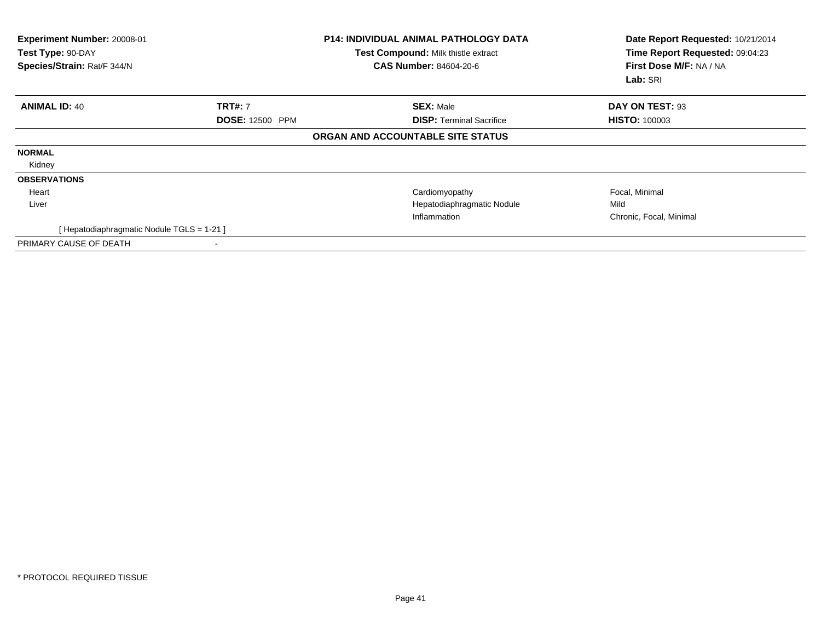| Experiment Number: 20008-01<br>Test Type: 90-DAY<br>Species/Strain: Rat/F 344/N |                                          | <b>P14: INDIVIDUAL ANIMAL PATHOLOGY DATA</b><br>Test Compound: Milk thistle extract<br><b>CAS Number: 84604-20-6</b> | Date Report Requested: 10/21/2014<br>Time Report Requested: 09:04:23<br>First Dose M/F: NA / NA<br>Lab: SRI |
|---------------------------------------------------------------------------------|------------------------------------------|----------------------------------------------------------------------------------------------------------------------|-------------------------------------------------------------------------------------------------------------|
| <b>ANIMAL ID: 40</b>                                                            | <b>TRT#: 7</b>                           | <b>SEX: Male</b>                                                                                                     | DAY ON TEST: 93                                                                                             |
|                                                                                 | <b>DOSE: 12500 PPM</b>                   | <b>DISP: Terminal Sacrifice</b>                                                                                      | <b>HISTO: 100003</b>                                                                                        |
|                                                                                 |                                          | ORGAN AND ACCOUNTABLE SITE STATUS                                                                                    |                                                                                                             |
| <b>NORMAL</b>                                                                   |                                          |                                                                                                                      |                                                                                                             |
| Kidney                                                                          |                                          |                                                                                                                      |                                                                                                             |
| <b>OBSERVATIONS</b>                                                             |                                          |                                                                                                                      |                                                                                                             |
| Heart                                                                           |                                          | Cardiomyopathy                                                                                                       | Focal, Minimal                                                                                              |
| Liver                                                                           |                                          | Hepatodiaphragmatic Nodule                                                                                           | Mild                                                                                                        |
|                                                                                 |                                          | Inflammation                                                                                                         | Chronic, Focal, Minimal                                                                                     |
|                                                                                 | [Hepatodiaphragmatic Nodule TGLS = 1-21] |                                                                                                                      |                                                                                                             |
| PRIMARY CAUSE OF DEATH                                                          |                                          |                                                                                                                      |                                                                                                             |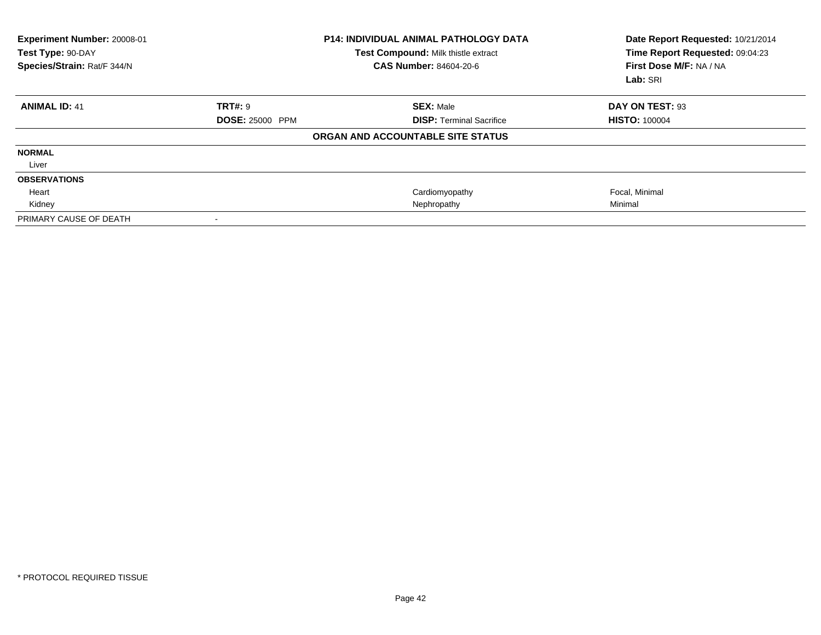| Experiment Number: 20008-01<br>Test Type: 90-DAY<br>Species/Strain: Rat/F 344/N |                          | <b>P14: INDIVIDUAL ANIMAL PATHOLOGY DATA</b><br>Test Compound: Milk thistle extract<br>CAS Number: 84604-20-6 | Date Report Requested: 10/21/2014<br>Time Report Requested: 09:04:23<br>First Dose M/F: NA / NA<br>Lab: SRI |
|---------------------------------------------------------------------------------|--------------------------|---------------------------------------------------------------------------------------------------------------|-------------------------------------------------------------------------------------------------------------|
| <b>ANIMAL ID: 41</b>                                                            | <b>TRT#: 9</b>           | <b>SEX: Male</b>                                                                                              | DAY ON TEST: 93                                                                                             |
|                                                                                 | <b>DOSE: 25000 PPM</b>   | <b>DISP: Terminal Sacrifice</b>                                                                               | <b>HISTO: 100004</b>                                                                                        |
|                                                                                 |                          | ORGAN AND ACCOUNTABLE SITE STATUS                                                                             |                                                                                                             |
| <b>NORMAL</b>                                                                   |                          |                                                                                                               |                                                                                                             |
| Liver                                                                           |                          |                                                                                                               |                                                                                                             |
| <b>OBSERVATIONS</b>                                                             |                          |                                                                                                               |                                                                                                             |
| Heart                                                                           |                          | Cardiomyopathy                                                                                                | Focal, Minimal                                                                                              |
| Kidney                                                                          |                          | Nephropathy                                                                                                   | Minimal                                                                                                     |
| PRIMARY CAUSE OF DEATH                                                          | $\overline{\phantom{a}}$ |                                                                                                               |                                                                                                             |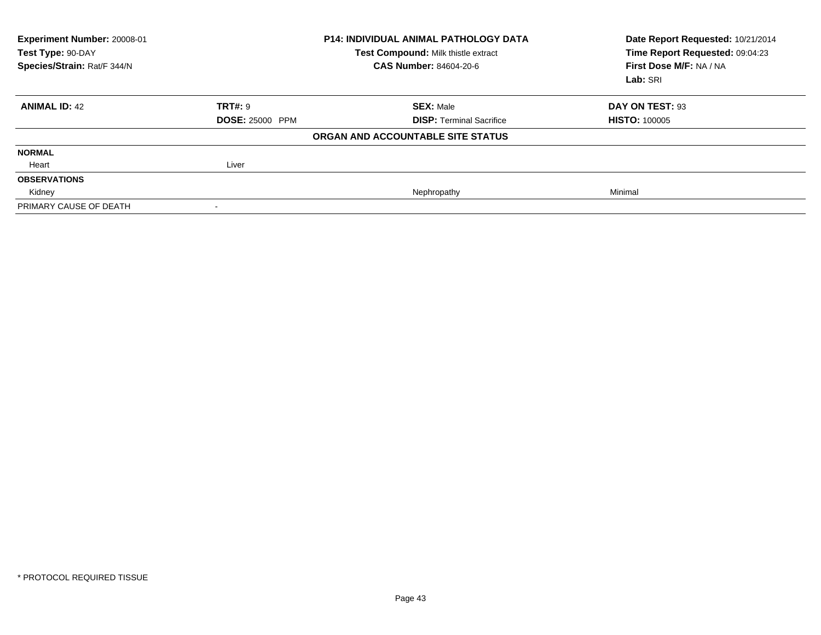| Experiment Number: 20008-01<br>Test Type: 90-DAY<br>Species/Strain: Rat/F 344/N |                        | <b>P14: INDIVIDUAL ANIMAL PATHOLOGY DATA</b><br>Test Compound: Milk thistle extract<br><b>CAS Number: 84604-20-6</b> | Date Report Requested: 10/21/2014<br>Time Report Requested: 09:04:23<br>First Dose M/F: NA / NA<br>Lab: SRI |
|---------------------------------------------------------------------------------|------------------------|----------------------------------------------------------------------------------------------------------------------|-------------------------------------------------------------------------------------------------------------|
| <b>ANIMAL ID: 42</b>                                                            | <b>TRT#: 9</b>         | <b>SEX: Male</b>                                                                                                     | DAY ON TEST: 93                                                                                             |
|                                                                                 | <b>DOSE: 25000 PPM</b> | <b>DISP: Terminal Sacrifice</b>                                                                                      | <b>HISTO: 100005</b>                                                                                        |
|                                                                                 |                        | ORGAN AND ACCOUNTABLE SITE STATUS                                                                                    |                                                                                                             |
| <b>NORMAL</b>                                                                   |                        |                                                                                                                      |                                                                                                             |
| Heart                                                                           | Liver                  |                                                                                                                      |                                                                                                             |
| <b>OBSERVATIONS</b>                                                             |                        |                                                                                                                      |                                                                                                             |
| Kidney                                                                          |                        | Nephropathy                                                                                                          | Minimal                                                                                                     |
| PRIMARY CAUSE OF DEATH                                                          |                        |                                                                                                                      |                                                                                                             |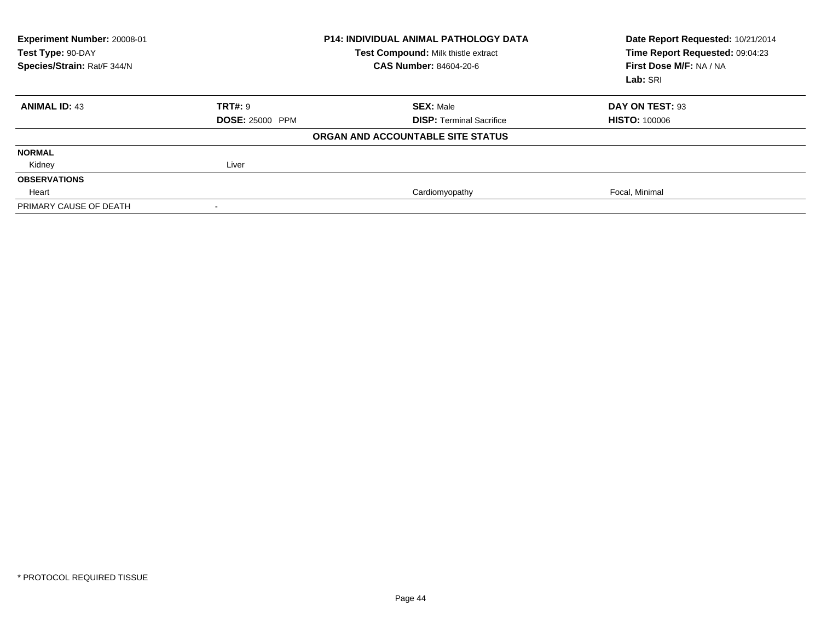| Experiment Number: 20008-01<br>Test Type: 90-DAY<br>Species/Strain: Rat/F 344/N |                        | <b>P14: INDIVIDUAL ANIMAL PATHOLOGY DATA</b><br>Test Compound: Milk thistle extract<br><b>CAS Number: 84604-20-6</b> | Date Report Requested: 10/21/2014<br>Time Report Requested: 09:04:23<br>First Dose M/F: NA / NA<br>Lab: SRI |
|---------------------------------------------------------------------------------|------------------------|----------------------------------------------------------------------------------------------------------------------|-------------------------------------------------------------------------------------------------------------|
| <b>ANIMAL ID: 43</b>                                                            | TRT#: 9                | <b>SEX: Male</b>                                                                                                     | DAY ON TEST: 93                                                                                             |
|                                                                                 | <b>DOSE: 25000 PPM</b> | <b>DISP:</b> Terminal Sacrifice                                                                                      | <b>HISTO: 100006</b>                                                                                        |
|                                                                                 |                        | ORGAN AND ACCOUNTABLE SITE STATUS                                                                                    |                                                                                                             |
| <b>NORMAL</b>                                                                   |                        |                                                                                                                      |                                                                                                             |
| Kidney                                                                          | Liver                  |                                                                                                                      |                                                                                                             |
| <b>OBSERVATIONS</b>                                                             |                        |                                                                                                                      |                                                                                                             |
| Heart                                                                           |                        | Cardiomyopathy                                                                                                       | Focal, Minimal                                                                                              |
| PRIMARY CAUSE OF DEATH                                                          |                        |                                                                                                                      |                                                                                                             |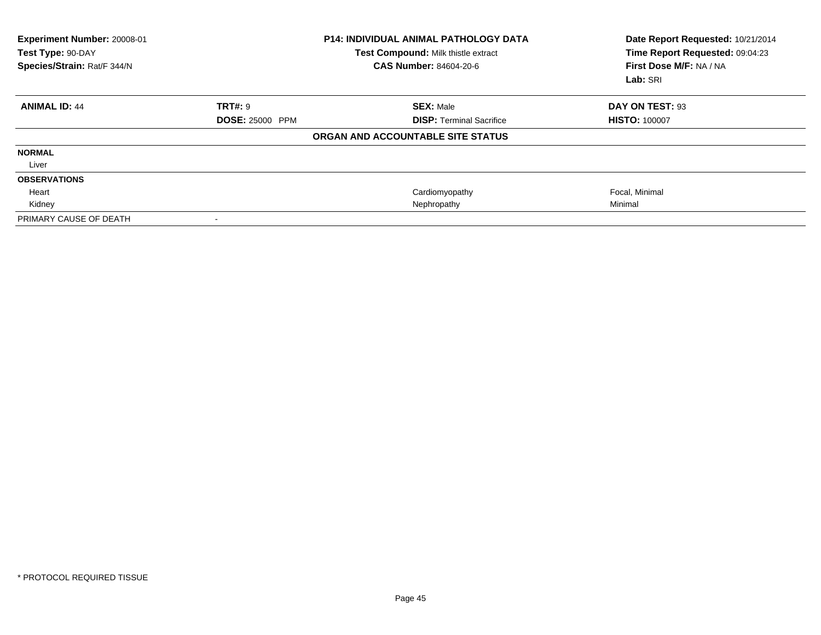| Experiment Number: 20008-01<br>Test Type: 90-DAY<br>Species/Strain: Rat/F 344/N |                        | <b>P14: INDIVIDUAL ANIMAL PATHOLOGY DATA</b><br>Test Compound: Milk thistle extract<br>CAS Number: 84604-20-6 | Date Report Requested: 10/21/2014<br>Time Report Requested: 09:04:23<br>First Dose M/F: NA / NA<br>Lab: SRI |
|---------------------------------------------------------------------------------|------------------------|---------------------------------------------------------------------------------------------------------------|-------------------------------------------------------------------------------------------------------------|
| <b>ANIMAL ID: 44</b>                                                            | <b>TRT#: 9</b>         | <b>SEX: Male</b>                                                                                              | DAY ON TEST: 93                                                                                             |
|                                                                                 | <b>DOSE: 25000 PPM</b> | <b>DISP: Terminal Sacrifice</b>                                                                               | <b>HISTO: 100007</b>                                                                                        |
|                                                                                 |                        | ORGAN AND ACCOUNTABLE SITE STATUS                                                                             |                                                                                                             |
| <b>NORMAL</b>                                                                   |                        |                                                                                                               |                                                                                                             |
| Liver                                                                           |                        |                                                                                                               |                                                                                                             |
| <b>OBSERVATIONS</b>                                                             |                        |                                                                                                               |                                                                                                             |
| Heart                                                                           |                        | Cardiomyopathy                                                                                                | Focal, Minimal                                                                                              |
| Kidney                                                                          |                        | Nephropathy                                                                                                   | Minimal                                                                                                     |
| PRIMARY CAUSE OF DEATH                                                          |                        |                                                                                                               |                                                                                                             |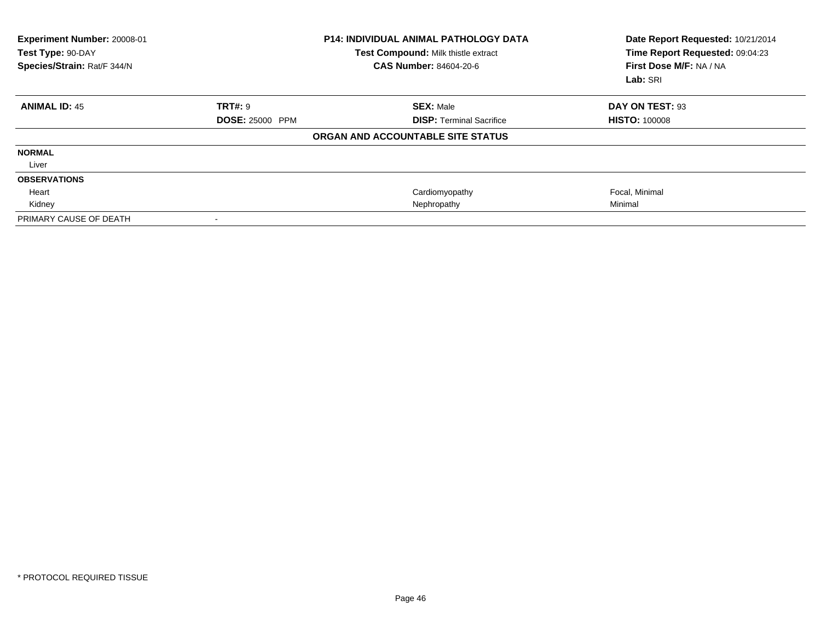| Experiment Number: 20008-01<br>Test Type: 90-DAY<br>Species/Strain: Rat/F 344/N |                        | <b>P14: INDIVIDUAL ANIMAL PATHOLOGY DATA</b><br>Test Compound: Milk thistle extract<br>CAS Number: 84604-20-6 | Date Report Requested: 10/21/2014<br>Time Report Requested: 09:04:23<br>First Dose M/F: NA / NA<br>Lab: SRI |
|---------------------------------------------------------------------------------|------------------------|---------------------------------------------------------------------------------------------------------------|-------------------------------------------------------------------------------------------------------------|
| <b>ANIMAL ID: 45</b>                                                            | <b>TRT#: 9</b>         | <b>SEX: Male</b>                                                                                              | DAY ON TEST: 93                                                                                             |
|                                                                                 | <b>DOSE: 25000 PPM</b> | <b>DISP: Terminal Sacrifice</b>                                                                               | <b>HISTO: 100008</b>                                                                                        |
|                                                                                 |                        | ORGAN AND ACCOUNTABLE SITE STATUS                                                                             |                                                                                                             |
| <b>NORMAL</b>                                                                   |                        |                                                                                                               |                                                                                                             |
| Liver                                                                           |                        |                                                                                                               |                                                                                                             |
| <b>OBSERVATIONS</b>                                                             |                        |                                                                                                               |                                                                                                             |
| Heart                                                                           |                        | Cardiomyopathy                                                                                                | Focal, Minimal                                                                                              |
| Kidney                                                                          |                        | Nephropathy                                                                                                   | Minimal                                                                                                     |
| PRIMARY CAUSE OF DEATH                                                          |                        |                                                                                                               |                                                                                                             |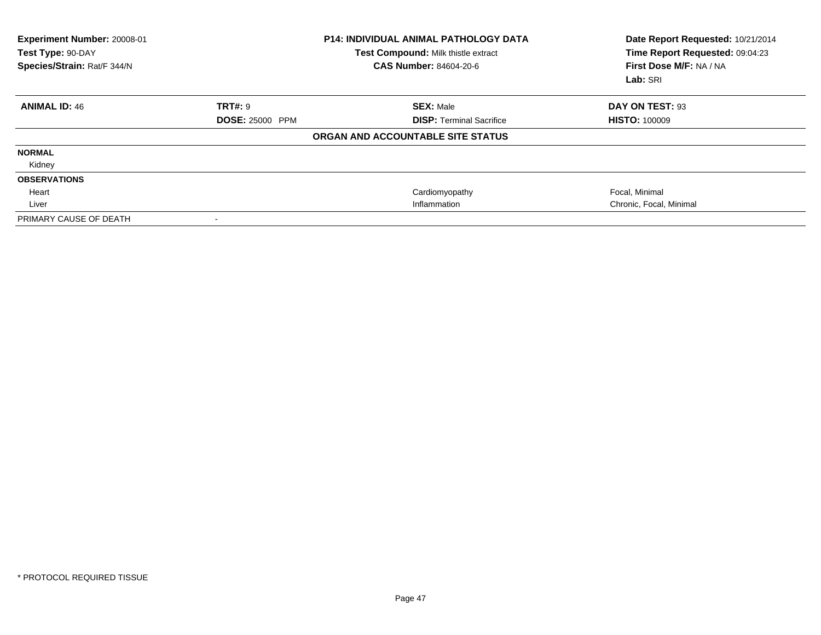| Experiment Number: 20008-01<br>Test Type: 90-DAY<br>Species/Strain: Rat/F 344/N |                        | <b>P14: INDIVIDUAL ANIMAL PATHOLOGY DATA</b><br>Test Compound: Milk thistle extract<br><b>CAS Number: 84604-20-6</b> | Date Report Requested: 10/21/2014<br>Time Report Requested: 09:04:23<br>First Dose M/F: NA / NA<br>Lab: SRI |
|---------------------------------------------------------------------------------|------------------------|----------------------------------------------------------------------------------------------------------------------|-------------------------------------------------------------------------------------------------------------|
| <b>ANIMAL ID: 46</b>                                                            | <b>TRT#: 9</b>         | <b>SEX: Male</b>                                                                                                     | DAY ON TEST: 93                                                                                             |
|                                                                                 | <b>DOSE: 25000 PPM</b> | <b>DISP: Terminal Sacrifice</b>                                                                                      | <b>HISTO: 100009</b>                                                                                        |
|                                                                                 |                        | ORGAN AND ACCOUNTABLE SITE STATUS                                                                                    |                                                                                                             |
| <b>NORMAL</b>                                                                   |                        |                                                                                                                      |                                                                                                             |
| Kidney                                                                          |                        |                                                                                                                      |                                                                                                             |
| <b>OBSERVATIONS</b>                                                             |                        |                                                                                                                      |                                                                                                             |
| Heart                                                                           |                        | Cardiomyopathy                                                                                                       | Focal, Minimal                                                                                              |
| Liver                                                                           |                        | Inflammation                                                                                                         | Chronic, Focal, Minimal                                                                                     |
| PRIMARY CAUSE OF DEATH                                                          |                        |                                                                                                                      |                                                                                                             |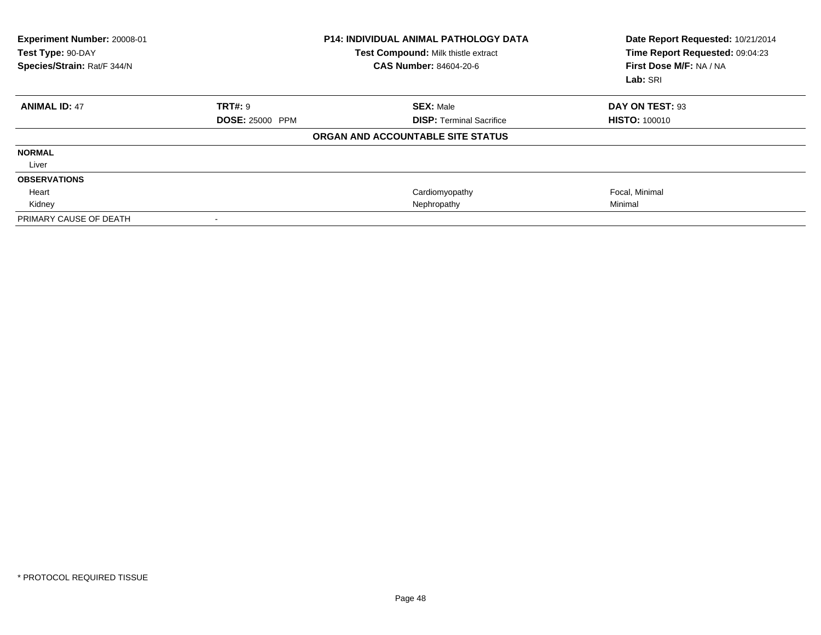| Experiment Number: 20008-01<br>Test Type: 90-DAY<br>Species/Strain: Rat/F 344/N |                        | <b>P14: INDIVIDUAL ANIMAL PATHOLOGY DATA</b><br>Test Compound: Milk thistle extract<br>CAS Number: 84604-20-6 | Date Report Requested: 10/21/2014<br>Time Report Requested: 09:04:23<br>First Dose M/F: NA / NA<br>Lab: SRI |
|---------------------------------------------------------------------------------|------------------------|---------------------------------------------------------------------------------------------------------------|-------------------------------------------------------------------------------------------------------------|
| <b>ANIMAL ID: 47</b>                                                            | <b>TRT#: 9</b>         | <b>SEX: Male</b>                                                                                              | DAY ON TEST: 93                                                                                             |
|                                                                                 | <b>DOSE: 25000 PPM</b> | <b>DISP: Terminal Sacrifice</b>                                                                               | <b>HISTO: 100010</b>                                                                                        |
|                                                                                 |                        | ORGAN AND ACCOUNTABLE SITE STATUS                                                                             |                                                                                                             |
| <b>NORMAL</b>                                                                   |                        |                                                                                                               |                                                                                                             |
| Liver                                                                           |                        |                                                                                                               |                                                                                                             |
| <b>OBSERVATIONS</b>                                                             |                        |                                                                                                               |                                                                                                             |
| Heart                                                                           |                        | Cardiomyopathy                                                                                                | Focal, Minimal                                                                                              |
| Kidney                                                                          |                        | Nephropathy                                                                                                   | Minimal                                                                                                     |
| PRIMARY CAUSE OF DEATH                                                          |                        |                                                                                                               |                                                                                                             |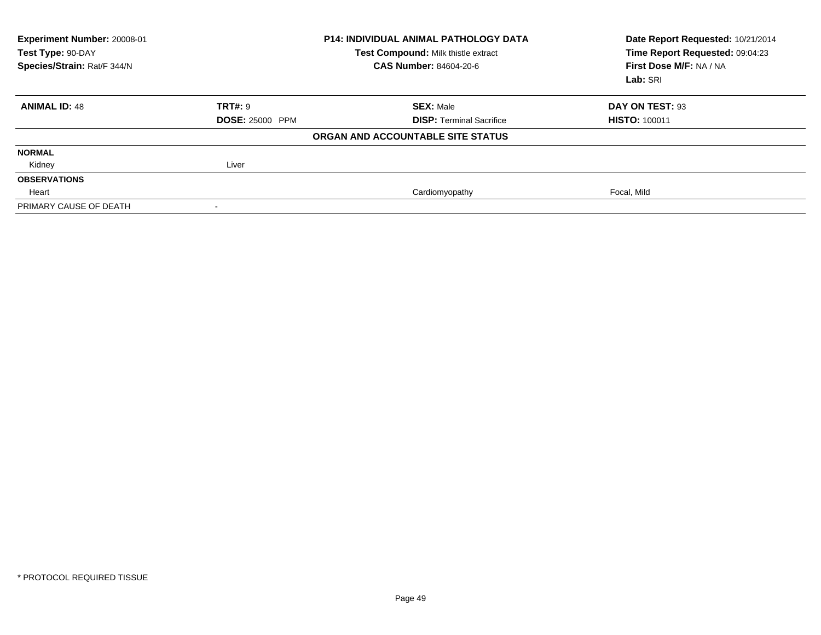| Experiment Number: 20008-01<br>Test Type: 90-DAY<br>Species/Strain: Rat/F 344/N | <b>P14: INDIVIDUAL ANIMAL PATHOLOGY DATA</b><br>Test Compound: Milk thistle extract<br><b>CAS Number: 84604-20-6</b> |                                   | Date Report Requested: 10/21/2014<br>Time Report Requested: 09:04:23<br>First Dose M/F: NA / NA<br>Lab: SRI |
|---------------------------------------------------------------------------------|----------------------------------------------------------------------------------------------------------------------|-----------------------------------|-------------------------------------------------------------------------------------------------------------|
| <b>ANIMAL ID: 48</b>                                                            | TRT#: 9                                                                                                              | <b>SEX: Male</b>                  | DAY ON TEST: 93                                                                                             |
|                                                                                 | <b>DOSE: 25000 PPM</b>                                                                                               | <b>DISP:</b> Terminal Sacrifice   | <b>HISTO: 100011</b>                                                                                        |
|                                                                                 |                                                                                                                      | ORGAN AND ACCOUNTABLE SITE STATUS |                                                                                                             |
| <b>NORMAL</b>                                                                   |                                                                                                                      |                                   |                                                                                                             |
| Kidney                                                                          | Liver                                                                                                                |                                   |                                                                                                             |
| <b>OBSERVATIONS</b>                                                             |                                                                                                                      |                                   |                                                                                                             |
| Heart                                                                           |                                                                                                                      | Cardiomyopathy                    | Focal, Mild                                                                                                 |
| PRIMARY CAUSE OF DEATH                                                          |                                                                                                                      |                                   |                                                                                                             |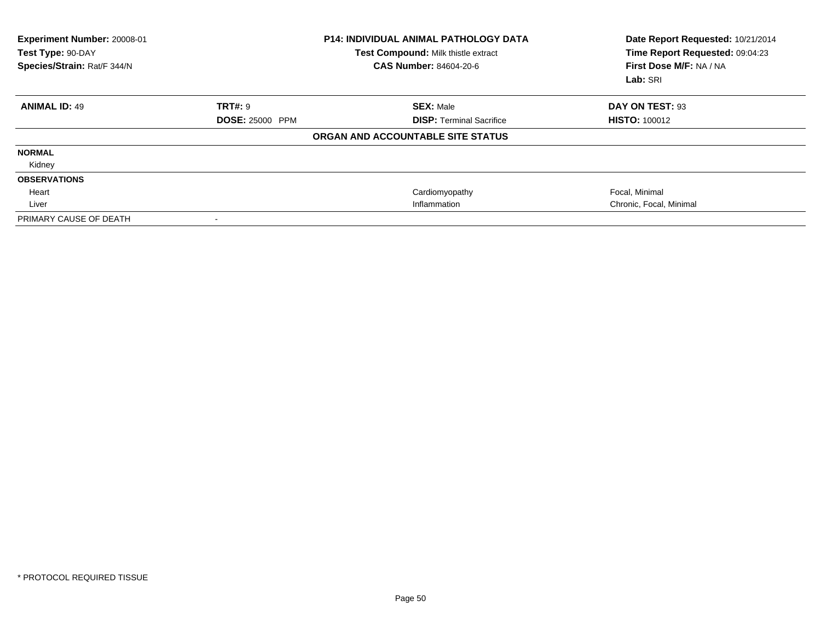| Experiment Number: 20008-01<br><b>P14: INDIVIDUAL ANIMAL PATHOLOGY DATA</b><br>Test Type: 90-DAY<br>Test Compound: Milk thistle extract<br>Species/Strain: Rat/F 344/N<br><b>CAS Number: 84604-20-6</b> |                        |                                   | Date Report Requested: 10/21/2014<br>Time Report Requested: 09:04:23<br>First Dose M/F: NA / NA<br>Lab: SRI |
|---------------------------------------------------------------------------------------------------------------------------------------------------------------------------------------------------------|------------------------|-----------------------------------|-------------------------------------------------------------------------------------------------------------|
| <b>ANIMAL ID: 49</b>                                                                                                                                                                                    | TRT#: 9                | <b>SEX: Male</b>                  | DAY ON TEST: 93                                                                                             |
|                                                                                                                                                                                                         | <b>DOSE: 25000 PPM</b> | <b>DISP: Terminal Sacrifice</b>   | <b>HISTO: 100012</b>                                                                                        |
|                                                                                                                                                                                                         |                        | ORGAN AND ACCOUNTABLE SITE STATUS |                                                                                                             |
| <b>NORMAL</b>                                                                                                                                                                                           |                        |                                   |                                                                                                             |
| Kidney                                                                                                                                                                                                  |                        |                                   |                                                                                                             |
| <b>OBSERVATIONS</b>                                                                                                                                                                                     |                        |                                   |                                                                                                             |
| Heart                                                                                                                                                                                                   |                        | Cardiomyopathy                    | Focal, Minimal                                                                                              |
| Liver                                                                                                                                                                                                   |                        | Inflammation                      | Chronic, Focal, Minimal                                                                                     |
| PRIMARY CAUSE OF DEATH                                                                                                                                                                                  |                        |                                   |                                                                                                             |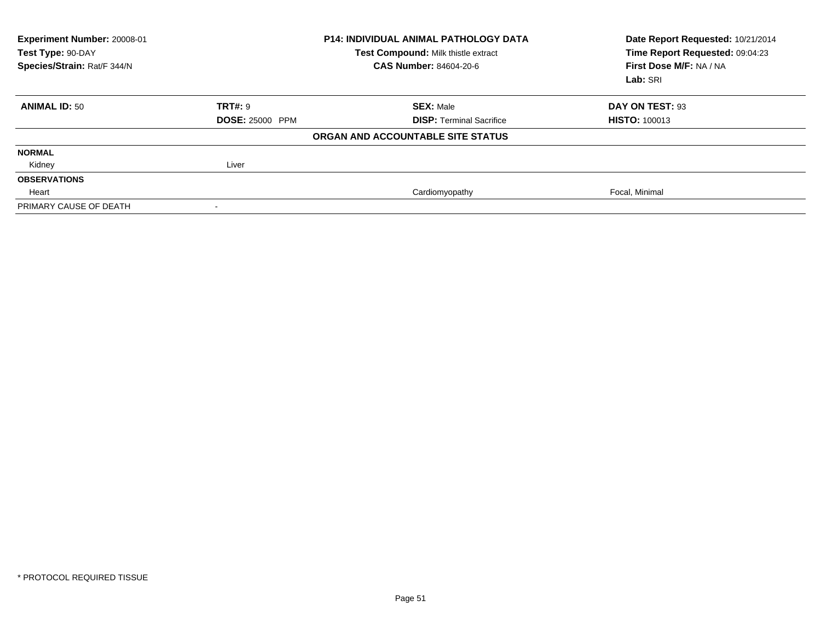| Experiment Number: 20008-01<br>Test Type: 90-DAY<br>Species/Strain: Rat/F 344/N | <b>P14: INDIVIDUAL ANIMAL PATHOLOGY DATA</b><br>Test Compound: Milk thistle extract<br><b>CAS Number: 84604-20-6</b> |                                   | Date Report Requested: 10/21/2014<br>Time Report Requested: 09:04:23<br>First Dose M/F: NA / NA<br>Lab: SRI |
|---------------------------------------------------------------------------------|----------------------------------------------------------------------------------------------------------------------|-----------------------------------|-------------------------------------------------------------------------------------------------------------|
| <b>ANIMAL ID: 50</b>                                                            | <b>TRT#: 9</b>                                                                                                       | <b>SEX: Male</b>                  | DAY ON TEST: 93                                                                                             |
|                                                                                 | <b>DOSE: 25000 PPM</b>                                                                                               | <b>DISP: Terminal Sacrifice</b>   | <b>HISTO: 100013</b>                                                                                        |
|                                                                                 |                                                                                                                      | ORGAN AND ACCOUNTABLE SITE STATUS |                                                                                                             |
| <b>NORMAL</b>                                                                   |                                                                                                                      |                                   |                                                                                                             |
| Kidney                                                                          | Liver                                                                                                                |                                   |                                                                                                             |
| <b>OBSERVATIONS</b>                                                             |                                                                                                                      |                                   |                                                                                                             |
| Heart                                                                           |                                                                                                                      | Cardiomyopathy                    | Focal, Minimal                                                                                              |
| PRIMARY CAUSE OF DEATH                                                          |                                                                                                                      |                                   |                                                                                                             |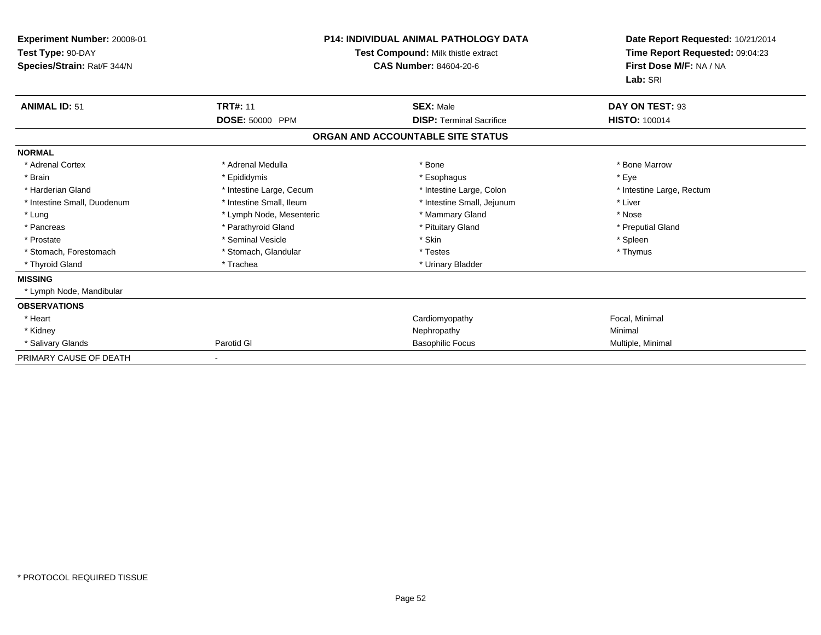| Experiment Number: 20008-01<br>Test Type: 90-DAY<br>Species/Strain: Rat/F 344/N | <b>P14: INDIVIDUAL ANIMAL PATHOLOGY DATA</b><br>Test Compound: Milk thistle extract<br><b>CAS Number: 84604-20-6</b> |                                   | Date Report Requested: 10/21/2014<br>Time Report Requested: 09:04:23<br>First Dose M/F: NA / NA<br>Lab: SRI |
|---------------------------------------------------------------------------------|----------------------------------------------------------------------------------------------------------------------|-----------------------------------|-------------------------------------------------------------------------------------------------------------|
| <b>ANIMAL ID: 51</b>                                                            | <b>TRT#: 11</b>                                                                                                      | <b>SEX: Male</b>                  | DAY ON TEST: 93                                                                                             |
|                                                                                 | DOSE: 50000 PPM                                                                                                      | <b>DISP: Terminal Sacrifice</b>   | <b>HISTO: 100014</b>                                                                                        |
|                                                                                 |                                                                                                                      | ORGAN AND ACCOUNTABLE SITE STATUS |                                                                                                             |
| <b>NORMAL</b>                                                                   |                                                                                                                      |                                   |                                                                                                             |
| * Adrenal Cortex                                                                | * Adrenal Medulla                                                                                                    | * Bone                            | * Bone Marrow                                                                                               |
| * Brain                                                                         | * Epididymis                                                                                                         | * Esophagus                       | * Eye                                                                                                       |
| * Harderian Gland                                                               | * Intestine Large, Cecum                                                                                             | * Intestine Large, Colon          | * Intestine Large, Rectum                                                                                   |
| * Intestine Small, Duodenum                                                     | * Intestine Small, Ileum                                                                                             | * Intestine Small, Jejunum        | * Liver                                                                                                     |
| * Lung                                                                          | * Lymph Node, Mesenteric                                                                                             | * Mammary Gland                   | * Nose                                                                                                      |
| * Pancreas                                                                      | * Parathyroid Gland                                                                                                  | * Pituitary Gland                 | * Preputial Gland                                                                                           |
| * Prostate                                                                      | * Seminal Vesicle                                                                                                    | * Skin                            | * Spleen                                                                                                    |
| * Stomach, Forestomach                                                          | * Stomach, Glandular                                                                                                 | * Testes                          | * Thymus                                                                                                    |
| * Thyroid Gland                                                                 | * Trachea                                                                                                            | * Urinary Bladder                 |                                                                                                             |
| <b>MISSING</b>                                                                  |                                                                                                                      |                                   |                                                                                                             |
| * Lymph Node, Mandibular                                                        |                                                                                                                      |                                   |                                                                                                             |
| <b>OBSERVATIONS</b>                                                             |                                                                                                                      |                                   |                                                                                                             |
| * Heart                                                                         |                                                                                                                      | Cardiomyopathy                    | Focal, Minimal                                                                                              |
| * Kidney                                                                        |                                                                                                                      | Nephropathy                       | Minimal                                                                                                     |
| * Salivary Glands                                                               | Parotid GI                                                                                                           | <b>Basophilic Focus</b>           | Multiple, Minimal                                                                                           |
| PRIMARY CAUSE OF DEATH                                                          |                                                                                                                      |                                   |                                                                                                             |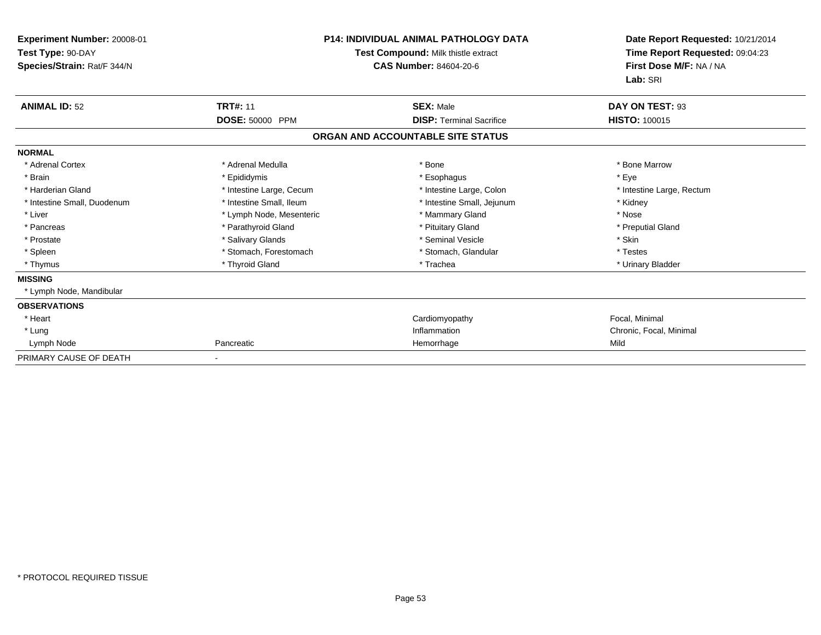| Experiment Number: 20008-01<br>Test Type: 90-DAY<br>Species/Strain: Rat/F 344/N | <b>P14: INDIVIDUAL ANIMAL PATHOLOGY DATA</b><br>Test Compound: Milk thistle extract<br><b>CAS Number: 84604-20-6</b> |                                   | Date Report Requested: 10/21/2014<br>Time Report Requested: 09:04:23<br>First Dose M/F: NA / NA<br>Lab: SRI |
|---------------------------------------------------------------------------------|----------------------------------------------------------------------------------------------------------------------|-----------------------------------|-------------------------------------------------------------------------------------------------------------|
| <b>ANIMAL ID: 52</b>                                                            | <b>TRT#: 11</b>                                                                                                      | <b>SEX: Male</b>                  | DAY ON TEST: 93                                                                                             |
|                                                                                 | DOSE: 50000 PPM                                                                                                      | <b>DISP:</b> Terminal Sacrifice   | <b>HISTO: 100015</b>                                                                                        |
|                                                                                 |                                                                                                                      | ORGAN AND ACCOUNTABLE SITE STATUS |                                                                                                             |
| <b>NORMAL</b>                                                                   |                                                                                                                      |                                   |                                                                                                             |
| * Adrenal Cortex                                                                | * Adrenal Medulla                                                                                                    | * Bone                            | * Bone Marrow                                                                                               |
| * Brain                                                                         | * Epididymis                                                                                                         | * Esophagus                       | * Eye                                                                                                       |
| * Harderian Gland                                                               | * Intestine Large, Cecum                                                                                             | * Intestine Large, Colon          | * Intestine Large, Rectum                                                                                   |
| * Intestine Small, Duodenum                                                     | * Intestine Small, Ileum                                                                                             | * Intestine Small, Jejunum        | * Kidney                                                                                                    |
| * Liver                                                                         | * Lymph Node, Mesenteric                                                                                             | * Mammary Gland                   | * Nose                                                                                                      |
| * Pancreas                                                                      | * Parathyroid Gland                                                                                                  | * Pituitary Gland                 | * Preputial Gland                                                                                           |
| * Prostate                                                                      | * Salivary Glands                                                                                                    | * Seminal Vesicle                 | * Skin                                                                                                      |
| * Spleen                                                                        | * Stomach, Forestomach                                                                                               | * Stomach, Glandular              | * Testes                                                                                                    |
| * Thymus                                                                        | * Thyroid Gland                                                                                                      | * Trachea                         | * Urinary Bladder                                                                                           |
| <b>MISSING</b>                                                                  |                                                                                                                      |                                   |                                                                                                             |
| * Lymph Node, Mandibular                                                        |                                                                                                                      |                                   |                                                                                                             |
| <b>OBSERVATIONS</b>                                                             |                                                                                                                      |                                   |                                                                                                             |
| * Heart                                                                         |                                                                                                                      | Cardiomyopathy                    | Focal, Minimal                                                                                              |
| * Lung                                                                          |                                                                                                                      | Inflammation                      | Chronic, Focal, Minimal                                                                                     |
| Lymph Node                                                                      | Pancreatic                                                                                                           | Hemorrhage                        | Mild                                                                                                        |
| PRIMARY CAUSE OF DEATH                                                          |                                                                                                                      |                                   |                                                                                                             |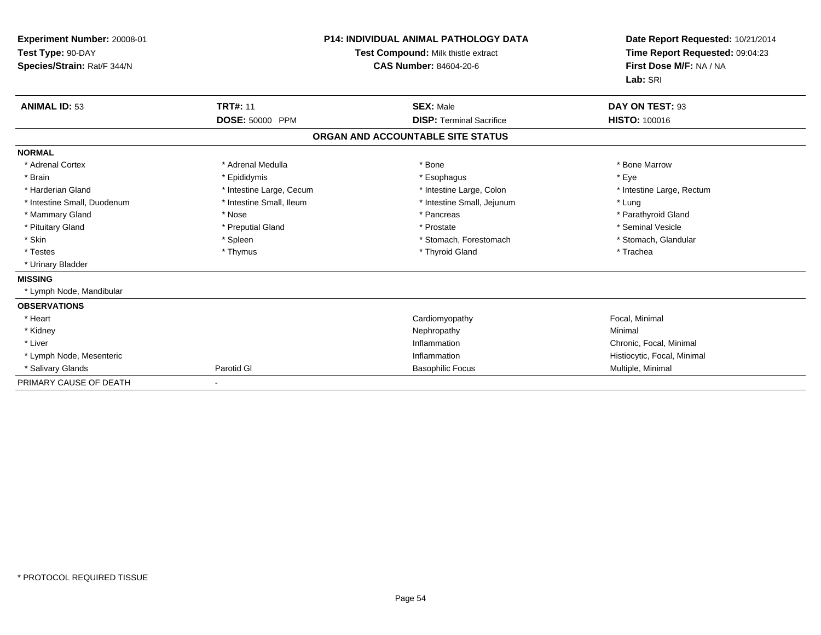| Experiment Number: 20008-01<br>Test Type: 90-DAY<br>Species/Strain: Rat/F 344/N |                          | <b>P14: INDIVIDUAL ANIMAL PATHOLOGY DATA</b><br>Test Compound: Milk thistle extract<br><b>CAS Number: 84604-20-6</b> | Date Report Requested: 10/21/2014<br>Time Report Requested: 09:04:23<br>First Dose M/F: NA / NA<br>Lab: SRI |
|---------------------------------------------------------------------------------|--------------------------|----------------------------------------------------------------------------------------------------------------------|-------------------------------------------------------------------------------------------------------------|
| <b>ANIMAL ID: 53</b>                                                            | <b>TRT#: 11</b>          | <b>SEX: Male</b>                                                                                                     | DAY ON TEST: 93                                                                                             |
|                                                                                 | DOSE: 50000 PPM          | <b>DISP: Terminal Sacrifice</b>                                                                                      | <b>HISTO: 100016</b>                                                                                        |
|                                                                                 |                          | ORGAN AND ACCOUNTABLE SITE STATUS                                                                                    |                                                                                                             |
| <b>NORMAL</b>                                                                   |                          |                                                                                                                      |                                                                                                             |
| * Adrenal Cortex                                                                | * Adrenal Medulla        | * Bone                                                                                                               | * Bone Marrow                                                                                               |
| * Brain                                                                         | * Epididymis             | * Esophagus                                                                                                          | * Eye                                                                                                       |
| * Harderian Gland                                                               | * Intestine Large, Cecum | * Intestine Large, Colon                                                                                             | * Intestine Large, Rectum                                                                                   |
| * Intestine Small, Duodenum                                                     | * Intestine Small, Ileum | * Intestine Small, Jejunum                                                                                           | * Lung                                                                                                      |
| * Mammary Gland                                                                 | * Nose                   | * Pancreas                                                                                                           | * Parathyroid Gland                                                                                         |
| * Pituitary Gland                                                               | * Preputial Gland        | * Prostate                                                                                                           | * Seminal Vesicle                                                                                           |
| * Skin                                                                          | * Spleen                 | * Stomach, Forestomach                                                                                               | * Stomach, Glandular                                                                                        |
| * Testes                                                                        | * Thymus                 | * Thyroid Gland                                                                                                      | * Trachea                                                                                                   |
| * Urinary Bladder                                                               |                          |                                                                                                                      |                                                                                                             |
| <b>MISSING</b>                                                                  |                          |                                                                                                                      |                                                                                                             |
| * Lymph Node, Mandibular                                                        |                          |                                                                                                                      |                                                                                                             |
| <b>OBSERVATIONS</b>                                                             |                          |                                                                                                                      |                                                                                                             |
| * Heart                                                                         |                          | Cardiomyopathy                                                                                                       | Focal, Minimal                                                                                              |
| * Kidney                                                                        |                          | Nephropathy                                                                                                          | Minimal                                                                                                     |
| * Liver                                                                         |                          | Inflammation                                                                                                         | Chronic, Focal, Minimal                                                                                     |
| * Lymph Node, Mesenteric                                                        |                          | Inflammation                                                                                                         | Histiocytic, Focal, Minimal                                                                                 |
| * Salivary Glands                                                               | Parotid GI               | <b>Basophilic Focus</b>                                                                                              | Multiple, Minimal                                                                                           |
| PRIMARY CAUSE OF DEATH                                                          | $\blacksquare$           |                                                                                                                      |                                                                                                             |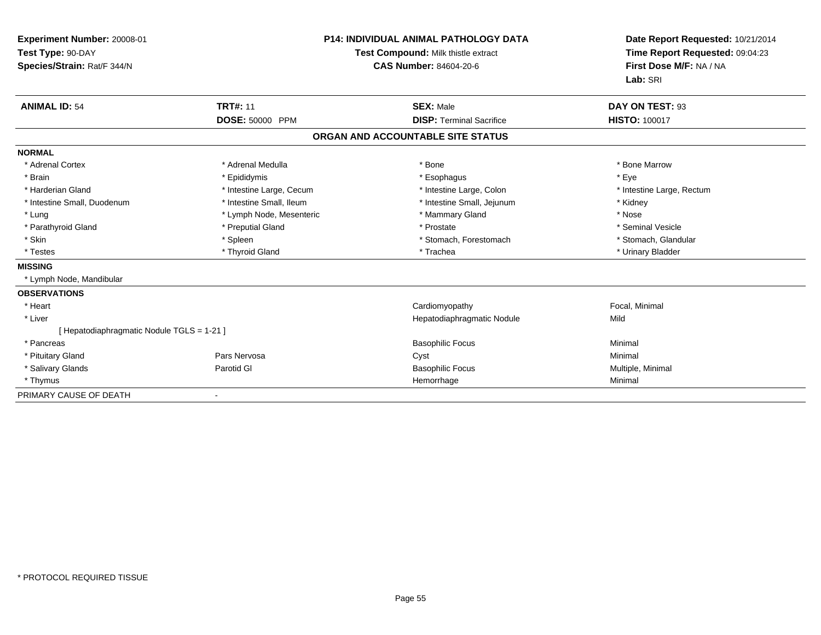| Experiment Number: 20008-01<br>Test Type: 90-DAY<br>Species/Strain: Rat/F 344/N |                                    | <b>P14: INDIVIDUAL ANIMAL PATHOLOGY DATA</b><br><b>Test Compound: Milk thistle extract</b><br><b>CAS Number: 84604-20-6</b> | Date Report Requested: 10/21/2014<br>Time Report Requested: 09:04:23<br>First Dose M/F: NA / NA<br>Lab: SRI |
|---------------------------------------------------------------------------------|------------------------------------|-----------------------------------------------------------------------------------------------------------------------------|-------------------------------------------------------------------------------------------------------------|
| <b>ANIMAL ID: 54</b>                                                            | <b>TRT#: 11</b><br>DOSE: 50000 PPM | <b>SEX: Male</b><br><b>DISP: Terminal Sacrifice</b>                                                                         | DAY ON TEST: 93<br><b>HISTO: 100017</b>                                                                     |
|                                                                                 |                                    |                                                                                                                             |                                                                                                             |
|                                                                                 |                                    | ORGAN AND ACCOUNTABLE SITE STATUS                                                                                           |                                                                                                             |
| <b>NORMAL</b>                                                                   |                                    |                                                                                                                             |                                                                                                             |
| * Adrenal Cortex                                                                | * Adrenal Medulla                  | * Bone                                                                                                                      | * Bone Marrow                                                                                               |
| * Brain                                                                         | * Epididymis                       | * Esophagus                                                                                                                 | * Eye                                                                                                       |
| * Harderian Gland                                                               | * Intestine Large, Cecum           | * Intestine Large, Colon                                                                                                    | * Intestine Large, Rectum                                                                                   |
| * Intestine Small, Duodenum                                                     | * Intestine Small, Ileum           | * Intestine Small, Jejunum                                                                                                  | * Kidney                                                                                                    |
| * Lung                                                                          | * Lymph Node, Mesenteric           | * Mammary Gland                                                                                                             | * Nose                                                                                                      |
| * Parathyroid Gland                                                             | * Preputial Gland                  | * Prostate                                                                                                                  | * Seminal Vesicle                                                                                           |
| * Skin                                                                          | * Spleen                           | * Stomach, Forestomach                                                                                                      | * Stomach, Glandular                                                                                        |
| * Testes                                                                        | * Thyroid Gland                    | * Trachea                                                                                                                   | * Urinary Bladder                                                                                           |
| <b>MISSING</b>                                                                  |                                    |                                                                                                                             |                                                                                                             |
| * Lymph Node, Mandibular                                                        |                                    |                                                                                                                             |                                                                                                             |
| <b>OBSERVATIONS</b>                                                             |                                    |                                                                                                                             |                                                                                                             |
| * Heart                                                                         |                                    | Cardiomyopathy                                                                                                              | Focal, Minimal                                                                                              |
| * Liver                                                                         |                                    | Hepatodiaphragmatic Nodule                                                                                                  | Mild                                                                                                        |
| [ Hepatodiaphragmatic Nodule TGLS = 1-21 ]                                      |                                    |                                                                                                                             |                                                                                                             |
| * Pancreas                                                                      |                                    | <b>Basophilic Focus</b>                                                                                                     | Minimal                                                                                                     |
| * Pituitary Gland                                                               | Pars Nervosa                       | Cyst                                                                                                                        | Minimal                                                                                                     |
| * Salivary Glands                                                               | Parotid GI                         | <b>Basophilic Focus</b>                                                                                                     | Multiple, Minimal                                                                                           |
| * Thymus                                                                        |                                    | Hemorrhage                                                                                                                  | Minimal                                                                                                     |
| PRIMARY CAUSE OF DEATH                                                          | $\qquad \qquad \blacksquare$       |                                                                                                                             |                                                                                                             |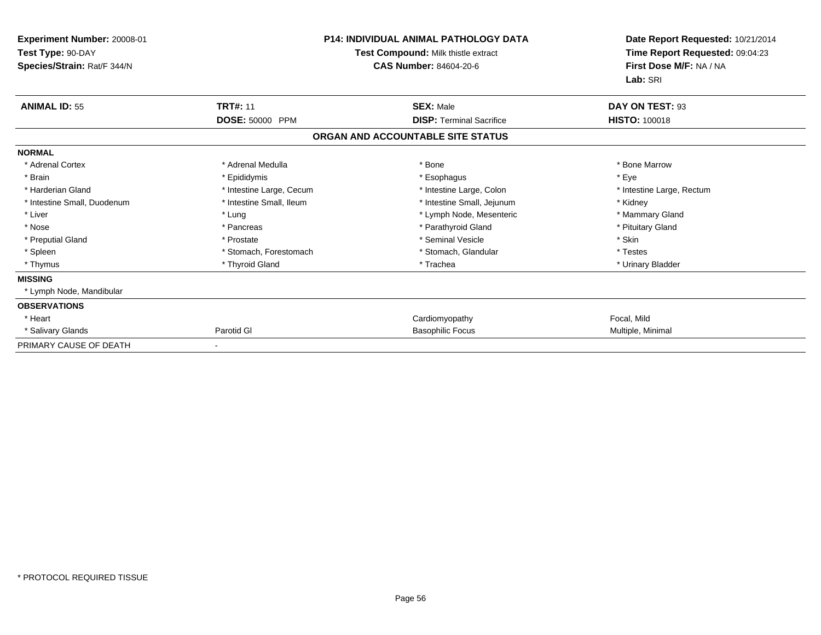| Experiment Number: 20008-01<br>Test Type: 90-DAY<br>Species/Strain: Rat/F 344/N | <b>P14: INDIVIDUAL ANIMAL PATHOLOGY DATA</b><br>Test Compound: Milk thistle extract<br><b>CAS Number: 84604-20-6</b> |                                   | Date Report Requested: 10/21/2014<br>Time Report Requested: 09:04:23<br>First Dose M/F: NA / NA<br>Lab: SRI |
|---------------------------------------------------------------------------------|----------------------------------------------------------------------------------------------------------------------|-----------------------------------|-------------------------------------------------------------------------------------------------------------|
| <b>ANIMAL ID: 55</b>                                                            | <b>TRT#: 11</b>                                                                                                      | <b>SEX: Male</b>                  | DAY ON TEST: 93                                                                                             |
|                                                                                 | <b>DOSE: 50000 PPM</b>                                                                                               | <b>DISP: Terminal Sacrifice</b>   | <b>HISTO: 100018</b>                                                                                        |
|                                                                                 |                                                                                                                      | ORGAN AND ACCOUNTABLE SITE STATUS |                                                                                                             |
| <b>NORMAL</b>                                                                   |                                                                                                                      |                                   |                                                                                                             |
| * Adrenal Cortex                                                                | * Adrenal Medulla                                                                                                    | * Bone                            | * Bone Marrow                                                                                               |
| * Brain                                                                         | * Epididymis                                                                                                         | * Esophagus                       | * Eye                                                                                                       |
| * Harderian Gland                                                               | * Intestine Large, Cecum                                                                                             | * Intestine Large, Colon          | * Intestine Large, Rectum                                                                                   |
| * Intestine Small, Duodenum                                                     | * Intestine Small, Ileum                                                                                             | * Intestine Small, Jejunum        | * Kidney                                                                                                    |
| * Liver                                                                         | * Lung                                                                                                               | * Lymph Node, Mesenteric          | * Mammary Gland                                                                                             |
| * Nose                                                                          | * Pancreas                                                                                                           | * Parathyroid Gland               | * Pituitary Gland                                                                                           |
| * Preputial Gland                                                               | * Prostate                                                                                                           | * Seminal Vesicle                 | * Skin                                                                                                      |
| * Spleen                                                                        | * Stomach, Forestomach                                                                                               | * Stomach, Glandular              | * Testes                                                                                                    |
| * Thymus                                                                        | * Thyroid Gland                                                                                                      | * Trachea                         | * Urinary Bladder                                                                                           |
| <b>MISSING</b>                                                                  |                                                                                                                      |                                   |                                                                                                             |
| * Lymph Node, Mandibular                                                        |                                                                                                                      |                                   |                                                                                                             |
| <b>OBSERVATIONS</b>                                                             |                                                                                                                      |                                   |                                                                                                             |
| * Heart                                                                         |                                                                                                                      | Cardiomyopathy                    | Focal, Mild                                                                                                 |
| * Salivary Glands                                                               | Parotid GI                                                                                                           | <b>Basophilic Focus</b>           | Multiple, Minimal                                                                                           |
| PRIMARY CAUSE OF DEATH                                                          |                                                                                                                      |                                   |                                                                                                             |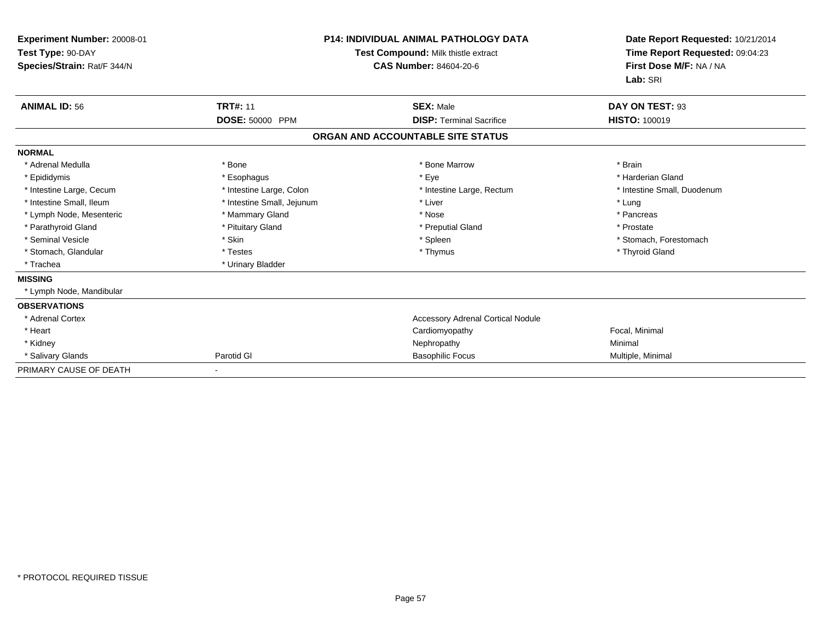| Experiment Number: 20008-01<br>Test Type: 90-DAY<br>Species/Strain: Rat/F 344/N | <b>P14: INDIVIDUAL ANIMAL PATHOLOGY DATA</b><br>Test Compound: Milk thistle extract<br>CAS Number: 84604-20-6 |                                          | Date Report Requested: 10/21/2014<br>Time Report Requested: 09:04:23<br>First Dose M/F: NA / NA<br>Lab: SRI |  |
|---------------------------------------------------------------------------------|---------------------------------------------------------------------------------------------------------------|------------------------------------------|-------------------------------------------------------------------------------------------------------------|--|
| <b>ANIMAL ID: 56</b>                                                            | <b>TRT#: 11</b>                                                                                               | <b>SEX: Male</b>                         | DAY ON TEST: 93                                                                                             |  |
|                                                                                 | DOSE: 50000 PPM                                                                                               | <b>DISP: Terminal Sacrifice</b>          | <b>HISTO: 100019</b>                                                                                        |  |
|                                                                                 |                                                                                                               | ORGAN AND ACCOUNTABLE SITE STATUS        |                                                                                                             |  |
| <b>NORMAL</b>                                                                   |                                                                                                               |                                          |                                                                                                             |  |
| * Adrenal Medulla                                                               | * Bone                                                                                                        | * Bone Marrow                            | * Brain                                                                                                     |  |
| * Epididymis                                                                    | * Esophagus                                                                                                   | * Eye                                    | * Harderian Gland                                                                                           |  |
| * Intestine Large, Cecum                                                        | * Intestine Large, Colon                                                                                      | * Intestine Large, Rectum                | * Intestine Small, Duodenum                                                                                 |  |
| * Intestine Small, Ileum                                                        | * Intestine Small, Jejunum                                                                                    | * Liver                                  | * Lung                                                                                                      |  |
| * Lymph Node, Mesenteric                                                        | * Mammary Gland                                                                                               | * Nose                                   | * Pancreas                                                                                                  |  |
| * Parathyroid Gland                                                             | * Pituitary Gland                                                                                             | * Preputial Gland                        | * Prostate                                                                                                  |  |
| * Seminal Vesicle                                                               | * Skin                                                                                                        | * Spleen                                 | * Stomach, Forestomach                                                                                      |  |
| * Stomach, Glandular                                                            | * Testes                                                                                                      | * Thymus                                 | * Thyroid Gland                                                                                             |  |
| * Trachea                                                                       | * Urinary Bladder                                                                                             |                                          |                                                                                                             |  |
| <b>MISSING</b>                                                                  |                                                                                                               |                                          |                                                                                                             |  |
| * Lymph Node, Mandibular                                                        |                                                                                                               |                                          |                                                                                                             |  |
| <b>OBSERVATIONS</b>                                                             |                                                                                                               |                                          |                                                                                                             |  |
| * Adrenal Cortex                                                                |                                                                                                               | <b>Accessory Adrenal Cortical Nodule</b> |                                                                                                             |  |
| * Heart                                                                         |                                                                                                               | Cardiomyopathy                           | Focal, Minimal                                                                                              |  |
| * Kidney                                                                        |                                                                                                               | Nephropathy                              | Minimal                                                                                                     |  |
| * Salivary Glands                                                               | Parotid GI                                                                                                    | <b>Basophilic Focus</b>                  | Multiple, Minimal                                                                                           |  |
| PRIMARY CAUSE OF DEATH                                                          |                                                                                                               |                                          |                                                                                                             |  |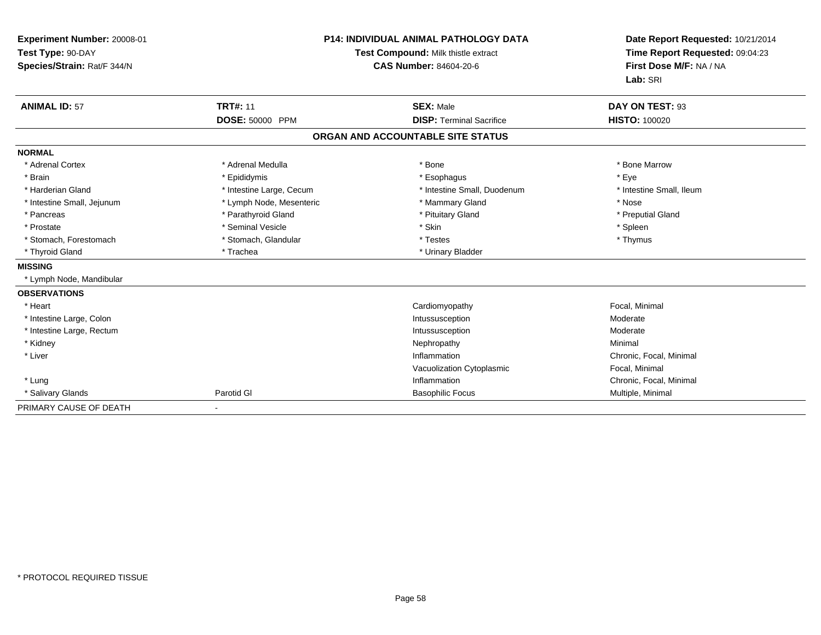| Experiment Number: 20008-01<br>Test Type: 90-DAY<br>Species/Strain: Rat/F 344/N<br><b>ANIMAL ID: 57</b> | <b>TRT#: 11</b>          | <b>P14: INDIVIDUAL ANIMAL PATHOLOGY DATA</b><br>Test Compound: Milk thistle extract<br><b>CAS Number: 84604-20-6</b><br><b>SEX: Male</b> | Date Report Requested: 10/21/2014<br>Time Report Requested: 09:04:23<br>First Dose M/F: NA / NA<br>Lab: SRI<br>DAY ON TEST: 93 |
|---------------------------------------------------------------------------------------------------------|--------------------------|------------------------------------------------------------------------------------------------------------------------------------------|--------------------------------------------------------------------------------------------------------------------------------|
|                                                                                                         | DOSE: 50000 PPM          | <b>DISP: Terminal Sacrifice</b>                                                                                                          | <b>HISTO: 100020</b>                                                                                                           |
|                                                                                                         |                          |                                                                                                                                          |                                                                                                                                |
|                                                                                                         |                          | ORGAN AND ACCOUNTABLE SITE STATUS                                                                                                        |                                                                                                                                |
| <b>NORMAL</b>                                                                                           |                          |                                                                                                                                          |                                                                                                                                |
| * Adrenal Cortex                                                                                        | * Adrenal Medulla        | * Bone                                                                                                                                   | * Bone Marrow                                                                                                                  |
| * Brain                                                                                                 | * Epididymis             | * Esophagus                                                                                                                              | * Eye                                                                                                                          |
| * Harderian Gland                                                                                       | * Intestine Large, Cecum | * Intestine Small, Duodenum                                                                                                              | * Intestine Small, Ileum                                                                                                       |
| * Intestine Small, Jejunum                                                                              | * Lymph Node, Mesenteric | * Mammary Gland                                                                                                                          | * Nose                                                                                                                         |
| * Pancreas                                                                                              | * Parathyroid Gland      | * Pituitary Gland                                                                                                                        | * Preputial Gland                                                                                                              |
| * Prostate                                                                                              | * Seminal Vesicle        | * Skin                                                                                                                                   | * Spleen                                                                                                                       |
| * Stomach, Forestomach                                                                                  | * Stomach, Glandular     | * Testes                                                                                                                                 | * Thymus                                                                                                                       |
| * Thyroid Gland                                                                                         | * Trachea                | * Urinary Bladder                                                                                                                        |                                                                                                                                |
| <b>MISSING</b>                                                                                          |                          |                                                                                                                                          |                                                                                                                                |
| * Lymph Node, Mandibular                                                                                |                          |                                                                                                                                          |                                                                                                                                |
| <b>OBSERVATIONS</b>                                                                                     |                          |                                                                                                                                          |                                                                                                                                |
| * Heart                                                                                                 |                          | Cardiomyopathy                                                                                                                           | Focal, Minimal                                                                                                                 |
| * Intestine Large, Colon                                                                                |                          | Intussusception                                                                                                                          | Moderate                                                                                                                       |
| * Intestine Large, Rectum                                                                               |                          | Intussusception                                                                                                                          | Moderate                                                                                                                       |
| * Kidney                                                                                                |                          | Nephropathy                                                                                                                              | Minimal                                                                                                                        |
| * Liver                                                                                                 |                          | Inflammation                                                                                                                             | Chronic, Focal, Minimal                                                                                                        |
|                                                                                                         |                          | Vacuolization Cytoplasmic                                                                                                                | Focal, Minimal                                                                                                                 |
| * Lung                                                                                                  |                          | Inflammation                                                                                                                             | Chronic, Focal, Minimal                                                                                                        |
| * Salivary Glands                                                                                       | Parotid GI               | <b>Basophilic Focus</b>                                                                                                                  | Multiple, Minimal                                                                                                              |
| PRIMARY CAUSE OF DEATH                                                                                  |                          |                                                                                                                                          |                                                                                                                                |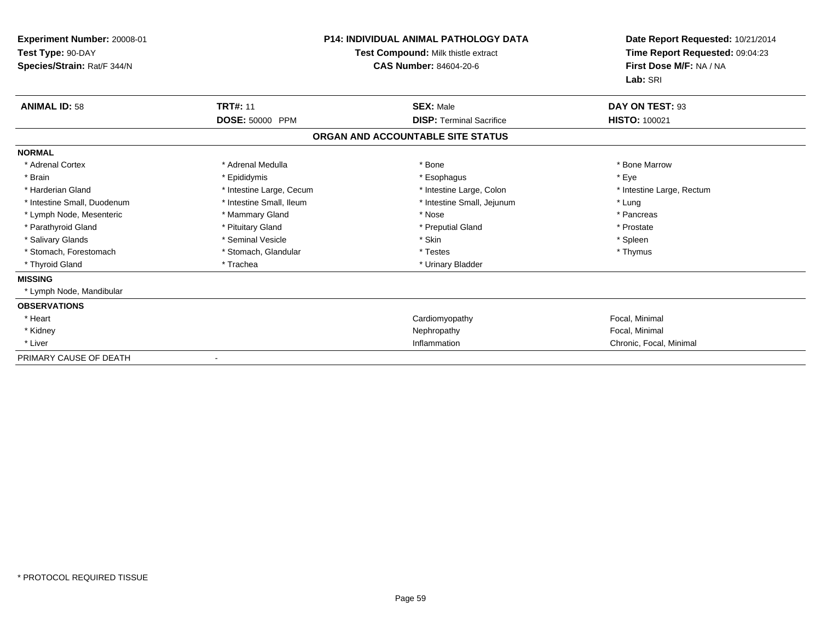| Experiment Number: 20008-01<br>Test Type: 90-DAY<br>Species/Strain: Rat/F 344/N | <b>P14: INDIVIDUAL ANIMAL PATHOLOGY DATA</b><br>Test Compound: Milk thistle extract<br><b>CAS Number: 84604-20-6</b> |                                   | Date Report Requested: 10/21/2014<br>Time Report Requested: 09:04:23<br>First Dose M/F: NA / NA<br>Lab: SRI |
|---------------------------------------------------------------------------------|----------------------------------------------------------------------------------------------------------------------|-----------------------------------|-------------------------------------------------------------------------------------------------------------|
| <b>ANIMAL ID: 58</b>                                                            | <b>TRT#: 11</b>                                                                                                      | <b>SEX: Male</b>                  | DAY ON TEST: 93                                                                                             |
|                                                                                 | DOSE: 50000 PPM                                                                                                      | <b>DISP: Terminal Sacrifice</b>   | <b>HISTO: 100021</b>                                                                                        |
|                                                                                 |                                                                                                                      | ORGAN AND ACCOUNTABLE SITE STATUS |                                                                                                             |
| <b>NORMAL</b>                                                                   |                                                                                                                      |                                   |                                                                                                             |
| * Adrenal Cortex                                                                | * Adrenal Medulla                                                                                                    | * Bone                            | * Bone Marrow                                                                                               |
| * Brain                                                                         | * Epididymis                                                                                                         | * Esophagus                       | * Eve                                                                                                       |
| * Harderian Gland                                                               | * Intestine Large, Cecum                                                                                             | * Intestine Large, Colon          | * Intestine Large, Rectum                                                                                   |
| * Intestine Small, Duodenum                                                     | * Intestine Small, Ileum                                                                                             | * Intestine Small, Jejunum        | * Lung                                                                                                      |
| * Lymph Node, Mesenteric                                                        | * Mammary Gland                                                                                                      | * Nose                            | * Pancreas                                                                                                  |
| * Parathyroid Gland                                                             | * Pituitary Gland                                                                                                    | * Preputial Gland                 | * Prostate                                                                                                  |
| * Salivary Glands                                                               | * Seminal Vesicle                                                                                                    | * Skin                            | * Spleen                                                                                                    |
| * Stomach, Forestomach                                                          | * Stomach, Glandular                                                                                                 | * Testes                          | * Thymus                                                                                                    |
| * Thyroid Gland                                                                 | * Trachea                                                                                                            | * Urinary Bladder                 |                                                                                                             |
| <b>MISSING</b>                                                                  |                                                                                                                      |                                   |                                                                                                             |
| * Lymph Node, Mandibular                                                        |                                                                                                                      |                                   |                                                                                                             |
| <b>OBSERVATIONS</b>                                                             |                                                                                                                      |                                   |                                                                                                             |
| * Heart                                                                         |                                                                                                                      | Cardiomyopathy                    | Focal, Minimal                                                                                              |
| * Kidney                                                                        |                                                                                                                      | Nephropathy                       | Focal, Minimal                                                                                              |
| * Liver                                                                         |                                                                                                                      | Inflammation                      | Chronic, Focal, Minimal                                                                                     |
| PRIMARY CAUSE OF DEATH                                                          |                                                                                                                      |                                   |                                                                                                             |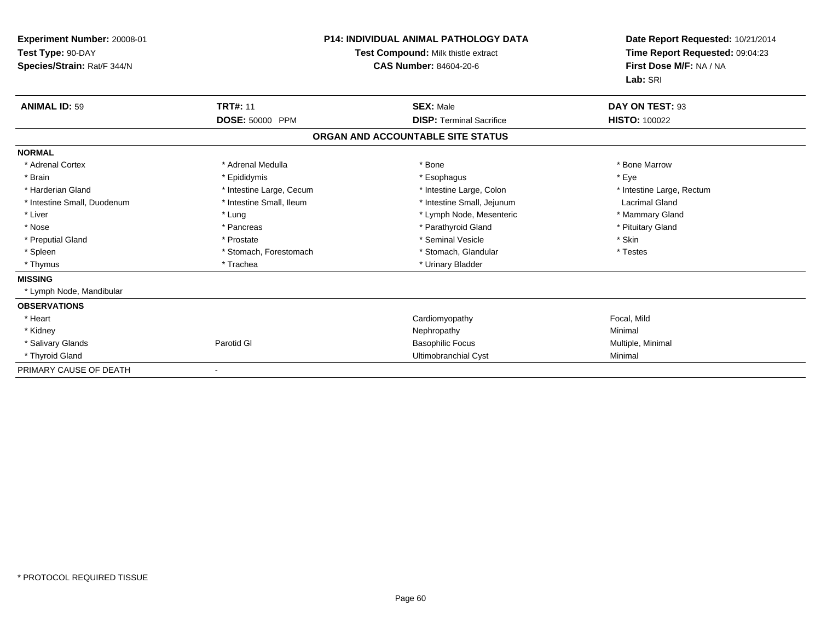| Experiment Number: 20008-01<br>Test Type: 90-DAY<br>Species/Strain: Rat/F 344/N |                          | <b>P14: INDIVIDUAL ANIMAL PATHOLOGY DATA</b><br><b>Test Compound: Milk thistle extract</b><br>CAS Number: 84604-20-6 | Date Report Requested: 10/21/2014<br>Time Report Requested: 09:04:23<br>First Dose M/F: NA / NA<br>Lab: SRI |
|---------------------------------------------------------------------------------|--------------------------|----------------------------------------------------------------------------------------------------------------------|-------------------------------------------------------------------------------------------------------------|
| <b>ANIMAL ID: 59</b>                                                            | <b>TRT#: 11</b>          | <b>SEX: Male</b>                                                                                                     | DAY ON TEST: 93                                                                                             |
|                                                                                 | DOSE: 50000 PPM          | <b>DISP: Terminal Sacrifice</b>                                                                                      | <b>HISTO: 100022</b>                                                                                        |
|                                                                                 |                          | ORGAN AND ACCOUNTABLE SITE STATUS                                                                                    |                                                                                                             |
| <b>NORMAL</b>                                                                   |                          |                                                                                                                      |                                                                                                             |
| * Adrenal Cortex                                                                | * Adrenal Medulla        | * Bone                                                                                                               | * Bone Marrow                                                                                               |
| * Brain                                                                         | * Epididymis             | * Esophagus                                                                                                          | * Eye                                                                                                       |
| * Harderian Gland                                                               | * Intestine Large, Cecum | * Intestine Large, Colon                                                                                             | * Intestine Large, Rectum                                                                                   |
| * Intestine Small, Duodenum                                                     | * Intestine Small, Ileum | * Intestine Small, Jejunum                                                                                           | <b>Lacrimal Gland</b>                                                                                       |
| * Liver                                                                         | * Lung                   | * Lymph Node, Mesenteric                                                                                             | * Mammary Gland                                                                                             |
| * Nose                                                                          | * Pancreas               | * Parathyroid Gland                                                                                                  | * Pituitary Gland                                                                                           |
| * Preputial Gland                                                               | * Prostate               | * Seminal Vesicle                                                                                                    | * Skin                                                                                                      |
| * Spleen                                                                        | * Stomach, Forestomach   | * Stomach, Glandular                                                                                                 | * Testes                                                                                                    |
| * Thymus                                                                        | * Trachea                | * Urinary Bladder                                                                                                    |                                                                                                             |
| <b>MISSING</b>                                                                  |                          |                                                                                                                      |                                                                                                             |
| * Lymph Node, Mandibular                                                        |                          |                                                                                                                      |                                                                                                             |
| <b>OBSERVATIONS</b>                                                             |                          |                                                                                                                      |                                                                                                             |
| * Heart                                                                         |                          | Cardiomyopathy                                                                                                       | Focal, Mild                                                                                                 |
| * Kidney                                                                        |                          | Nephropathy                                                                                                          | Minimal                                                                                                     |
| * Salivary Glands                                                               | Parotid GI               | <b>Basophilic Focus</b>                                                                                              | Multiple, Minimal                                                                                           |
| * Thyroid Gland                                                                 |                          | Ultimobranchial Cyst                                                                                                 | Minimal                                                                                                     |
| PRIMARY CAUSE OF DEATH                                                          |                          |                                                                                                                      |                                                                                                             |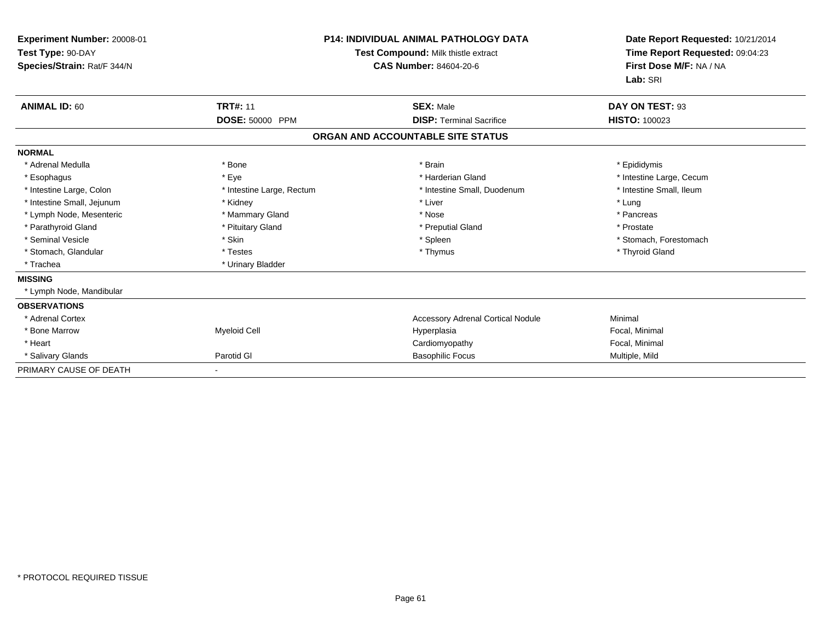| Experiment Number: 20008-01<br>Test Type: 90-DAY<br>Species/Strain: Rat/F 344/N |                           | <b>P14: INDIVIDUAL ANIMAL PATHOLOGY DATA</b><br>Test Compound: Milk thistle extract<br>CAS Number: 84604-20-6 | Date Report Requested: 10/21/2014<br>Time Report Requested: 09:04:23<br>First Dose M/F: NA / NA<br>Lab: SRI |
|---------------------------------------------------------------------------------|---------------------------|---------------------------------------------------------------------------------------------------------------|-------------------------------------------------------------------------------------------------------------|
| <b>ANIMAL ID: 60</b>                                                            | <b>TRT#: 11</b>           | <b>SEX: Male</b>                                                                                              | DAY ON TEST: 93                                                                                             |
|                                                                                 | DOSE: 50000 PPM           | <b>DISP: Terminal Sacrifice</b>                                                                               | <b>HISTO: 100023</b>                                                                                        |
|                                                                                 |                           | ORGAN AND ACCOUNTABLE SITE STATUS                                                                             |                                                                                                             |
| <b>NORMAL</b>                                                                   |                           |                                                                                                               |                                                                                                             |
| * Adrenal Medulla                                                               | * Bone                    | * Brain                                                                                                       | * Epididymis                                                                                                |
| * Esophagus                                                                     | * Eye                     | * Harderian Gland                                                                                             | * Intestine Large, Cecum                                                                                    |
| * Intestine Large, Colon                                                        | * Intestine Large, Rectum | * Intestine Small, Duodenum                                                                                   | * Intestine Small, Ileum                                                                                    |
| * Intestine Small, Jejunum                                                      | * Kidney                  | * Liver                                                                                                       | * Lung                                                                                                      |
| * Lymph Node, Mesenteric                                                        | * Mammary Gland           | * Nose                                                                                                        | * Pancreas                                                                                                  |
| * Parathyroid Gland                                                             | * Pituitary Gland         | * Preputial Gland                                                                                             | * Prostate                                                                                                  |
| * Seminal Vesicle                                                               | * Skin                    | * Spleen                                                                                                      | * Stomach, Forestomach                                                                                      |
| * Stomach, Glandular                                                            | * Testes                  | * Thymus                                                                                                      | * Thyroid Gland                                                                                             |
| * Trachea                                                                       | * Urinary Bladder         |                                                                                                               |                                                                                                             |
| <b>MISSING</b>                                                                  |                           |                                                                                                               |                                                                                                             |
| * Lymph Node, Mandibular                                                        |                           |                                                                                                               |                                                                                                             |
| <b>OBSERVATIONS</b>                                                             |                           |                                                                                                               |                                                                                                             |
| * Adrenal Cortex                                                                |                           | <b>Accessory Adrenal Cortical Nodule</b>                                                                      | Minimal                                                                                                     |
| * Bone Marrow                                                                   | <b>Myeloid Cell</b>       | Hyperplasia                                                                                                   | Focal, Minimal                                                                                              |
| * Heart                                                                         |                           | Cardiomyopathy                                                                                                | Focal, Minimal                                                                                              |
| * Salivary Glands                                                               | Parotid GI                | <b>Basophilic Focus</b>                                                                                       | Multiple, Mild                                                                                              |
| PRIMARY CAUSE OF DEATH                                                          |                           |                                                                                                               |                                                                                                             |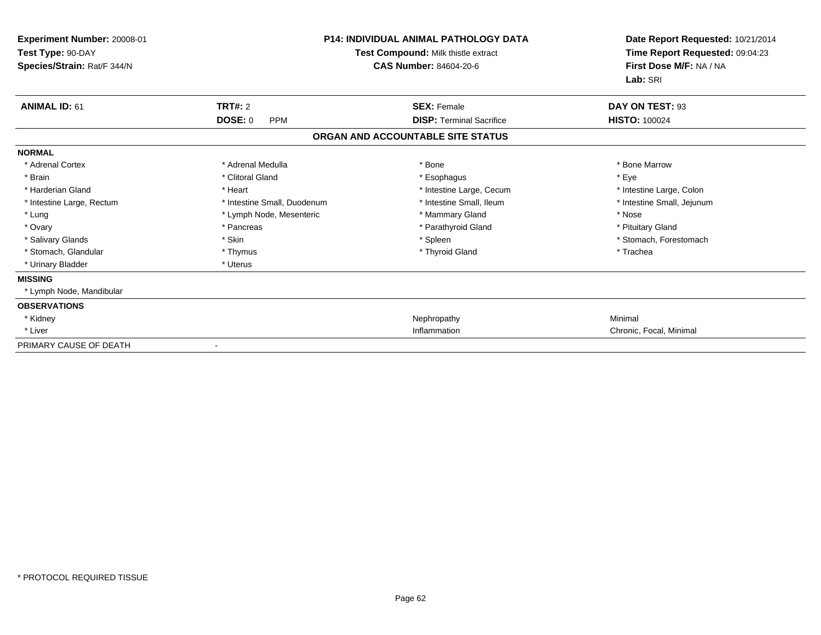| Experiment Number: 20008-01<br>Test Type: 90-DAY<br>Species/Strain: Rat/F 344/N | <b>P14: INDIVIDUAL ANIMAL PATHOLOGY DATA</b><br>Test Compound: Milk thistle extract<br><b>CAS Number: 84604-20-6</b> |                                   | Date Report Requested: 10/21/2014<br>Time Report Requested: 09:04:23<br>First Dose M/F: NA / NA<br>Lab: SRI |
|---------------------------------------------------------------------------------|----------------------------------------------------------------------------------------------------------------------|-----------------------------------|-------------------------------------------------------------------------------------------------------------|
| <b>ANIMAL ID: 61</b>                                                            | <b>TRT#: 2</b>                                                                                                       | <b>SEX: Female</b>                | DAY ON TEST: 93                                                                                             |
|                                                                                 | <b>DOSE: 0</b><br><b>PPM</b>                                                                                         | <b>DISP: Terminal Sacrifice</b>   | <b>HISTO: 100024</b>                                                                                        |
|                                                                                 |                                                                                                                      | ORGAN AND ACCOUNTABLE SITE STATUS |                                                                                                             |
| <b>NORMAL</b>                                                                   |                                                                                                                      |                                   |                                                                                                             |
| * Adrenal Cortex                                                                | * Adrenal Medulla                                                                                                    | * Bone                            | * Bone Marrow                                                                                               |
| * Brain                                                                         | * Clitoral Gland                                                                                                     | * Esophagus                       | * Eye                                                                                                       |
| * Harderian Gland                                                               | * Heart                                                                                                              | * Intestine Large, Cecum          | * Intestine Large, Colon                                                                                    |
| * Intestine Large, Rectum                                                       | * Intestine Small, Duodenum                                                                                          | * Intestine Small, Ileum          | * Intestine Small, Jejunum                                                                                  |
| * Lung                                                                          | * Lymph Node, Mesenteric                                                                                             | * Mammary Gland                   | * Nose                                                                                                      |
| * Ovary                                                                         | * Pancreas                                                                                                           | * Parathyroid Gland               | * Pituitary Gland                                                                                           |
| * Salivary Glands                                                               | * Skin                                                                                                               | * Spleen                          | * Stomach, Forestomach                                                                                      |
| * Stomach, Glandular                                                            | * Thymus                                                                                                             | * Thyroid Gland                   | * Trachea                                                                                                   |
| * Urinary Bladder                                                               | * Uterus                                                                                                             |                                   |                                                                                                             |
| <b>MISSING</b>                                                                  |                                                                                                                      |                                   |                                                                                                             |
| * Lymph Node, Mandibular                                                        |                                                                                                                      |                                   |                                                                                                             |
| <b>OBSERVATIONS</b>                                                             |                                                                                                                      |                                   |                                                                                                             |
| * Kidney                                                                        |                                                                                                                      | Nephropathy                       | Minimal                                                                                                     |
| * Liver                                                                         |                                                                                                                      | Inflammation                      | Chronic, Focal, Minimal                                                                                     |
| PRIMARY CAUSE OF DEATH                                                          |                                                                                                                      |                                   |                                                                                                             |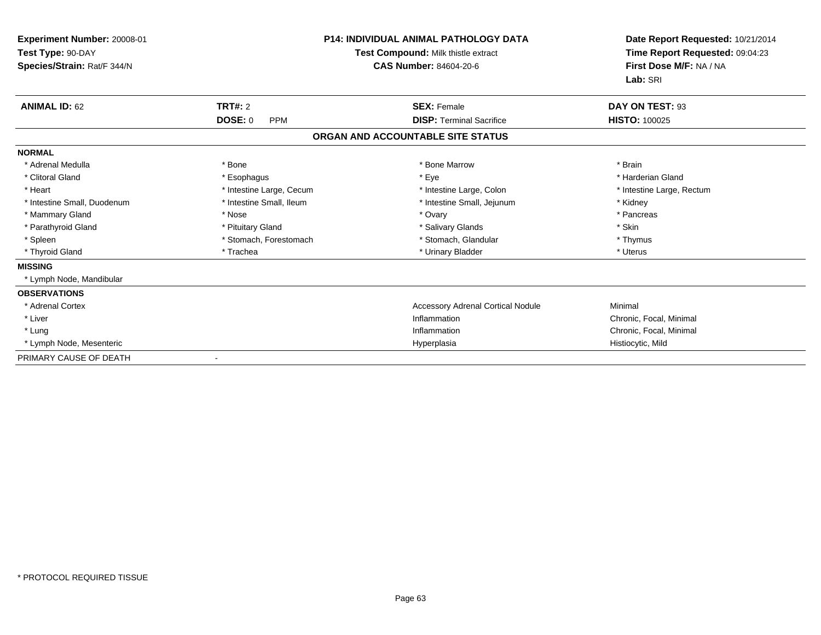| Experiment Number: 20008-01<br>Test Type: 90-DAY<br>Species/Strain: Rat/F 344/N |                              | <b>P14: INDIVIDUAL ANIMAL PATHOLOGY DATA</b><br>Test Compound: Milk thistle extract<br>CAS Number: 84604-20-6 | Date Report Requested: 10/21/2014<br>Time Report Requested: 09:04:23<br>First Dose M/F: NA / NA<br>Lab: SRI |
|---------------------------------------------------------------------------------|------------------------------|---------------------------------------------------------------------------------------------------------------|-------------------------------------------------------------------------------------------------------------|
| <b>ANIMAL ID: 62</b>                                                            | <b>TRT#: 2</b>               | <b>SEX: Female</b>                                                                                            | DAY ON TEST: 93                                                                                             |
|                                                                                 | <b>DOSE: 0</b><br><b>PPM</b> | <b>DISP: Terminal Sacrifice</b>                                                                               | <b>HISTO: 100025</b>                                                                                        |
|                                                                                 |                              | ORGAN AND ACCOUNTABLE SITE STATUS                                                                             |                                                                                                             |
| <b>NORMAL</b>                                                                   |                              |                                                                                                               |                                                                                                             |
| * Adrenal Medulla                                                               | * Bone                       | * Bone Marrow                                                                                                 | * Brain                                                                                                     |
| * Clitoral Gland                                                                | * Esophagus                  | * Eye                                                                                                         | * Harderian Gland                                                                                           |
| * Heart                                                                         | * Intestine Large, Cecum     | * Intestine Large, Colon                                                                                      | * Intestine Large, Rectum                                                                                   |
| * Intestine Small, Duodenum                                                     | * Intestine Small, Ileum     | * Intestine Small, Jejunum                                                                                    | * Kidney                                                                                                    |
| * Mammary Gland                                                                 | * Nose                       | * Ovary                                                                                                       | * Pancreas                                                                                                  |
| * Parathyroid Gland                                                             | * Pituitary Gland            | * Salivary Glands                                                                                             | * Skin                                                                                                      |
| * Spleen                                                                        | * Stomach, Forestomach       | * Stomach, Glandular                                                                                          | * Thymus                                                                                                    |
| * Thyroid Gland                                                                 | * Trachea                    | * Urinary Bladder                                                                                             | * Uterus                                                                                                    |
| <b>MISSING</b>                                                                  |                              |                                                                                                               |                                                                                                             |
| * Lymph Node, Mandibular                                                        |                              |                                                                                                               |                                                                                                             |
| <b>OBSERVATIONS</b>                                                             |                              |                                                                                                               |                                                                                                             |
| * Adrenal Cortex                                                                |                              | <b>Accessory Adrenal Cortical Nodule</b>                                                                      | Minimal                                                                                                     |
| * Liver                                                                         |                              | Inflammation                                                                                                  | Chronic, Focal, Minimal                                                                                     |
| * Lung                                                                          |                              | Inflammation                                                                                                  | Chronic, Focal, Minimal                                                                                     |
| * Lymph Node, Mesenteric                                                        |                              | Hyperplasia                                                                                                   | Histiocytic, Mild                                                                                           |
| PRIMARY CAUSE OF DEATH                                                          |                              |                                                                                                               |                                                                                                             |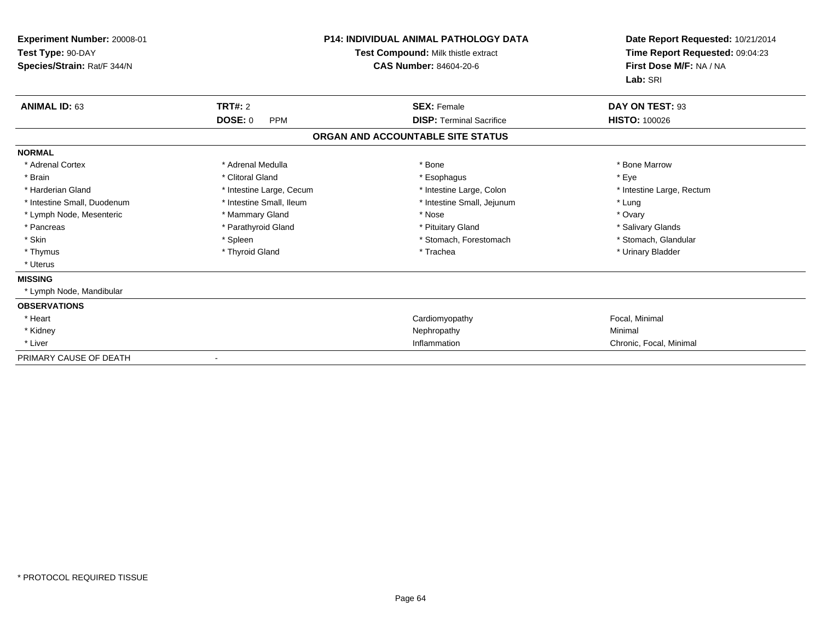| Experiment Number: 20008-01<br>Test Type: 90-DAY<br>Species/Strain: Rat/F 344/N | <b>P14: INDIVIDUAL ANIMAL PATHOLOGY DATA</b><br>Test Compound: Milk thistle extract<br><b>CAS Number: 84604-20-6</b> |                                   | Date Report Requested: 10/21/2014<br>Time Report Requested: 09:04:23<br>First Dose M/F: NA / NA<br>Lab: SRI |
|---------------------------------------------------------------------------------|----------------------------------------------------------------------------------------------------------------------|-----------------------------------|-------------------------------------------------------------------------------------------------------------|
| <b>ANIMAL ID: 63</b>                                                            | <b>TRT#: 2</b>                                                                                                       | <b>SEX: Female</b>                | DAY ON TEST: 93                                                                                             |
|                                                                                 | <b>DOSE: 0</b><br><b>PPM</b>                                                                                         | <b>DISP: Terminal Sacrifice</b>   | <b>HISTO: 100026</b>                                                                                        |
|                                                                                 |                                                                                                                      | ORGAN AND ACCOUNTABLE SITE STATUS |                                                                                                             |
| <b>NORMAL</b>                                                                   |                                                                                                                      |                                   |                                                                                                             |
| * Adrenal Cortex                                                                | * Adrenal Medulla                                                                                                    | * Bone                            | * Bone Marrow                                                                                               |
| * Brain                                                                         | * Clitoral Gland                                                                                                     | * Esophagus                       | * Eve                                                                                                       |
| * Harderian Gland                                                               | * Intestine Large, Cecum                                                                                             | * Intestine Large, Colon          | * Intestine Large, Rectum                                                                                   |
| * Intestine Small, Duodenum                                                     | * Intestine Small, Ileum                                                                                             | * Intestine Small, Jejunum        | * Lung                                                                                                      |
| * Lymph Node, Mesenteric                                                        | * Mammary Gland                                                                                                      | * Nose                            | * Ovary                                                                                                     |
| * Pancreas                                                                      | * Parathyroid Gland                                                                                                  | * Pituitary Gland                 | * Salivary Glands                                                                                           |
| * Skin                                                                          | * Spleen                                                                                                             | * Stomach, Forestomach            | * Stomach, Glandular                                                                                        |
| * Thymus                                                                        | * Thyroid Gland                                                                                                      | * Trachea                         | * Urinary Bladder                                                                                           |
| * Uterus                                                                        |                                                                                                                      |                                   |                                                                                                             |
| <b>MISSING</b>                                                                  |                                                                                                                      |                                   |                                                                                                             |
| * Lymph Node, Mandibular                                                        |                                                                                                                      |                                   |                                                                                                             |
| <b>OBSERVATIONS</b>                                                             |                                                                                                                      |                                   |                                                                                                             |
| * Heart                                                                         |                                                                                                                      | Cardiomyopathy                    | Focal, Minimal                                                                                              |
| * Kidney                                                                        |                                                                                                                      | Nephropathy                       | Minimal                                                                                                     |
| * Liver                                                                         |                                                                                                                      | Inflammation                      | Chronic, Focal, Minimal                                                                                     |
| PRIMARY CAUSE OF DEATH                                                          |                                                                                                                      |                                   |                                                                                                             |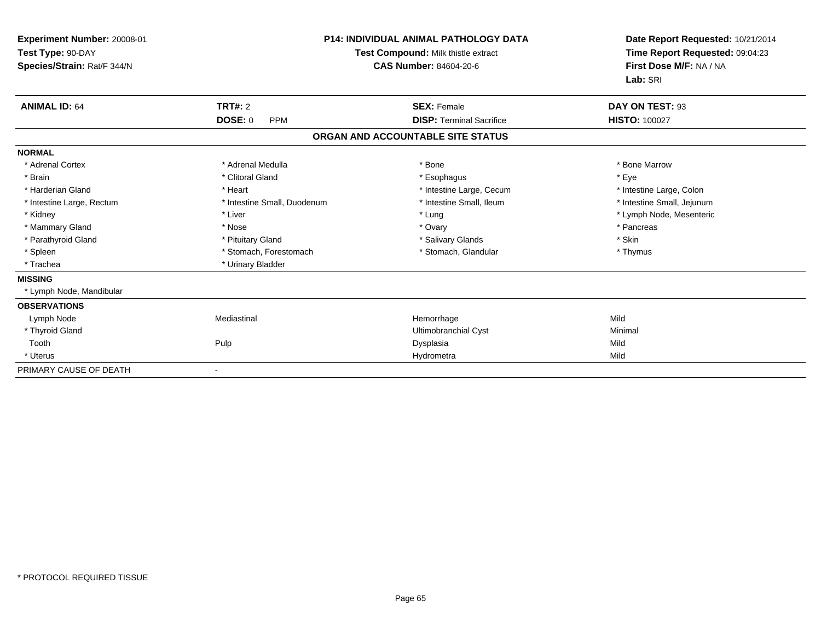| Experiment Number: 20008-01<br>Test Type: 90-DAY<br>Species/Strain: Rat/F 344/N |                              | <b>P14: INDIVIDUAL ANIMAL PATHOLOGY DATA</b><br>Test Compound: Milk thistle extract<br>CAS Number: 84604-20-6 | Date Report Requested: 10/21/2014<br>Time Report Requested: 09:04:23<br>First Dose M/F: NA / NA<br>Lab: SRI |
|---------------------------------------------------------------------------------|------------------------------|---------------------------------------------------------------------------------------------------------------|-------------------------------------------------------------------------------------------------------------|
| <b>ANIMAL ID: 64</b>                                                            | <b>TRT#: 2</b>               | <b>SEX: Female</b>                                                                                            | DAY ON TEST: 93                                                                                             |
|                                                                                 | <b>DOSE: 0</b><br><b>PPM</b> | <b>DISP: Terminal Sacrifice</b>                                                                               | <b>HISTO: 100027</b>                                                                                        |
|                                                                                 |                              | ORGAN AND ACCOUNTABLE SITE STATUS                                                                             |                                                                                                             |
| <b>NORMAL</b>                                                                   |                              |                                                                                                               |                                                                                                             |
| * Adrenal Cortex                                                                | * Adrenal Medulla            | * Bone                                                                                                        | * Bone Marrow                                                                                               |
| * Brain                                                                         | * Clitoral Gland             | * Esophagus                                                                                                   | * Eye                                                                                                       |
| * Harderian Gland                                                               | * Heart                      | * Intestine Large, Cecum                                                                                      | * Intestine Large, Colon                                                                                    |
| * Intestine Large, Rectum                                                       | * Intestine Small, Duodenum  | * Intestine Small, Ileum                                                                                      | * Intestine Small, Jejunum                                                                                  |
| * Kidney                                                                        | * Liver                      | * Lung                                                                                                        | * Lymph Node, Mesenteric                                                                                    |
| * Mammary Gland                                                                 | * Nose                       | * Ovary                                                                                                       | * Pancreas                                                                                                  |
| * Parathyroid Gland                                                             | * Pituitary Gland            | * Salivary Glands                                                                                             | * Skin                                                                                                      |
| * Spleen                                                                        | * Stomach, Forestomach       | * Stomach, Glandular                                                                                          | * Thymus                                                                                                    |
| * Trachea                                                                       | * Urinary Bladder            |                                                                                                               |                                                                                                             |
| <b>MISSING</b>                                                                  |                              |                                                                                                               |                                                                                                             |
| * Lymph Node, Mandibular                                                        |                              |                                                                                                               |                                                                                                             |
| <b>OBSERVATIONS</b>                                                             |                              |                                                                                                               |                                                                                                             |
| Lymph Node                                                                      | Mediastinal                  | Hemorrhage                                                                                                    | Mild                                                                                                        |
| * Thyroid Gland                                                                 |                              | <b>Ultimobranchial Cyst</b>                                                                                   | Minimal                                                                                                     |
| Tooth                                                                           | Pulp                         | Dysplasia                                                                                                     | Mild                                                                                                        |
| * Uterus                                                                        |                              | Hydrometra                                                                                                    | Mild                                                                                                        |
| PRIMARY CAUSE OF DEATH                                                          | $\overline{\phantom{a}}$     |                                                                                                               |                                                                                                             |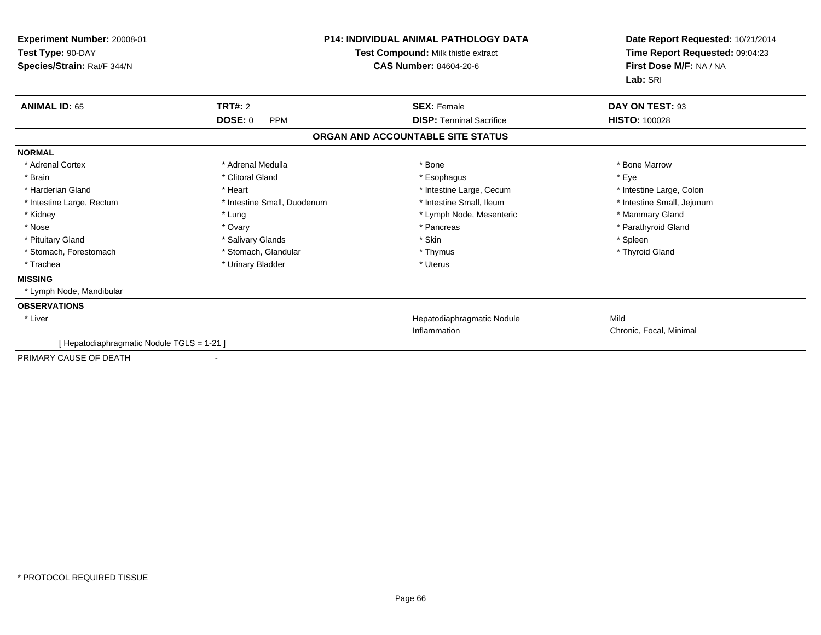| Experiment Number: 20008-01<br>Test Type: 90-DAY<br>Species/Strain: Rat/F 344/N | <b>P14: INDIVIDUAL ANIMAL PATHOLOGY DATA</b><br>Test Compound: Milk thistle extract<br><b>CAS Number: 84604-20-6</b> |                                   | Date Report Requested: 10/21/2014<br>Time Report Requested: 09:04:23<br>First Dose M/F: NA / NA<br>Lab: SRI |
|---------------------------------------------------------------------------------|----------------------------------------------------------------------------------------------------------------------|-----------------------------------|-------------------------------------------------------------------------------------------------------------|
| <b>ANIMAL ID: 65</b>                                                            | TRT#: 2                                                                                                              | <b>SEX: Female</b>                | DAY ON TEST: 93                                                                                             |
|                                                                                 | <b>DOSE: 0</b><br><b>PPM</b>                                                                                         | <b>DISP: Terminal Sacrifice</b>   | <b>HISTO: 100028</b>                                                                                        |
|                                                                                 |                                                                                                                      | ORGAN AND ACCOUNTABLE SITE STATUS |                                                                                                             |
| <b>NORMAL</b>                                                                   |                                                                                                                      |                                   |                                                                                                             |
| * Adrenal Cortex                                                                | * Adrenal Medulla                                                                                                    | * Bone                            | * Bone Marrow                                                                                               |
| * Brain                                                                         | * Clitoral Gland                                                                                                     | * Esophagus                       | * Eye                                                                                                       |
| * Harderian Gland                                                               | * Heart                                                                                                              | * Intestine Large, Cecum          | * Intestine Large, Colon                                                                                    |
| * Intestine Large, Rectum                                                       | * Intestine Small, Duodenum                                                                                          | * Intestine Small. Ileum          | * Intestine Small, Jejunum                                                                                  |
| * Kidney                                                                        | * Lung                                                                                                               | * Lymph Node, Mesenteric          | * Mammary Gland                                                                                             |
| * Nose                                                                          | * Ovary                                                                                                              | * Pancreas                        | * Parathyroid Gland                                                                                         |
| * Pituitary Gland                                                               | * Salivary Glands                                                                                                    | * Skin                            | * Spleen                                                                                                    |
| * Stomach, Forestomach                                                          | * Stomach, Glandular                                                                                                 | * Thymus                          | * Thyroid Gland                                                                                             |
| * Trachea                                                                       | * Urinary Bladder                                                                                                    | * Uterus                          |                                                                                                             |
| <b>MISSING</b>                                                                  |                                                                                                                      |                                   |                                                                                                             |
| * Lymph Node, Mandibular                                                        |                                                                                                                      |                                   |                                                                                                             |
| <b>OBSERVATIONS</b>                                                             |                                                                                                                      |                                   |                                                                                                             |
| * Liver                                                                         |                                                                                                                      | Hepatodiaphragmatic Nodule        | Mild                                                                                                        |
|                                                                                 |                                                                                                                      | Inflammation                      | Chronic, Focal, Minimal                                                                                     |
| [ Hepatodiaphragmatic Nodule TGLS = 1-21 ]                                      |                                                                                                                      |                                   |                                                                                                             |
| PRIMARY CAUSE OF DEATH                                                          | $\overline{\phantom{a}}$                                                                                             |                                   |                                                                                                             |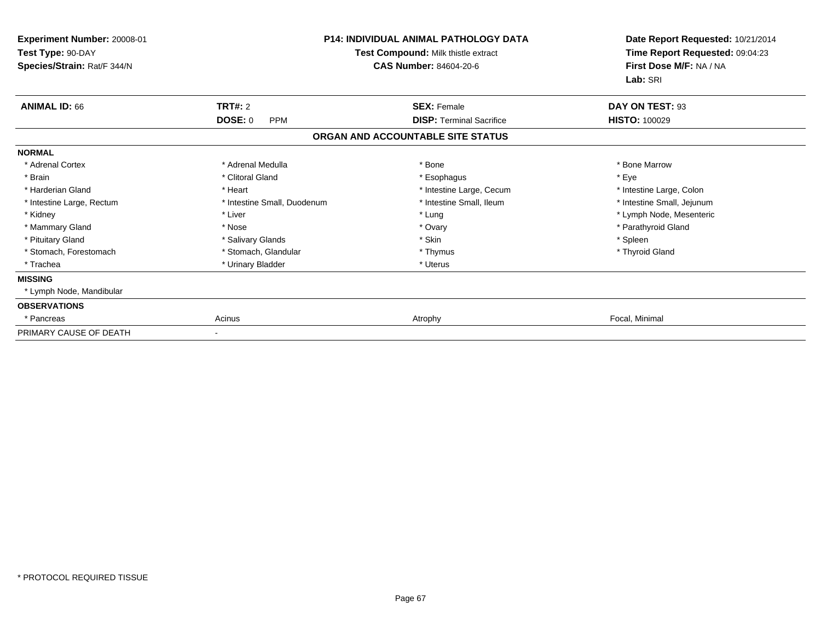| Experiment Number: 20008-01<br>Test Type: 90-DAY<br>Species/Strain: Rat/F 344/N |                                                | <b>P14: INDIVIDUAL ANIMAL PATHOLOGY DATA</b><br>Test Compound: Milk thistle extract<br><b>CAS Number: 84604-20-6</b> | Date Report Requested: 10/21/2014<br>Time Report Requested: 09:04:23<br>First Dose M/F: NA / NA<br>Lab: SRI |
|---------------------------------------------------------------------------------|------------------------------------------------|----------------------------------------------------------------------------------------------------------------------|-------------------------------------------------------------------------------------------------------------|
| <b>ANIMAL ID: 66</b>                                                            | <b>TRT#: 2</b><br><b>DOSE: 0</b><br><b>PPM</b> | <b>SEX: Female</b><br><b>DISP:</b> Terminal Sacrifice                                                                | DAY ON TEST: 93<br><b>HISTO: 100029</b>                                                                     |
|                                                                                 |                                                | ORGAN AND ACCOUNTABLE SITE STATUS                                                                                    |                                                                                                             |
| <b>NORMAL</b>                                                                   |                                                |                                                                                                                      |                                                                                                             |
| * Adrenal Cortex                                                                | * Adrenal Medulla                              | * Bone                                                                                                               | * Bone Marrow                                                                                               |
| * Brain                                                                         | * Clitoral Gland                               | * Esophagus                                                                                                          | * Eye                                                                                                       |
| * Harderian Gland                                                               | * Heart                                        | * Intestine Large, Cecum                                                                                             | * Intestine Large, Colon                                                                                    |
| * Intestine Large, Rectum                                                       | * Intestine Small, Duodenum                    | * Intestine Small, Ileum                                                                                             | * Intestine Small, Jejunum                                                                                  |
| * Kidney                                                                        | * Liver                                        | * Lung                                                                                                               | * Lymph Node, Mesenteric                                                                                    |
| * Mammary Gland                                                                 | * Nose                                         | * Ovary                                                                                                              | * Parathyroid Gland                                                                                         |
| * Pituitary Gland                                                               | * Salivary Glands                              | * Skin                                                                                                               | * Spleen                                                                                                    |
| * Stomach, Forestomach                                                          | * Stomach, Glandular                           | * Thymus                                                                                                             | * Thyroid Gland                                                                                             |
| * Trachea                                                                       | * Urinary Bladder                              | * Uterus                                                                                                             |                                                                                                             |
| <b>MISSING</b>                                                                  |                                                |                                                                                                                      |                                                                                                             |
| * Lymph Node, Mandibular                                                        |                                                |                                                                                                                      |                                                                                                             |
| <b>OBSERVATIONS</b>                                                             |                                                |                                                                                                                      |                                                                                                             |
| * Pancreas                                                                      | Acinus                                         | Atrophy                                                                                                              | Focal, Minimal                                                                                              |
| PRIMARY CAUSE OF DEATH                                                          |                                                |                                                                                                                      |                                                                                                             |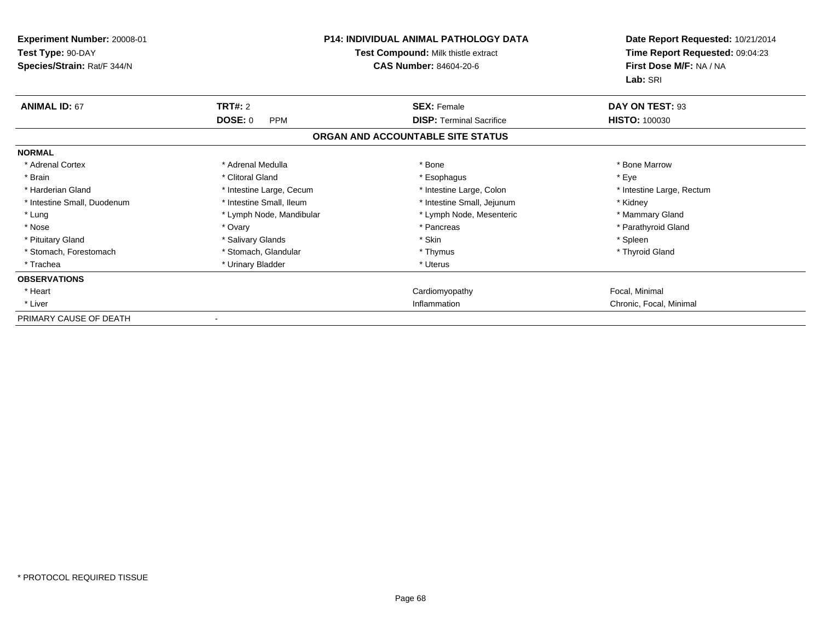| <b>Experiment Number: 20008-01</b><br>Test Type: 90-DAY<br>Species/Strain: Rat/F 344/N | <b>P14: INDIVIDUAL ANIMAL PATHOLOGY DATA</b><br>Test Compound: Milk thistle extract<br><b>CAS Number: 84604-20-6</b> |                                   | Date Report Requested: 10/21/2014<br>Time Report Requested: 09:04:23<br>First Dose M/F: NA / NA<br>Lab: SRI |
|----------------------------------------------------------------------------------------|----------------------------------------------------------------------------------------------------------------------|-----------------------------------|-------------------------------------------------------------------------------------------------------------|
| <b>ANIMAL ID: 67</b>                                                                   | TRT#: 2                                                                                                              | <b>SEX: Female</b>                | DAY ON TEST: 93                                                                                             |
|                                                                                        | <b>DOSE: 0</b><br><b>PPM</b>                                                                                         | <b>DISP:</b> Terminal Sacrifice   | <b>HISTO: 100030</b>                                                                                        |
|                                                                                        |                                                                                                                      | ORGAN AND ACCOUNTABLE SITE STATUS |                                                                                                             |
| <b>NORMAL</b>                                                                          |                                                                                                                      |                                   |                                                                                                             |
| * Adrenal Cortex                                                                       | * Adrenal Medulla                                                                                                    | * Bone                            | * Bone Marrow                                                                                               |
| * Brain                                                                                | * Clitoral Gland                                                                                                     | * Esophagus                       | * Eye                                                                                                       |
| * Harderian Gland                                                                      | * Intestine Large, Cecum                                                                                             | * Intestine Large, Colon          | * Intestine Large, Rectum                                                                                   |
| * Intestine Small, Duodenum                                                            | * Intestine Small, Ileum                                                                                             | * Intestine Small, Jejunum        | * Kidney                                                                                                    |
| * Lung                                                                                 | * Lymph Node, Mandibular                                                                                             | * Lymph Node, Mesenteric          | * Mammary Gland                                                                                             |
| * Nose                                                                                 | * Ovary                                                                                                              | * Pancreas                        | * Parathyroid Gland                                                                                         |
| * Pituitary Gland                                                                      | * Salivary Glands                                                                                                    | * Skin                            | * Spleen                                                                                                    |
| * Stomach, Forestomach                                                                 | * Stomach, Glandular                                                                                                 | * Thymus                          | * Thyroid Gland                                                                                             |
| * Trachea                                                                              | * Urinary Bladder                                                                                                    | * Uterus                          |                                                                                                             |
| <b>OBSERVATIONS</b>                                                                    |                                                                                                                      |                                   |                                                                                                             |
| * Heart                                                                                |                                                                                                                      | Cardiomyopathy                    | Focal, Minimal                                                                                              |
| * Liver                                                                                |                                                                                                                      | Inflammation                      | Chronic, Focal, Minimal                                                                                     |
| PRIMARY CAUSE OF DEATH                                                                 |                                                                                                                      |                                   |                                                                                                             |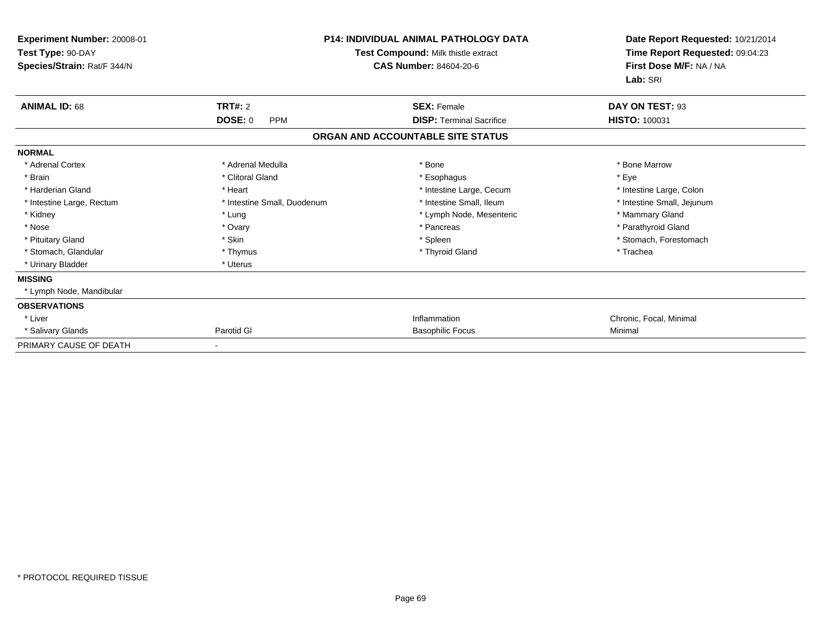| Experiment Number: 20008-01<br>Test Type: 90-DAY<br>Species/Strain: Rat/F 344/N |                              | <b>P14: INDIVIDUAL ANIMAL PATHOLOGY DATA</b><br>Test Compound: Milk thistle extract<br><b>CAS Number: 84604-20-6</b> | Date Report Requested: 10/21/2014<br>Time Report Requested: 09:04:23<br>First Dose M/F: NA / NA<br>Lab: SRI |
|---------------------------------------------------------------------------------|------------------------------|----------------------------------------------------------------------------------------------------------------------|-------------------------------------------------------------------------------------------------------------|
| <b>ANIMAL ID: 68</b>                                                            | TRT#: 2                      | <b>SEX: Female</b>                                                                                                   | DAY ON TEST: 93                                                                                             |
|                                                                                 | <b>DOSE: 0</b><br><b>PPM</b> | <b>DISP:</b> Terminal Sacrifice                                                                                      | <b>HISTO: 100031</b>                                                                                        |
|                                                                                 |                              | ORGAN AND ACCOUNTABLE SITE STATUS                                                                                    |                                                                                                             |
| <b>NORMAL</b>                                                                   |                              |                                                                                                                      |                                                                                                             |
| * Adrenal Cortex                                                                | * Adrenal Medulla            | * Bone                                                                                                               | * Bone Marrow                                                                                               |
| * Brain                                                                         | * Clitoral Gland             | * Esophagus                                                                                                          | * Eve                                                                                                       |
| * Harderian Gland                                                               | * Heart                      | * Intestine Large, Cecum                                                                                             | * Intestine Large, Colon                                                                                    |
| * Intestine Large, Rectum                                                       | * Intestine Small, Duodenum  | * Intestine Small, Ileum                                                                                             | * Intestine Small, Jejunum                                                                                  |
| * Kidney                                                                        | * Lung                       | * Lymph Node, Mesenteric                                                                                             | * Mammary Gland                                                                                             |
| * Nose                                                                          | * Ovary                      | * Pancreas                                                                                                           | * Parathyroid Gland                                                                                         |
| * Pituitary Gland                                                               | * Skin                       | * Spleen                                                                                                             | * Stomach, Forestomach                                                                                      |
| * Stomach, Glandular                                                            | * Thymus                     | * Thyroid Gland                                                                                                      | * Trachea                                                                                                   |
| * Urinary Bladder                                                               | * Uterus                     |                                                                                                                      |                                                                                                             |
| <b>MISSING</b>                                                                  |                              |                                                                                                                      |                                                                                                             |
| * Lymph Node, Mandibular                                                        |                              |                                                                                                                      |                                                                                                             |
| <b>OBSERVATIONS</b>                                                             |                              |                                                                                                                      |                                                                                                             |
| * Liver                                                                         |                              | Inflammation                                                                                                         | Chronic, Focal, Minimal                                                                                     |
| * Salivary Glands                                                               | Parotid GI                   | <b>Basophilic Focus</b>                                                                                              | Minimal                                                                                                     |
| PRIMARY CAUSE OF DEATH                                                          |                              |                                                                                                                      |                                                                                                             |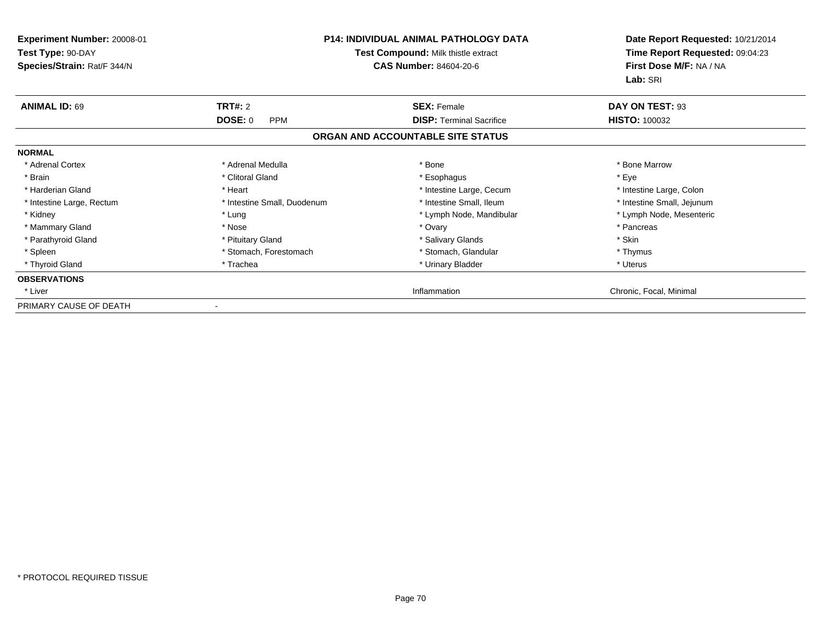| <b>Experiment Number: 20008-01</b><br>Test Type: 90-DAY<br>Species/Strain: Rat/F 344/N |                              | <b>P14: INDIVIDUAL ANIMAL PATHOLOGY DATA</b><br>Test Compound: Milk thistle extract<br><b>CAS Number: 84604-20-6</b> | Date Report Requested: 10/21/2014<br>Time Report Requested: 09:04:23<br>First Dose M/F: NA / NA<br>Lab: SRI |
|----------------------------------------------------------------------------------------|------------------------------|----------------------------------------------------------------------------------------------------------------------|-------------------------------------------------------------------------------------------------------------|
| <b>ANIMAL ID: 69</b>                                                                   | <b>TRT#: 2</b>               | <b>SEX: Female</b>                                                                                                   | DAY ON TEST: 93                                                                                             |
|                                                                                        | <b>DOSE: 0</b><br><b>PPM</b> | <b>DISP:</b> Terminal Sacrifice                                                                                      | <b>HISTO: 100032</b>                                                                                        |
|                                                                                        |                              | ORGAN AND ACCOUNTABLE SITE STATUS                                                                                    |                                                                                                             |
| <b>NORMAL</b>                                                                          |                              |                                                                                                                      |                                                                                                             |
| * Adrenal Cortex                                                                       | * Adrenal Medulla            | * Bone                                                                                                               | * Bone Marrow                                                                                               |
| * Brain                                                                                | * Clitoral Gland             | * Esophagus                                                                                                          | * Eye                                                                                                       |
| * Harderian Gland                                                                      | * Heart                      | * Intestine Large, Cecum                                                                                             | * Intestine Large, Colon                                                                                    |
| * Intestine Large, Rectum                                                              | * Intestine Small, Duodenum  | * Intestine Small, Ileum                                                                                             | * Intestine Small, Jejunum                                                                                  |
| * Kidney                                                                               | * Lung                       | * Lymph Node, Mandibular                                                                                             | * Lymph Node, Mesenteric                                                                                    |
| * Mammary Gland                                                                        | * Nose                       | * Ovary                                                                                                              | * Pancreas                                                                                                  |
| * Parathyroid Gland                                                                    | * Pituitary Gland            | * Salivary Glands                                                                                                    | * Skin                                                                                                      |
| * Spleen                                                                               | * Stomach, Forestomach       | * Stomach, Glandular                                                                                                 | * Thymus                                                                                                    |
| * Thyroid Gland                                                                        | * Trachea                    | * Urinary Bladder                                                                                                    | * Uterus                                                                                                    |
| <b>OBSERVATIONS</b>                                                                    |                              |                                                                                                                      |                                                                                                             |
| * Liver                                                                                |                              | Inflammation                                                                                                         | Chronic, Focal, Minimal                                                                                     |
| PRIMARY CAUSE OF DEATH                                                                 |                              |                                                                                                                      |                                                                                                             |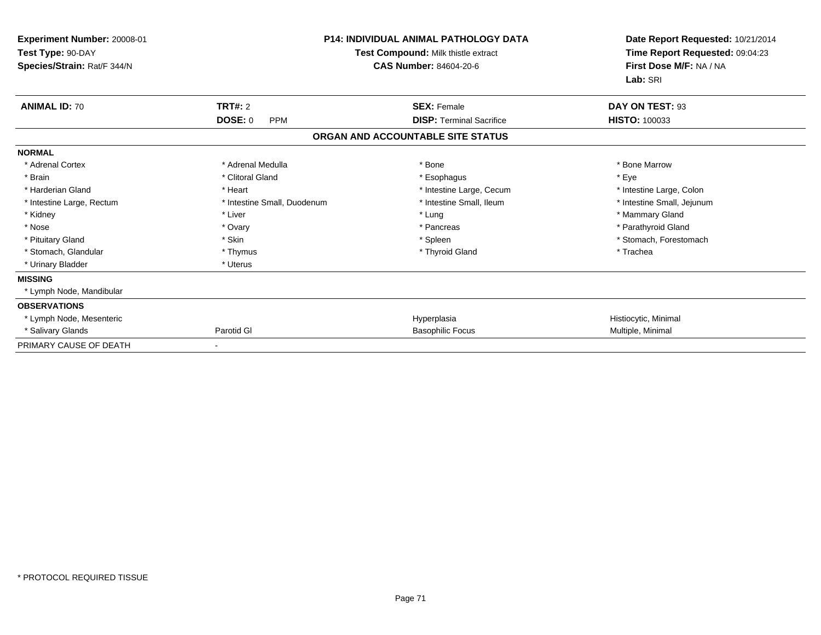| Experiment Number: 20008-01<br>Test Type: 90-DAY<br>Species/Strain: Rat/F 344/N | <b>P14: INDIVIDUAL ANIMAL PATHOLOGY DATA</b><br>Test Compound: Milk thistle extract<br><b>CAS Number: 84604-20-6</b> |                                   | Date Report Requested: 10/21/2014<br>Time Report Requested: 09:04:23<br>First Dose M/F: NA / NA<br>Lab: SRI |
|---------------------------------------------------------------------------------|----------------------------------------------------------------------------------------------------------------------|-----------------------------------|-------------------------------------------------------------------------------------------------------------|
| <b>ANIMAL ID: 70</b>                                                            | TRT#: 2                                                                                                              | <b>SEX: Female</b>                | DAY ON TEST: 93                                                                                             |
|                                                                                 | <b>DOSE: 0</b><br><b>PPM</b>                                                                                         | <b>DISP: Terminal Sacrifice</b>   | <b>HISTO: 100033</b>                                                                                        |
|                                                                                 |                                                                                                                      | ORGAN AND ACCOUNTABLE SITE STATUS |                                                                                                             |
| <b>NORMAL</b>                                                                   |                                                                                                                      |                                   |                                                                                                             |
| * Adrenal Cortex                                                                | * Adrenal Medulla                                                                                                    | * Bone                            | * Bone Marrow                                                                                               |
| * Brain                                                                         | * Clitoral Gland                                                                                                     | * Esophagus                       | * Eye                                                                                                       |
| * Harderian Gland                                                               | * Heart                                                                                                              | * Intestine Large, Cecum          | * Intestine Large, Colon                                                                                    |
| * Intestine Large, Rectum                                                       | * Intestine Small, Duodenum                                                                                          | * Intestine Small, Ileum          | * Intestine Small, Jejunum                                                                                  |
| * Kidney                                                                        | * Liver                                                                                                              | * Lung                            | * Mammary Gland                                                                                             |
| * Nose                                                                          | * Ovary                                                                                                              | * Pancreas                        | * Parathyroid Gland                                                                                         |
| * Pituitary Gland                                                               | * Skin                                                                                                               | * Spleen                          | * Stomach, Forestomach                                                                                      |
| * Stomach, Glandular                                                            | * Thymus                                                                                                             | * Thyroid Gland                   | * Trachea                                                                                                   |
| * Urinary Bladder                                                               | * Uterus                                                                                                             |                                   |                                                                                                             |
| <b>MISSING</b>                                                                  |                                                                                                                      |                                   |                                                                                                             |
| * Lymph Node, Mandibular                                                        |                                                                                                                      |                                   |                                                                                                             |
| <b>OBSERVATIONS</b>                                                             |                                                                                                                      |                                   |                                                                                                             |
| * Lymph Node, Mesenteric                                                        |                                                                                                                      | Hyperplasia                       | Histiocytic, Minimal                                                                                        |
| * Salivary Glands                                                               | Parotid GI                                                                                                           | <b>Basophilic Focus</b>           | Multiple, Minimal                                                                                           |
| PRIMARY CAUSE OF DEATH                                                          |                                                                                                                      |                                   |                                                                                                             |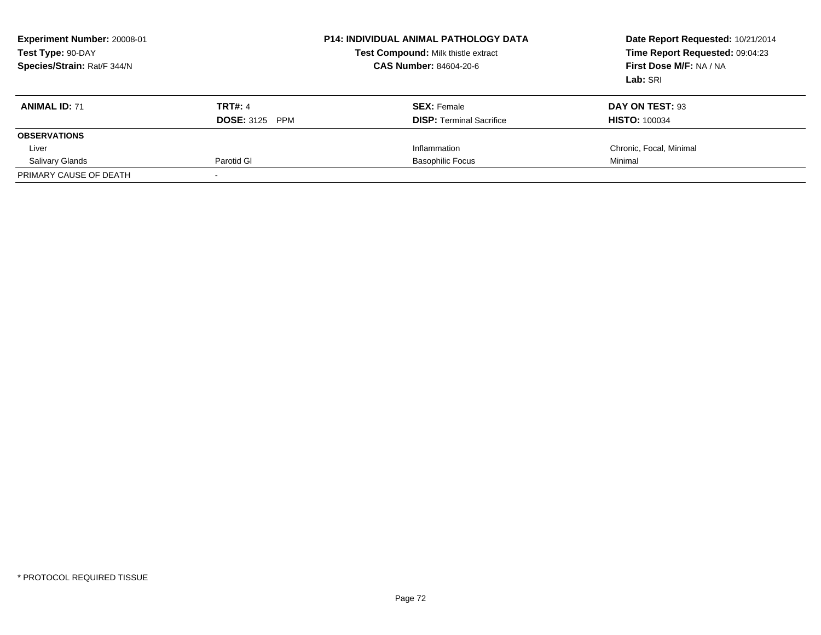| Experiment Number: 20008-01<br>Test Type: 90-DAY<br>Species/Strain: Rat/F 344/N |                                 | <b>P14: INDIVIDUAL ANIMAL PATHOLOGY DATA</b><br>Test Compound: Milk thistle extract<br><b>CAS Number: 84604-20-6</b> | Date Report Requested: 10/21/2014<br>Time Report Requested: 09:04:23<br>First Dose M/F: NA / NA<br>Lab: SRI |
|---------------------------------------------------------------------------------|---------------------------------|----------------------------------------------------------------------------------------------------------------------|-------------------------------------------------------------------------------------------------------------|
| <b>ANIMAL ID: 71</b>                                                            | <b>TRT#: 4</b>                  | <b>SEX:</b> Female                                                                                                   | DAY ON TEST: 93                                                                                             |
|                                                                                 | <b>DOSE: 3125</b><br><b>PPM</b> | <b>DISP:</b> Terminal Sacrifice                                                                                      | <b>HISTO: 100034</b>                                                                                        |
| <b>OBSERVATIONS</b>                                                             |                                 |                                                                                                                      |                                                                                                             |
| Liver                                                                           |                                 | Inflammation                                                                                                         | Chronic, Focal, Minimal                                                                                     |
| <b>Salivary Glands</b>                                                          | Parotid GI                      | <b>Basophilic Focus</b>                                                                                              | Minimal                                                                                                     |
| PRIMARY CAUSE OF DEATH                                                          |                                 |                                                                                                                      |                                                                                                             |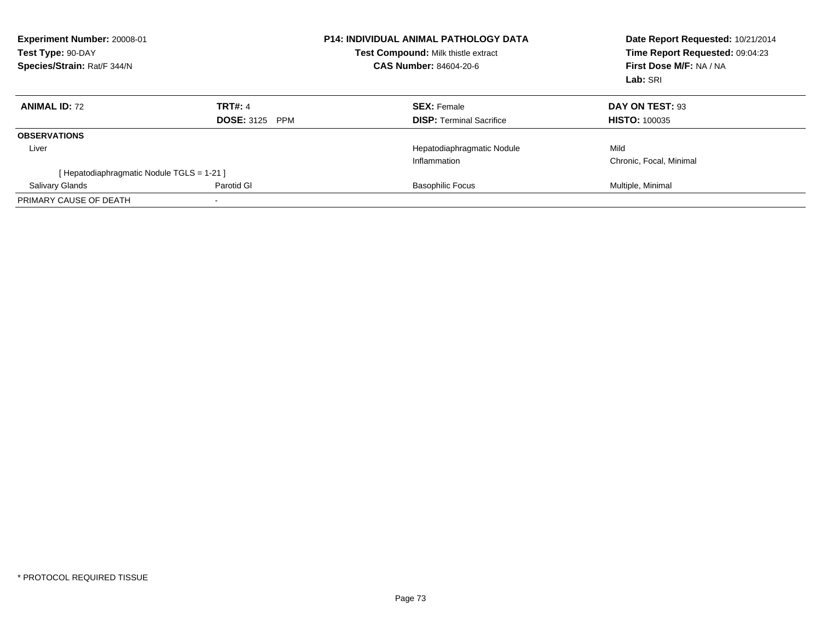| Experiment Number: 20008-01<br>Test Type: 90-DAY<br>Species/Strain: Rat/F 344/N |                          | <b>P14: INDIVIDUAL ANIMAL PATHOLOGY DATA</b><br>Test Compound: Milk thistle extract<br><b>CAS Number: 84604-20-6</b> | Date Report Requested: 10/21/2014<br>Time Report Requested: 09:04:23<br>First Dose M/F: NA / NA<br>Lab: SRI |
|---------------------------------------------------------------------------------|--------------------------|----------------------------------------------------------------------------------------------------------------------|-------------------------------------------------------------------------------------------------------------|
| <b>ANIMAL ID: 72</b>                                                            | <b>TRT#: 4</b>           | <b>SEX: Female</b>                                                                                                   | DAY ON TEST: 93                                                                                             |
|                                                                                 | <b>DOSE: 3125</b><br>PPM | <b>DISP:</b> Terminal Sacrifice                                                                                      | <b>HISTO: 100035</b>                                                                                        |
| <b>OBSERVATIONS</b>                                                             |                          |                                                                                                                      |                                                                                                             |
| Liver                                                                           |                          | Hepatodiaphragmatic Nodule                                                                                           | Mild                                                                                                        |
|                                                                                 |                          | Inflammation                                                                                                         | Chronic, Focal, Minimal                                                                                     |
| [Hepatodiaphragmatic Nodule TGLS = 1-21]                                        |                          |                                                                                                                      |                                                                                                             |
| <b>Salivary Glands</b>                                                          | Parotid GI               | <b>Basophilic Focus</b>                                                                                              | Multiple, Minimal                                                                                           |
| PRIMARY CAUSE OF DEATH                                                          |                          |                                                                                                                      |                                                                                                             |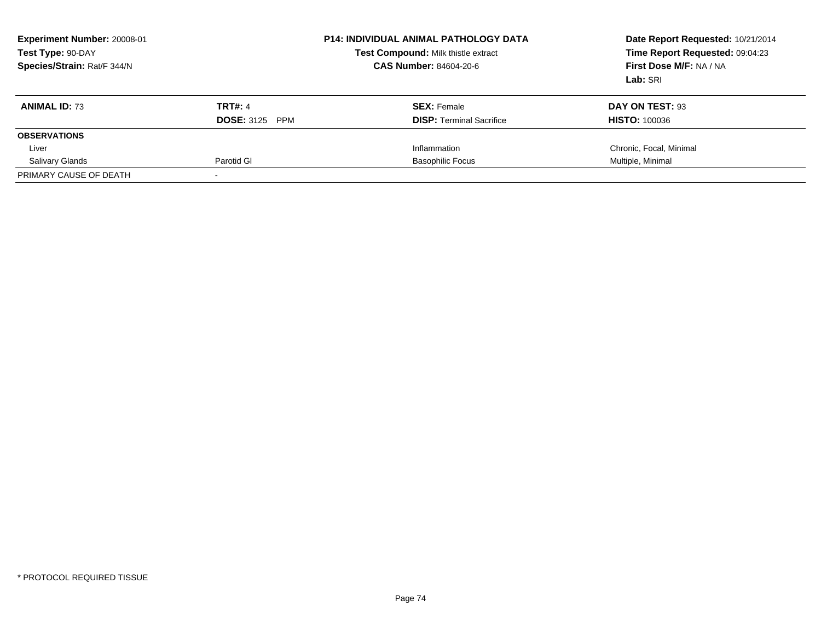| <b>Experiment Number: 20008-01</b><br>Test Type: 90-DAY<br>Species/Strain: Rat/F 344/N |                                 | <b>P14: INDIVIDUAL ANIMAL PATHOLOGY DATA</b><br>Test Compound: Milk thistle extract<br><b>CAS Number: 84604-20-6</b> | Date Report Requested: 10/21/2014<br>Time Report Requested: 09:04:23<br>First Dose M/F: NA / NA<br>Lab: SRI |
|----------------------------------------------------------------------------------------|---------------------------------|----------------------------------------------------------------------------------------------------------------------|-------------------------------------------------------------------------------------------------------------|
| <b>ANIMAL ID: 73</b>                                                                   | <b>TRT#: 4</b>                  | <b>SEX:</b> Female                                                                                                   | DAY ON TEST: 93                                                                                             |
|                                                                                        | <b>DOSE: 3125</b><br><b>PPM</b> | <b>DISP:</b> Terminal Sacrifice                                                                                      | <b>HISTO: 100036</b>                                                                                        |
| <b>OBSERVATIONS</b>                                                                    |                                 |                                                                                                                      |                                                                                                             |
| Liver                                                                                  |                                 | Inflammation                                                                                                         | Chronic, Focal, Minimal                                                                                     |
| <b>Salivary Glands</b>                                                                 | Parotid GI                      | <b>Basophilic Focus</b>                                                                                              | Multiple, Minimal                                                                                           |
| PRIMARY CAUSE OF DEATH                                                                 |                                 |                                                                                                                      |                                                                                                             |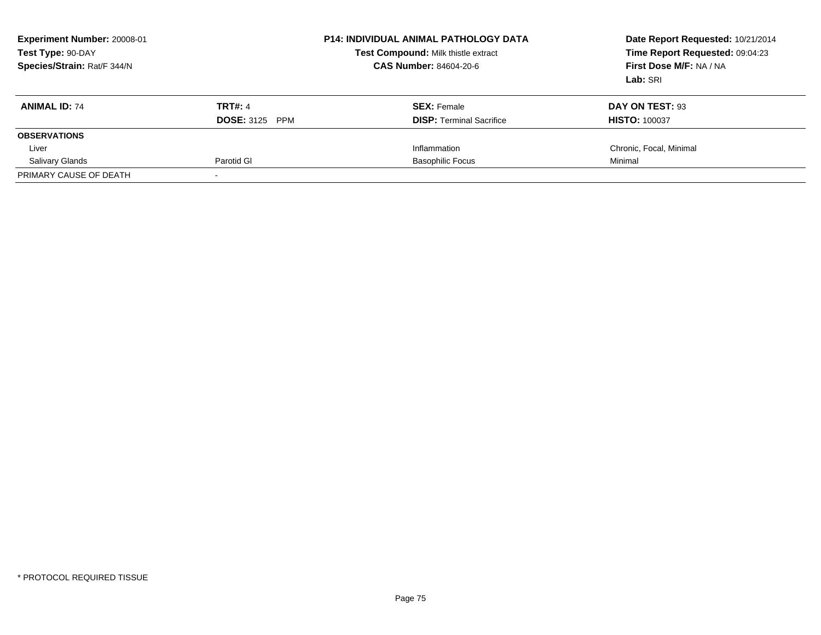| Experiment Number: 20008-01<br>Test Type: 90-DAY<br>Species/Strain: Rat/F 344/N |                                 | <b>P14: INDIVIDUAL ANIMAL PATHOLOGY DATA</b><br>Test Compound: Milk thistle extract<br><b>CAS Number: 84604-20-6</b> | Date Report Requested: 10/21/2014<br>Time Report Requested: 09:04:23<br>First Dose M/F: NA / NA<br>Lab: SRI |
|---------------------------------------------------------------------------------|---------------------------------|----------------------------------------------------------------------------------------------------------------------|-------------------------------------------------------------------------------------------------------------|
| <b>ANIMAL ID: 74</b>                                                            | <b>TRT#: 4</b>                  | <b>SEX:</b> Female                                                                                                   | DAY ON TEST: 93                                                                                             |
|                                                                                 | <b>DOSE: 3125</b><br><b>PPM</b> | <b>DISP:</b> Terminal Sacrifice                                                                                      | <b>HISTO: 100037</b>                                                                                        |
| <b>OBSERVATIONS</b>                                                             |                                 |                                                                                                                      |                                                                                                             |
| Liver                                                                           |                                 | Inflammation                                                                                                         | Chronic, Focal, Minimal                                                                                     |
| <b>Salivary Glands</b>                                                          | Parotid GI                      | <b>Basophilic Focus</b>                                                                                              | Minimal                                                                                                     |
| PRIMARY CAUSE OF DEATH                                                          |                                 |                                                                                                                      |                                                                                                             |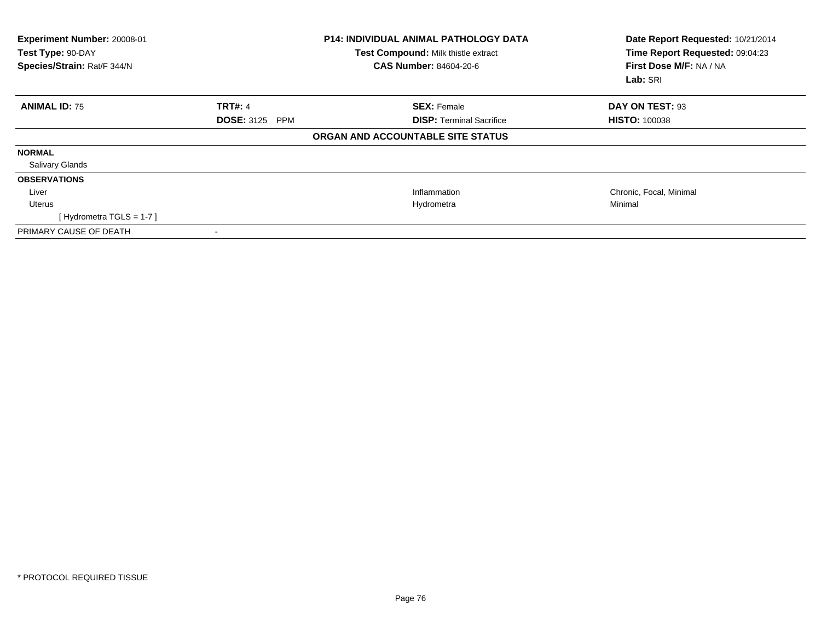| Experiment Number: 20008-01<br>Test Type: 90-DAY<br>Species/Strain: Rat/F 344/N |                       | <b>P14: INDIVIDUAL ANIMAL PATHOLOGY DATA</b><br>Test Compound: Milk thistle extract<br><b>CAS Number: 84604-20-6</b> | Date Report Requested: 10/21/2014<br>Time Report Requested: 09:04:23<br>First Dose M/F: NA / NA<br>Lab: SRI |
|---------------------------------------------------------------------------------|-----------------------|----------------------------------------------------------------------------------------------------------------------|-------------------------------------------------------------------------------------------------------------|
| <b>ANIMAL ID: 75</b>                                                            | <b>TRT#: 4</b>        | <b>SEX: Female</b>                                                                                                   | DAY ON TEST: 93                                                                                             |
|                                                                                 | <b>DOSE: 3125 PPM</b> | <b>DISP:</b> Terminal Sacrifice                                                                                      | <b>HISTO: 100038</b>                                                                                        |
|                                                                                 |                       | ORGAN AND ACCOUNTABLE SITE STATUS                                                                                    |                                                                                                             |
| <b>NORMAL</b>                                                                   |                       |                                                                                                                      |                                                                                                             |
| <b>Salivary Glands</b>                                                          |                       |                                                                                                                      |                                                                                                             |
| <b>OBSERVATIONS</b>                                                             |                       |                                                                                                                      |                                                                                                             |
| Liver                                                                           |                       | Inflammation                                                                                                         | Chronic, Focal, Minimal                                                                                     |
| Uterus                                                                          |                       | Hydrometra                                                                                                           | Minimal                                                                                                     |
| [Hydrometra TGLS = $1-7$ ]                                                      |                       |                                                                                                                      |                                                                                                             |
| PRIMARY CAUSE OF DEATH                                                          |                       |                                                                                                                      |                                                                                                             |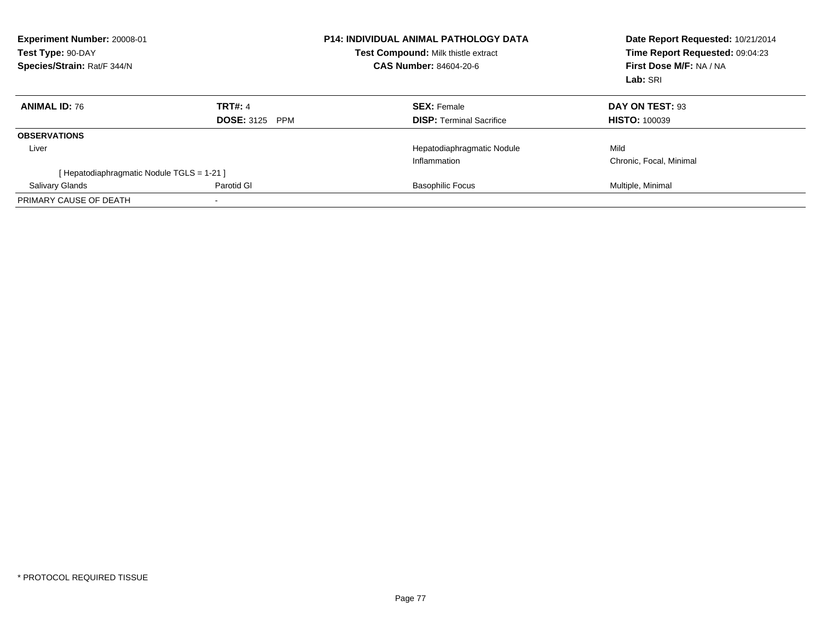| Experiment Number: 20008-01<br>Test Type: 90-DAY<br>Species/Strain: Rat/F 344/N |                          | <b>P14: INDIVIDUAL ANIMAL PATHOLOGY DATA</b><br>Test Compound: Milk thistle extract<br><b>CAS Number: 84604-20-6</b> | Date Report Requested: 10/21/2014<br>Time Report Requested: 09:04:23<br>First Dose M/F: NA / NA<br>Lab: SRI |
|---------------------------------------------------------------------------------|--------------------------|----------------------------------------------------------------------------------------------------------------------|-------------------------------------------------------------------------------------------------------------|
| <b>ANIMAL ID: 76</b>                                                            | <b>TRT#: 4</b>           | <b>SEX: Female</b>                                                                                                   | DAY ON TEST: 93                                                                                             |
|                                                                                 | <b>DOSE: 3125</b><br>PPM | <b>DISP:</b> Terminal Sacrifice                                                                                      | <b>HISTO: 100039</b>                                                                                        |
| <b>OBSERVATIONS</b>                                                             |                          |                                                                                                                      |                                                                                                             |
| Liver                                                                           |                          | Hepatodiaphragmatic Nodule                                                                                           | Mild                                                                                                        |
|                                                                                 |                          | Inflammation                                                                                                         | Chronic, Focal, Minimal                                                                                     |
| [Hepatodiaphragmatic Nodule TGLS = 1-21]                                        |                          |                                                                                                                      |                                                                                                             |
| <b>Salivary Glands</b>                                                          | Parotid GI               | <b>Basophilic Focus</b>                                                                                              | Multiple, Minimal                                                                                           |
| PRIMARY CAUSE OF DEATH                                                          |                          |                                                                                                                      |                                                                                                             |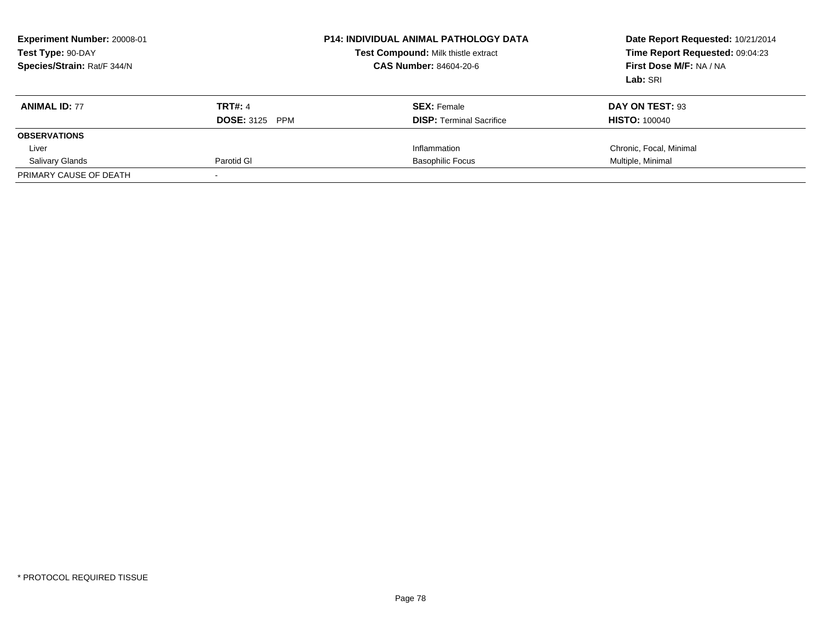| <b>Experiment Number: 20008-01</b><br>Test Type: 90-DAY<br>Species/Strain: Rat/F 344/N |                                 | <b>P14: INDIVIDUAL ANIMAL PATHOLOGY DATA</b><br>Test Compound: Milk thistle extract<br><b>CAS Number: 84604-20-6</b> | Date Report Requested: 10/21/2014<br>Time Report Requested: 09:04:23<br>First Dose M/F: NA / NA<br>Lab: SRI |
|----------------------------------------------------------------------------------------|---------------------------------|----------------------------------------------------------------------------------------------------------------------|-------------------------------------------------------------------------------------------------------------|
| <b>ANIMAL ID: 77</b>                                                                   | <b>TRT#: 4</b>                  | <b>SEX:</b> Female                                                                                                   | DAY ON TEST: 93                                                                                             |
|                                                                                        | <b>DOSE: 3125</b><br><b>PPM</b> | <b>DISP:</b> Terminal Sacrifice                                                                                      | <b>HISTO: 100040</b>                                                                                        |
| <b>OBSERVATIONS</b>                                                                    |                                 |                                                                                                                      |                                                                                                             |
| Liver                                                                                  |                                 | Inflammation                                                                                                         | Chronic, Focal, Minimal                                                                                     |
| <b>Salivary Glands</b>                                                                 | Parotid GI                      | <b>Basophilic Focus</b>                                                                                              | Multiple, Minimal                                                                                           |
| PRIMARY CAUSE OF DEATH                                                                 |                                 |                                                                                                                      |                                                                                                             |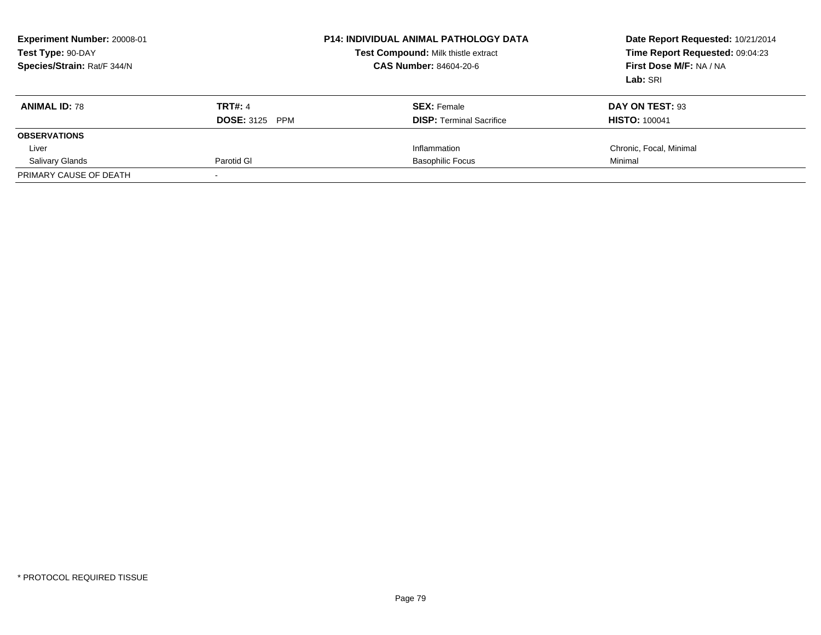| Experiment Number: 20008-01<br>Test Type: 90-DAY<br>Species/Strain: Rat/F 344/N |                                 | <b>P14: INDIVIDUAL ANIMAL PATHOLOGY DATA</b><br>Test Compound: Milk thistle extract<br><b>CAS Number: 84604-20-6</b> | Date Report Requested: 10/21/2014<br>Time Report Requested: 09:04:23<br>First Dose M/F: NA / NA<br>Lab: SRI |
|---------------------------------------------------------------------------------|---------------------------------|----------------------------------------------------------------------------------------------------------------------|-------------------------------------------------------------------------------------------------------------|
| <b>ANIMAL ID: 78</b>                                                            | <b>TRT#: 4</b>                  | <b>SEX:</b> Female                                                                                                   | DAY ON TEST: 93                                                                                             |
|                                                                                 | <b>DOSE: 3125</b><br><b>PPM</b> | <b>DISP:</b> Terminal Sacrifice                                                                                      | <b>HISTO: 100041</b>                                                                                        |
| <b>OBSERVATIONS</b>                                                             |                                 |                                                                                                                      |                                                                                                             |
| Liver                                                                           |                                 | Inflammation                                                                                                         | Chronic, Focal, Minimal                                                                                     |
| <b>Salivary Glands</b>                                                          | Parotid GI                      | <b>Basophilic Focus</b>                                                                                              | Minimal                                                                                                     |
| PRIMARY CAUSE OF DEATH                                                          |                                 |                                                                                                                      |                                                                                                             |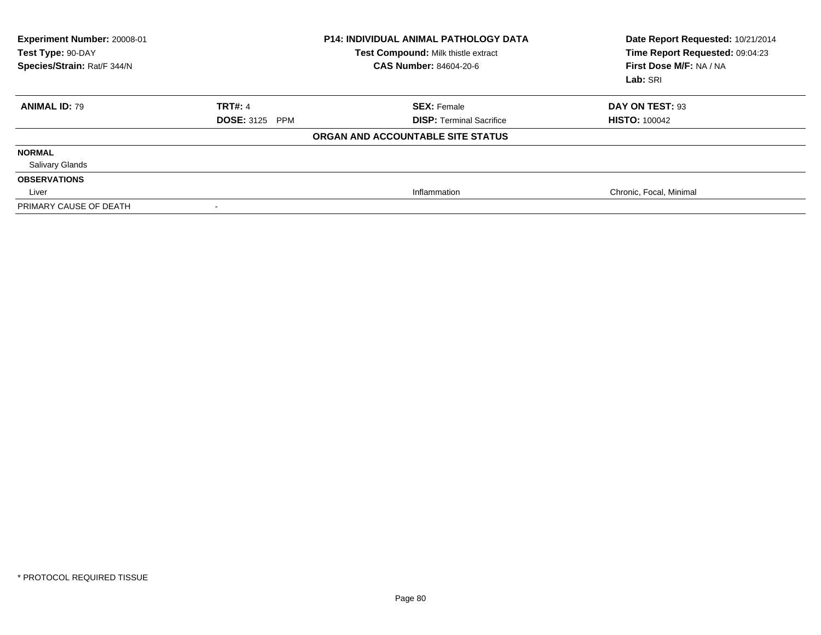| Experiment Number: 20008-01<br>Test Type: 90-DAY<br>Species/Strain: Rat/F 344/N |                                 | <b>P14: INDIVIDUAL ANIMAL PATHOLOGY DATA</b><br>Test Compound: Milk thistle extract<br><b>CAS Number: 84604-20-6</b> | Date Report Requested: 10/21/2014<br>Time Report Requested: 09:04:23<br>First Dose M/F: NA / NA<br>Lab: SRI |
|---------------------------------------------------------------------------------|---------------------------------|----------------------------------------------------------------------------------------------------------------------|-------------------------------------------------------------------------------------------------------------|
| <b>ANIMAL ID: 79</b>                                                            | <b>TRT#: 4</b>                  | <b>SEX: Female</b>                                                                                                   | DAY ON TEST: 93                                                                                             |
|                                                                                 | <b>DOSE: 3125</b><br><b>PPM</b> | <b>DISP: Terminal Sacrifice</b>                                                                                      | <b>HISTO: 100042</b>                                                                                        |
|                                                                                 |                                 | ORGAN AND ACCOUNTABLE SITE STATUS                                                                                    |                                                                                                             |
| <b>NORMAL</b>                                                                   |                                 |                                                                                                                      |                                                                                                             |
| <b>Salivary Glands</b>                                                          |                                 |                                                                                                                      |                                                                                                             |
| <b>OBSERVATIONS</b>                                                             |                                 |                                                                                                                      |                                                                                                             |
| Liver                                                                           |                                 | Inflammation                                                                                                         | Chronic, Focal, Minimal                                                                                     |
| PRIMARY CAUSE OF DEATH                                                          |                                 |                                                                                                                      |                                                                                                             |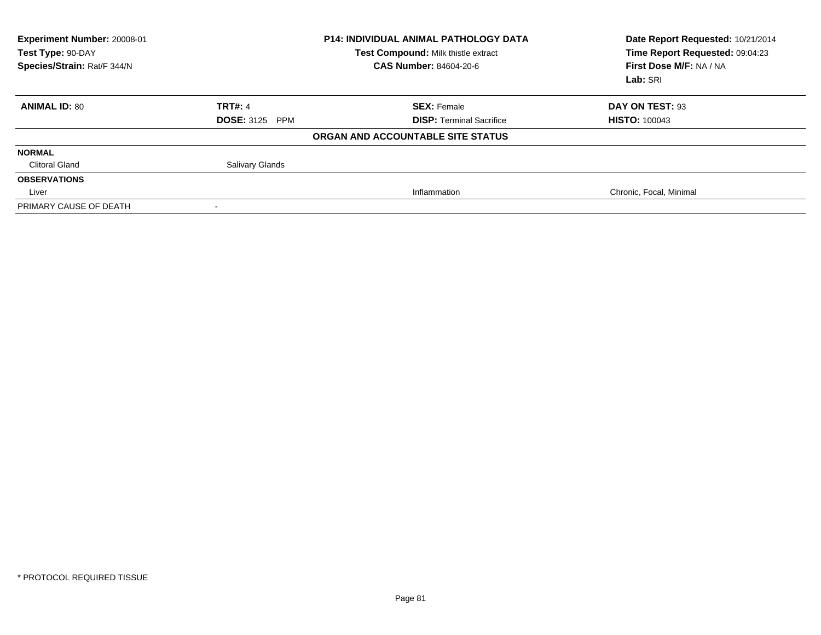| Experiment Number: 20008-01<br>Test Type: 90-DAY<br>Species/Strain: Rat/F 344/N |                        | <b>P14: INDIVIDUAL ANIMAL PATHOLOGY DATA</b><br>Test Compound: Milk thistle extract<br><b>CAS Number: 84604-20-6</b> | Date Report Requested: 10/21/2014<br>Time Report Requested: 09:04:23<br>First Dose M/F: NA / NA<br>Lab: SRI |
|---------------------------------------------------------------------------------|------------------------|----------------------------------------------------------------------------------------------------------------------|-------------------------------------------------------------------------------------------------------------|
| <b>ANIMAL ID: 80</b>                                                            | <b>TRT#: 4</b>         | <b>SEX: Female</b>                                                                                                   | DAY ON TEST: 93                                                                                             |
|                                                                                 | <b>DOSE: 3125 PPM</b>  | <b>DISP: Terminal Sacrifice</b>                                                                                      | <b>HISTO: 100043</b>                                                                                        |
|                                                                                 |                        | ORGAN AND ACCOUNTABLE SITE STATUS                                                                                    |                                                                                                             |
| <b>NORMAL</b>                                                                   |                        |                                                                                                                      |                                                                                                             |
| <b>Clitoral Gland</b>                                                           | <b>Salivary Glands</b> |                                                                                                                      |                                                                                                             |
| <b>OBSERVATIONS</b>                                                             |                        |                                                                                                                      |                                                                                                             |
| Liver                                                                           |                        | Inflammation                                                                                                         | Chronic, Focal, Minimal                                                                                     |
| PRIMARY CAUSE OF DEATH                                                          |                        |                                                                                                                      |                                                                                                             |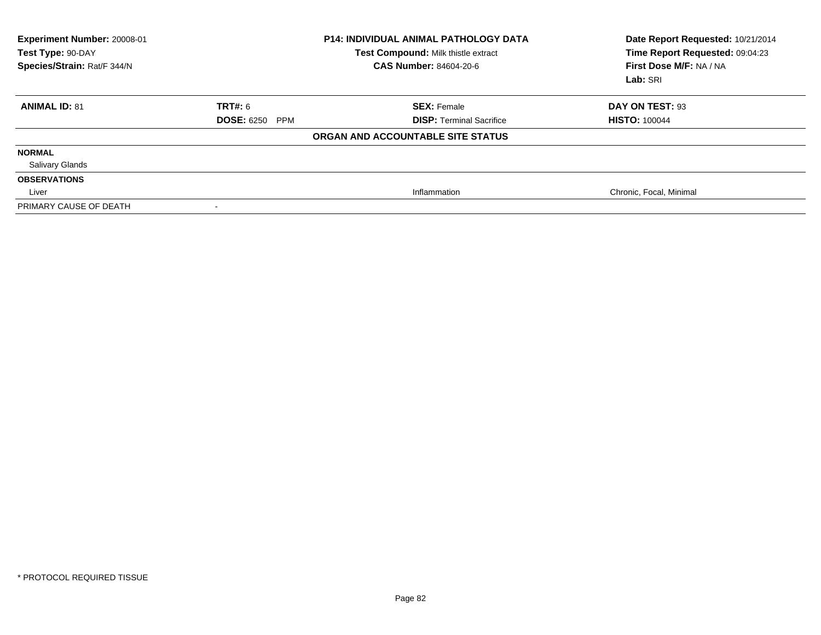| Experiment Number: 20008-01<br>Test Type: 90-DAY<br>Species/Strain: Rat/F 344/N |                                 | <b>P14: INDIVIDUAL ANIMAL PATHOLOGY DATA</b><br>Test Compound: Milk thistle extract<br><b>CAS Number: 84604-20-6</b> | Date Report Requested: 10/21/2014<br>Time Report Requested: 09:04:23<br>First Dose M/F: NA / NA<br>Lab: SRI |
|---------------------------------------------------------------------------------|---------------------------------|----------------------------------------------------------------------------------------------------------------------|-------------------------------------------------------------------------------------------------------------|
| <b>ANIMAL ID: 81</b>                                                            | <b>TRT#: 6</b>                  | <b>SEX: Female</b>                                                                                                   | DAY ON TEST: 93                                                                                             |
|                                                                                 | <b>DOSE: 6250</b><br><b>PPM</b> | <b>DISP:</b> Terminal Sacrifice                                                                                      | <b>HISTO: 100044</b>                                                                                        |
|                                                                                 |                                 | ORGAN AND ACCOUNTABLE SITE STATUS                                                                                    |                                                                                                             |
| <b>NORMAL</b>                                                                   |                                 |                                                                                                                      |                                                                                                             |
| <b>Salivary Glands</b>                                                          |                                 |                                                                                                                      |                                                                                                             |
| <b>OBSERVATIONS</b>                                                             |                                 |                                                                                                                      |                                                                                                             |
| Liver                                                                           |                                 | Inflammation                                                                                                         | Chronic, Focal, Minimal                                                                                     |
| PRIMARY CAUSE OF DEATH                                                          | $\,$                            |                                                                                                                      |                                                                                                             |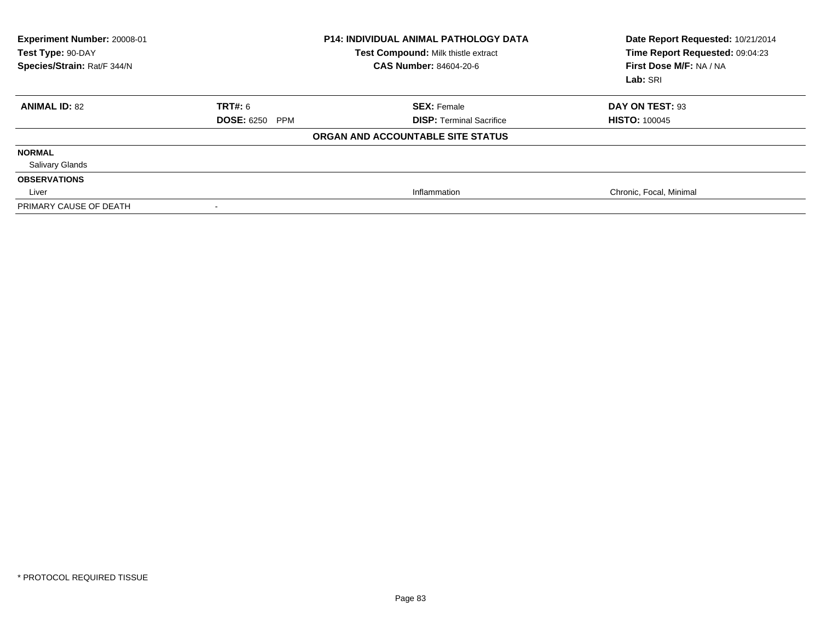| Experiment Number: 20008-01<br>Test Type: 90-DAY<br>Species/Strain: Rat/F 344/N |                       | <b>P14: INDIVIDUAL ANIMAL PATHOLOGY DATA</b><br>Test Compound: Milk thistle extract<br><b>CAS Number: 84604-20-6</b> | Date Report Requested: 10/21/2014<br>Time Report Requested: 09:04:23<br>First Dose M/F: NA / NA<br>Lab: SRI |
|---------------------------------------------------------------------------------|-----------------------|----------------------------------------------------------------------------------------------------------------------|-------------------------------------------------------------------------------------------------------------|
| <b>ANIMAL ID: 82</b>                                                            | <b>TRT#: 6</b>        | <b>SEX: Female</b>                                                                                                   | DAY ON TEST: 93                                                                                             |
|                                                                                 | <b>DOSE: 6250 PPM</b> | <b>DISP: Terminal Sacrifice</b>                                                                                      | <b>HISTO: 100045</b>                                                                                        |
|                                                                                 |                       | ORGAN AND ACCOUNTABLE SITE STATUS                                                                                    |                                                                                                             |
| <b>NORMAL</b>                                                                   |                       |                                                                                                                      |                                                                                                             |
| <b>Salivary Glands</b>                                                          |                       |                                                                                                                      |                                                                                                             |
| <b>OBSERVATIONS</b>                                                             |                       |                                                                                                                      |                                                                                                             |
| Liver                                                                           |                       | Inflammation                                                                                                         | Chronic, Focal, Minimal                                                                                     |
| PRIMARY CAUSE OF DEATH                                                          |                       |                                                                                                                      |                                                                                                             |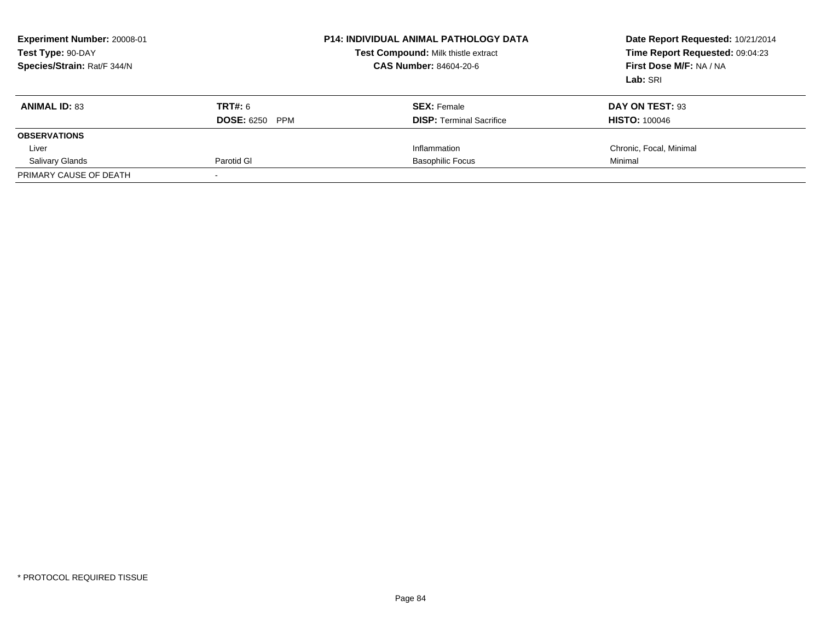| <b>Experiment Number: 20008-01</b><br>Test Type: 90-DAY<br>Species/Strain: Rat/F 344/N |                       | <b>P14: INDIVIDUAL ANIMAL PATHOLOGY DATA</b><br>Test Compound: Milk thistle extract<br><b>CAS Number: 84604-20-6</b> | Date Report Requested: 10/21/2014<br>Time Report Requested: 09:04:23<br>First Dose M/F: NA / NA<br>Lab: SRI |
|----------------------------------------------------------------------------------------|-----------------------|----------------------------------------------------------------------------------------------------------------------|-------------------------------------------------------------------------------------------------------------|
| <b>ANIMAL ID: 83</b>                                                                   | TRT#: 6               | <b>SEX:</b> Female                                                                                                   | DAY ON TEST: 93                                                                                             |
|                                                                                        | <b>DOSE: 6250 PPM</b> | <b>DISP:</b> Terminal Sacrifice                                                                                      | <b>HISTO: 100046</b>                                                                                        |
| <b>OBSERVATIONS</b>                                                                    |                       |                                                                                                                      |                                                                                                             |
| Liver                                                                                  |                       | Inflammation                                                                                                         | Chronic, Focal, Minimal                                                                                     |
| <b>Salivary Glands</b>                                                                 | Parotid GI            | <b>Basophilic Focus</b>                                                                                              | Minimal                                                                                                     |
| PRIMARY CAUSE OF DEATH                                                                 |                       |                                                                                                                      |                                                                                                             |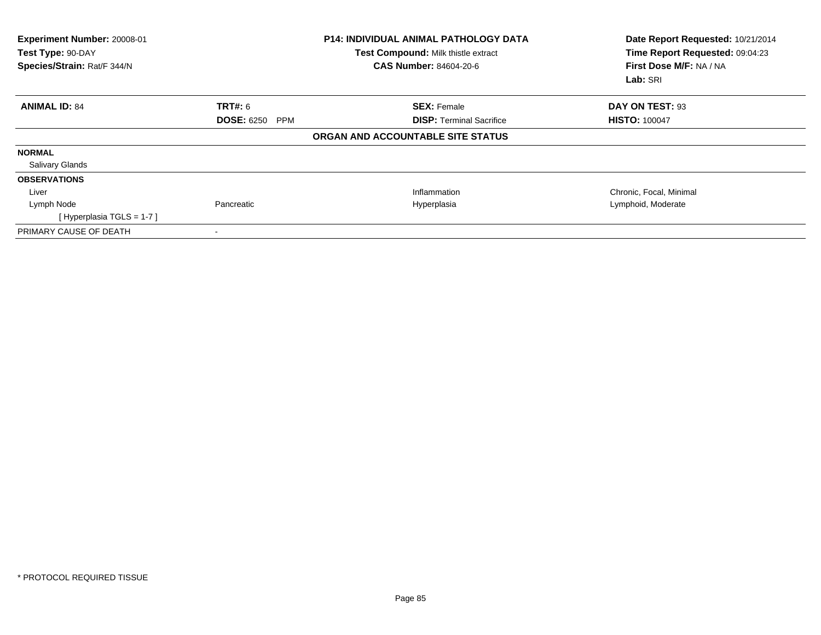| Experiment Number: 20008-01<br>Test Type: 90-DAY<br>Species/Strain: Rat/F 344/N |                          | <b>P14: INDIVIDUAL ANIMAL PATHOLOGY DATA</b><br>Test Compound: Milk thistle extract<br><b>CAS Number: 84604-20-6</b> | Date Report Requested: 10/21/2014<br>Time Report Requested: 09:04:23<br>First Dose M/F: NA / NA<br>Lab: SRI |
|---------------------------------------------------------------------------------|--------------------------|----------------------------------------------------------------------------------------------------------------------|-------------------------------------------------------------------------------------------------------------|
| <b>ANIMAL ID: 84</b>                                                            | <b>TRT#: 6</b>           | <b>SEX: Female</b>                                                                                                   | DAY ON TEST: 93                                                                                             |
|                                                                                 | <b>DOSE: 6250</b><br>PPM | <b>DISP:</b> Terminal Sacrifice                                                                                      | <b>HISTO: 100047</b>                                                                                        |
|                                                                                 |                          | ORGAN AND ACCOUNTABLE SITE STATUS                                                                                    |                                                                                                             |
| <b>NORMAL</b>                                                                   |                          |                                                                                                                      |                                                                                                             |
| <b>Salivary Glands</b>                                                          |                          |                                                                                                                      |                                                                                                             |
| <b>OBSERVATIONS</b>                                                             |                          |                                                                                                                      |                                                                                                             |
| Liver                                                                           |                          | Inflammation                                                                                                         | Chronic, Focal, Minimal                                                                                     |
| Lymph Node                                                                      | Pancreatic               | Hyperplasia                                                                                                          | Lymphoid, Moderate                                                                                          |
| [Hyperplasia TGLS = $1-7$ ]                                                     |                          |                                                                                                                      |                                                                                                             |
| PRIMARY CAUSE OF DEATH                                                          |                          |                                                                                                                      |                                                                                                             |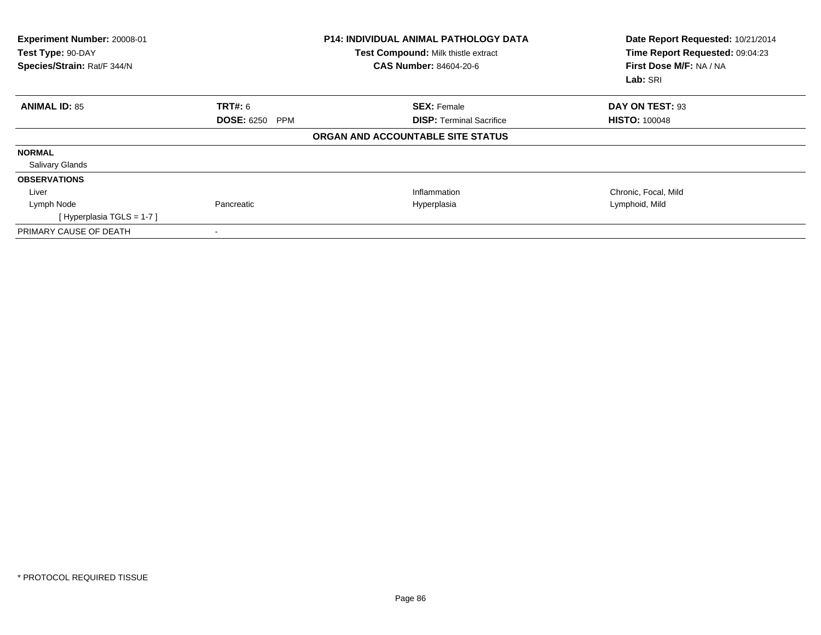| Experiment Number: 20008-01<br>Test Type: 90-DAY<br>Species/Strain: Rat/F 344/N |                       | <b>P14: INDIVIDUAL ANIMAL PATHOLOGY DATA</b><br>Test Compound: Milk thistle extract<br><b>CAS Number: 84604-20-6</b> | Date Report Requested: 10/21/2014<br>Time Report Requested: 09:04:23<br>First Dose M/F: NA / NA<br>Lab: SRI |
|---------------------------------------------------------------------------------|-----------------------|----------------------------------------------------------------------------------------------------------------------|-------------------------------------------------------------------------------------------------------------|
| <b>ANIMAL ID: 85</b>                                                            | <b>TRT#:</b> 6        | <b>SEX: Female</b>                                                                                                   | DAY ON TEST: 93                                                                                             |
|                                                                                 | <b>DOSE: 6250 PPM</b> | <b>DISP:</b> Terminal Sacrifice                                                                                      | <b>HISTO: 100048</b>                                                                                        |
|                                                                                 |                       | ORGAN AND ACCOUNTABLE SITE STATUS                                                                                    |                                                                                                             |
| <b>NORMAL</b>                                                                   |                       |                                                                                                                      |                                                                                                             |
| <b>Salivary Glands</b>                                                          |                       |                                                                                                                      |                                                                                                             |
| <b>OBSERVATIONS</b>                                                             |                       |                                                                                                                      |                                                                                                             |
| Liver                                                                           |                       | Inflammation                                                                                                         | Chronic, Focal, Mild                                                                                        |
| Lymph Node                                                                      | Pancreatic            | Hyperplasia                                                                                                          | Lymphoid, Mild                                                                                              |
| [Hyperplasia TGLS = 1-7]                                                        |                       |                                                                                                                      |                                                                                                             |
| PRIMARY CAUSE OF DEATH                                                          |                       |                                                                                                                      |                                                                                                             |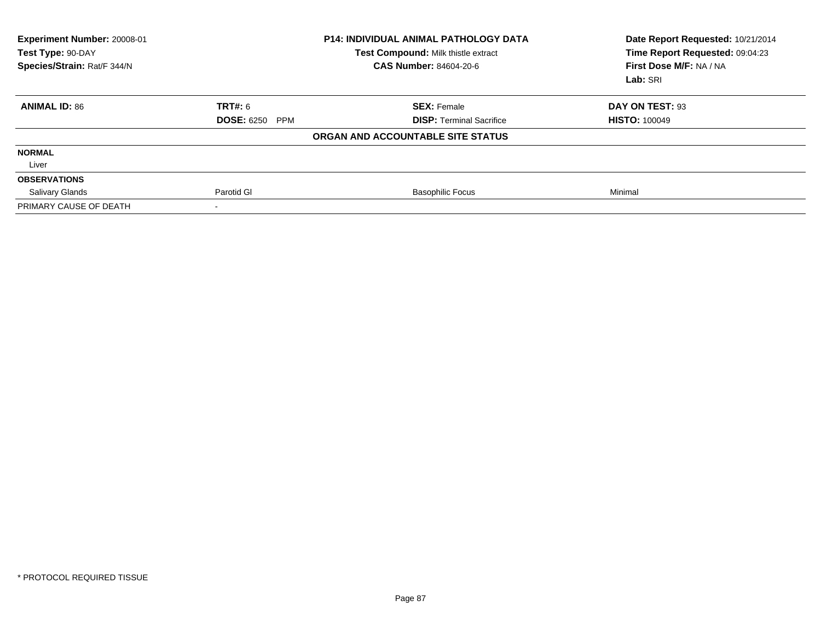| Experiment Number: 20008-01<br>Test Type: 90-DAY<br>Species/Strain: Rat/F 344/N |                       | <b>P14: INDIVIDUAL ANIMAL PATHOLOGY DATA</b><br>Test Compound: Milk thistle extract<br>CAS Number: 84604-20-6 | Date Report Requested: 10/21/2014<br>Time Report Requested: 09:04:23<br>First Dose M/F: NA / NA<br>Lab: SRI |
|---------------------------------------------------------------------------------|-----------------------|---------------------------------------------------------------------------------------------------------------|-------------------------------------------------------------------------------------------------------------|
| <b>ANIMAL ID: 86</b>                                                            | <b>TRT#: 6</b>        | <b>SEX: Female</b>                                                                                            | DAY ON TEST: 93                                                                                             |
|                                                                                 | <b>DOSE: 6250 PPM</b> | <b>DISP: Terminal Sacrifice</b>                                                                               | <b>HISTO: 100049</b>                                                                                        |
|                                                                                 |                       | ORGAN AND ACCOUNTABLE SITE STATUS                                                                             |                                                                                                             |
| <b>NORMAL</b>                                                                   |                       |                                                                                                               |                                                                                                             |
| Liver                                                                           |                       |                                                                                                               |                                                                                                             |
| <b>OBSERVATIONS</b>                                                             |                       |                                                                                                               |                                                                                                             |
| <b>Salivary Glands</b>                                                          | Parotid GI            | <b>Basophilic Focus</b>                                                                                       | Minimal                                                                                                     |
| PRIMARY CAUSE OF DEATH                                                          |                       |                                                                                                               |                                                                                                             |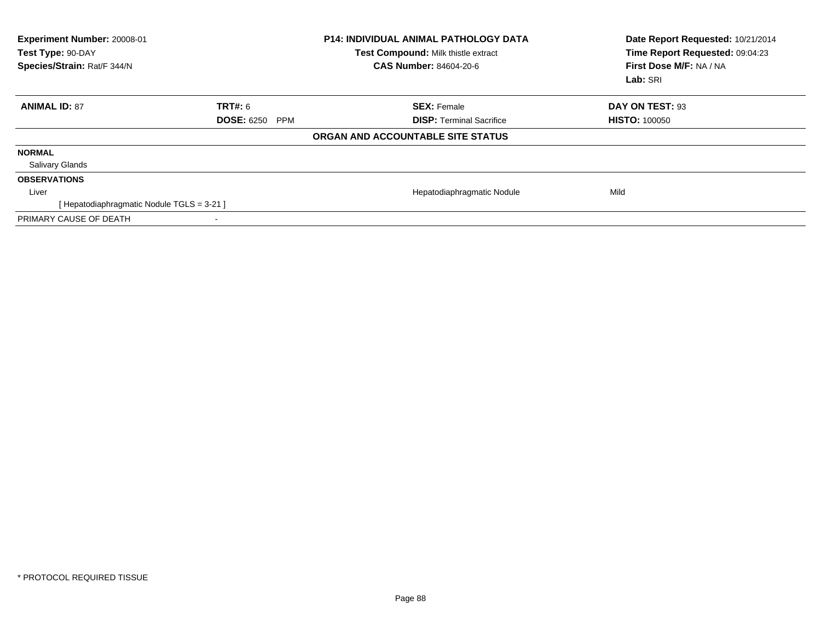| Experiment Number: 20008-01<br>Test Type: 90-DAY<br>Species/Strain: Rat/F 344/N |                                 | <b>P14: INDIVIDUAL ANIMAL PATHOLOGY DATA</b><br>Test Compound: Milk thistle extract<br><b>CAS Number: 84604-20-6</b> | Date Report Requested: 10/21/2014<br>Time Report Requested: 09:04:23<br>First Dose M/F: NA / NA<br>Lab: SRI |
|---------------------------------------------------------------------------------|---------------------------------|----------------------------------------------------------------------------------------------------------------------|-------------------------------------------------------------------------------------------------------------|
| <b>ANIMAL ID: 87</b>                                                            | <b>TRT#: 6</b>                  | <b>SEX: Female</b>                                                                                                   | DAY ON TEST: 93                                                                                             |
|                                                                                 | <b>DOSE: 6250</b><br><b>PPM</b> | <b>DISP:</b> Terminal Sacrifice                                                                                      | <b>HISTO: 100050</b>                                                                                        |
|                                                                                 |                                 | ORGAN AND ACCOUNTABLE SITE STATUS                                                                                    |                                                                                                             |
| <b>NORMAL</b>                                                                   |                                 |                                                                                                                      |                                                                                                             |
| <b>Salivary Glands</b>                                                          |                                 |                                                                                                                      |                                                                                                             |
| <b>OBSERVATIONS</b>                                                             |                                 |                                                                                                                      |                                                                                                             |
| Liver                                                                           |                                 | Hepatodiaphragmatic Nodule                                                                                           | Mild                                                                                                        |
| [Hepatodiaphragmatic Nodule TGLS = 3-21]                                        |                                 |                                                                                                                      |                                                                                                             |
| PRIMARY CAUSE OF DEATH                                                          |                                 |                                                                                                                      |                                                                                                             |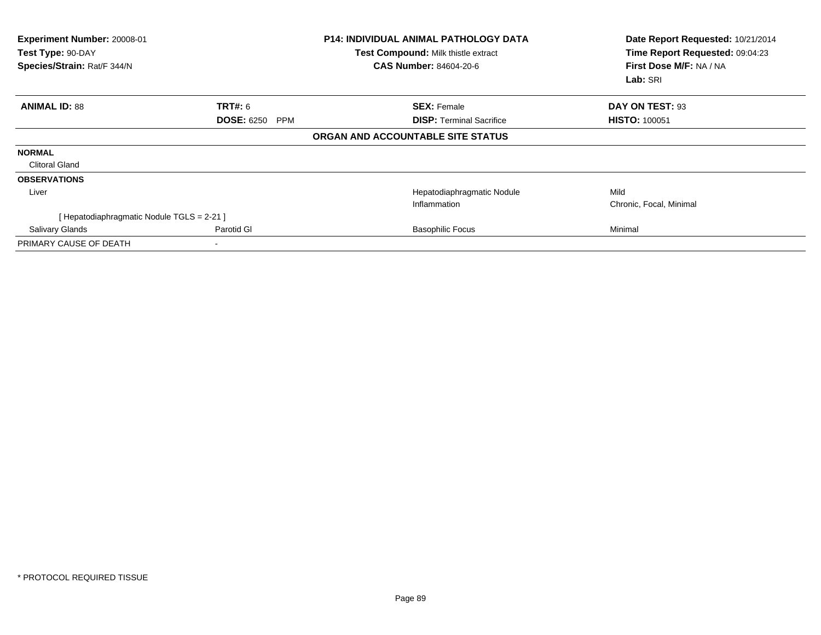| Experiment Number: 20008-01<br>Test Type: 90-DAY<br>Species/Strain: Rat/F 344/N |                                 | <b>P14: INDIVIDUAL ANIMAL PATHOLOGY DATA</b><br>Test Compound: Milk thistle extract<br><b>CAS Number: 84604-20-6</b> | Date Report Requested: 10/21/2014<br>Time Report Requested: 09:04:23<br>First Dose M/F: NA / NA<br>Lab: SRI |
|---------------------------------------------------------------------------------|---------------------------------|----------------------------------------------------------------------------------------------------------------------|-------------------------------------------------------------------------------------------------------------|
| <b>ANIMAL ID: 88</b>                                                            | <b>TRT#:</b> 6                  | <b>SEX: Female</b>                                                                                                   | DAY ON TEST: 93                                                                                             |
|                                                                                 | <b>DOSE: 6250</b><br><b>PPM</b> | <b>DISP: Terminal Sacrifice</b>                                                                                      | <b>HISTO: 100051</b>                                                                                        |
|                                                                                 |                                 | ORGAN AND ACCOUNTABLE SITE STATUS                                                                                    |                                                                                                             |
| <b>NORMAL</b>                                                                   |                                 |                                                                                                                      |                                                                                                             |
| <b>Clitoral Gland</b>                                                           |                                 |                                                                                                                      |                                                                                                             |
| <b>OBSERVATIONS</b>                                                             |                                 |                                                                                                                      |                                                                                                             |
| Liver                                                                           |                                 | Hepatodiaphragmatic Nodule                                                                                           | Mild                                                                                                        |
|                                                                                 |                                 | Inflammation                                                                                                         | Chronic, Focal, Minimal                                                                                     |
| [Hepatodiaphragmatic Nodule TGLS = 2-21 ]                                       |                                 |                                                                                                                      |                                                                                                             |
| Salivary Glands                                                                 | Parotid GI                      | <b>Basophilic Focus</b>                                                                                              | Minimal                                                                                                     |
| PRIMARY CAUSE OF DEATH                                                          |                                 |                                                                                                                      |                                                                                                             |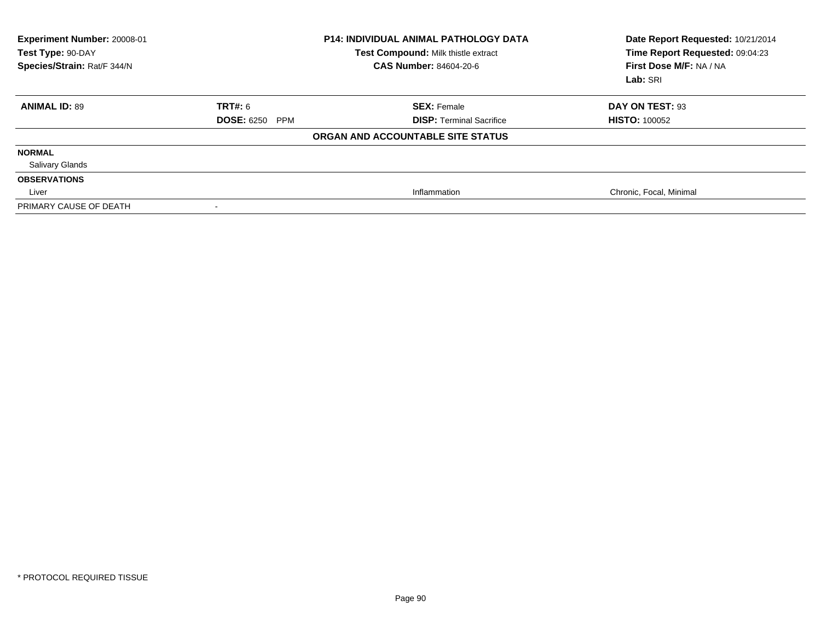| Experiment Number: 20008-01<br>Test Type: 90-DAY<br>Species/Strain: Rat/F 344/N |                                 | <b>P14: INDIVIDUAL ANIMAL PATHOLOGY DATA</b><br>Test Compound: Milk thistle extract<br><b>CAS Number: 84604-20-6</b> | Date Report Requested: 10/21/2014<br>Time Report Requested: 09:04:23<br>First Dose M/F: NA / NA<br>Lab: SRI |
|---------------------------------------------------------------------------------|---------------------------------|----------------------------------------------------------------------------------------------------------------------|-------------------------------------------------------------------------------------------------------------|
| <b>ANIMAL ID: 89</b>                                                            | TRT#: 6                         | <b>SEX: Female</b>                                                                                                   | DAY ON TEST: 93                                                                                             |
|                                                                                 | <b>DOSE: 6250</b><br><b>PPM</b> | <b>DISP: Terminal Sacrifice</b>                                                                                      | <b>HISTO: 100052</b>                                                                                        |
|                                                                                 |                                 | ORGAN AND ACCOUNTABLE SITE STATUS                                                                                    |                                                                                                             |
| <b>NORMAL</b>                                                                   |                                 |                                                                                                                      |                                                                                                             |
| <b>Salivary Glands</b>                                                          |                                 |                                                                                                                      |                                                                                                             |
| <b>OBSERVATIONS</b>                                                             |                                 |                                                                                                                      |                                                                                                             |
| Liver                                                                           |                                 | Inflammation                                                                                                         | Chronic, Focal, Minimal                                                                                     |
| PRIMARY CAUSE OF DEATH                                                          | $\,$                            |                                                                                                                      |                                                                                                             |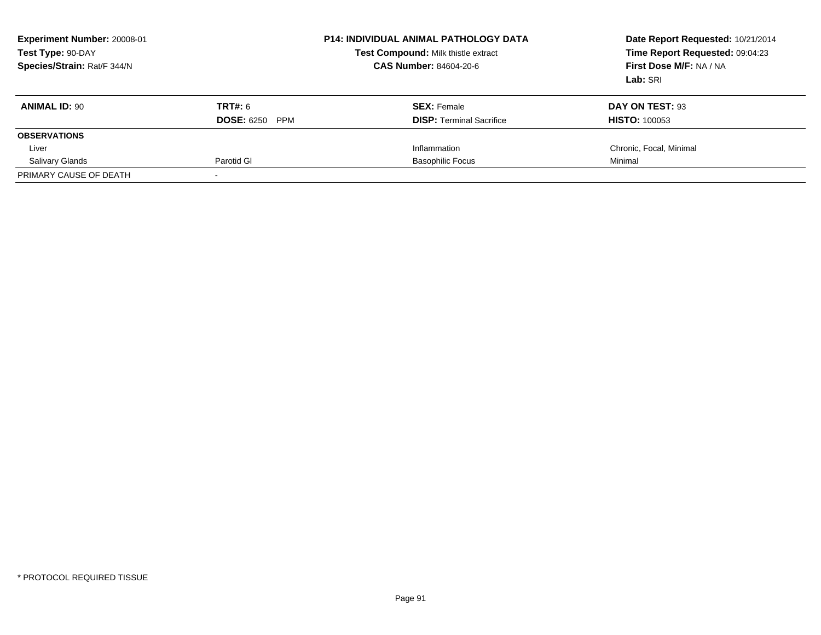| Experiment Number: 20008-01<br>Test Type: 90-DAY<br>Species/Strain: Rat/F 344/N |                       | <b>P14: INDIVIDUAL ANIMAL PATHOLOGY DATA</b><br>Test Compound: Milk thistle extract<br><b>CAS Number: 84604-20-6</b> | Date Report Requested: 10/21/2014<br>Time Report Requested: 09:04:23<br>First Dose M/F: NA / NA<br>Lab: SRI |
|---------------------------------------------------------------------------------|-----------------------|----------------------------------------------------------------------------------------------------------------------|-------------------------------------------------------------------------------------------------------------|
| <b>ANIMAL ID: 90</b>                                                            | TRT#: 6               | <b>SEX:</b> Female                                                                                                   | DAY ON TEST: 93                                                                                             |
|                                                                                 | <b>DOSE: 6250 PPM</b> | <b>DISP:</b> Terminal Sacrifice                                                                                      | <b>HISTO: 100053</b>                                                                                        |
| <b>OBSERVATIONS</b>                                                             |                       |                                                                                                                      |                                                                                                             |
| Liver                                                                           |                       | Inflammation                                                                                                         | Chronic, Focal, Minimal                                                                                     |
| <b>Salivary Glands</b>                                                          | Parotid GI            | <b>Basophilic Focus</b>                                                                                              | Minimal                                                                                                     |
| PRIMARY CAUSE OF DEATH                                                          |                       |                                                                                                                      |                                                                                                             |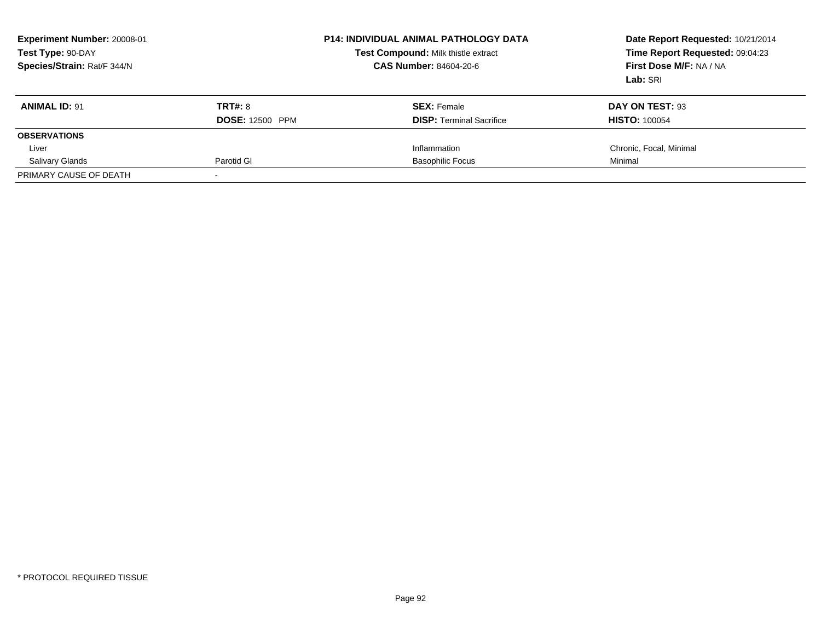| Experiment Number: 20008-01<br>Test Type: 90-DAY<br>Species/Strain: Rat/F 344/N |                        | <b>P14: INDIVIDUAL ANIMAL PATHOLOGY DATA</b><br>Test Compound: Milk thistle extract<br><b>CAS Number: 84604-20-6</b> | Date Report Requested: 10/21/2014<br>Time Report Requested: 09:04:23<br>First Dose M/F: NA / NA<br>Lab: SRI |
|---------------------------------------------------------------------------------|------------------------|----------------------------------------------------------------------------------------------------------------------|-------------------------------------------------------------------------------------------------------------|
| <b>ANIMAL ID: 91</b>                                                            | TRT#: 8                | <b>SEX:</b> Female                                                                                                   | DAY ON TEST: 93                                                                                             |
|                                                                                 | <b>DOSE: 12500 PPM</b> | <b>DISP:</b> Terminal Sacrifice                                                                                      | <b>HISTO: 100054</b>                                                                                        |
| <b>OBSERVATIONS</b>                                                             |                        |                                                                                                                      |                                                                                                             |
| Liver                                                                           |                        | Inflammation                                                                                                         | Chronic, Focal, Minimal                                                                                     |
| <b>Salivary Glands</b>                                                          | Parotid GI             | <b>Basophilic Focus</b>                                                                                              | Minimal                                                                                                     |
| PRIMARY CAUSE OF DEATH                                                          |                        |                                                                                                                      |                                                                                                             |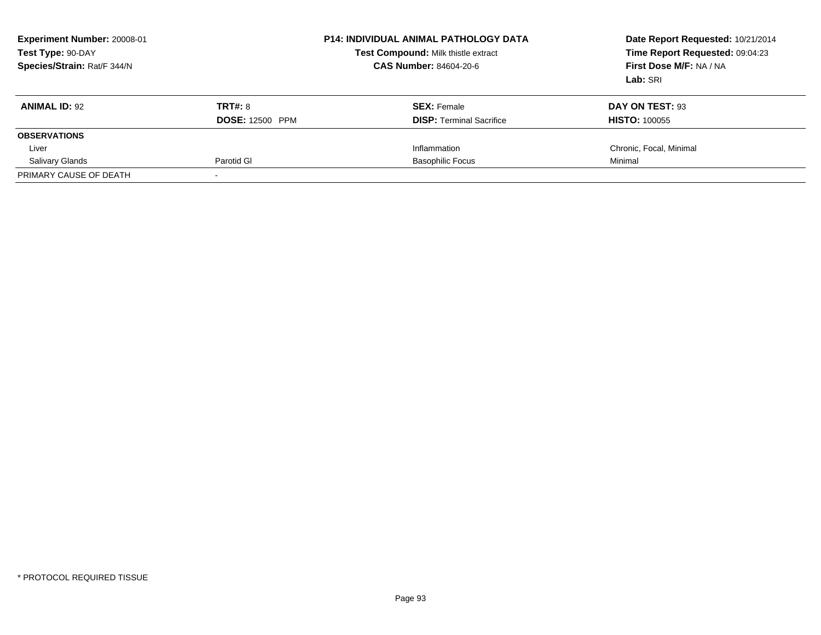| Experiment Number: 20008-01<br>Test Type: 90-DAY<br>Species/Strain: Rat/F 344/N |                        | <b>P14: INDIVIDUAL ANIMAL PATHOLOGY DATA</b><br>Test Compound: Milk thistle extract<br><b>CAS Number: 84604-20-6</b> | Date Report Requested: 10/21/2014<br>Time Report Requested: 09:04:23<br>First Dose M/F: NA / NA<br>Lab: SRI |
|---------------------------------------------------------------------------------|------------------------|----------------------------------------------------------------------------------------------------------------------|-------------------------------------------------------------------------------------------------------------|
| <b>ANIMAL ID: 92</b>                                                            | TRT#: 8                | <b>SEX:</b> Female                                                                                                   | DAY ON TEST: 93                                                                                             |
|                                                                                 | <b>DOSE: 12500 PPM</b> | <b>DISP:</b> Terminal Sacrifice                                                                                      | <b>HISTO: 100055</b>                                                                                        |
| <b>OBSERVATIONS</b>                                                             |                        |                                                                                                                      |                                                                                                             |
| Liver                                                                           |                        | Inflammation                                                                                                         | Chronic, Focal, Minimal                                                                                     |
| <b>Salivary Glands</b>                                                          | Parotid GI             | <b>Basophilic Focus</b>                                                                                              | Minimal                                                                                                     |
| PRIMARY CAUSE OF DEATH                                                          |                        |                                                                                                                      |                                                                                                             |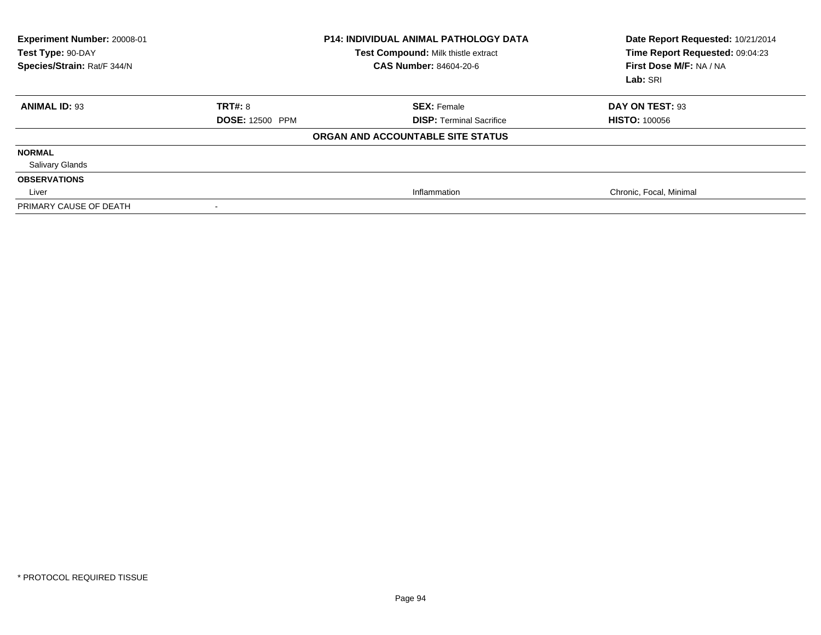| Experiment Number: 20008-01<br>Test Type: 90-DAY<br>Species/Strain: Rat/F 344/N |                        | <b>P14: INDIVIDUAL ANIMAL PATHOLOGY DATA</b><br>Test Compound: Milk thistle extract<br>CAS Number: 84604-20-6 | Date Report Requested: 10/21/2014<br>Time Report Requested: 09:04:23<br>First Dose M/F: NA / NA<br>Lab: SRI |
|---------------------------------------------------------------------------------|------------------------|---------------------------------------------------------------------------------------------------------------|-------------------------------------------------------------------------------------------------------------|
| <b>ANIMAL ID: 93</b>                                                            | <b>TRT#: 8</b>         | <b>SEX: Female</b>                                                                                            | DAY ON TEST: 93                                                                                             |
|                                                                                 | <b>DOSE: 12500 PPM</b> | <b>DISP: Terminal Sacrifice</b>                                                                               | <b>HISTO: 100056</b>                                                                                        |
|                                                                                 |                        | ORGAN AND ACCOUNTABLE SITE STATUS                                                                             |                                                                                                             |
| <b>NORMAL</b>                                                                   |                        |                                                                                                               |                                                                                                             |
| <b>Salivary Glands</b>                                                          |                        |                                                                                                               |                                                                                                             |
| <b>OBSERVATIONS</b>                                                             |                        |                                                                                                               |                                                                                                             |
| Liver                                                                           |                        | Inflammation                                                                                                  | Chronic, Focal, Minimal                                                                                     |
| PRIMARY CAUSE OF DEATH                                                          |                        |                                                                                                               |                                                                                                             |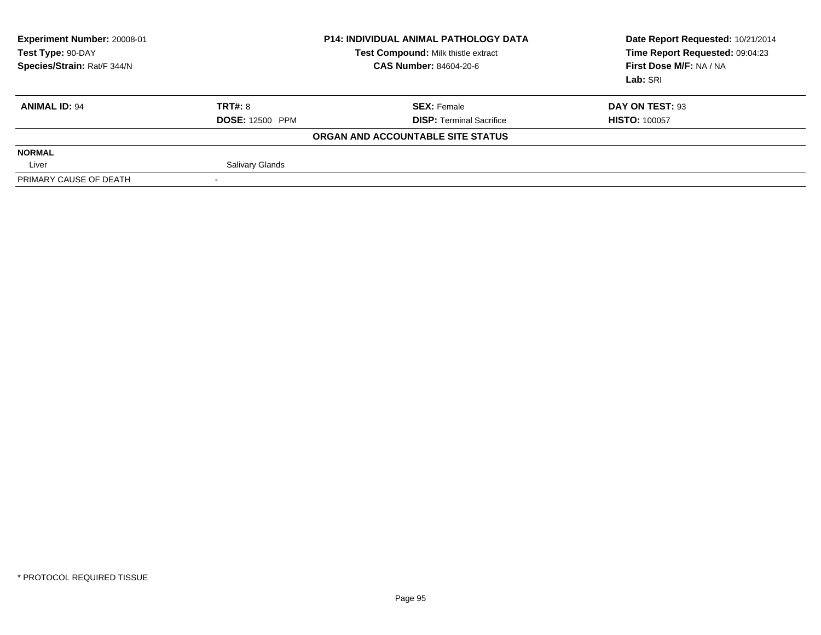| Experiment Number: 20008-01<br>Test Type: 90-DAY<br>Species/Strain: Rat/F 344/N |                        | <b>P14: INDIVIDUAL ANIMAL PATHOLOGY DATA</b><br>Test Compound: Milk thistle extract<br><b>CAS Number: 84604-20-6</b> | Date Report Requested: 10/21/2014<br>Time Report Requested: 09:04:23<br>First Dose M/F: NA / NA<br>Lab: SRI |
|---------------------------------------------------------------------------------|------------------------|----------------------------------------------------------------------------------------------------------------------|-------------------------------------------------------------------------------------------------------------|
| <b>ANIMAL ID: 94</b>                                                            | TRT#: 8                | <b>SEX: Female</b>                                                                                                   | DAY ON TEST: 93                                                                                             |
|                                                                                 | <b>DOSE: 12500 PPM</b> | <b>DISP: Terminal Sacrifice</b>                                                                                      | <b>HISTO: 100057</b>                                                                                        |
|                                                                                 |                        | ORGAN AND ACCOUNTABLE SITE STATUS                                                                                    |                                                                                                             |
| <b>NORMAL</b>                                                                   |                        |                                                                                                                      |                                                                                                             |
| Liver                                                                           | <b>Salivary Glands</b> |                                                                                                                      |                                                                                                             |
| PRIMARY CAUSE OF DEATH                                                          |                        |                                                                                                                      |                                                                                                             |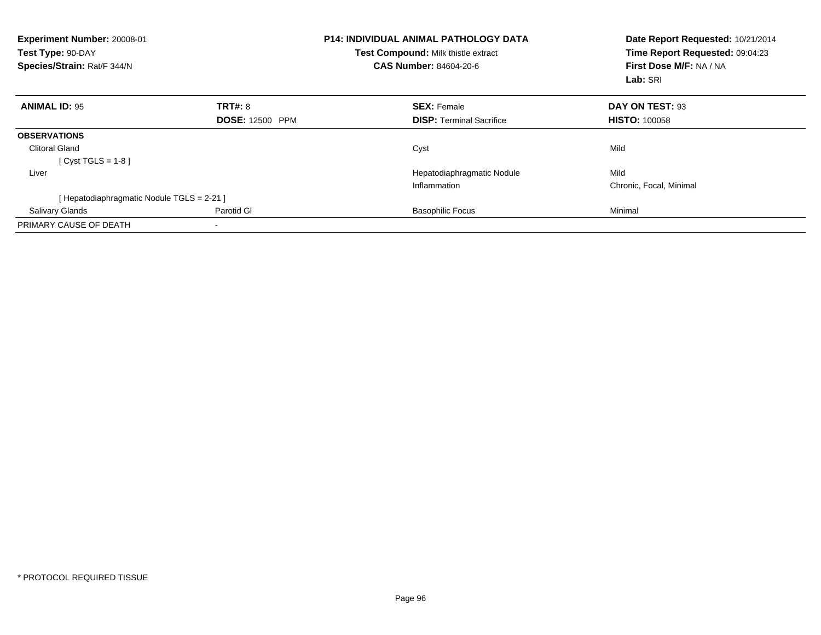| Experiment Number: 20008-01<br>Test Type: 90-DAY<br>Species/Strain: Rat/F 344/N |                        | <b>P14: INDIVIDUAL ANIMAL PATHOLOGY DATA</b><br>Test Compound: Milk thistle extract<br><b>CAS Number: 84604-20-6</b> | Date Report Requested: 10/21/2014<br>Time Report Requested: 09:04:23<br>First Dose M/F: NA / NA<br>Lab: SRI |
|---------------------------------------------------------------------------------|------------------------|----------------------------------------------------------------------------------------------------------------------|-------------------------------------------------------------------------------------------------------------|
| <b>ANIMAL ID: 95</b>                                                            | TRT#: 8                | <b>SEX: Female</b>                                                                                                   | DAY ON TEST: 93                                                                                             |
|                                                                                 | <b>DOSE: 12500 PPM</b> | <b>DISP:</b> Terminal Sacrifice                                                                                      | <b>HISTO: 100058</b>                                                                                        |
| <b>OBSERVATIONS</b>                                                             |                        |                                                                                                                      |                                                                                                             |
| <b>Clitoral Gland</b>                                                           |                        | Cyst                                                                                                                 | Mild                                                                                                        |
| [Cyst TGLS = $1-8$ ]                                                            |                        |                                                                                                                      |                                                                                                             |
| Liver                                                                           |                        | Hepatodiaphragmatic Nodule                                                                                           | Mild                                                                                                        |
|                                                                                 |                        | Inflammation                                                                                                         | Chronic, Focal, Minimal                                                                                     |
| [ Hepatodiaphragmatic Nodule TGLS = 2-21 ]                                      |                        |                                                                                                                      |                                                                                                             |
| <b>Salivary Glands</b>                                                          | Parotid GI             | <b>Basophilic Focus</b>                                                                                              | Minimal                                                                                                     |
| PRIMARY CAUSE OF DEATH                                                          |                        |                                                                                                                      |                                                                                                             |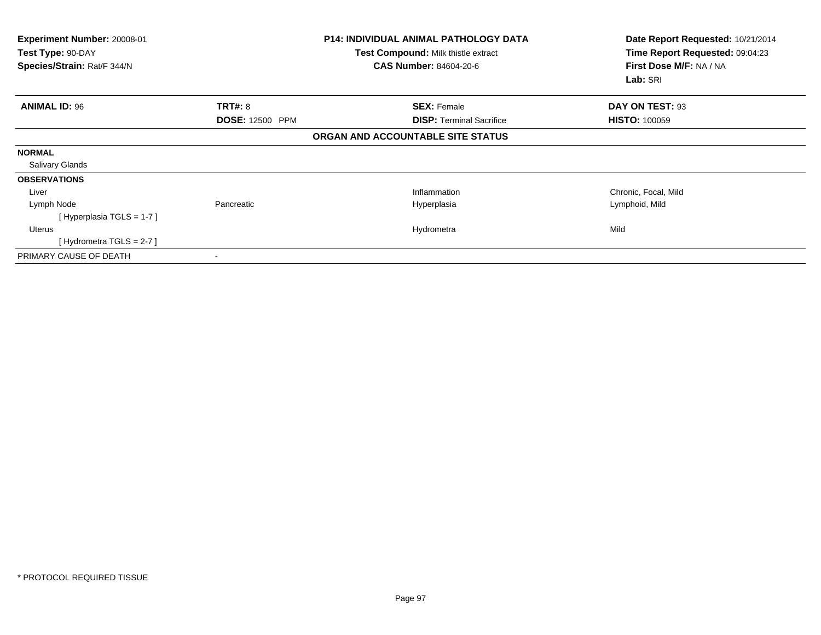| Experiment Number: 20008-01<br>Test Type: 90-DAY<br>Species/Strain: Rat/F 344/N |                        | <b>P14: INDIVIDUAL ANIMAL PATHOLOGY DATA</b><br>Test Compound: Milk thistle extract<br><b>CAS Number: 84604-20-6</b> | Date Report Requested: 10/21/2014<br>Time Report Requested: 09:04:23<br>First Dose M/F: NA / NA<br>Lab: SRI |
|---------------------------------------------------------------------------------|------------------------|----------------------------------------------------------------------------------------------------------------------|-------------------------------------------------------------------------------------------------------------|
| <b>ANIMAL ID: 96</b>                                                            | TRT#: 8                | <b>SEX: Female</b>                                                                                                   | DAY ON TEST: 93                                                                                             |
|                                                                                 | <b>DOSE: 12500 PPM</b> | <b>DISP:</b> Terminal Sacrifice                                                                                      | <b>HISTO: 100059</b>                                                                                        |
|                                                                                 |                        | ORGAN AND ACCOUNTABLE SITE STATUS                                                                                    |                                                                                                             |
| <b>NORMAL</b>                                                                   |                        |                                                                                                                      |                                                                                                             |
| <b>Salivary Glands</b>                                                          |                        |                                                                                                                      |                                                                                                             |
| <b>OBSERVATIONS</b>                                                             |                        |                                                                                                                      |                                                                                                             |
| Liver                                                                           |                        | Inflammation                                                                                                         | Chronic, Focal, Mild                                                                                        |
| Lymph Node                                                                      | Pancreatic             | Hyperplasia                                                                                                          | Lymphoid, Mild                                                                                              |
| [Hyperplasia TGLS = $1-7$ ]                                                     |                        |                                                                                                                      |                                                                                                             |
| Uterus                                                                          |                        | Hydrometra                                                                                                           | Mild                                                                                                        |
| [Hydrometra TGLS = $2-7$ ]                                                      |                        |                                                                                                                      |                                                                                                             |
| PRIMARY CAUSE OF DEATH                                                          |                        |                                                                                                                      |                                                                                                             |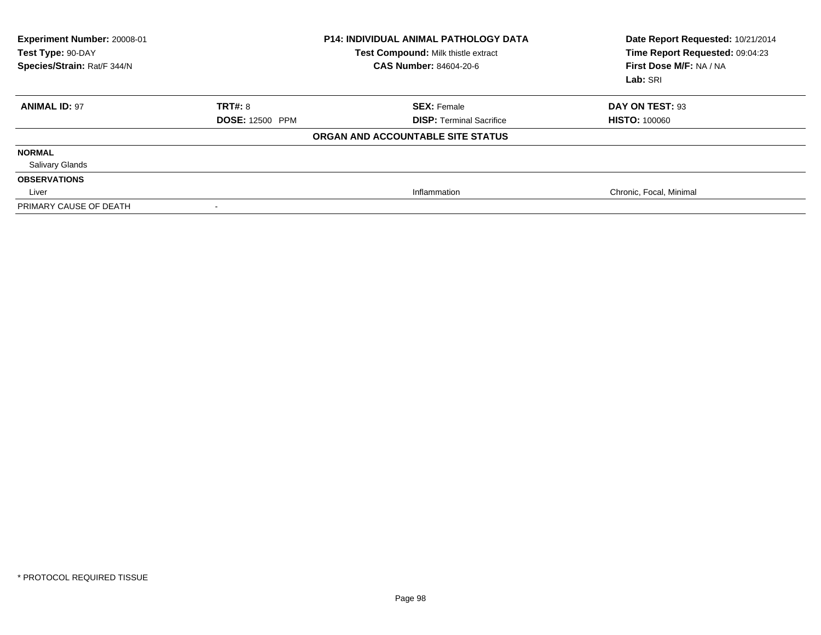| Experiment Number: 20008-01<br>Test Type: 90-DAY<br>Species/Strain: Rat/F 344/N |                        | <b>P14: INDIVIDUAL ANIMAL PATHOLOGY DATA</b><br>Test Compound: Milk thistle extract<br><b>CAS Number: 84604-20-6</b> | Date Report Requested: 10/21/2014<br>Time Report Requested: 09:04:23<br>First Dose M/F: NA / NA<br>Lab: SRI |
|---------------------------------------------------------------------------------|------------------------|----------------------------------------------------------------------------------------------------------------------|-------------------------------------------------------------------------------------------------------------|
| <b>ANIMAL ID: 97</b>                                                            | <b>TRT#: 8</b>         | <b>SEX: Female</b>                                                                                                   | DAY ON TEST: 93                                                                                             |
|                                                                                 | <b>DOSE: 12500 PPM</b> | <b>DISP:</b> Terminal Sacrifice                                                                                      | <b>HISTO: 100060</b>                                                                                        |
|                                                                                 |                        | ORGAN AND ACCOUNTABLE SITE STATUS                                                                                    |                                                                                                             |
| <b>NORMAL</b>                                                                   |                        |                                                                                                                      |                                                                                                             |
| <b>Salivary Glands</b>                                                          |                        |                                                                                                                      |                                                                                                             |
| <b>OBSERVATIONS</b>                                                             |                        |                                                                                                                      |                                                                                                             |
| Liver                                                                           |                        | Inflammation                                                                                                         | Chronic, Focal, Minimal                                                                                     |
| PRIMARY CAUSE OF DEATH                                                          | $\,$                   |                                                                                                                      |                                                                                                             |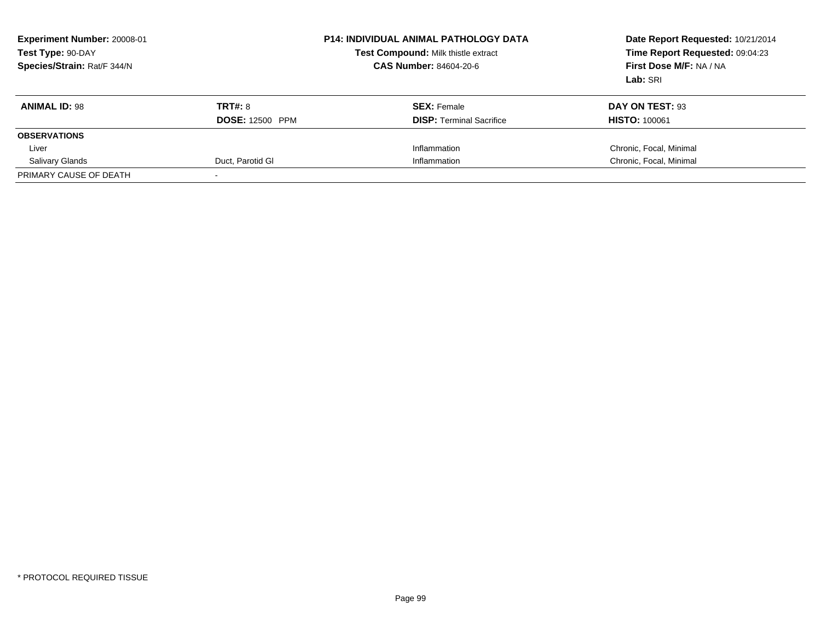| <b>Experiment Number: 20008-01</b><br>Test Type: 90-DAY<br>Species/Strain: Rat/F 344/N |                        | <b>P14: INDIVIDUAL ANIMAL PATHOLOGY DATA</b><br>Test Compound: Milk thistle extract<br><b>CAS Number: 84604-20-6</b> | Date Report Requested: 10/21/2014<br>Time Report Requested: 09:04:23<br>First Dose M/F: NA / NA<br>Lab: SRI |
|----------------------------------------------------------------------------------------|------------------------|----------------------------------------------------------------------------------------------------------------------|-------------------------------------------------------------------------------------------------------------|
| <b>ANIMAL ID: 98</b>                                                                   | <b>TRT#: 8</b>         | <b>SEX:</b> Female                                                                                                   | DAY ON TEST: 93                                                                                             |
|                                                                                        | <b>DOSE: 12500 PPM</b> | <b>DISP:</b> Terminal Sacrifice                                                                                      | <b>HISTO: 100061</b>                                                                                        |
| <b>OBSERVATIONS</b>                                                                    |                        |                                                                                                                      |                                                                                                             |
| Liver                                                                                  |                        | Inflammation                                                                                                         | Chronic, Focal, Minimal                                                                                     |
| <b>Salivary Glands</b>                                                                 | Duct, Parotid GI       | Inflammation                                                                                                         | Chronic, Focal, Minimal                                                                                     |
| PRIMARY CAUSE OF DEATH                                                                 |                        |                                                                                                                      |                                                                                                             |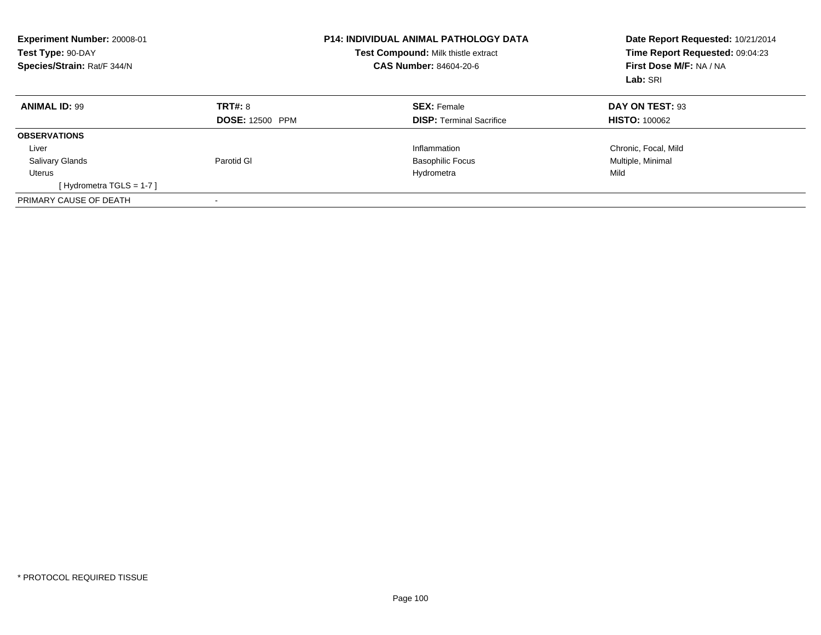| Experiment Number: 20008-01<br>Test Type: 90-DAY<br>Species/Strain: Rat/F 344/N |                        | <b>P14: INDIVIDUAL ANIMAL PATHOLOGY DATA</b><br><b>Test Compound: Milk thistle extract</b><br><b>CAS Number: 84604-20-6</b> | Date Report Requested: 10/21/2014<br>Time Report Requested: 09:04:23<br>First Dose M/F: NA / NA<br>Lab: SRI |
|---------------------------------------------------------------------------------|------------------------|-----------------------------------------------------------------------------------------------------------------------------|-------------------------------------------------------------------------------------------------------------|
| <b>ANIMAL ID: 99</b>                                                            | TRT#: 8                | <b>SEX: Female</b>                                                                                                          | DAY ON TEST: 93                                                                                             |
|                                                                                 | <b>DOSE: 12500 PPM</b> | <b>DISP:</b> Terminal Sacrifice                                                                                             | <b>HISTO: 100062</b>                                                                                        |
| <b>OBSERVATIONS</b>                                                             |                        |                                                                                                                             |                                                                                                             |
| Liver                                                                           |                        | Inflammation                                                                                                                | Chronic, Focal, Mild                                                                                        |
| <b>Salivary Glands</b>                                                          | Parotid GI             | <b>Basophilic Focus</b>                                                                                                     | Multiple, Minimal                                                                                           |
| Uterus                                                                          |                        | Hydrometra                                                                                                                  | Mild                                                                                                        |
| [Hydrometra TGLS = $1-7$ ]                                                      |                        |                                                                                                                             |                                                                                                             |
| PRIMARY CAUSE OF DEATH                                                          |                        |                                                                                                                             |                                                                                                             |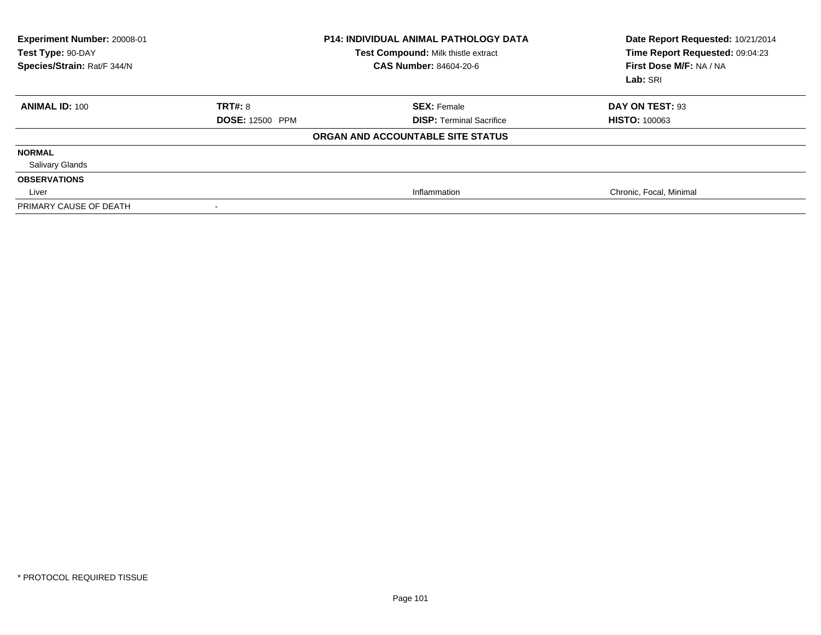| Experiment Number: 20008-01<br>Test Type: 90-DAY<br>Species/Strain: Rat/F 344/N |                        | <b>P14: INDIVIDUAL ANIMAL PATHOLOGY DATA</b><br>Test Compound: Milk thistle extract<br><b>CAS Number: 84604-20-6</b> | Date Report Requested: 10/21/2014<br>Time Report Requested: 09:04:23<br>First Dose M/F: NA / NA<br>Lab: SRI |
|---------------------------------------------------------------------------------|------------------------|----------------------------------------------------------------------------------------------------------------------|-------------------------------------------------------------------------------------------------------------|
| <b>ANIMAL ID: 100</b>                                                           | <b>TRT#: 8</b>         | <b>SEX: Female</b>                                                                                                   | DAY ON TEST: 93                                                                                             |
|                                                                                 | <b>DOSE: 12500 PPM</b> | <b>DISP: Terminal Sacrifice</b>                                                                                      | <b>HISTO: 100063</b>                                                                                        |
|                                                                                 |                        | ORGAN AND ACCOUNTABLE SITE STATUS                                                                                    |                                                                                                             |
| <b>NORMAL</b>                                                                   |                        |                                                                                                                      |                                                                                                             |
| <b>Salivary Glands</b>                                                          |                        |                                                                                                                      |                                                                                                             |
| <b>OBSERVATIONS</b>                                                             |                        |                                                                                                                      |                                                                                                             |
| Liver                                                                           |                        | Inflammation                                                                                                         | Chronic, Focal, Minimal                                                                                     |
| PRIMARY CAUSE OF DEATH                                                          |                        |                                                                                                                      |                                                                                                             |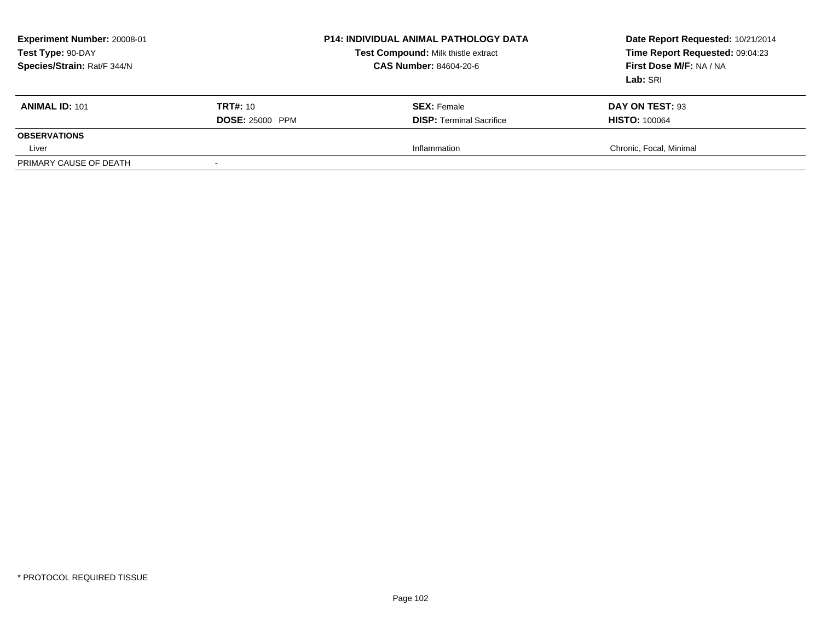| <b>Experiment Number: 20008-01</b><br>Test Type: 90-DAY<br>Species/Strain: Rat/F 344/N |                        | <b>P14: INDIVIDUAL ANIMAL PATHOLOGY DATA</b><br>Test Compound: Milk thistle extract<br><b>CAS Number: 84604-20-6</b> | Date Report Requested: 10/21/2014<br>Time Report Requested: 09:04:23<br>First Dose M/F: NA / NA<br>Lab: SRI |
|----------------------------------------------------------------------------------------|------------------------|----------------------------------------------------------------------------------------------------------------------|-------------------------------------------------------------------------------------------------------------|
| <b>ANIMAL ID: 101</b>                                                                  | <b>TRT#:</b> 10        | <b>SEX: Female</b>                                                                                                   | DAY ON TEST: 93                                                                                             |
|                                                                                        | <b>DOSE: 25000 PPM</b> | <b>DISP: Terminal Sacrifice</b>                                                                                      | <b>HISTO: 100064</b>                                                                                        |
| <b>OBSERVATIONS</b>                                                                    |                        |                                                                                                                      |                                                                                                             |
| Liver                                                                                  |                        | Inflammation                                                                                                         | Chronic, Focal, Minimal                                                                                     |
| PRIMARY CAUSE OF DEATH                                                                 |                        |                                                                                                                      |                                                                                                             |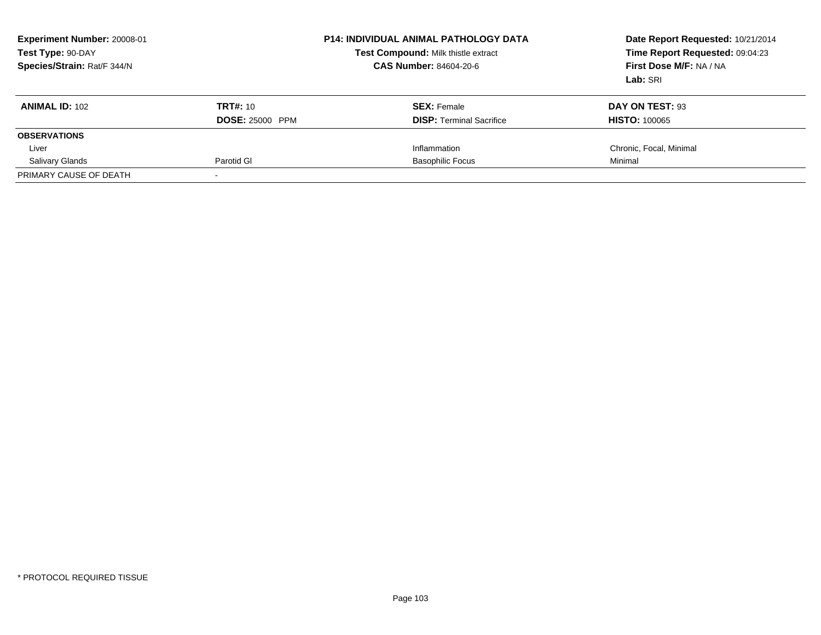| <b>Experiment Number: 20008-01</b><br>Test Type: 90-DAY<br>Species/Strain: Rat/F 344/N |                        | <b>P14: INDIVIDUAL ANIMAL PATHOLOGY DATA</b><br>Test Compound: Milk thistle extract<br><b>CAS Number: 84604-20-6</b> | Date Report Requested: 10/21/2014<br>Time Report Requested: 09:04:23<br>First Dose M/F: NA / NA<br>Lab: SRI |
|----------------------------------------------------------------------------------------|------------------------|----------------------------------------------------------------------------------------------------------------------|-------------------------------------------------------------------------------------------------------------|
| <b>ANIMAL ID: 102</b>                                                                  | <b>TRT#: 10</b>        | <b>SEX:</b> Female                                                                                                   | DAY ON TEST: 93                                                                                             |
|                                                                                        | <b>DOSE: 25000 PPM</b> | <b>DISP:</b> Terminal Sacrifice                                                                                      | <b>HISTO: 100065</b>                                                                                        |
| <b>OBSERVATIONS</b>                                                                    |                        |                                                                                                                      |                                                                                                             |
| Liver                                                                                  |                        | Inflammation                                                                                                         | Chronic, Focal, Minimal                                                                                     |
| <b>Salivary Glands</b>                                                                 | Parotid GI             | <b>Basophilic Focus</b>                                                                                              | Minimal                                                                                                     |
| PRIMARY CAUSE OF DEATH                                                                 |                        |                                                                                                                      |                                                                                                             |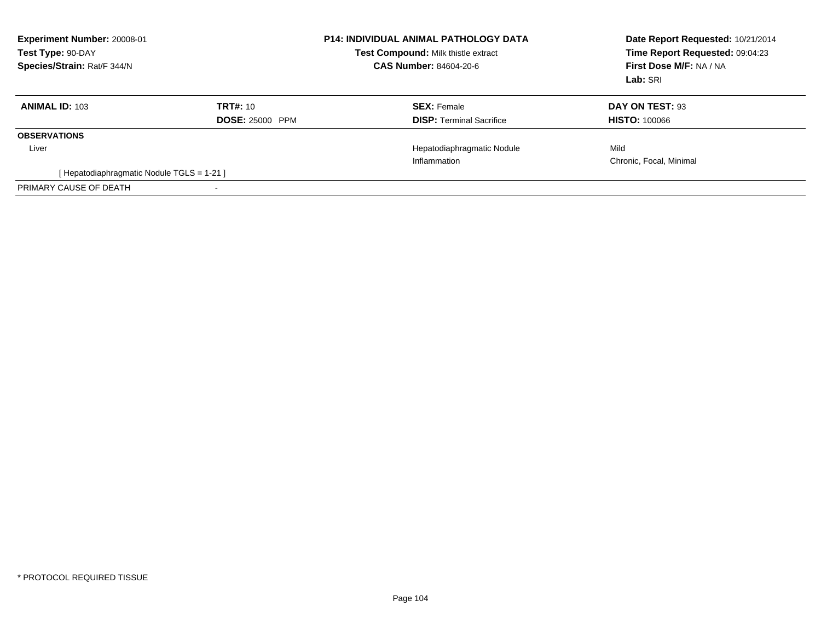| <b>Experiment Number: 20008-01</b><br>Test Type: 90-DAY<br>Species/Strain: Rat/F 344/N |                        | <b>P14: INDIVIDUAL ANIMAL PATHOLOGY DATA</b><br>Test Compound: Milk thistle extract<br>CAS Number: 84604-20-6 | Date Report Requested: 10/21/2014<br>Time Report Requested: 09:04:23<br>First Dose M/F: NA / NA<br>Lab: SRI |
|----------------------------------------------------------------------------------------|------------------------|---------------------------------------------------------------------------------------------------------------|-------------------------------------------------------------------------------------------------------------|
| <b>ANIMAL ID: 103</b>                                                                  | TRT#: 10               | <b>SEX: Female</b>                                                                                            | DAY ON TEST: 93                                                                                             |
|                                                                                        | <b>DOSE: 25000 PPM</b> | <b>DISP:</b> Terminal Sacrifice                                                                               | <b>HISTO: 100066</b>                                                                                        |
| <b>OBSERVATIONS</b>                                                                    |                        |                                                                                                               |                                                                                                             |
| Liver                                                                                  |                        | Hepatodiaphragmatic Nodule                                                                                    | Mild                                                                                                        |
|                                                                                        |                        | Inflammation                                                                                                  | Chronic, Focal, Minimal                                                                                     |
| [Hepatodiaphragmatic Nodule TGLS = 1-21]                                               |                        |                                                                                                               |                                                                                                             |
| PRIMARY CAUSE OF DEATH                                                                 |                        |                                                                                                               |                                                                                                             |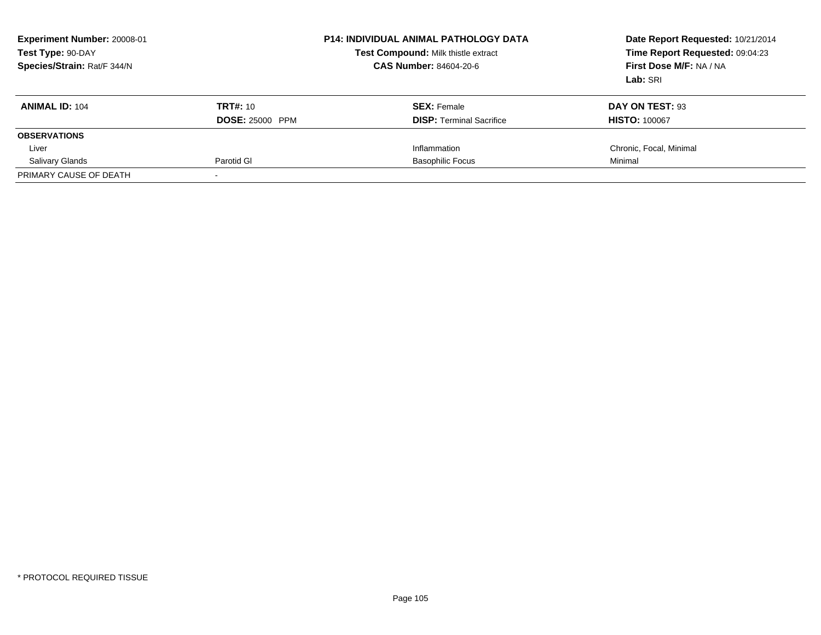| <b>Experiment Number: 20008-01</b><br>Test Type: 90-DAY<br>Species/Strain: Rat/F 344/N |                        | <b>P14: INDIVIDUAL ANIMAL PATHOLOGY DATA</b><br>Test Compound: Milk thistle extract<br><b>CAS Number: 84604-20-6</b> | Date Report Requested: 10/21/2014<br>Time Report Requested: 09:04:23<br>First Dose M/F: NA / NA<br>Lab: SRI |
|----------------------------------------------------------------------------------------|------------------------|----------------------------------------------------------------------------------------------------------------------|-------------------------------------------------------------------------------------------------------------|
| <b>ANIMAL ID: 104</b>                                                                  | <b>TRT#: 10</b>        | <b>SEX:</b> Female                                                                                                   | DAY ON TEST: 93                                                                                             |
|                                                                                        | <b>DOSE: 25000 PPM</b> | <b>DISP:</b> Terminal Sacrifice                                                                                      | <b>HISTO: 100067</b>                                                                                        |
| <b>OBSERVATIONS</b>                                                                    |                        |                                                                                                                      |                                                                                                             |
| Liver                                                                                  |                        | Inflammation                                                                                                         | Chronic, Focal, Minimal                                                                                     |
| <b>Salivary Glands</b>                                                                 | Parotid GI             | <b>Basophilic Focus</b>                                                                                              | Minimal                                                                                                     |
| PRIMARY CAUSE OF DEATH                                                                 |                        |                                                                                                                      |                                                                                                             |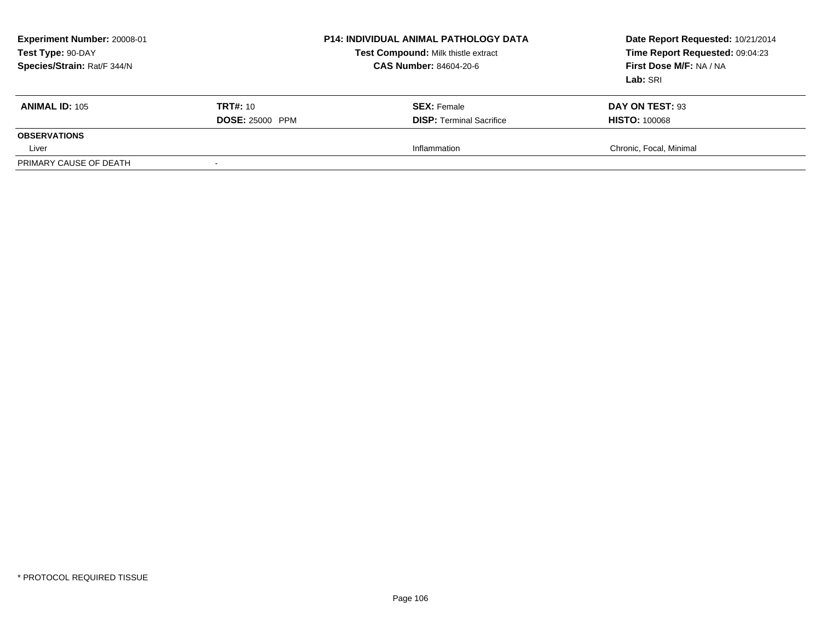| Experiment Number: 20008-01<br>Test Type: 90-DAY<br>Species/Strain: Rat/F 344/N |                        | <b>P14: INDIVIDUAL ANIMAL PATHOLOGY DATA</b><br>Test Compound: Milk thistle extract<br><b>CAS Number: 84604-20-6</b> | Date Report Requested: 10/21/2014<br>Time Report Requested: 09:04:23<br>First Dose M/F: NA / NA<br>Lab: SRI |
|---------------------------------------------------------------------------------|------------------------|----------------------------------------------------------------------------------------------------------------------|-------------------------------------------------------------------------------------------------------------|
| <b>ANIMAL ID: 105</b>                                                           | <b>TRT#: 10</b>        | <b>SEX: Female</b>                                                                                                   | DAY ON TEST: 93                                                                                             |
|                                                                                 | <b>DOSE: 25000 PPM</b> | <b>DISP: Terminal Sacrifice</b>                                                                                      | <b>HISTO: 100068</b>                                                                                        |
| <b>OBSERVATIONS</b>                                                             |                        |                                                                                                                      |                                                                                                             |
| Liver                                                                           |                        | Inflammation                                                                                                         | Chronic, Focal, Minimal                                                                                     |
| PRIMARY CAUSE OF DEATH                                                          |                        |                                                                                                                      |                                                                                                             |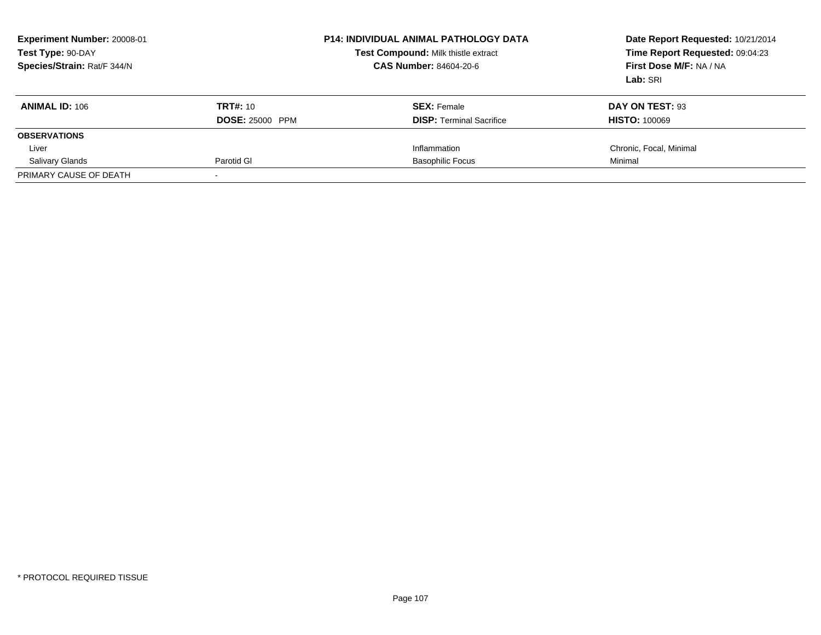| <b>Experiment Number: 20008-01</b><br>Test Type: 90-DAY<br>Species/Strain: Rat/F 344/N |                        | <b>P14: INDIVIDUAL ANIMAL PATHOLOGY DATA</b><br>Test Compound: Milk thistle extract<br><b>CAS Number: 84604-20-6</b> | Date Report Requested: 10/21/2014<br>Time Report Requested: 09:04:23<br>First Dose M/F: NA / NA<br>Lab: SRI |
|----------------------------------------------------------------------------------------|------------------------|----------------------------------------------------------------------------------------------------------------------|-------------------------------------------------------------------------------------------------------------|
| <b>ANIMAL ID: 106</b>                                                                  | <b>TRT#: 10</b>        | <b>SEX:</b> Female                                                                                                   | DAY ON TEST: 93                                                                                             |
|                                                                                        | <b>DOSE: 25000 PPM</b> | <b>DISP:</b> Terminal Sacrifice                                                                                      | <b>HISTO: 100069</b>                                                                                        |
| <b>OBSERVATIONS</b>                                                                    |                        |                                                                                                                      |                                                                                                             |
| Liver                                                                                  |                        | Inflammation                                                                                                         | Chronic, Focal, Minimal                                                                                     |
| <b>Salivary Glands</b>                                                                 | Parotid GI             | <b>Basophilic Focus</b>                                                                                              | Minimal                                                                                                     |
| PRIMARY CAUSE OF DEATH                                                                 |                        |                                                                                                                      |                                                                                                             |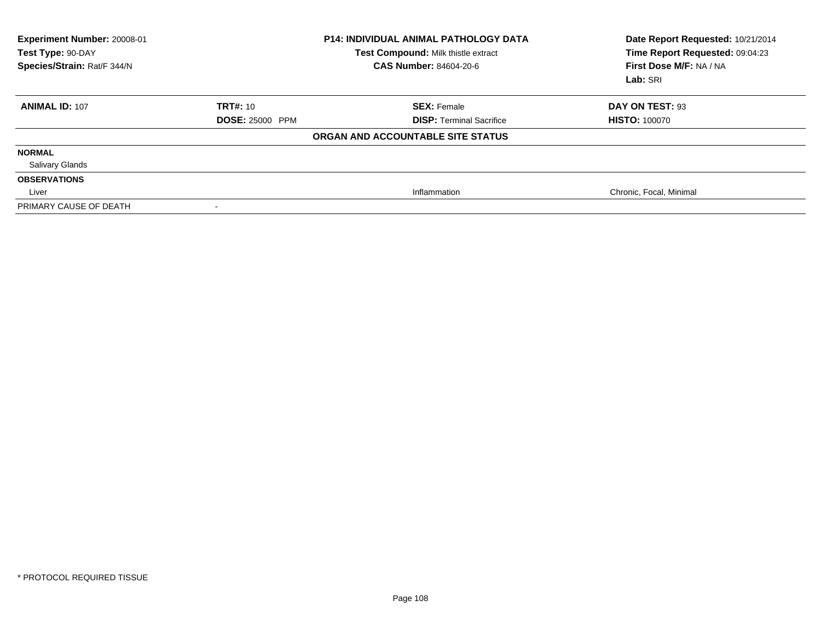| Experiment Number: 20008-01<br>Test Type: 90-DAY<br>Species/Strain: Rat/F 344/N |                        | <b>P14: INDIVIDUAL ANIMAL PATHOLOGY DATA</b><br>Test Compound: Milk thistle extract<br><b>CAS Number: 84604-20-6</b> | Date Report Requested: 10/21/2014<br>Time Report Requested: 09:04:23<br>First Dose M/F: NA / NA<br>Lab: SRI |
|---------------------------------------------------------------------------------|------------------------|----------------------------------------------------------------------------------------------------------------------|-------------------------------------------------------------------------------------------------------------|
| <b>ANIMAL ID: 107</b>                                                           | <b>TRT#: 10</b>        | <b>SEX: Female</b>                                                                                                   | DAY ON TEST: 93                                                                                             |
|                                                                                 | <b>DOSE: 25000 PPM</b> | <b>DISP: Terminal Sacrifice</b>                                                                                      | <b>HISTO: 100070</b>                                                                                        |
|                                                                                 |                        | ORGAN AND ACCOUNTABLE SITE STATUS                                                                                    |                                                                                                             |
| <b>NORMAL</b>                                                                   |                        |                                                                                                                      |                                                                                                             |
| <b>Salivary Glands</b>                                                          |                        |                                                                                                                      |                                                                                                             |
| <b>OBSERVATIONS</b>                                                             |                        |                                                                                                                      |                                                                                                             |
| Liver                                                                           |                        | Inflammation                                                                                                         | Chronic, Focal, Minimal                                                                                     |
| PRIMARY CAUSE OF DEATH                                                          | $\,$                   |                                                                                                                      |                                                                                                             |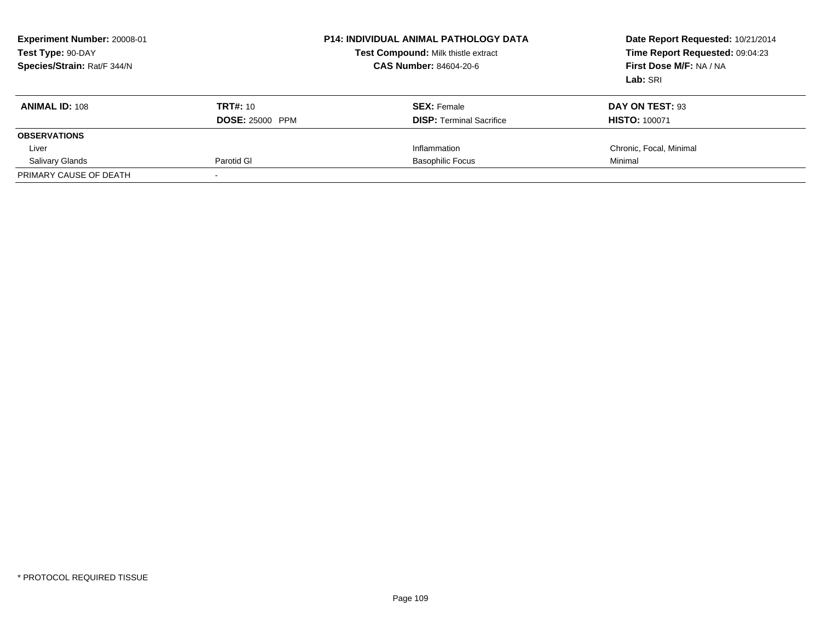| <b>Experiment Number: 20008-01</b><br>Test Type: 90-DAY<br>Species/Strain: Rat/F 344/N |                        | <b>P14: INDIVIDUAL ANIMAL PATHOLOGY DATA</b><br>Test Compound: Milk thistle extract<br><b>CAS Number: 84604-20-6</b> | Date Report Requested: 10/21/2014<br>Time Report Requested: 09:04:23<br>First Dose M/F: NA / NA<br>Lab: SRI |
|----------------------------------------------------------------------------------------|------------------------|----------------------------------------------------------------------------------------------------------------------|-------------------------------------------------------------------------------------------------------------|
| <b>ANIMAL ID: 108</b>                                                                  | <b>TRT#: 10</b>        | <b>SEX:</b> Female                                                                                                   | DAY ON TEST: 93                                                                                             |
|                                                                                        | <b>DOSE: 25000 PPM</b> | <b>DISP:</b> Terminal Sacrifice                                                                                      | <b>HISTO: 100071</b>                                                                                        |
| <b>OBSERVATIONS</b>                                                                    |                        |                                                                                                                      |                                                                                                             |
| Liver                                                                                  |                        | Inflammation                                                                                                         | Chronic, Focal, Minimal                                                                                     |
| <b>Salivary Glands</b>                                                                 | Parotid GI             | <b>Basophilic Focus</b>                                                                                              | Minimal                                                                                                     |
| PRIMARY CAUSE OF DEATH                                                                 |                        |                                                                                                                      |                                                                                                             |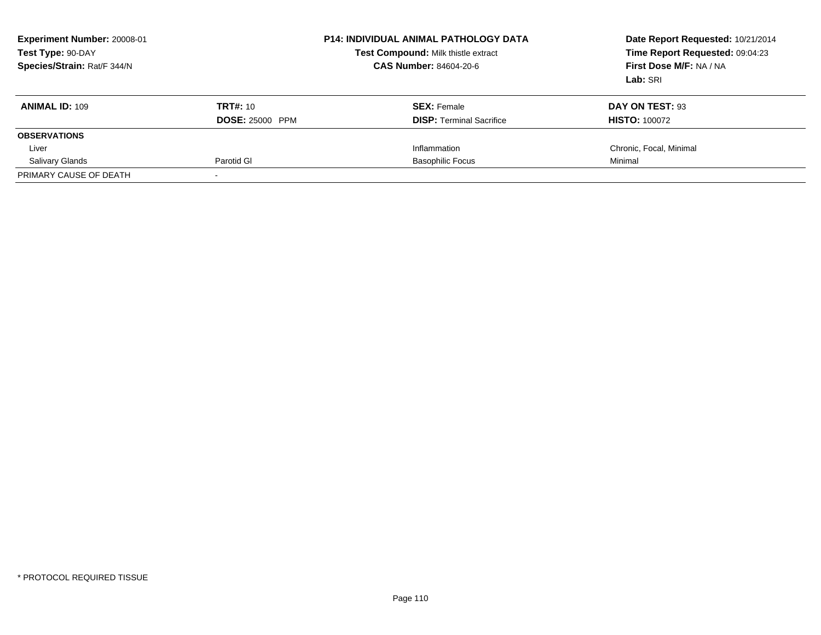| <b>Experiment Number: 20008-01</b><br>Test Type: 90-DAY<br>Species/Strain: Rat/F 344/N |                        | <b>P14: INDIVIDUAL ANIMAL PATHOLOGY DATA</b><br>Test Compound: Milk thistle extract<br><b>CAS Number: 84604-20-6</b> | Date Report Requested: 10/21/2014<br>Time Report Requested: 09:04:23<br>First Dose M/F: NA / NA<br>Lab: SRI |
|----------------------------------------------------------------------------------------|------------------------|----------------------------------------------------------------------------------------------------------------------|-------------------------------------------------------------------------------------------------------------|
| <b>ANIMAL ID: 109</b>                                                                  | <b>TRT#: 10</b>        | <b>SEX:</b> Female                                                                                                   | DAY ON TEST: 93                                                                                             |
|                                                                                        | <b>DOSE: 25000 PPM</b> | <b>DISP:</b> Terminal Sacrifice                                                                                      | <b>HISTO: 100072</b>                                                                                        |
| <b>OBSERVATIONS</b>                                                                    |                        |                                                                                                                      |                                                                                                             |
| Liver                                                                                  |                        | Inflammation                                                                                                         | Chronic, Focal, Minimal                                                                                     |
| <b>Salivary Glands</b>                                                                 | Parotid GI             | <b>Basophilic Focus</b>                                                                                              | Minimal                                                                                                     |
| PRIMARY CAUSE OF DEATH                                                                 |                        |                                                                                                                      |                                                                                                             |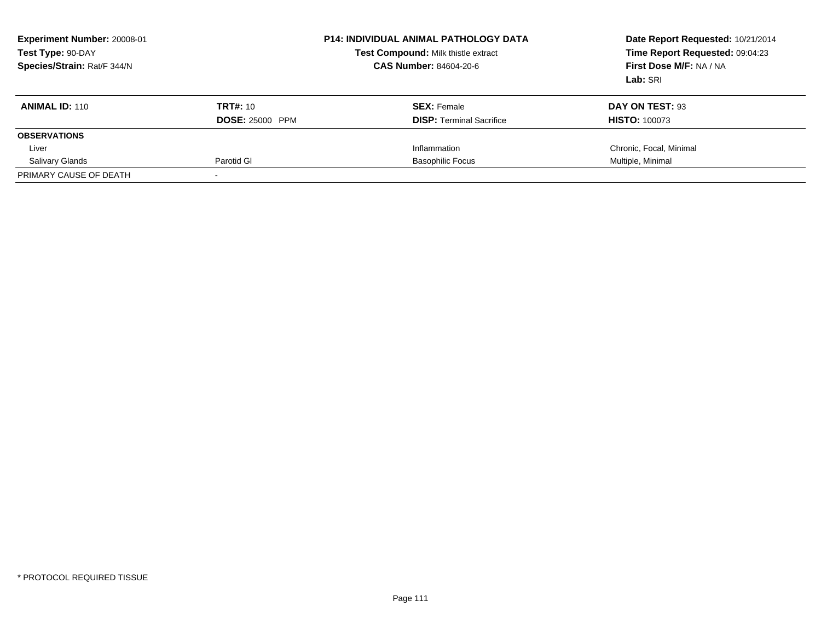| Experiment Number: 20008-01<br>Test Type: 90-DAY<br>Species/Strain: Rat/F 344/N |                        | <b>P14: INDIVIDUAL ANIMAL PATHOLOGY DATA</b><br><b>Test Compound: Milk thistle extract</b><br><b>CAS Number: 84604-20-6</b> | Date Report Requested: 10/21/2014<br>Time Report Requested: 09:04:23<br>First Dose M/F: NA / NA<br>Lab: SRI |
|---------------------------------------------------------------------------------|------------------------|-----------------------------------------------------------------------------------------------------------------------------|-------------------------------------------------------------------------------------------------------------|
| <b>ANIMAL ID: 110</b>                                                           | <b>TRT#:</b> 10        | <b>SEX:</b> Female                                                                                                          | DAY ON TEST: 93                                                                                             |
|                                                                                 | <b>DOSE: 25000 PPM</b> | <b>DISP:</b> Terminal Sacrifice                                                                                             | <b>HISTO: 100073</b>                                                                                        |
| <b>OBSERVATIONS</b>                                                             |                        |                                                                                                                             |                                                                                                             |
| Liver                                                                           |                        | Inflammation                                                                                                                | Chronic, Focal, Minimal                                                                                     |
| <b>Salivary Glands</b>                                                          | Parotid GI             | <b>Basophilic Focus</b>                                                                                                     | Multiple, Minimal                                                                                           |
| PRIMARY CAUSE OF DEATH                                                          |                        |                                                                                                                             |                                                                                                             |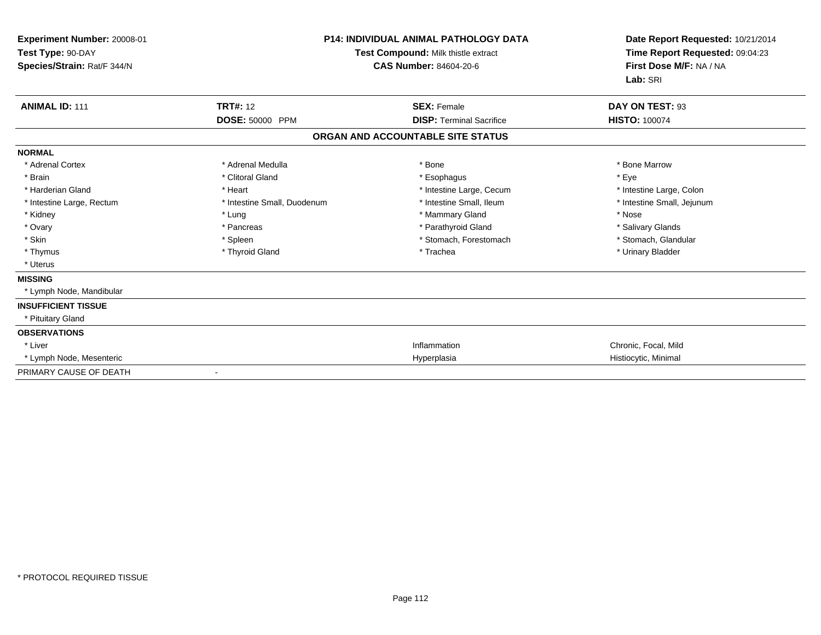| Experiment Number: 20008-01<br>Test Type: 90-DAY<br>Species/Strain: Rat/F 344/N |                             | <b>P14: INDIVIDUAL ANIMAL PATHOLOGY DATA</b><br>Test Compound: Milk thistle extract<br><b>CAS Number: 84604-20-6</b> | Date Report Requested: 10/21/2014<br>Time Report Requested: 09:04:23<br>First Dose M/F: NA / NA<br>Lab: SRI |  |
|---------------------------------------------------------------------------------|-----------------------------|----------------------------------------------------------------------------------------------------------------------|-------------------------------------------------------------------------------------------------------------|--|
| <b>ANIMAL ID: 111</b>                                                           | <b>TRT#: 12</b>             | <b>SEX: Female</b>                                                                                                   | DAY ON TEST: 93                                                                                             |  |
|                                                                                 | DOSE: 50000 PPM             | <b>DISP: Terminal Sacrifice</b>                                                                                      | <b>HISTO: 100074</b>                                                                                        |  |
|                                                                                 |                             | ORGAN AND ACCOUNTABLE SITE STATUS                                                                                    |                                                                                                             |  |
| <b>NORMAL</b>                                                                   |                             |                                                                                                                      |                                                                                                             |  |
| * Adrenal Cortex                                                                | * Adrenal Medulla           | * Bone                                                                                                               | * Bone Marrow                                                                                               |  |
| * Brain                                                                         | * Clitoral Gland            | * Esophagus                                                                                                          | * Eye                                                                                                       |  |
| * Harderian Gland                                                               | * Heart                     | * Intestine Large, Cecum                                                                                             | * Intestine Large, Colon                                                                                    |  |
| * Intestine Large, Rectum                                                       | * Intestine Small, Duodenum | * Intestine Small, Ileum                                                                                             | * Intestine Small, Jejunum                                                                                  |  |
| * Kidney                                                                        | * Lung                      | * Mammary Gland                                                                                                      | * Nose                                                                                                      |  |
| * Ovary                                                                         | * Pancreas                  | * Parathyroid Gland                                                                                                  | * Salivary Glands                                                                                           |  |
| * Skin                                                                          | * Spleen                    | * Stomach, Forestomach                                                                                               | * Stomach, Glandular                                                                                        |  |
| * Thymus                                                                        | * Thyroid Gland             | * Trachea                                                                                                            | * Urinary Bladder                                                                                           |  |
| * Uterus                                                                        |                             |                                                                                                                      |                                                                                                             |  |
| <b>MISSING</b>                                                                  |                             |                                                                                                                      |                                                                                                             |  |
| * Lymph Node, Mandibular                                                        |                             |                                                                                                                      |                                                                                                             |  |
| <b>INSUFFICIENT TISSUE</b>                                                      |                             |                                                                                                                      |                                                                                                             |  |
| * Pituitary Gland                                                               |                             |                                                                                                                      |                                                                                                             |  |
| <b>OBSERVATIONS</b>                                                             |                             |                                                                                                                      |                                                                                                             |  |
| * Liver                                                                         |                             | Inflammation                                                                                                         | Chronic, Focal, Mild                                                                                        |  |
| * Lymph Node, Mesenteric                                                        |                             | Hyperplasia                                                                                                          | Histiocytic, Minimal                                                                                        |  |
| PRIMARY CAUSE OF DEATH                                                          |                             |                                                                                                                      |                                                                                                             |  |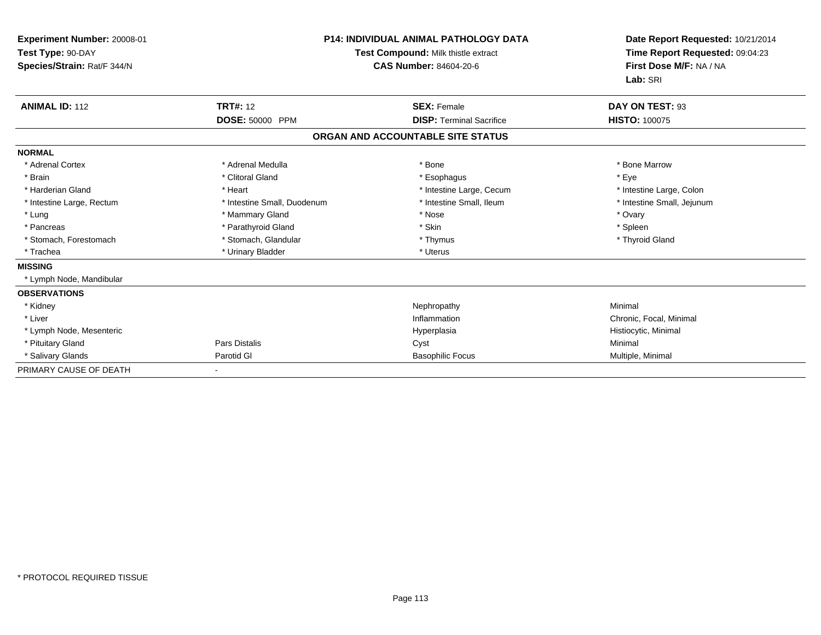| Experiment Number: 20008-01<br>Test Type: 90-DAY<br>Species/Strain: Rat/F 344/N |                             | <b>P14: INDIVIDUAL ANIMAL PATHOLOGY DATA</b><br>Test Compound: Milk thistle extract<br><b>CAS Number: 84604-20-6</b> |                            |
|---------------------------------------------------------------------------------|-----------------------------|----------------------------------------------------------------------------------------------------------------------|----------------------------|
| <b>ANIMAL ID: 112</b>                                                           | <b>TRT#: 12</b>             | <b>SEX: Female</b>                                                                                                   | DAY ON TEST: 93            |
|                                                                                 | DOSE: 50000 PPM             | <b>DISP: Terminal Sacrifice</b>                                                                                      | <b>HISTO: 100075</b>       |
|                                                                                 |                             | ORGAN AND ACCOUNTABLE SITE STATUS                                                                                    |                            |
| <b>NORMAL</b>                                                                   |                             |                                                                                                                      |                            |
| * Adrenal Cortex                                                                | * Adrenal Medulla           | * Bone                                                                                                               | * Bone Marrow              |
| * Brain                                                                         | * Clitoral Gland            | * Esophagus                                                                                                          | * Eye                      |
| * Harderian Gland                                                               | * Heart                     | * Intestine Large, Cecum                                                                                             | * Intestine Large, Colon   |
| * Intestine Large, Rectum                                                       | * Intestine Small, Duodenum | * Intestine Small, Ileum                                                                                             | * Intestine Small, Jejunum |
| * Lung                                                                          | * Mammary Gland             | * Nose                                                                                                               | * Ovary                    |
| * Pancreas                                                                      | * Parathyroid Gland         | * Skin                                                                                                               | * Spleen                   |
| * Stomach, Forestomach                                                          | * Stomach, Glandular        | * Thymus                                                                                                             | * Thyroid Gland            |
| * Trachea                                                                       | * Urinary Bladder           | * Uterus                                                                                                             |                            |
| <b>MISSING</b>                                                                  |                             |                                                                                                                      |                            |
| * Lymph Node, Mandibular                                                        |                             |                                                                                                                      |                            |
| <b>OBSERVATIONS</b>                                                             |                             |                                                                                                                      |                            |
| * Kidney                                                                        |                             | Nephropathy                                                                                                          | Minimal                    |
| * Liver                                                                         |                             | Inflammation                                                                                                         | Chronic, Focal, Minimal    |
| * Lymph Node, Mesenteric                                                        |                             | Hyperplasia                                                                                                          | Histiocytic, Minimal       |
| * Pituitary Gland                                                               | Pars Distalis               | Cyst                                                                                                                 | Minimal                    |
| * Salivary Glands                                                               | Parotid GI                  | <b>Basophilic Focus</b>                                                                                              | Multiple, Minimal          |
| PRIMARY CAUSE OF DEATH                                                          |                             |                                                                                                                      |                            |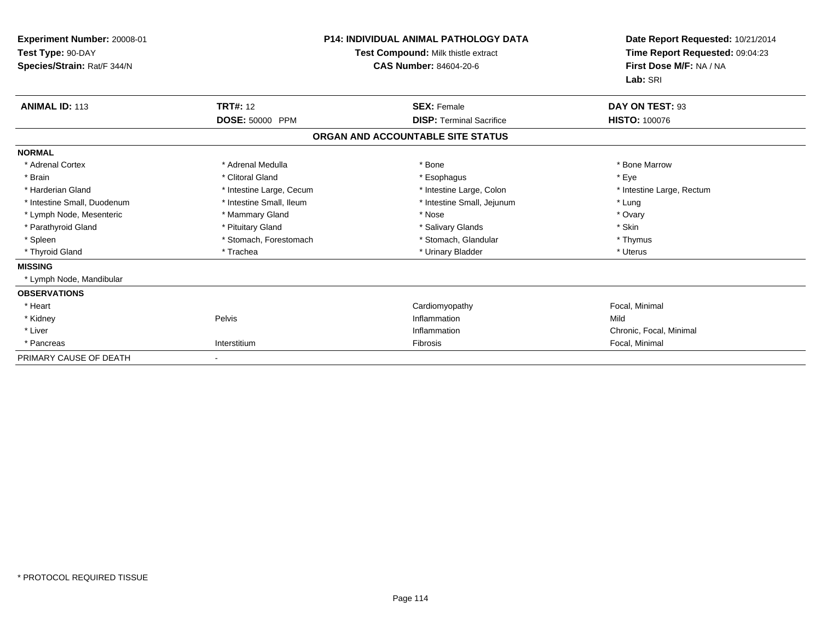| Experiment Number: 20008-01<br>Test Type: 90-DAY<br>Species/Strain: Rat/F 344/N | <b>P14: INDIVIDUAL ANIMAL PATHOLOGY DATA</b><br>Test Compound: Milk thistle extract<br><b>CAS Number: 84604-20-6</b> |                                   | Date Report Requested: 10/21/2014<br>Time Report Requested: 09:04:23<br>First Dose M/F: NA / NA<br>Lab: SRI |
|---------------------------------------------------------------------------------|----------------------------------------------------------------------------------------------------------------------|-----------------------------------|-------------------------------------------------------------------------------------------------------------|
| <b>ANIMAL ID: 113</b>                                                           | <b>TRT#: 12</b>                                                                                                      | <b>SEX: Female</b>                | DAY ON TEST: 93                                                                                             |
|                                                                                 | DOSE: 50000 PPM                                                                                                      | <b>DISP: Terminal Sacrifice</b>   | <b>HISTO: 100076</b>                                                                                        |
|                                                                                 |                                                                                                                      | ORGAN AND ACCOUNTABLE SITE STATUS |                                                                                                             |
| <b>NORMAL</b>                                                                   |                                                                                                                      |                                   |                                                                                                             |
| * Adrenal Cortex                                                                | * Adrenal Medulla                                                                                                    | * Bone                            | * Bone Marrow                                                                                               |
| * Brain                                                                         | * Clitoral Gland                                                                                                     | * Esophagus                       | * Eye                                                                                                       |
| * Harderian Gland                                                               | * Intestine Large, Cecum                                                                                             | * Intestine Large, Colon          | * Intestine Large, Rectum                                                                                   |
| * Intestine Small, Duodenum                                                     | * Intestine Small, Ileum                                                                                             | * Intestine Small, Jejunum        | * Lung                                                                                                      |
| * Lymph Node, Mesenteric                                                        | * Mammary Gland                                                                                                      | * Nose                            | * Ovary                                                                                                     |
| * Parathyroid Gland                                                             | * Pituitary Gland                                                                                                    | * Salivary Glands                 | * Skin                                                                                                      |
| * Spleen                                                                        | * Stomach, Forestomach                                                                                               | * Stomach, Glandular              | * Thymus                                                                                                    |
| * Thyroid Gland                                                                 | * Trachea                                                                                                            | * Urinary Bladder                 | * Uterus                                                                                                    |
| <b>MISSING</b>                                                                  |                                                                                                                      |                                   |                                                                                                             |
| * Lymph Node, Mandibular                                                        |                                                                                                                      |                                   |                                                                                                             |
| <b>OBSERVATIONS</b>                                                             |                                                                                                                      |                                   |                                                                                                             |
| * Heart                                                                         |                                                                                                                      | Cardiomyopathy                    | Focal, Minimal                                                                                              |
| * Kidney                                                                        | Pelvis                                                                                                               | Inflammation                      | Mild                                                                                                        |
| * Liver                                                                         |                                                                                                                      | Inflammation                      | Chronic, Focal, Minimal                                                                                     |
| * Pancreas                                                                      | Interstitium                                                                                                         | Fibrosis                          | Focal, Minimal                                                                                              |
| PRIMARY CAUSE OF DEATH                                                          |                                                                                                                      |                                   |                                                                                                             |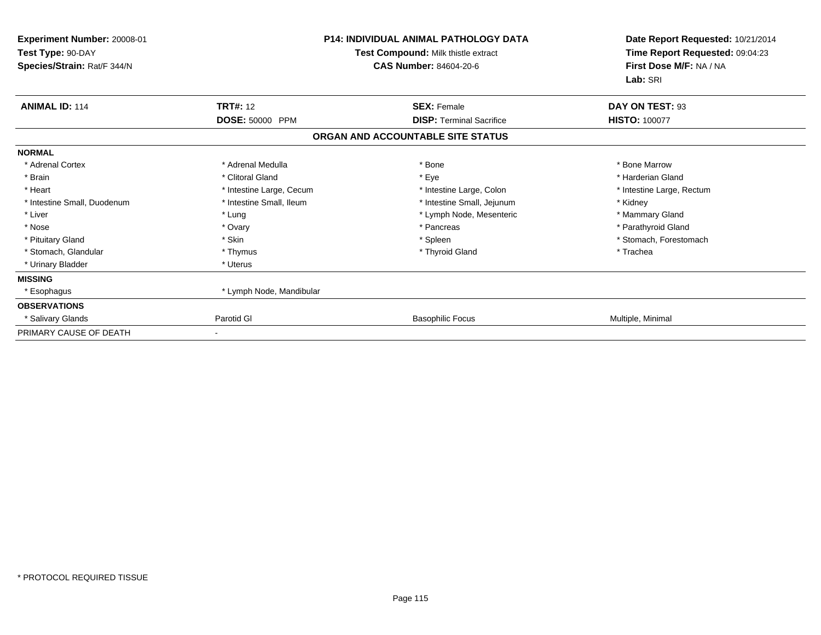| Experiment Number: 20008-01<br>Test Type: 90-DAY<br>Species/Strain: Rat/F 344/N | <b>P14: INDIVIDUAL ANIMAL PATHOLOGY DATA</b><br>Test Compound: Milk thistle extract<br><b>CAS Number: 84604-20-6</b> |                                                       | Date Report Requested: 10/21/2014<br>Time Report Requested: 09:04:23<br>First Dose M/F: NA / NA<br>Lab: SRI |  |
|---------------------------------------------------------------------------------|----------------------------------------------------------------------------------------------------------------------|-------------------------------------------------------|-------------------------------------------------------------------------------------------------------------|--|
| <b>ANIMAL ID: 114</b>                                                           | <b>TRT#: 12</b><br>DOSE: 50000 PPM                                                                                   | <b>SEX: Female</b><br><b>DISP: Terminal Sacrifice</b> | DAY ON TEST: 93<br><b>HISTO: 100077</b>                                                                     |  |
|                                                                                 |                                                                                                                      | ORGAN AND ACCOUNTABLE SITE STATUS                     |                                                                                                             |  |
| <b>NORMAL</b>                                                                   |                                                                                                                      |                                                       |                                                                                                             |  |
| * Adrenal Cortex                                                                | * Adrenal Medulla                                                                                                    | * Bone                                                | * Bone Marrow                                                                                               |  |
| * Brain                                                                         | * Clitoral Gland                                                                                                     | * Eye                                                 | * Harderian Gland                                                                                           |  |
| * Heart                                                                         | * Intestine Large, Cecum                                                                                             | * Intestine Large, Colon                              | * Intestine Large, Rectum                                                                                   |  |
| * Intestine Small, Duodenum                                                     | * Intestine Small, Ileum                                                                                             | * Intestine Small, Jejunum                            | * Kidney                                                                                                    |  |
| * Liver                                                                         | * Lung                                                                                                               | * Lymph Node, Mesenteric                              | * Mammary Gland                                                                                             |  |
| * Nose                                                                          | * Ovary                                                                                                              | * Pancreas                                            | * Parathyroid Gland                                                                                         |  |
| * Pituitary Gland                                                               | * Skin                                                                                                               | * Spleen                                              | * Stomach, Forestomach                                                                                      |  |
| * Stomach, Glandular                                                            | * Thymus                                                                                                             | * Thyroid Gland                                       | * Trachea                                                                                                   |  |
| * Urinary Bladder                                                               | * Uterus                                                                                                             |                                                       |                                                                                                             |  |
| <b>MISSING</b>                                                                  |                                                                                                                      |                                                       |                                                                                                             |  |
| * Esophagus                                                                     | * Lymph Node, Mandibular                                                                                             |                                                       |                                                                                                             |  |
| <b>OBSERVATIONS</b>                                                             |                                                                                                                      |                                                       |                                                                                                             |  |
| * Salivary Glands                                                               | Parotid GI                                                                                                           | <b>Basophilic Focus</b>                               | Multiple, Minimal                                                                                           |  |
| PRIMARY CAUSE OF DEATH                                                          |                                                                                                                      |                                                       |                                                                                                             |  |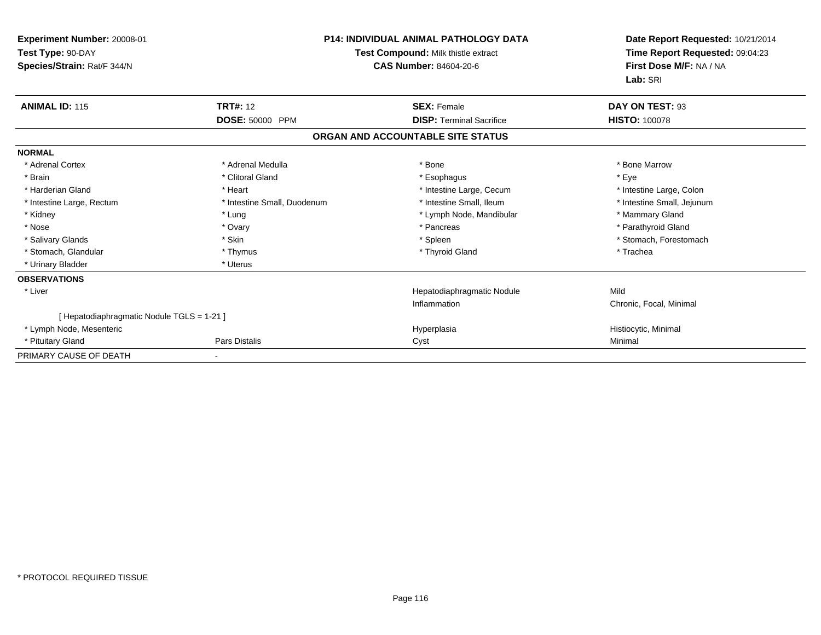| <b>Experiment Number: 20008-01</b><br>Test Type: 90-DAY<br>Species/Strain: Rat/F 344/N | <b>P14: INDIVIDUAL ANIMAL PATHOLOGY DATA</b><br>Test Compound: Milk thistle extract<br><b>CAS Number: 84604-20-6</b> |                                   | Date Report Requested: 10/21/2014<br>Time Report Requested: 09:04:23<br>First Dose M/F: NA / NA<br>Lab: SRI |  |
|----------------------------------------------------------------------------------------|----------------------------------------------------------------------------------------------------------------------|-----------------------------------|-------------------------------------------------------------------------------------------------------------|--|
| <b>ANIMAL ID: 115</b>                                                                  | <b>TRT#: 12</b>                                                                                                      | <b>SEX: Female</b>                | DAY ON TEST: 93                                                                                             |  |
|                                                                                        | DOSE: 50000 PPM                                                                                                      | <b>DISP: Terminal Sacrifice</b>   | <b>HISTO: 100078</b>                                                                                        |  |
|                                                                                        |                                                                                                                      | ORGAN AND ACCOUNTABLE SITE STATUS |                                                                                                             |  |
| <b>NORMAL</b>                                                                          |                                                                                                                      |                                   |                                                                                                             |  |
| * Adrenal Cortex                                                                       | * Adrenal Medulla                                                                                                    | * Bone                            | * Bone Marrow                                                                                               |  |
| * Brain                                                                                | * Clitoral Gland                                                                                                     | * Esophagus                       | * Eve                                                                                                       |  |
| * Harderian Gland                                                                      | * Heart                                                                                                              | * Intestine Large, Cecum          | * Intestine Large, Colon                                                                                    |  |
| * Intestine Large, Rectum                                                              | * Intestine Small, Duodenum                                                                                          | * Intestine Small, Ileum          | * Intestine Small, Jejunum                                                                                  |  |
| * Kidney                                                                               | * Lung                                                                                                               | * Lymph Node, Mandibular          | * Mammary Gland                                                                                             |  |
| * Nose                                                                                 | * Ovary                                                                                                              | * Pancreas                        | * Parathyroid Gland                                                                                         |  |
| * Salivary Glands                                                                      | * Skin                                                                                                               | * Spleen                          | * Stomach, Forestomach                                                                                      |  |
| * Stomach, Glandular                                                                   | * Thymus                                                                                                             | * Thyroid Gland                   | * Trachea                                                                                                   |  |
| * Urinary Bladder                                                                      | * Uterus                                                                                                             |                                   |                                                                                                             |  |
| <b>OBSERVATIONS</b>                                                                    |                                                                                                                      |                                   |                                                                                                             |  |
| * Liver                                                                                |                                                                                                                      | Hepatodiaphragmatic Nodule        | Mild                                                                                                        |  |
|                                                                                        |                                                                                                                      | Inflammation                      | Chronic, Focal, Minimal                                                                                     |  |
| [ Hepatodiaphragmatic Nodule TGLS = 1-21 ]                                             |                                                                                                                      |                                   |                                                                                                             |  |
| * Lymph Node, Mesenteric                                                               |                                                                                                                      | Hyperplasia                       | Histiocytic, Minimal                                                                                        |  |
| * Pituitary Gland                                                                      | <b>Pars Distalis</b>                                                                                                 | Cyst                              | Minimal                                                                                                     |  |
| PRIMARY CAUSE OF DEATH                                                                 |                                                                                                                      |                                   |                                                                                                             |  |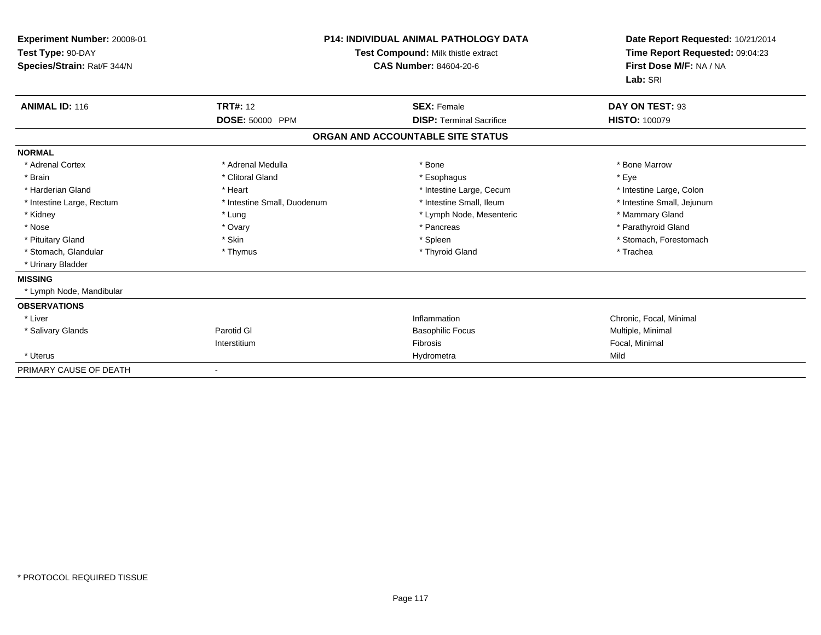| Experiment Number: 20008-01<br>Test Type: 90-DAY<br>Species/Strain: Rat/F 344/N |                             | <b>P14: INDIVIDUAL ANIMAL PATHOLOGY DATA</b><br>Test Compound: Milk thistle extract<br>CAS Number: 84604-20-6 | Date Report Requested: 10/21/2014<br>Time Report Requested: 09:04:23<br>First Dose M/F: NA / NA<br>Lab: SRI |
|---------------------------------------------------------------------------------|-----------------------------|---------------------------------------------------------------------------------------------------------------|-------------------------------------------------------------------------------------------------------------|
| <b>ANIMAL ID: 116</b>                                                           | <b>TRT#: 12</b>             | <b>SEX: Female</b>                                                                                            | DAY ON TEST: 93                                                                                             |
|                                                                                 | DOSE: 50000 PPM             | <b>DISP: Terminal Sacrifice</b>                                                                               | <b>HISTO: 100079</b>                                                                                        |
|                                                                                 |                             | ORGAN AND ACCOUNTABLE SITE STATUS                                                                             |                                                                                                             |
| <b>NORMAL</b>                                                                   |                             |                                                                                                               |                                                                                                             |
| * Adrenal Cortex                                                                | * Adrenal Medulla           | * Bone                                                                                                        | * Bone Marrow                                                                                               |
| * Brain                                                                         | * Clitoral Gland            | * Esophagus                                                                                                   | * Eye                                                                                                       |
| * Harderian Gland                                                               | * Heart                     | * Intestine Large, Cecum                                                                                      | * Intestine Large, Colon                                                                                    |
| * Intestine Large, Rectum                                                       | * Intestine Small, Duodenum | * Intestine Small, Ileum                                                                                      | * Intestine Small, Jejunum                                                                                  |
| * Kidney                                                                        | * Lung                      | * Lymph Node, Mesenteric                                                                                      | * Mammary Gland                                                                                             |
| * Nose                                                                          | * Ovary                     | * Pancreas                                                                                                    | * Parathyroid Gland                                                                                         |
| * Pituitary Gland                                                               | * Skin                      | * Spleen                                                                                                      | * Stomach, Forestomach                                                                                      |
| * Stomach, Glandular                                                            | * Thymus                    | * Thyroid Gland                                                                                               | * Trachea                                                                                                   |
| * Urinary Bladder                                                               |                             |                                                                                                               |                                                                                                             |
| <b>MISSING</b>                                                                  |                             |                                                                                                               |                                                                                                             |
| * Lymph Node, Mandibular                                                        |                             |                                                                                                               |                                                                                                             |
| <b>OBSERVATIONS</b>                                                             |                             |                                                                                                               |                                                                                                             |
| * Liver                                                                         |                             | Inflammation                                                                                                  | Chronic, Focal, Minimal                                                                                     |
| * Salivary Glands                                                               | Parotid GI                  | <b>Basophilic Focus</b>                                                                                       | Multiple, Minimal                                                                                           |
|                                                                                 | Interstitium                | <b>Fibrosis</b>                                                                                               | Focal, Minimal                                                                                              |
| * Uterus                                                                        |                             | Hydrometra                                                                                                    | Mild                                                                                                        |
| PRIMARY CAUSE OF DEATH                                                          |                             |                                                                                                               |                                                                                                             |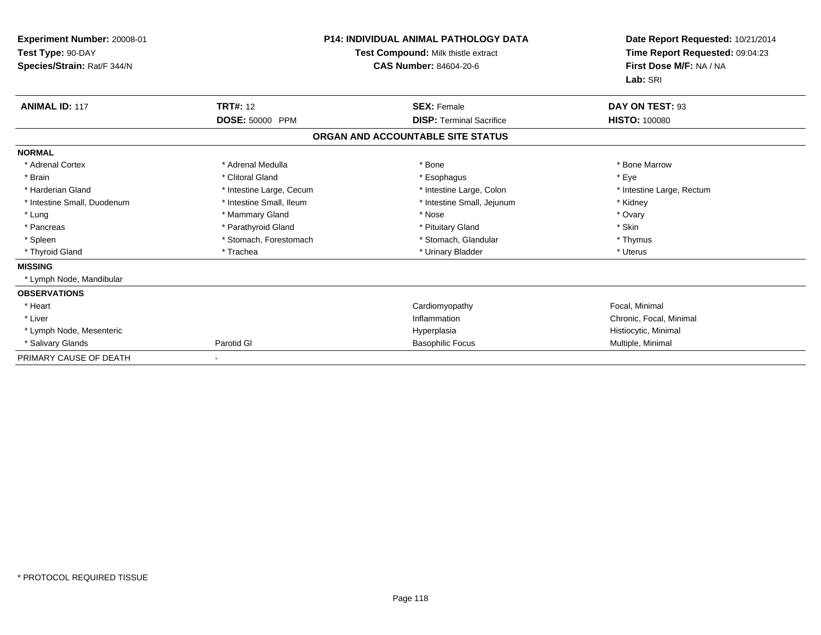| Experiment Number: 20008-01<br>Test Type: 90-DAY<br>Species/Strain: Rat/F 344/N | <b>P14: INDIVIDUAL ANIMAL PATHOLOGY DATA</b><br>Test Compound: Milk thistle extract<br><b>CAS Number: 84604-20-6</b> |                                   | Date Report Requested: 10/21/2014<br>Time Report Requested: 09:04:23<br>First Dose M/F: NA / NA<br>Lab: SRI |
|---------------------------------------------------------------------------------|----------------------------------------------------------------------------------------------------------------------|-----------------------------------|-------------------------------------------------------------------------------------------------------------|
| <b>ANIMAL ID: 117</b>                                                           | <b>TRT#: 12</b>                                                                                                      | <b>SEX: Female</b>                | DAY ON TEST: 93                                                                                             |
|                                                                                 | DOSE: 50000 PPM                                                                                                      | <b>DISP: Terminal Sacrifice</b>   | <b>HISTO: 100080</b>                                                                                        |
|                                                                                 |                                                                                                                      | ORGAN AND ACCOUNTABLE SITE STATUS |                                                                                                             |
| <b>NORMAL</b>                                                                   |                                                                                                                      |                                   |                                                                                                             |
| * Adrenal Cortex                                                                | * Adrenal Medulla                                                                                                    | * Bone                            | * Bone Marrow                                                                                               |
| * Brain                                                                         | * Clitoral Gland                                                                                                     | * Esophagus                       | * Eve                                                                                                       |
| * Harderian Gland                                                               | * Intestine Large, Cecum                                                                                             | * Intestine Large, Colon          | * Intestine Large, Rectum                                                                                   |
| * Intestine Small, Duodenum                                                     | * Intestine Small, Ileum                                                                                             | * Intestine Small, Jejunum        | * Kidney                                                                                                    |
| * Lung                                                                          | * Mammary Gland                                                                                                      | * Nose                            | * Ovary                                                                                                     |
| * Pancreas                                                                      | * Parathyroid Gland                                                                                                  | * Pituitary Gland                 | * Skin                                                                                                      |
| * Spleen                                                                        | * Stomach, Forestomach                                                                                               | * Stomach, Glandular              | * Thymus                                                                                                    |
| * Thyroid Gland                                                                 | * Trachea                                                                                                            | * Urinary Bladder                 | * Uterus                                                                                                    |
| <b>MISSING</b>                                                                  |                                                                                                                      |                                   |                                                                                                             |
| * Lymph Node, Mandibular                                                        |                                                                                                                      |                                   |                                                                                                             |
| <b>OBSERVATIONS</b>                                                             |                                                                                                                      |                                   |                                                                                                             |
| * Heart                                                                         |                                                                                                                      | Cardiomyopathy                    | Focal, Minimal                                                                                              |
| * Liver                                                                         |                                                                                                                      | Inflammation                      | Chronic, Focal, Minimal                                                                                     |
| * Lymph Node, Mesenteric                                                        |                                                                                                                      | Hyperplasia                       | Histiocytic, Minimal                                                                                        |
| * Salivary Glands                                                               | Parotid GI                                                                                                           | <b>Basophilic Focus</b>           | Multiple, Minimal                                                                                           |
| PRIMARY CAUSE OF DEATH                                                          |                                                                                                                      |                                   |                                                                                                             |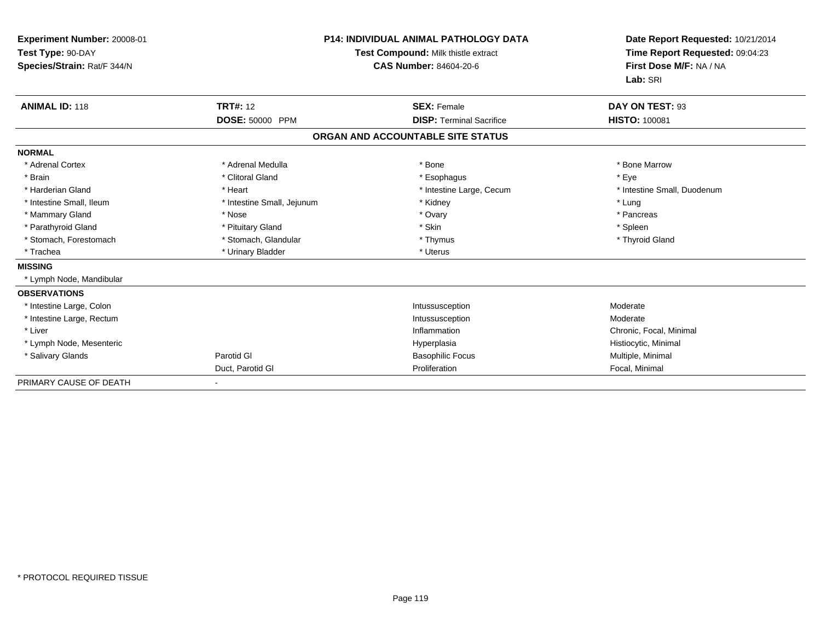| Experiment Number: 20008-01<br>Test Type: 90-DAY<br>Species/Strain: Rat/F 344/N |                            | <b>P14: INDIVIDUAL ANIMAL PATHOLOGY DATA</b><br>Test Compound: Milk thistle extract<br><b>CAS Number: 84604-20-6</b> | Date Report Requested: 10/21/2014<br>Time Report Requested: 09:04:23<br>First Dose M/F: NA / NA<br>Lab: SRI |
|---------------------------------------------------------------------------------|----------------------------|----------------------------------------------------------------------------------------------------------------------|-------------------------------------------------------------------------------------------------------------|
| <b>ANIMAL ID: 118</b>                                                           | <b>TRT#: 12</b>            | <b>SEX: Female</b>                                                                                                   | DAY ON TEST: 93                                                                                             |
|                                                                                 | DOSE: 50000 PPM            | <b>DISP: Terminal Sacrifice</b>                                                                                      | <b>HISTO: 100081</b>                                                                                        |
|                                                                                 |                            | ORGAN AND ACCOUNTABLE SITE STATUS                                                                                    |                                                                                                             |
| <b>NORMAL</b>                                                                   |                            |                                                                                                                      |                                                                                                             |
| * Adrenal Cortex                                                                | * Adrenal Medulla          | * Bone                                                                                                               | * Bone Marrow                                                                                               |
| * Brain                                                                         | * Clitoral Gland           | * Esophagus                                                                                                          | * Eye                                                                                                       |
| * Harderian Gland                                                               | * Heart                    | * Intestine Large, Cecum                                                                                             | * Intestine Small, Duodenum                                                                                 |
| * Intestine Small, Ileum                                                        | * Intestine Small, Jejunum | * Kidney                                                                                                             | * Lung                                                                                                      |
| * Mammary Gland                                                                 | * Nose                     | * Ovary                                                                                                              | * Pancreas                                                                                                  |
| * Parathyroid Gland                                                             | * Pituitary Gland          | * Skin                                                                                                               | * Spleen                                                                                                    |
| * Stomach, Forestomach                                                          | * Stomach, Glandular       | * Thymus                                                                                                             | * Thyroid Gland                                                                                             |
| * Trachea                                                                       | * Urinary Bladder          | * Uterus                                                                                                             |                                                                                                             |
| <b>MISSING</b>                                                                  |                            |                                                                                                                      |                                                                                                             |
| * Lymph Node, Mandibular                                                        |                            |                                                                                                                      |                                                                                                             |
| <b>OBSERVATIONS</b>                                                             |                            |                                                                                                                      |                                                                                                             |
| * Intestine Large, Colon                                                        |                            | Intussusception                                                                                                      | Moderate                                                                                                    |
| * Intestine Large, Rectum                                                       |                            | Intussusception                                                                                                      | Moderate                                                                                                    |
| * Liver                                                                         |                            | Inflammation                                                                                                         | Chronic, Focal, Minimal                                                                                     |
| * Lymph Node, Mesenteric                                                        |                            | Hyperplasia                                                                                                          | Histiocytic, Minimal                                                                                        |
| * Salivary Glands                                                               | Parotid GI                 | <b>Basophilic Focus</b>                                                                                              | Multiple, Minimal                                                                                           |
|                                                                                 | Duct, Parotid GI           | Proliferation                                                                                                        | Focal, Minimal                                                                                              |
| PRIMARY CAUSE OF DEATH                                                          |                            |                                                                                                                      |                                                                                                             |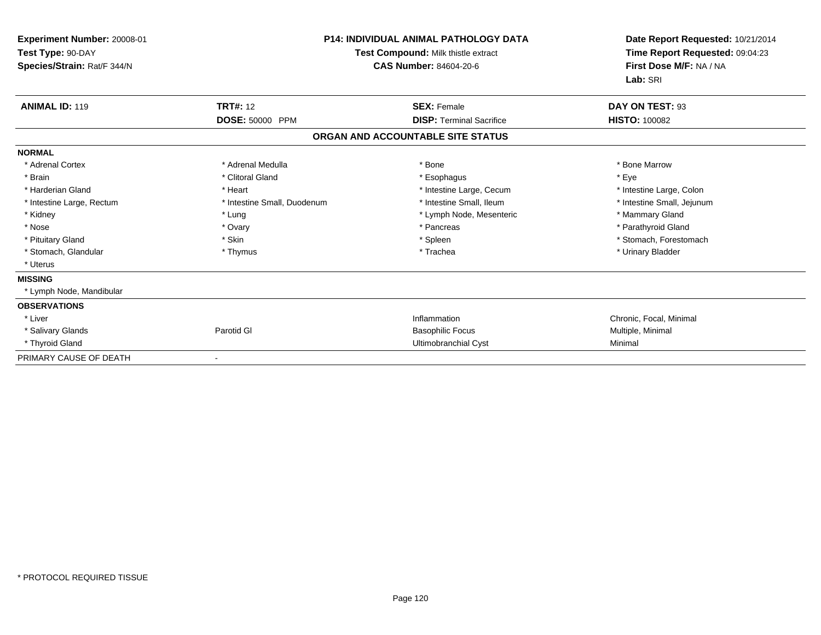| Experiment Number: 20008-01<br>Test Type: 90-DAY<br>Species/Strain: Rat/F 344/N | <b>P14: INDIVIDUAL ANIMAL PATHOLOGY DATA</b><br>Test Compound: Milk thistle extract<br><b>CAS Number: 84604-20-6</b> |                                   | Date Report Requested: 10/21/2014<br>Time Report Requested: 09:04:23<br>First Dose M/F: NA / NA<br>Lab: SRI |
|---------------------------------------------------------------------------------|----------------------------------------------------------------------------------------------------------------------|-----------------------------------|-------------------------------------------------------------------------------------------------------------|
| <b>ANIMAL ID: 119</b>                                                           | <b>TRT#: 12</b>                                                                                                      | <b>SEX: Female</b>                | DAY ON TEST: 93                                                                                             |
|                                                                                 | DOSE: 50000 PPM                                                                                                      | <b>DISP: Terminal Sacrifice</b>   | <b>HISTO: 100082</b>                                                                                        |
|                                                                                 |                                                                                                                      | ORGAN AND ACCOUNTABLE SITE STATUS |                                                                                                             |
| <b>NORMAL</b>                                                                   |                                                                                                                      |                                   |                                                                                                             |
| * Adrenal Cortex                                                                | * Adrenal Medulla                                                                                                    | * Bone                            | * Bone Marrow                                                                                               |
| * Brain                                                                         | * Clitoral Gland                                                                                                     | * Esophagus                       | * Eve                                                                                                       |
| * Harderian Gland                                                               | * Heart                                                                                                              | * Intestine Large, Cecum          | * Intestine Large, Colon                                                                                    |
| * Intestine Large, Rectum                                                       | * Intestine Small, Duodenum                                                                                          | * Intestine Small. Ileum          | * Intestine Small, Jejunum                                                                                  |
| * Kidney                                                                        | * Lung                                                                                                               | * Lymph Node, Mesenteric          | * Mammary Gland                                                                                             |
| * Nose                                                                          | * Ovary                                                                                                              | * Pancreas                        | * Parathyroid Gland                                                                                         |
| * Pituitary Gland                                                               | * Skin                                                                                                               | * Spleen                          | * Stomach, Forestomach                                                                                      |
| * Stomach, Glandular                                                            | * Thymus                                                                                                             | * Trachea                         | * Urinary Bladder                                                                                           |
| * Uterus                                                                        |                                                                                                                      |                                   |                                                                                                             |
| <b>MISSING</b>                                                                  |                                                                                                                      |                                   |                                                                                                             |
| * Lymph Node, Mandibular                                                        |                                                                                                                      |                                   |                                                                                                             |
| <b>OBSERVATIONS</b>                                                             |                                                                                                                      |                                   |                                                                                                             |
| * Liver                                                                         |                                                                                                                      | Inflammation                      | Chronic, Focal, Minimal                                                                                     |
| * Salivary Glands                                                               | Parotid GI                                                                                                           | <b>Basophilic Focus</b>           | Multiple, Minimal                                                                                           |
| * Thyroid Gland                                                                 |                                                                                                                      | <b>Ultimobranchial Cyst</b>       | Minimal                                                                                                     |
| PRIMARY CAUSE OF DEATH                                                          |                                                                                                                      |                                   |                                                                                                             |